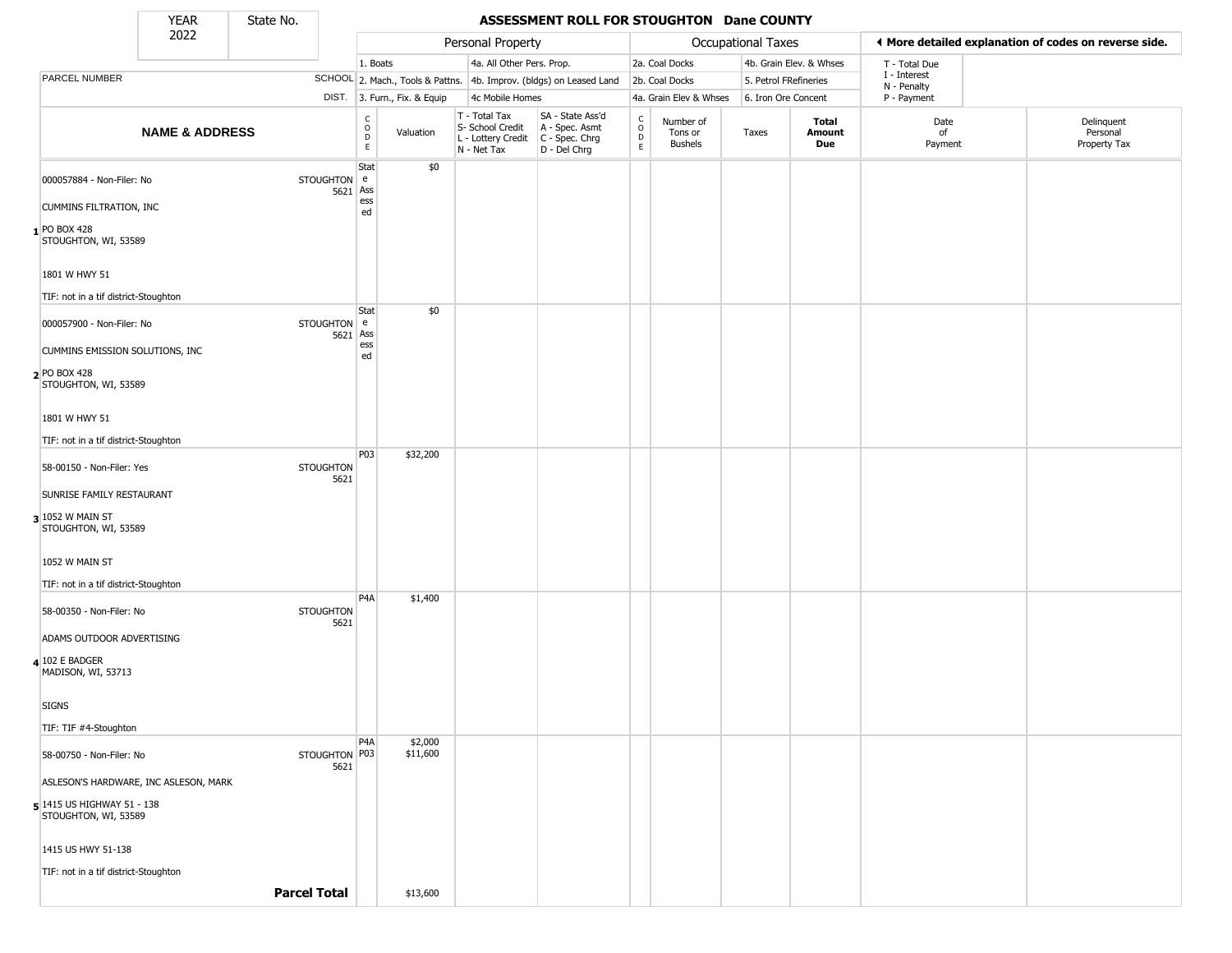State No.

т

## **YEAR** State No. **ASSESSMENT ROLL FOR STOUGHTON Dane COUNTY**

|                                                      | 2022                      |                     |                                    |                              | Personal Property                                                      |                                                                      |                                            |                                        | <b>Occupational Taxes</b> |                         |                             | ♦ More detailed explanation of codes on reverse side. |
|------------------------------------------------------|---------------------------|---------------------|------------------------------------|------------------------------|------------------------------------------------------------------------|----------------------------------------------------------------------|--------------------------------------------|----------------------------------------|---------------------------|-------------------------|-----------------------------|-------------------------------------------------------|
|                                                      |                           |                     |                                    | 1. Boats                     | 4a. All Other Pers. Prop.                                              |                                                                      |                                            | 2a. Coal Docks                         |                           | 4b. Grain Elev. & Whses | T - Total Due               |                                                       |
| PARCEL NUMBER                                        |                           |                     |                                    |                              |                                                                        | SCHOOL 2. Mach., Tools & Pattns. 4b. Improv. (bldgs) on Leased Land  |                                            | 2b. Coal Docks                         | 5. Petrol FRefineries     |                         | I - Interest<br>N - Penalty |                                                       |
|                                                      |                           |                     |                                    | DIST. 3. Furn., Fix. & Equip | 4c Mobile Homes                                                        |                                                                      |                                            | 4a. Grain Elev & Whses                 | 6. Iron Ore Concent       |                         | P - Payment                 |                                                       |
|                                                      | <b>NAME &amp; ADDRESS</b> |                     | $\int_{0}^{c}$<br>D<br>$\mathsf E$ | Valuation                    | T - Total Tax<br>S- School Credit<br>L - Lottery Credit<br>N - Net Tax | SA - State Ass'd<br>A - Spec. Asmt<br>C - Spec. Chrg<br>D - Del Chrg | $\begin{array}{c} C \\ 0 \\ E \end{array}$ | Number of<br>Tons or<br><b>Bushels</b> | Taxes                     | Total<br>Amount<br>Due  | Date<br>of<br>Payment       | Delinquent<br>Personal<br>Property Tax                |
| 000057884 - Non-Filer: No                            |                           | STOUGHTON e         | Stat                               | \$0                          |                                                                        |                                                                      |                                            |                                        |                           |                         |                             |                                                       |
| <b>CUMMINS FILTRATION, INC</b>                       |                           |                     | 5621 Ass<br>ess<br>ed              |                              |                                                                        |                                                                      |                                            |                                        |                           |                         |                             |                                                       |
| 1 PO BOX 428<br>STOUGHTON, WI, 53589                 |                           |                     |                                    |                              |                                                                        |                                                                      |                                            |                                        |                           |                         |                             |                                                       |
| 1801 W HWY 51                                        |                           |                     |                                    |                              |                                                                        |                                                                      |                                            |                                        |                           |                         |                             |                                                       |
| TIF: not in a tif district-Stoughton                 |                           |                     |                                    |                              |                                                                        |                                                                      |                                            |                                        |                           |                         |                             |                                                       |
| 000057900 - Non-Filer: No                            |                           | STOUGHTON e         | Stat<br>5621 Ass                   | \$0                          |                                                                        |                                                                      |                                            |                                        |                           |                         |                             |                                                       |
| CUMMINS EMISSION SOLUTIONS, INC                      |                           |                     | ess<br>ed                          |                              |                                                                        |                                                                      |                                            |                                        |                           |                         |                             |                                                       |
| <b>PO BOX 428</b><br>STOUGHTON, WI, 53589            |                           |                     |                                    |                              |                                                                        |                                                                      |                                            |                                        |                           |                         |                             |                                                       |
| 1801 W HWY 51                                        |                           |                     |                                    |                              |                                                                        |                                                                      |                                            |                                        |                           |                         |                             |                                                       |
| TIF: not in a tif district-Stoughton                 |                           |                     |                                    |                              |                                                                        |                                                                      |                                            |                                        |                           |                         |                             |                                                       |
| 58-00150 - Non-Filer: Yes                            |                           | <b>STOUGHTON</b>    | P03<br>5621                        | \$32,200                     |                                                                        |                                                                      |                                            |                                        |                           |                         |                             |                                                       |
| SUNRISE FAMILY RESTAURANT                            |                           |                     |                                    |                              |                                                                        |                                                                      |                                            |                                        |                           |                         |                             |                                                       |
| 3 1052 W MAIN ST<br>STOUGHTON, WI, 53589             |                           |                     |                                    |                              |                                                                        |                                                                      |                                            |                                        |                           |                         |                             |                                                       |
| 1052 W MAIN ST                                       |                           |                     |                                    |                              |                                                                        |                                                                      |                                            |                                        |                           |                         |                             |                                                       |
| TIF: not in a tif district-Stoughton                 |                           |                     |                                    |                              |                                                                        |                                                                      |                                            |                                        |                           |                         |                             |                                                       |
| 58-00350 - Non-Filer: No                             |                           | <b>STOUGHTON</b>    | P <sub>4</sub> A<br>5621           | \$1,400                      |                                                                        |                                                                      |                                            |                                        |                           |                         |                             |                                                       |
| ADAMS OUTDOOR ADVERTISING                            |                           |                     |                                    |                              |                                                                        |                                                                      |                                            |                                        |                           |                         |                             |                                                       |
| 4 102 E BADGER<br>MADISON, WI, 53713                 |                           |                     |                                    |                              |                                                                        |                                                                      |                                            |                                        |                           |                         |                             |                                                       |
| <b>SIGNS</b>                                         |                           |                     |                                    |                              |                                                                        |                                                                      |                                            |                                        |                           |                         |                             |                                                       |
| TIF: TIF #4-Stoughton                                |                           |                     |                                    |                              |                                                                        |                                                                      |                                            |                                        |                           |                         |                             |                                                       |
| 58-00750 - Non-Filer: No                             |                           | STOUGHTON P03       | P <sub>4</sub> A<br>5621           | \$2,000<br>\$11,600          |                                                                        |                                                                      |                                            |                                        |                           |                         |                             |                                                       |
| ASLESON'S HARDWARE, INC ASLESON, MARK                |                           |                     |                                    |                              |                                                                        |                                                                      |                                            |                                        |                           |                         |                             |                                                       |
| $5$ 1415 US HIGHWAY 51 - 138<br>STOUGHTON, WI, 53589 |                           |                     |                                    |                              |                                                                        |                                                                      |                                            |                                        |                           |                         |                             |                                                       |
| 1415 US HWY 51-138                                   |                           |                     |                                    |                              |                                                                        |                                                                      |                                            |                                        |                           |                         |                             |                                                       |
| TIF: not in a tif district-Stoughton                 |                           |                     |                                    |                              |                                                                        |                                                                      |                                            |                                        |                           |                         |                             |                                                       |
|                                                      |                           | <b>Parcel Total</b> |                                    | \$13,600                     |                                                                        |                                                                      |                                            |                                        |                           |                         |                             |                                                       |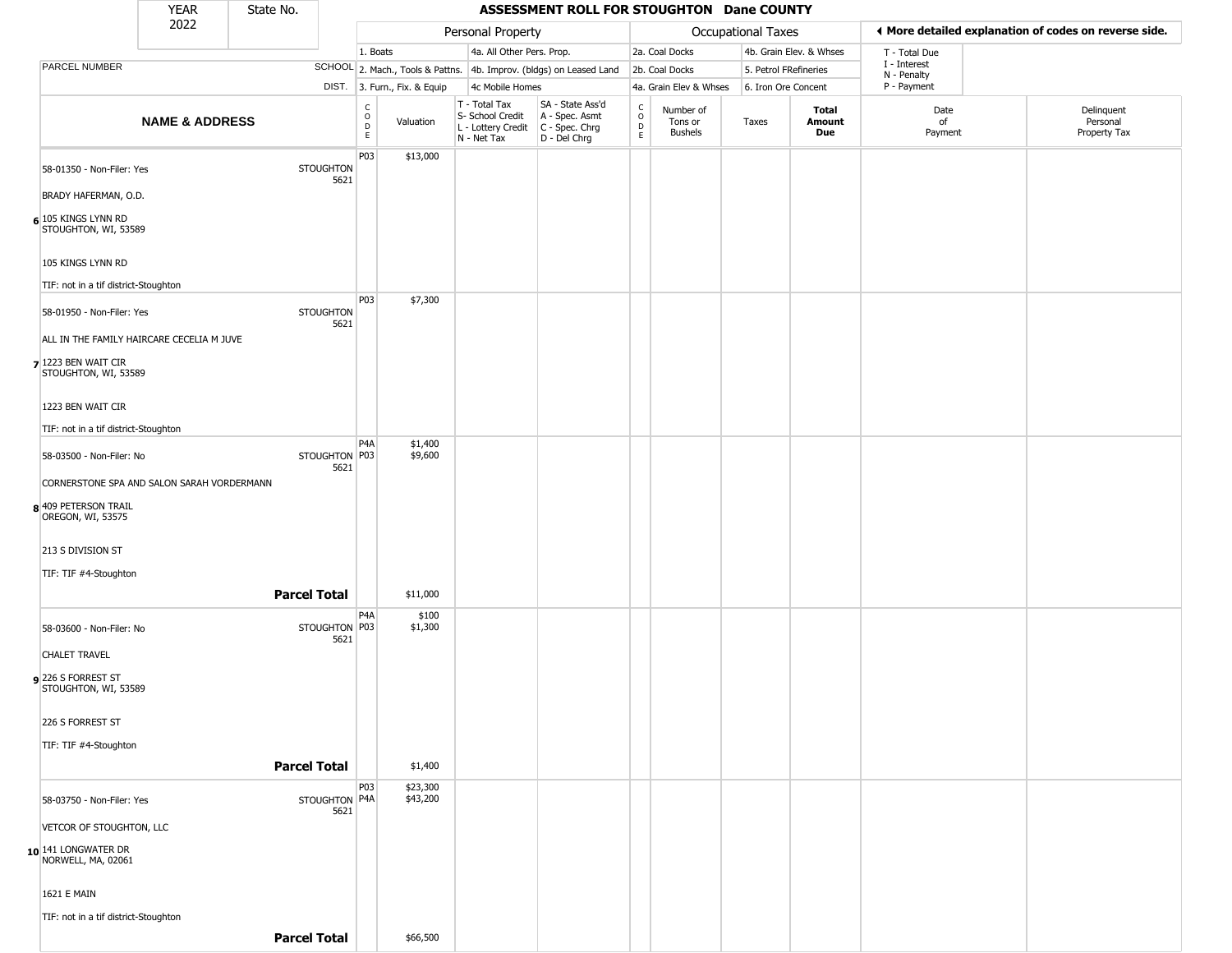|                                                                     | <b>YEAR</b>               | State No. |                          |                                   |                              |                                                                        | ASSESSMENT ROLL FOR STOUGHTON Dane COUNTY                            |                                              |                                        |                       |                         |                             |                                                       |
|---------------------------------------------------------------------|---------------------------|-----------|--------------------------|-----------------------------------|------------------------------|------------------------------------------------------------------------|----------------------------------------------------------------------|----------------------------------------------|----------------------------------------|-----------------------|-------------------------|-----------------------------|-------------------------------------------------------|
|                                                                     | 2022                      |           |                          |                                   |                              | Personal Property                                                      |                                                                      |                                              |                                        | Occupational Taxes    |                         |                             | ♦ More detailed explanation of codes on reverse side. |
|                                                                     |                           |           |                          | 1. Boats                          |                              | 4a. All Other Pers. Prop.                                              |                                                                      |                                              | 2a. Coal Docks                         |                       | 4b. Grain Elev. & Whses | T - Total Due               |                                                       |
| PARCEL NUMBER                                                       |                           |           |                          |                                   |                              |                                                                        | SCHOOL 2. Mach., Tools & Pattns. 4b. Improv. (bldgs) on Leased Land  |                                              | 2b. Coal Docks                         | 5. Petrol FRefineries |                         | I - Interest<br>N - Penalty |                                                       |
|                                                                     |                           |           |                          |                                   | DIST. 3. Furn., Fix. & Equip | 4c Mobile Homes                                                        |                                                                      |                                              | 4a. Grain Elev & Whses                 | 6. Iron Ore Concent   |                         | P - Payment                 |                                                       |
|                                                                     | <b>NAME &amp; ADDRESS</b> |           |                          | $\frac{c}{0}$<br>$\mathsf D$<br>E | Valuation                    | T - Total Tax<br>S- School Credit<br>L - Lottery Credit<br>N - Net Tax | SA - State Ass'd<br>A - Spec. Asmt<br>C - Spec. Chrg<br>D - Del Chrg | $\begin{array}{c}\nC \\ D \\ E\n\end{array}$ | Number of<br>Tons or<br><b>Bushels</b> | Taxes                 | Total<br>Amount<br>Due  | Date<br>of<br>Payment       | Delinquent<br>Personal<br>Property Tax                |
| 58-01350 - Non-Filer: Yes                                           |                           |           | <b>STOUGHTON</b><br>5621 | P03                               | \$13,000                     |                                                                        |                                                                      |                                              |                                        |                       |                         |                             |                                                       |
| BRADY HAFERMAN, O.D.<br>6 105 KINGS LYNN RD<br>STOUGHTON, WI, 53589 |                           |           |                          |                                   |                              |                                                                        |                                                                      |                                              |                                        |                       |                         |                             |                                                       |
| 105 KINGS LYNN RD                                                   |                           |           |                          |                                   |                              |                                                                        |                                                                      |                                              |                                        |                       |                         |                             |                                                       |
| TIF: not in a tif district-Stoughton                                |                           |           |                          |                                   |                              |                                                                        |                                                                      |                                              |                                        |                       |                         |                             |                                                       |
| 58-01950 - Non-Filer: Yes                                           |                           |           | <b>STOUGHTON</b><br>5621 | P03                               | \$7,300                      |                                                                        |                                                                      |                                              |                                        |                       |                         |                             |                                                       |
| ALL IN THE FAMILY HAIRCARE CECELIA M JUVE                           |                           |           |                          |                                   |                              |                                                                        |                                                                      |                                              |                                        |                       |                         |                             |                                                       |
| 7 1223 BEN WAIT CIR<br>STOUGHTON, WI, 53589                         |                           |           |                          |                                   |                              |                                                                        |                                                                      |                                              |                                        |                       |                         |                             |                                                       |
| 1223 BEN WAIT CIR                                                   |                           |           |                          |                                   |                              |                                                                        |                                                                      |                                              |                                        |                       |                         |                             |                                                       |
| TIF: not in a tif district-Stoughton                                |                           |           |                          |                                   |                              |                                                                        |                                                                      |                                              |                                        |                       |                         |                             |                                                       |
| 58-03500 - Non-Filer: No                                            |                           |           | STOUGHTON P03<br>5621    | P4A                               | \$1,400<br>\$9,600           |                                                                        |                                                                      |                                              |                                        |                       |                         |                             |                                                       |
| CORNERSTONE SPA AND SALON SARAH VORDERMANN                          |                           |           |                          |                                   |                              |                                                                        |                                                                      |                                              |                                        |                       |                         |                             |                                                       |
| 8 409 PETERSON TRAIL<br>OREGON, WI, 53575                           |                           |           |                          |                                   |                              |                                                                        |                                                                      |                                              |                                        |                       |                         |                             |                                                       |
| 213 S DIVISION ST                                                   |                           |           |                          |                                   |                              |                                                                        |                                                                      |                                              |                                        |                       |                         |                             |                                                       |
| TIF: TIF #4-Stoughton                                               |                           |           |                          |                                   |                              |                                                                        |                                                                      |                                              |                                        |                       |                         |                             |                                                       |
|                                                                     |                           |           | <b>Parcel Total</b>      |                                   | \$11,000                     |                                                                        |                                                                      |                                              |                                        |                       |                         |                             |                                                       |
| 58-03600 - Non-Filer: No                                            |                           |           | STOUGHTON P03<br>5621    | P4A                               | \$100<br>\$1,300             |                                                                        |                                                                      |                                              |                                        |                       |                         |                             |                                                       |
| <b>CHALET TRAVEL</b>                                                |                           |           |                          |                                   |                              |                                                                        |                                                                      |                                              |                                        |                       |                         |                             |                                                       |
| 226 S FORREST ST<br>STOUGHTON, WI, 53589                            |                           |           |                          |                                   |                              |                                                                        |                                                                      |                                              |                                        |                       |                         |                             |                                                       |
| 226 S FORREST ST                                                    |                           |           |                          |                                   |                              |                                                                        |                                                                      |                                              |                                        |                       |                         |                             |                                                       |
| TIF: TIF #4-Stoughton                                               |                           |           |                          |                                   |                              |                                                                        |                                                                      |                                              |                                        |                       |                         |                             |                                                       |
|                                                                     |                           |           | <b>Parcel Total</b>      |                                   | \$1,400                      |                                                                        |                                                                      |                                              |                                        |                       |                         |                             |                                                       |
| 58-03750 - Non-Filer: Yes                                           |                           |           | STOUGHTON P4A<br>5621    | P03                               | \$23,300<br>\$43,200         |                                                                        |                                                                      |                                              |                                        |                       |                         |                             |                                                       |
| VETCOR OF STOUGHTON, LLC                                            |                           |           |                          |                                   |                              |                                                                        |                                                                      |                                              |                                        |                       |                         |                             |                                                       |
| 10 141 LONGWATER DR<br>NORWELL, MA, 02061                           |                           |           |                          |                                   |                              |                                                                        |                                                                      |                                              |                                        |                       |                         |                             |                                                       |
| <b>1621 E MAIN</b>                                                  |                           |           |                          |                                   |                              |                                                                        |                                                                      |                                              |                                        |                       |                         |                             |                                                       |
| TIF: not in a tif district-Stoughton                                |                           |           |                          |                                   |                              |                                                                        |                                                                      |                                              |                                        |                       |                         |                             |                                                       |
|                                                                     |                           |           | <b>Parcel Total</b>      |                                   | \$66,500                     |                                                                        |                                                                      |                                              |                                        |                       |                         |                             |                                                       |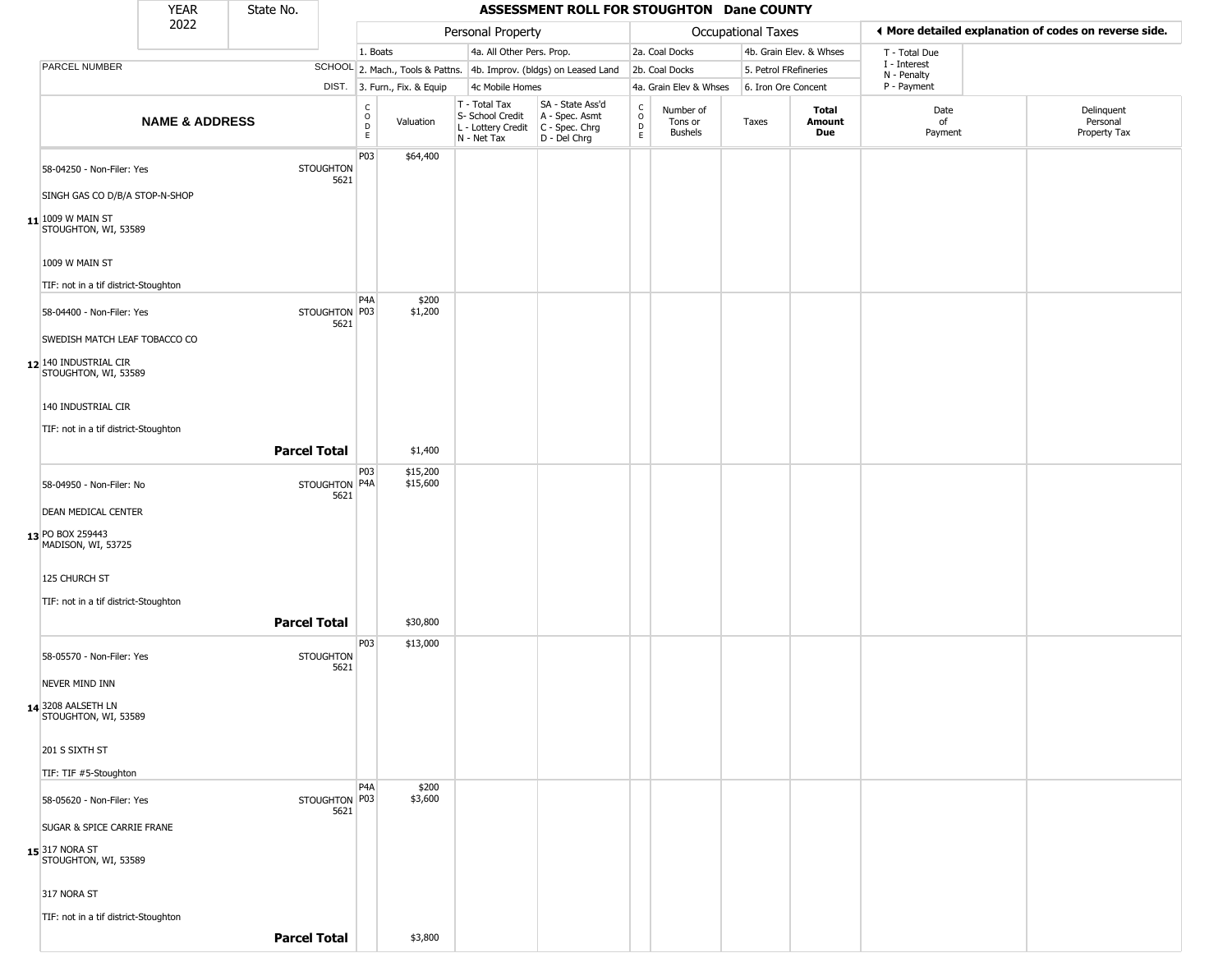|                                                                                | <b>YEAR</b>               | State No.           |                          |                                        |                              |                                                                        | ASSESSMENT ROLL FOR STOUGHTON Dane COUNTY                            |                                            |                                        |                           |                         |                             |                                                       |
|--------------------------------------------------------------------------------|---------------------------|---------------------|--------------------------|----------------------------------------|------------------------------|------------------------------------------------------------------------|----------------------------------------------------------------------|--------------------------------------------|----------------------------------------|---------------------------|-------------------------|-----------------------------|-------------------------------------------------------|
|                                                                                | 2022                      |                     |                          |                                        |                              | Personal Property                                                      |                                                                      |                                            |                                        | <b>Occupational Taxes</b> |                         |                             | ♦ More detailed explanation of codes on reverse side. |
|                                                                                |                           |                     |                          | 1. Boats                               |                              | 4a. All Other Pers. Prop.                                              |                                                                      |                                            | 2a. Coal Docks                         |                           | 4b. Grain Elev. & Whses | T - Total Due               |                                                       |
| PARCEL NUMBER                                                                  |                           |                     |                          |                                        |                              |                                                                        | SCHOOL 2. Mach., Tools & Pattns. 4b. Improv. (bldgs) on Leased Land  |                                            | 2b. Coal Docks                         | 5. Petrol FRefineries     |                         | I - Interest<br>N - Penalty |                                                       |
|                                                                                |                           |                     |                          |                                        | DIST. 3. Furn., Fix. & Equip | 4c Mobile Homes                                                        |                                                                      |                                            | 4a. Grain Elev & Whses                 | 6. Iron Ore Concent       |                         | P - Payment                 |                                                       |
|                                                                                | <b>NAME &amp; ADDRESS</b> |                     |                          | $_{\rm o}^{\rm c}$<br>D<br>$\mathsf E$ | Valuation                    | T - Total Tax<br>S- School Credit<br>L - Lottery Credit<br>N - Net Tax | SA - State Ass'd<br>A - Spec. Asmt<br>C - Spec. Chrg<br>D - Del Chrg | $\begin{array}{c} C \\ 0 \\ E \end{array}$ | Number of<br>Tons or<br><b>Bushels</b> | Taxes                     | Total<br>Amount<br>Due  | Date<br>of<br>Payment       | Delinquent<br>Personal<br>Property Tax                |
| 58-04250 - Non-Filer: Yes<br>SINGH GAS CO D/B/A STOP-N-SHOP                    |                           |                     | <b>STOUGHTON</b><br>5621 | P03                                    | \$64,400                     |                                                                        |                                                                      |                                            |                                        |                           |                         |                             |                                                       |
| $11$ <sup>1009</sup> W MAIN ST<br>STOUGHTON, WI, 53589                         |                           |                     |                          |                                        |                              |                                                                        |                                                                      |                                            |                                        |                           |                         |                             |                                                       |
| 1009 W MAIN ST                                                                 |                           |                     |                          |                                        |                              |                                                                        |                                                                      |                                            |                                        |                           |                         |                             |                                                       |
| TIF: not in a tif district-Stoughton                                           |                           |                     |                          | P <sub>4</sub> A                       | \$200                        |                                                                        |                                                                      |                                            |                                        |                           |                         |                             |                                                       |
| 58-04400 - Non-Filer: Yes                                                      |                           |                     | STOUGHTON P03<br>5621    |                                        | \$1,200                      |                                                                        |                                                                      |                                            |                                        |                           |                         |                             |                                                       |
| SWEDISH MATCH LEAF TOBACCO CO<br>12 140 INDUSTRIAL CIR<br>STOUGHTON, WI, 53589 |                           |                     |                          |                                        |                              |                                                                        |                                                                      |                                            |                                        |                           |                         |                             |                                                       |
| 140 INDUSTRIAL CIR                                                             |                           |                     |                          |                                        |                              |                                                                        |                                                                      |                                            |                                        |                           |                         |                             |                                                       |
| TIF: not in a tif district-Stoughton                                           |                           |                     |                          |                                        |                              |                                                                        |                                                                      |                                            |                                        |                           |                         |                             |                                                       |
|                                                                                |                           | <b>Parcel Total</b> |                          |                                        | \$1,400                      |                                                                        |                                                                      |                                            |                                        |                           |                         |                             |                                                       |
| 58-04950 - Non-Filer: No                                                       |                           |                     | STOUGHTON P4A<br>5621    | P03                                    | \$15,200<br>\$15,600         |                                                                        |                                                                      |                                            |                                        |                           |                         |                             |                                                       |
| <b>DEAN MEDICAL CENTER</b>                                                     |                           |                     |                          |                                        |                              |                                                                        |                                                                      |                                            |                                        |                           |                         |                             |                                                       |
| 13 PO BOX 259443<br>MADISON, WI, 53725                                         |                           |                     |                          |                                        |                              |                                                                        |                                                                      |                                            |                                        |                           |                         |                             |                                                       |
| 125 CHURCH ST                                                                  |                           |                     |                          |                                        |                              |                                                                        |                                                                      |                                            |                                        |                           |                         |                             |                                                       |
| TIF: not in a tif district-Stoughton                                           |                           |                     |                          |                                        |                              |                                                                        |                                                                      |                                            |                                        |                           |                         |                             |                                                       |
|                                                                                |                           | <b>Parcel Total</b> |                          |                                        | \$30,800                     |                                                                        |                                                                      |                                            |                                        |                           |                         |                             |                                                       |
| 58-05570 - Non-Filer: Yes                                                      |                           |                     | <b>STOUGHTON</b><br>5621 | P03                                    | \$13,000                     |                                                                        |                                                                      |                                            |                                        |                           |                         |                             |                                                       |
| NEVER MIND INN                                                                 |                           |                     |                          |                                        |                              |                                                                        |                                                                      |                                            |                                        |                           |                         |                             |                                                       |
| 14 3208 AALSETH LN<br>STOUGHTON, WI, 53589                                     |                           |                     |                          |                                        |                              |                                                                        |                                                                      |                                            |                                        |                           |                         |                             |                                                       |
| 201 S SIXTH ST                                                                 |                           |                     |                          |                                        |                              |                                                                        |                                                                      |                                            |                                        |                           |                         |                             |                                                       |
| TIF: TIF #5-Stoughton                                                          |                           |                     |                          |                                        |                              |                                                                        |                                                                      |                                            |                                        |                           |                         |                             |                                                       |
| 58-05620 - Non-Filer: Yes                                                      |                           |                     | STOUGHTON P03<br>5621    | P <sub>4</sub> A                       | \$200<br>\$3,600             |                                                                        |                                                                      |                                            |                                        |                           |                         |                             |                                                       |
| SUGAR & SPICE CARRIE FRANE                                                     |                           |                     |                          |                                        |                              |                                                                        |                                                                      |                                            |                                        |                           |                         |                             |                                                       |
| 15 317 NORA ST<br>STOUGHTON, WI, 53589                                         |                           |                     |                          |                                        |                              |                                                                        |                                                                      |                                            |                                        |                           |                         |                             |                                                       |
| 317 NORA ST                                                                    |                           |                     |                          |                                        |                              |                                                                        |                                                                      |                                            |                                        |                           |                         |                             |                                                       |
| TIF: not in a tif district-Stoughton                                           |                           |                     |                          |                                        |                              |                                                                        |                                                                      |                                            |                                        |                           |                         |                             |                                                       |
|                                                                                |                           | <b>Parcel Total</b> |                          |                                        | \$3,800                      |                                                                        |                                                                      |                                            |                                        |                           |                         |                             |                                                       |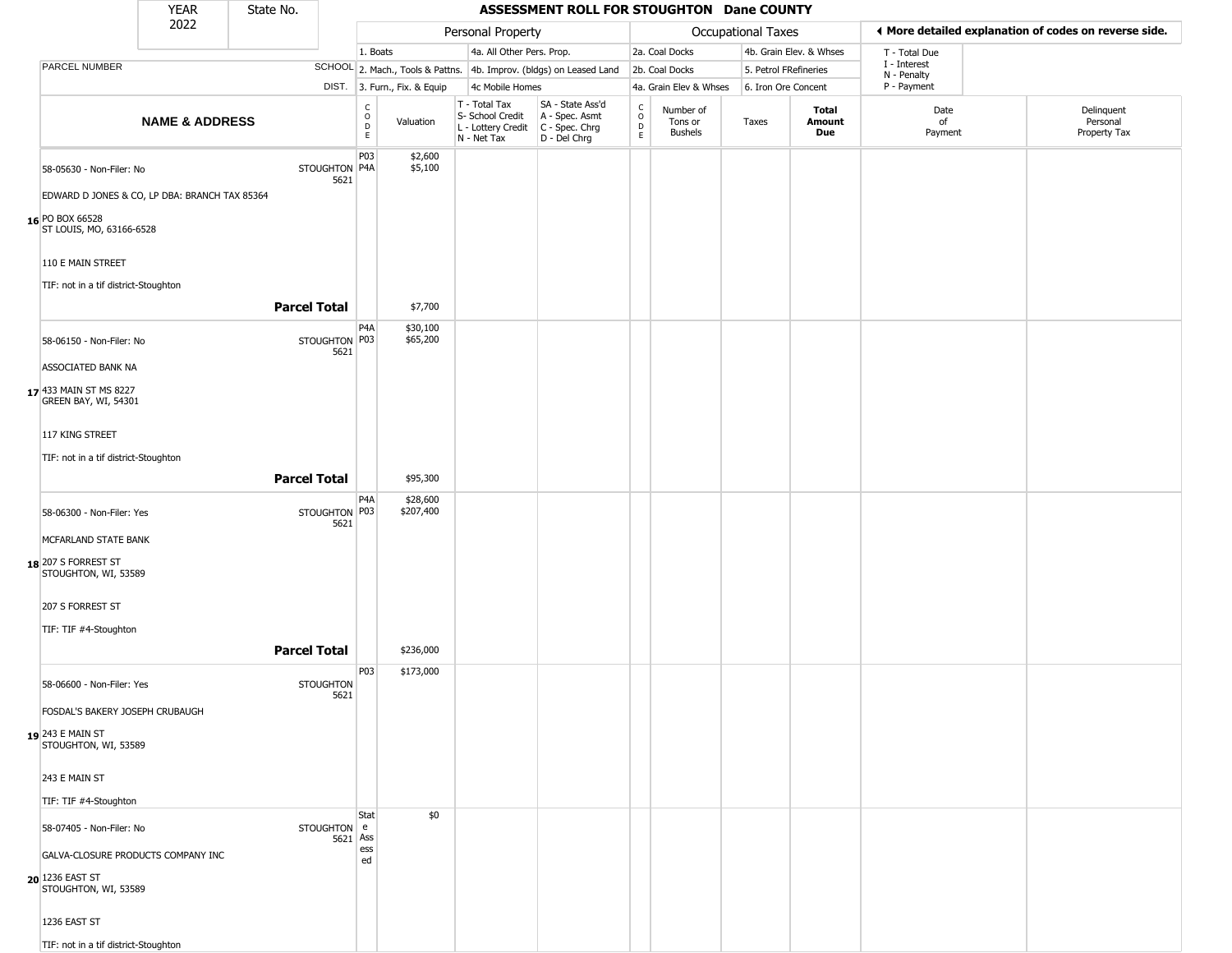|                                                                      | <b>YEAR</b>                                   | State No.           |                          |                                             |                              |                                                                        | ASSESSMENT ROLL FOR STOUGHTON Dane COUNTY                              |                                              |                                 |                    |                         |                             |                                                       |
|----------------------------------------------------------------------|-----------------------------------------------|---------------------|--------------------------|---------------------------------------------|------------------------------|------------------------------------------------------------------------|------------------------------------------------------------------------|----------------------------------------------|---------------------------------|--------------------|-------------------------|-----------------------------|-------------------------------------------------------|
|                                                                      | 2022                                          |                     |                          |                                             |                              | Personal Property                                                      |                                                                        |                                              |                                 | Occupational Taxes |                         |                             | ◀ More detailed explanation of codes on reverse side. |
|                                                                      |                                               |                     |                          | 1. Boats                                    |                              | 4a. All Other Pers. Prop.                                              |                                                                        |                                              | 2a. Coal Docks                  |                    | 4b. Grain Elev. & Whses | T - Total Due               |                                                       |
| PARCEL NUMBER                                                        |                                               |                     |                          |                                             |                              |                                                                        | SCHOOL 2. Mach., Tools & Pattns. 4b. Improv. (bldgs) on Leased Land    |                                              | 2b. Coal Docks                  |                    | 5. Petrol FRefineries   | I - Interest<br>N - Penalty |                                                       |
|                                                                      |                                               |                     |                          |                                             | DIST. 3. Furn., Fix. & Equip | 4c Mobile Homes                                                        |                                                                        |                                              | 4a. Grain Elev & Whses          |                    | 6. Iron Ore Concent     | P - Payment                 |                                                       |
|                                                                      | <b>NAME &amp; ADDRESS</b>                     |                     |                          | $\frac{C}{O}$<br>$\mathsf D$<br>$\mathsf E$ | Valuation                    | T - Total Tax<br>S- School Credit<br>L - Lottery Credit<br>N - Net Tax | SA - State Ass'd<br>A - Spec. Asmt<br>$C - Spec. Chrg$<br>D - Del Chrg | $\begin{array}{c}\nC \\ D \\ E\n\end{array}$ | Number of<br>Tons or<br>Bushels | Taxes              | Total<br>Amount<br>Due  | Date<br>of<br>Payment       | Delinquent<br>Personal<br>Property Tax                |
| 58-05630 - Non-Filer: No                                             | EDWARD D JONES & CO, LP DBA: BRANCH TAX 85364 |                     | STOUGHTON P4A<br>5621    | P03                                         | \$2,600<br>\$5,100           |                                                                        |                                                                        |                                              |                                 |                    |                         |                             |                                                       |
| 16 PO BOX 66528<br>ST LOUIS, MO, 63166-6528                          |                                               |                     |                          |                                             |                              |                                                                        |                                                                        |                                              |                                 |                    |                         |                             |                                                       |
| 110 E MAIN STREET<br>TIF: not in a tif district-Stoughton            |                                               | <b>Parcel Total</b> |                          |                                             |                              |                                                                        |                                                                        |                                              |                                 |                    |                         |                             |                                                       |
|                                                                      |                                               |                     |                          |                                             | \$7,700                      |                                                                        |                                                                        |                                              |                                 |                    |                         |                             |                                                       |
| 58-06150 - Non-Filer: No                                             |                                               |                     | STOUGHTON P03<br>5621    | P4A                                         | \$30,100<br>\$65,200         |                                                                        |                                                                        |                                              |                                 |                    |                         |                             |                                                       |
| ASSOCIATED BANK NA<br>17 433 MAIN ST MS 8227<br>GREEN BAY, WI, 54301 |                                               |                     |                          |                                             |                              |                                                                        |                                                                        |                                              |                                 |                    |                         |                             |                                                       |
| 117 KING STREET                                                      |                                               |                     |                          |                                             |                              |                                                                        |                                                                        |                                              |                                 |                    |                         |                             |                                                       |
| TIF: not in a tif district-Stoughton                                 |                                               |                     |                          |                                             |                              |                                                                        |                                                                        |                                              |                                 |                    |                         |                             |                                                       |
|                                                                      |                                               | <b>Parcel Total</b> |                          |                                             |                              |                                                                        |                                                                        |                                              |                                 |                    |                         |                             |                                                       |
|                                                                      |                                               |                     |                          |                                             | \$95,300                     |                                                                        |                                                                        |                                              |                                 |                    |                         |                             |                                                       |
| 58-06300 - Non-Filer: Yes                                            |                                               |                     | STOUGHTON P03<br>5621    | P4A                                         | \$28,600<br>\$207,400        |                                                                        |                                                                        |                                              |                                 |                    |                         |                             |                                                       |
| MCFARLAND STATE BANK<br>18 207 S FORREST ST<br>STOUGHTON, WI, 53589  |                                               |                     |                          |                                             |                              |                                                                        |                                                                        |                                              |                                 |                    |                         |                             |                                                       |
| 207 S FORREST ST                                                     |                                               |                     |                          |                                             |                              |                                                                        |                                                                        |                                              |                                 |                    |                         |                             |                                                       |
| TIF: TIF #4-Stoughton                                                |                                               |                     |                          |                                             |                              |                                                                        |                                                                        |                                              |                                 |                    |                         |                             |                                                       |
|                                                                      |                                               | <b>Parcel Total</b> |                          | P03                                         | \$236,000<br>\$173,000       |                                                                        |                                                                        |                                              |                                 |                    |                         |                             |                                                       |
| 58-06600 - Non-Filer: Yes<br>FOSDAL'S BAKERY JOSEPH CRUBAUGH         |                                               |                     | <b>STOUGHTON</b><br>5621 |                                             |                              |                                                                        |                                                                        |                                              |                                 |                    |                         |                             |                                                       |
| 19 243 E MAIN ST<br>STOUGHTON, WI, 53589                             |                                               |                     |                          |                                             |                              |                                                                        |                                                                        |                                              |                                 |                    |                         |                             |                                                       |
| 243 E MAIN ST                                                        |                                               |                     |                          |                                             |                              |                                                                        |                                                                        |                                              |                                 |                    |                         |                             |                                                       |
| TIF: TIF #4-Stoughton                                                |                                               |                     |                          |                                             |                              |                                                                        |                                                                        |                                              |                                 |                    |                         |                             |                                                       |
| 58-07405 - Non-Filer: No                                             |                                               |                     | STOUGHTON e<br>5621 Ass  | Stat                                        | \$0                          |                                                                        |                                                                        |                                              |                                 |                    |                         |                             |                                                       |
|                                                                      | GALVA-CLOSURE PRODUCTS COMPANY INC            |                     |                          | ess<br>ed                                   |                              |                                                                        |                                                                        |                                              |                                 |                    |                         |                             |                                                       |
| 20 1236 EAST ST<br>STOUGHTON, WI, 53589                              |                                               |                     |                          |                                             |                              |                                                                        |                                                                        |                                              |                                 |                    |                         |                             |                                                       |
| 1236 EAST ST                                                         |                                               |                     |                          |                                             |                              |                                                                        |                                                                        |                                              |                                 |                    |                         |                             |                                                       |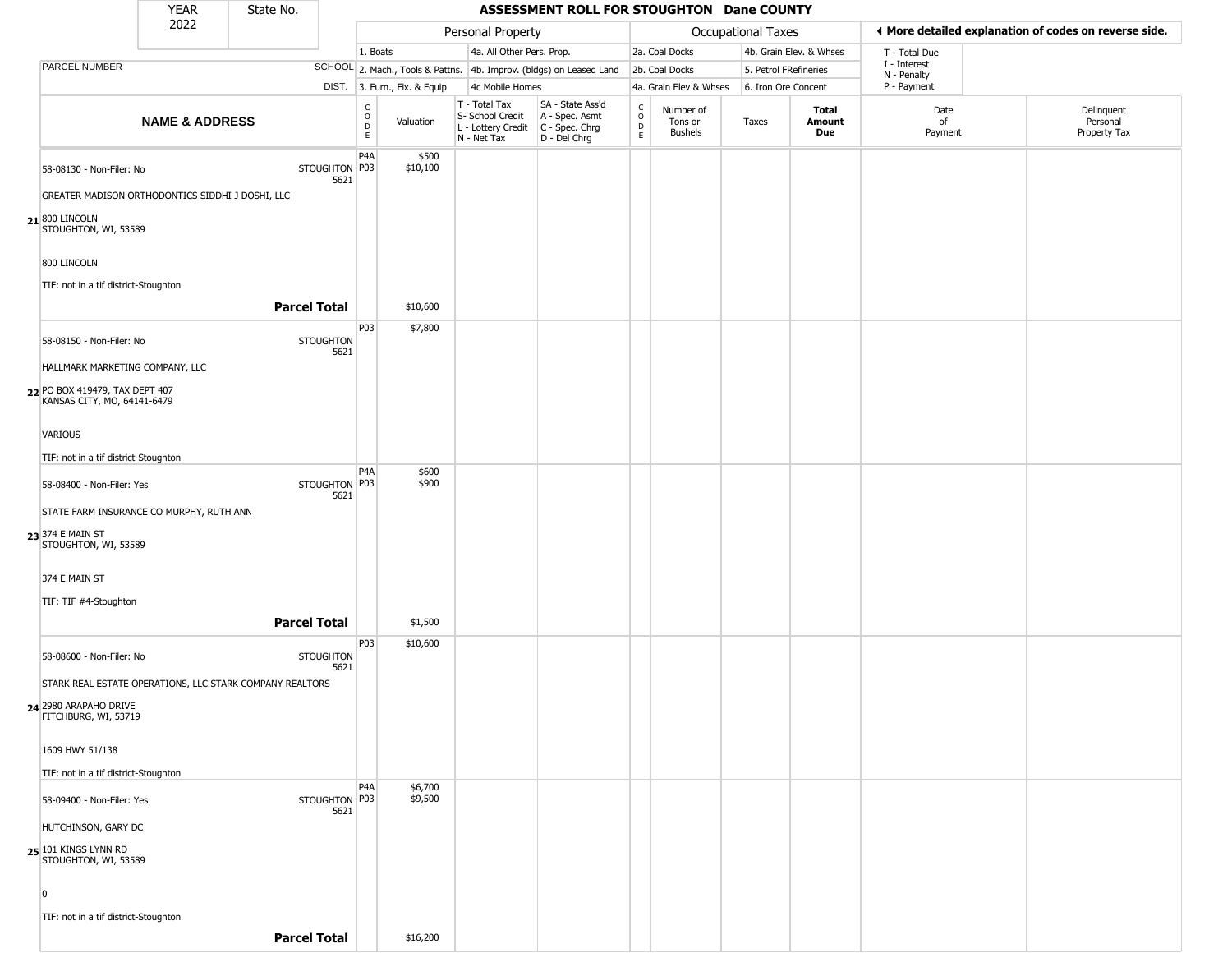|                                                               | <b>YEAR</b>               | State No.                                                |                                           |                              |                                                                                       | ASSESSMENT ROLL FOR STOUGHTON Dane COUNTY                           |                         |                                        |                       |                         |                             |                                                       |
|---------------------------------------------------------------|---------------------------|----------------------------------------------------------|-------------------------------------------|------------------------------|---------------------------------------------------------------------------------------|---------------------------------------------------------------------|-------------------------|----------------------------------------|-----------------------|-------------------------|-----------------------------|-------------------------------------------------------|
|                                                               | 2022                      |                                                          |                                           |                              | Personal Property                                                                     |                                                                     |                         |                                        | Occupational Taxes    |                         |                             | I More detailed explanation of codes on reverse side. |
|                                                               |                           |                                                          |                                           | 1. Boats                     | 4a. All Other Pers. Prop.                                                             |                                                                     |                         | 2a. Coal Docks                         |                       | 4b. Grain Elev. & Whses | T - Total Due               |                                                       |
| <b>PARCEL NUMBER</b>                                          |                           |                                                          |                                           |                              |                                                                                       | SCHOOL 2. Mach., Tools & Pattns. 4b. Improv. (bldgs) on Leased Land |                         | 2b. Coal Docks                         | 5. Petrol FRefineries |                         | I - Interest<br>N - Penalty |                                                       |
|                                                               |                           |                                                          |                                           | DIST. 3. Furn., Fix. & Equip | 4c Mobile Homes                                                                       |                                                                     |                         | 4a. Grain Elev & Whses                 | 6. Iron Ore Concent   |                         | P - Payment                 |                                                       |
|                                                               | <b>NAME &amp; ADDRESS</b> |                                                          | $_{\rm o}^{\rm c}$<br>D<br>$\mathsf E$    | Valuation                    | T - Total Tax<br>S- School Credit<br>L - Lottery Credit C - Spec. Chrg<br>N - Net Tax | SA - State Ass'd<br>A - Spec. Asmt<br>D - Del Chrg                  | C<br>$\circ$<br>D<br>E. | Number of<br>Tons or<br><b>Bushels</b> | Taxes                 | Total<br>Amount<br>Due  | Date<br>of<br>Payment       | Delinquent<br>Personal<br>Property Tax                |
| 58-08130 - Non-Filer: No                                      |                           |                                                          | P <sub>4</sub> A<br>STOUGHTON P03<br>5621 | \$500<br>\$10,100            |                                                                                       |                                                                     |                         |                                        |                       |                         |                             |                                                       |
| GREATER MADISON ORTHODONTICS SIDDHI J DOSHI, LLC              |                           |                                                          |                                           |                              |                                                                                       |                                                                     |                         |                                        |                       |                         |                             |                                                       |
| 21 800 LINCOLN<br>STOUGHTON, WI, 53589                        |                           |                                                          |                                           |                              |                                                                                       |                                                                     |                         |                                        |                       |                         |                             |                                                       |
| 800 LINCOLN                                                   |                           |                                                          |                                           |                              |                                                                                       |                                                                     |                         |                                        |                       |                         |                             |                                                       |
| TIF: not in a tif district-Stoughton                          |                           | <b>Parcel Total</b>                                      |                                           | \$10,600                     |                                                                                       |                                                                     |                         |                                        |                       |                         |                             |                                                       |
|                                                               |                           |                                                          | P03                                       | \$7,800                      |                                                                                       |                                                                     |                         |                                        |                       |                         |                             |                                                       |
| 58-08150 - Non-Filer: No                                      |                           | <b>STOUGHTON</b>                                         | 5621                                      |                              |                                                                                       |                                                                     |                         |                                        |                       |                         |                             |                                                       |
| HALLMARK MARKETING COMPANY, LLC                               |                           |                                                          |                                           |                              |                                                                                       |                                                                     |                         |                                        |                       |                         |                             |                                                       |
| 22 PO BOX 419479, TAX DEPT 407<br>KANSAS CITY, MO, 64141-6479 |                           |                                                          |                                           |                              |                                                                                       |                                                                     |                         |                                        |                       |                         |                             |                                                       |
| <b>VARIOUS</b>                                                |                           |                                                          |                                           |                              |                                                                                       |                                                                     |                         |                                        |                       |                         |                             |                                                       |
| TIF: not in a tif district-Stoughton                          |                           |                                                          |                                           |                              |                                                                                       |                                                                     |                         |                                        |                       |                         |                             |                                                       |
| 58-08400 - Non-Filer: Yes                                     |                           |                                                          | P <sub>4</sub> A<br>STOUGHTON P03         | \$600<br>\$900               |                                                                                       |                                                                     |                         |                                        |                       |                         |                             |                                                       |
| STATE FARM INSURANCE CO MURPHY, RUTH ANN                      |                           |                                                          | 5621                                      |                              |                                                                                       |                                                                     |                         |                                        |                       |                         |                             |                                                       |
| 23 374 E MAIN ST<br>STOUGHTON, WI, 53589                      |                           |                                                          |                                           |                              |                                                                                       |                                                                     |                         |                                        |                       |                         |                             |                                                       |
| 374 E MAIN ST                                                 |                           |                                                          |                                           |                              |                                                                                       |                                                                     |                         |                                        |                       |                         |                             |                                                       |
| TIF: TIF #4-Stoughton                                         |                           |                                                          |                                           |                              |                                                                                       |                                                                     |                         |                                        |                       |                         |                             |                                                       |
|                                                               |                           | <b>Parcel Total</b>                                      |                                           | \$1,500                      |                                                                                       |                                                                     |                         |                                        |                       |                         |                             |                                                       |
| 58-08600 - Non-Filer: No                                      |                           | <b>STOUGHTON</b>                                         | P03<br>5621                               | \$10,600                     |                                                                                       |                                                                     |                         |                                        |                       |                         |                             |                                                       |
|                                                               |                           | STARK REAL ESTATE OPERATIONS, LLC STARK COMPANY REALTORS |                                           |                              |                                                                                       |                                                                     |                         |                                        |                       |                         |                             |                                                       |
| 24 2980 ARAPAHO DRIVE<br>FITCHBURG, WI, 53719                 |                           |                                                          |                                           |                              |                                                                                       |                                                                     |                         |                                        |                       |                         |                             |                                                       |
| 1609 HWY 51/138                                               |                           |                                                          |                                           |                              |                                                                                       |                                                                     |                         |                                        |                       |                         |                             |                                                       |
| TIF: not in a tif district-Stoughton                          |                           |                                                          |                                           |                              |                                                                                       |                                                                     |                         |                                        |                       |                         |                             |                                                       |
| 58-09400 - Non-Filer: Yes                                     |                           |                                                          | P4A<br>STOUGHTON P03                      | \$6,700<br>\$9,500           |                                                                                       |                                                                     |                         |                                        |                       |                         |                             |                                                       |
| HUTCHINSON, GARY DC                                           |                           |                                                          | 5621                                      |                              |                                                                                       |                                                                     |                         |                                        |                       |                         |                             |                                                       |
| 25 101 KINGS LYNN RD                                          |                           |                                                          |                                           |                              |                                                                                       |                                                                     |                         |                                        |                       |                         |                             |                                                       |
| STOUGHTON, WI, 53589                                          |                           |                                                          |                                           |                              |                                                                                       |                                                                     |                         |                                        |                       |                         |                             |                                                       |
| $\overline{0}$                                                |                           |                                                          |                                           |                              |                                                                                       |                                                                     |                         |                                        |                       |                         |                             |                                                       |
| TIF: not in a tif district-Stoughton                          |                           | <b>Parcel Total</b>                                      |                                           | \$16,200                     |                                                                                       |                                                                     |                         |                                        |                       |                         |                             |                                                       |
|                                                               |                           |                                                          |                                           |                              |                                                                                       |                                                                     |                         |                                        |                       |                         |                             |                                                       |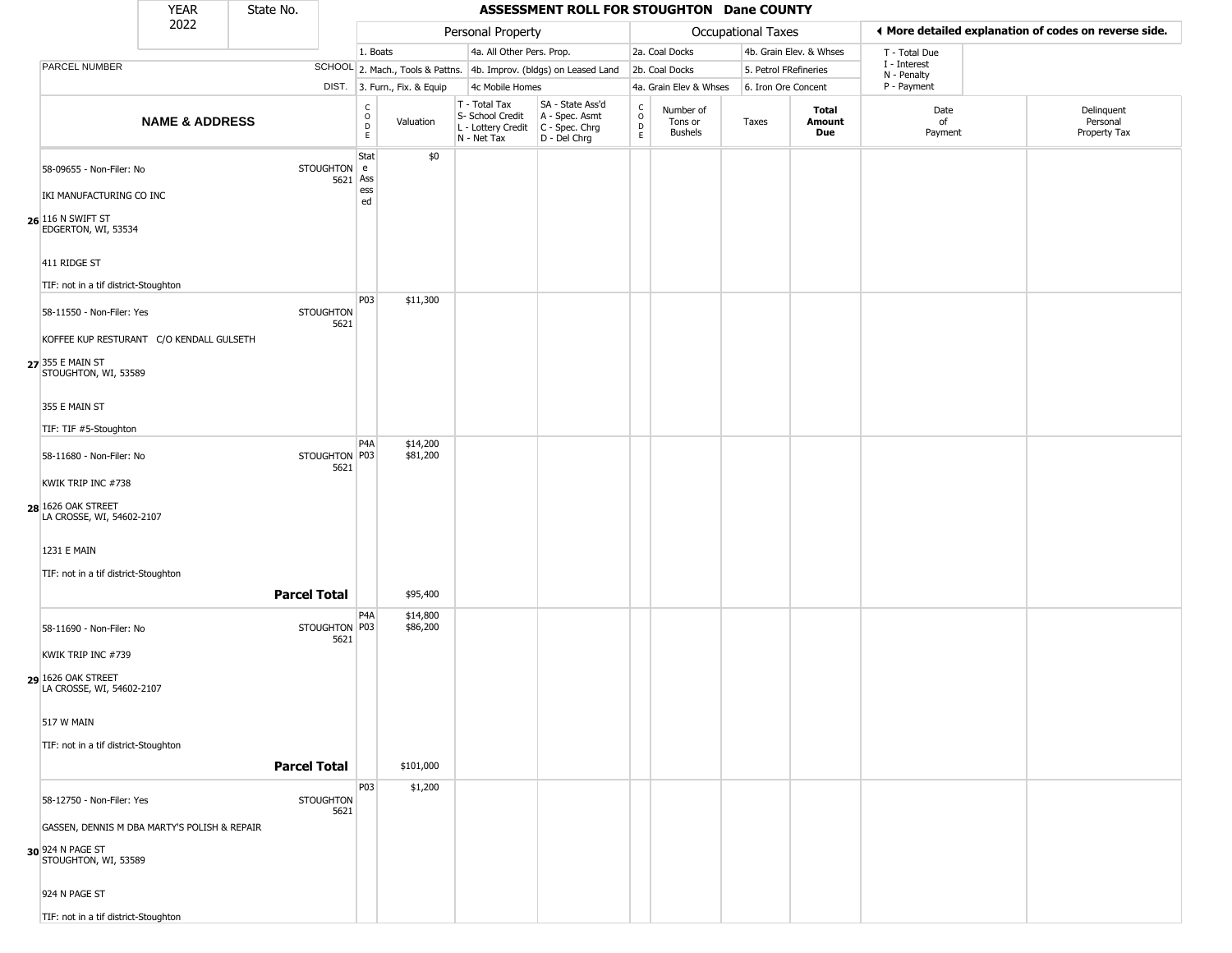|                                                                                                                                        | <b>YEAR</b>               | State No.           |                          |                        |                              |                                                                        | ASSESSMENT ROLL FOR STOUGHTON Dane COUNTY                            |                                            |                                        |                    |                         |                             |                                                       |
|----------------------------------------------------------------------------------------------------------------------------------------|---------------------------|---------------------|--------------------------|------------------------|------------------------------|------------------------------------------------------------------------|----------------------------------------------------------------------|--------------------------------------------|----------------------------------------|--------------------|-------------------------|-----------------------------|-------------------------------------------------------|
|                                                                                                                                        | 2022                      |                     |                          |                        |                              | Personal Property                                                      |                                                                      |                                            |                                        | Occupational Taxes |                         |                             | ♦ More detailed explanation of codes on reverse side. |
|                                                                                                                                        |                           |                     |                          | 1. Boats               |                              | 4a. All Other Pers. Prop.                                              |                                                                      |                                            | 2a. Coal Docks                         |                    | 4b. Grain Elev. & Whses | T - Total Due               |                                                       |
| PARCEL NUMBER                                                                                                                          |                           |                     |                          |                        |                              |                                                                        | SCHOOL 2. Mach., Tools & Pattns. 4b. Improv. (bldgs) on Leased Land  |                                            | 2b. Coal Docks                         |                    | 5. Petrol FRefineries   | I - Interest<br>N - Penalty |                                                       |
|                                                                                                                                        |                           |                     |                          |                        | DIST. 3. Furn., Fix. & Equip | 4c Mobile Homes                                                        |                                                                      |                                            | 4a. Grain Elev & Whses                 |                    | 6. Iron Ore Concent     | P - Payment                 |                                                       |
|                                                                                                                                        | <b>NAME &amp; ADDRESS</b> |                     |                          | C<br>$\circ$<br>D<br>E | Valuation                    | T - Total Tax<br>S- School Credit<br>L - Lottery Credit<br>N - Net Tax | SA - State Ass'd<br>A - Spec. Asmt<br>C - Spec. Chrg<br>D - Del Chrg | $\begin{array}{c} C \\ 0 \\ E \end{array}$ | Number of<br>Tons or<br><b>Bushels</b> | Taxes              | Total<br>Amount<br>Due  | Date<br>of<br>Payment       | Delinquent<br>Personal<br>Property Tax                |
| 58-09655 - Non-Filer: No<br>IKI MANUFACTURING CO INC<br>26 116 N SWIFT ST<br>EDGERTON, WI, 53534<br>411 RIDGE ST                       |                           |                     | STOUGHTON e<br>5621 Ass  | Stat<br>ess<br>ed      | \$0                          |                                                                        |                                                                      |                                            |                                        |                    |                         |                             |                                                       |
| TIF: not in a tif district-Stoughton                                                                                                   |                           |                     |                          | P03                    | \$11,300                     |                                                                        |                                                                      |                                            |                                        |                    |                         |                             |                                                       |
| 58-11550 - Non-Filer: Yes<br>KOFFEE KUP RESTURANT C/O KENDALL GULSETH<br>27 355 E MAIN ST<br>STOUGHTON, WI, 53589<br>355 E MAIN ST     |                           |                     | <b>STOUGHTON</b><br>5621 |                        |                              |                                                                        |                                                                      |                                            |                                        |                    |                         |                             |                                                       |
| TIF: TIF #5-Stoughton                                                                                                                  |                           |                     |                          | P <sub>4</sub> A       | \$14,200                     |                                                                        |                                                                      |                                            |                                        |                    |                         |                             |                                                       |
| 58-11680 - Non-Filer: No<br>KWIK TRIP INC #738<br>28 1626 OAK STREET<br>LA CROSSE, WI, 54602-2107                                      |                           |                     | STOUGHTON P03<br>5621    |                        | \$81,200                     |                                                                        |                                                                      |                                            |                                        |                    |                         |                             |                                                       |
| 1231 E MAIN                                                                                                                            |                           |                     |                          |                        |                              |                                                                        |                                                                      |                                            |                                        |                    |                         |                             |                                                       |
| TIF: not in a tif district-Stoughton                                                                                                   |                           | <b>Parcel Total</b> |                          |                        | \$95,400                     |                                                                        |                                                                      |                                            |                                        |                    |                         |                             |                                                       |
| 58-11690 - Non-Filer: No<br>KWIK TRIP INC #739                                                                                         |                           |                     | STOUGHTON P03<br>5621    | P4A                    | \$14,800<br>\$86,200         |                                                                        |                                                                      |                                            |                                        |                    |                         |                             |                                                       |
| 29 1626 OAK STREET<br>LA CROSSE, WI, 54602-2107<br>517 W MAIN<br>TIF: not in a tif district-Stoughton                                  |                           |                     |                          |                        |                              |                                                                        |                                                                      |                                            |                                        |                    |                         |                             |                                                       |
|                                                                                                                                        |                           | <b>Parcel Total</b> |                          |                        | \$101,000                    |                                                                        |                                                                      |                                            |                                        |                    |                         |                             |                                                       |
| 58-12750 - Non-Filer: Yes<br>GASSEN, DENNIS M DBA MARTY'S POLISH & REPAIR<br>30 924 N PAGE ST<br>STOUGHTON, WI, 53589<br>924 N PAGE ST |                           |                     | <b>STOUGHTON</b><br>5621 | P03                    | \$1,200                      |                                                                        |                                                                      |                                            |                                        |                    |                         |                             |                                                       |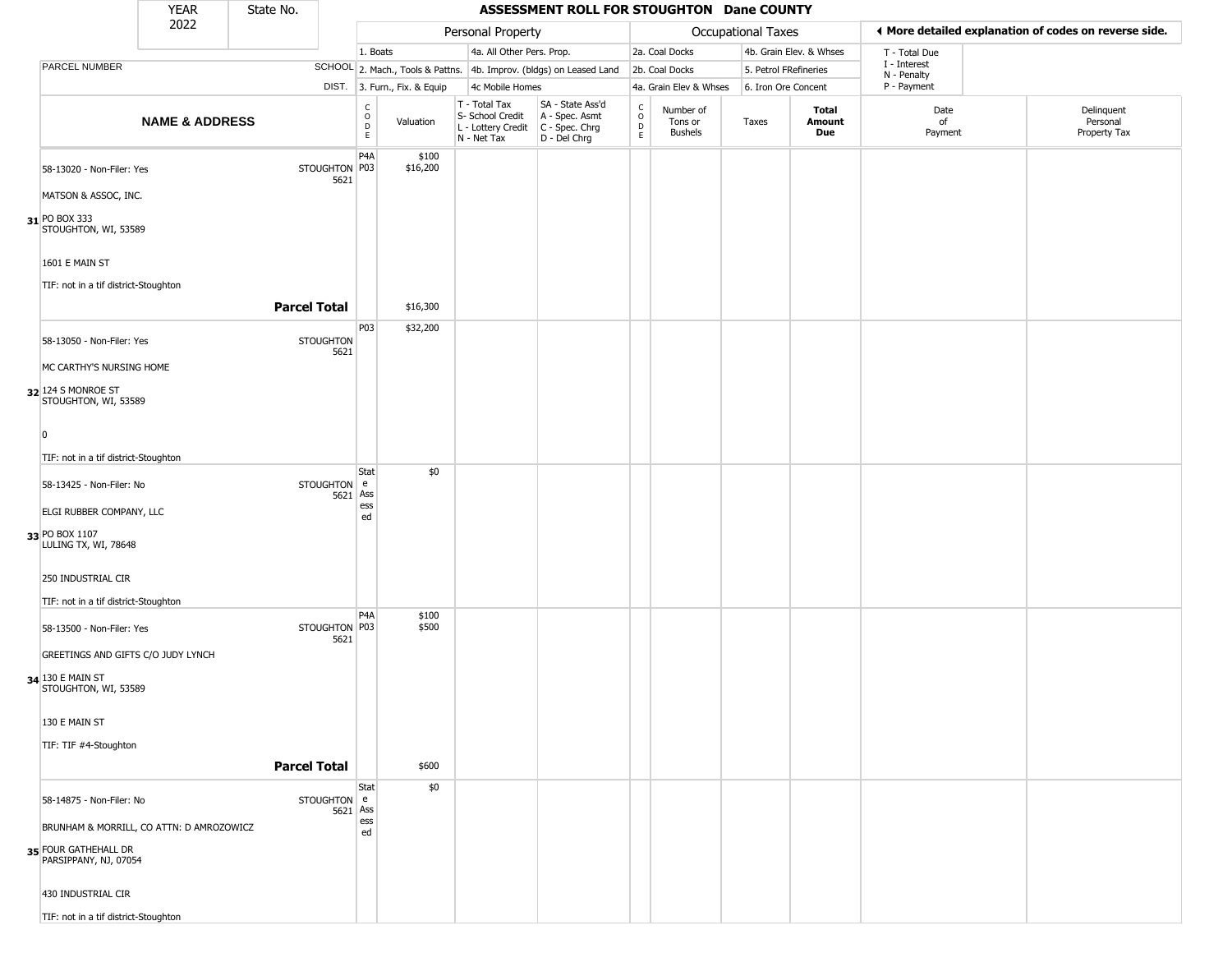|                                               | <b>YEAR</b>                              | State No.                |                                                |                                  |                                                                                         | ASSESSMENT ROLL FOR STOUGHTON Dane COUNTY          |                                                                    |                                        |                       |                         |                             |                                                       |
|-----------------------------------------------|------------------------------------------|--------------------------|------------------------------------------------|----------------------------------|-----------------------------------------------------------------------------------------|----------------------------------------------------|--------------------------------------------------------------------|----------------------------------------|-----------------------|-------------------------|-----------------------------|-------------------------------------------------------|
|                                               | 2022                                     |                          |                                                |                                  | Personal Property                                                                       |                                                    |                                                                    |                                        | Occupational Taxes    |                         |                             | ◀ More detailed explanation of codes on reverse side. |
|                                               |                                          |                          | 1. Boats                                       |                                  | 4a. All Other Pers. Prop.                                                               |                                                    |                                                                    | 2a. Coal Docks                         |                       | 4b. Grain Elev. & Whses | T - Total Due               |                                                       |
| PARCEL NUMBER                                 |                                          |                          |                                                | SCHOOL 2. Mach., Tools & Pattns. |                                                                                         | 4b. Improv. (bldgs) on Leased Land                 |                                                                    | 2b. Coal Docks                         | 5. Petrol FRefineries |                         | I - Interest<br>N - Penalty |                                                       |
|                                               |                                          |                          |                                                | DIST. 3. Furn., Fix. & Equip     | 4c Mobile Homes                                                                         |                                                    |                                                                    | 4a. Grain Elev & Whses                 | 6. Iron Ore Concent   |                         | P - Payment                 |                                                       |
|                                               | <b>NAME &amp; ADDRESS</b>                |                          | $\begin{matrix} 0 \\ 0 \\ D \end{matrix}$<br>E | Valuation                        | T - Total Tax<br>S- School Credit<br>L - Lottery Credit   C - Spec. Chrg<br>N - Net Tax | SA - State Ass'd<br>A - Spec. Asmt<br>D - Del Chrg | $\begin{smallmatrix} C \\ 0 \\ D \end{smallmatrix}$<br>$\mathsf E$ | Number of<br>Tons or<br><b>Bushels</b> | Taxes                 | Total<br>Amount<br>Due  | Date<br>of<br>Payment       | Delinquent<br>Personal<br>Property Tax                |
| 58-13020 - Non-Filer: Yes                     |                                          | STOUGHTON P03<br>5621    | P4A                                            | \$100<br>\$16,200                |                                                                                         |                                                    |                                                                    |                                        |                       |                         |                             |                                                       |
| MATSON & ASSOC, INC.                          |                                          |                          |                                                |                                  |                                                                                         |                                                    |                                                                    |                                        |                       |                         |                             |                                                       |
| 31 PO BOX 333<br>STOUGHTON, WI, 53589         |                                          |                          |                                                |                                  |                                                                                         |                                                    |                                                                    |                                        |                       |                         |                             |                                                       |
| 1601 E MAIN ST                                |                                          |                          |                                                |                                  |                                                                                         |                                                    |                                                                    |                                        |                       |                         |                             |                                                       |
| TIF: not in a tif district-Stoughton          |                                          |                          |                                                |                                  |                                                                                         |                                                    |                                                                    |                                        |                       |                         |                             |                                                       |
|                                               |                                          | <b>Parcel Total</b>      |                                                | \$16,300                         |                                                                                         |                                                    |                                                                    |                                        |                       |                         |                             |                                                       |
| 58-13050 - Non-Filer: Yes                     |                                          | <b>STOUGHTON</b><br>5621 | P03                                            | \$32,200                         |                                                                                         |                                                    |                                                                    |                                        |                       |                         |                             |                                                       |
| MC CARTHY'S NURSING HOME                      |                                          |                          |                                                |                                  |                                                                                         |                                                    |                                                                    |                                        |                       |                         |                             |                                                       |
| 32 124 S MONROE ST<br>STOUGHTON, WI, 53589    |                                          |                          |                                                |                                  |                                                                                         |                                                    |                                                                    |                                        |                       |                         |                             |                                                       |
|                                               |                                          |                          |                                                |                                  |                                                                                         |                                                    |                                                                    |                                        |                       |                         |                             |                                                       |
| TIF: not in a tif district-Stoughton          |                                          |                          |                                                |                                  |                                                                                         |                                                    |                                                                    |                                        |                       |                         |                             |                                                       |
|                                               |                                          |                          | Stat                                           | \$0                              |                                                                                         |                                                    |                                                                    |                                        |                       |                         |                             |                                                       |
| 58-13425 - Non-Filer: No                      |                                          | STOUGHTON e<br>5621      | Ass                                            |                                  |                                                                                         |                                                    |                                                                    |                                        |                       |                         |                             |                                                       |
| ELGI RUBBER COMPANY, LLC                      |                                          |                          | ess<br>ed                                      |                                  |                                                                                         |                                                    |                                                                    |                                        |                       |                         |                             |                                                       |
| 33 PO BOX 1107<br>LULING TX, WI, 78648        |                                          |                          |                                                |                                  |                                                                                         |                                                    |                                                                    |                                        |                       |                         |                             |                                                       |
| 250 INDUSTRIAL CIR                            |                                          |                          |                                                |                                  |                                                                                         |                                                    |                                                                    |                                        |                       |                         |                             |                                                       |
| TIF: not in a tif district-Stoughton          |                                          |                          |                                                |                                  |                                                                                         |                                                    |                                                                    |                                        |                       |                         |                             |                                                       |
| 58-13500 - Non-Filer: Yes                     |                                          | STOUGHTON P03<br>5621    | P4A                                            | \$100<br>\$500                   |                                                                                         |                                                    |                                                                    |                                        |                       |                         |                             |                                                       |
| GREETINGS AND GIFTS C/O JUDY LYNCH            |                                          |                          |                                                |                                  |                                                                                         |                                                    |                                                                    |                                        |                       |                         |                             |                                                       |
| 34 130 E MAIN ST<br>STOUGHTON, WI, 53589      |                                          |                          |                                                |                                  |                                                                                         |                                                    |                                                                    |                                        |                       |                         |                             |                                                       |
| 130 E MAIN ST                                 |                                          |                          |                                                |                                  |                                                                                         |                                                    |                                                                    |                                        |                       |                         |                             |                                                       |
| TIF: TIF #4-Stoughton                         |                                          |                          |                                                |                                  |                                                                                         |                                                    |                                                                    |                                        |                       |                         |                             |                                                       |
|                                               |                                          | <b>Parcel Total</b>      |                                                | \$600                            |                                                                                         |                                                    |                                                                    |                                        |                       |                         |                             |                                                       |
|                                               |                                          |                          | Stat                                           | \$0                              |                                                                                         |                                                    |                                                                    |                                        |                       |                         |                             |                                                       |
| 58-14875 - Non-Filer: No                      |                                          | STOUGHTON e              | 5621 Ass                                       |                                  |                                                                                         |                                                    |                                                                    |                                        |                       |                         |                             |                                                       |
|                                               | BRUNHAM & MORRILL, CO ATTN: D AMROZOWICZ |                          | ess<br>ed                                      |                                  |                                                                                         |                                                    |                                                                    |                                        |                       |                         |                             |                                                       |
| 35 FOUR GATHEHALL DR<br>PARSIPPANY, NJ, 07054 |                                          |                          |                                                |                                  |                                                                                         |                                                    |                                                                    |                                        |                       |                         |                             |                                                       |
| 430 INDUSTRIAL CIR                            |                                          |                          |                                                |                                  |                                                                                         |                                                    |                                                                    |                                        |                       |                         |                             |                                                       |
| TIF: not in a tif district-Stoughton          |                                          |                          |                                                |                                  |                                                                                         |                                                    |                                                                    |                                        |                       |                         |                             |                                                       |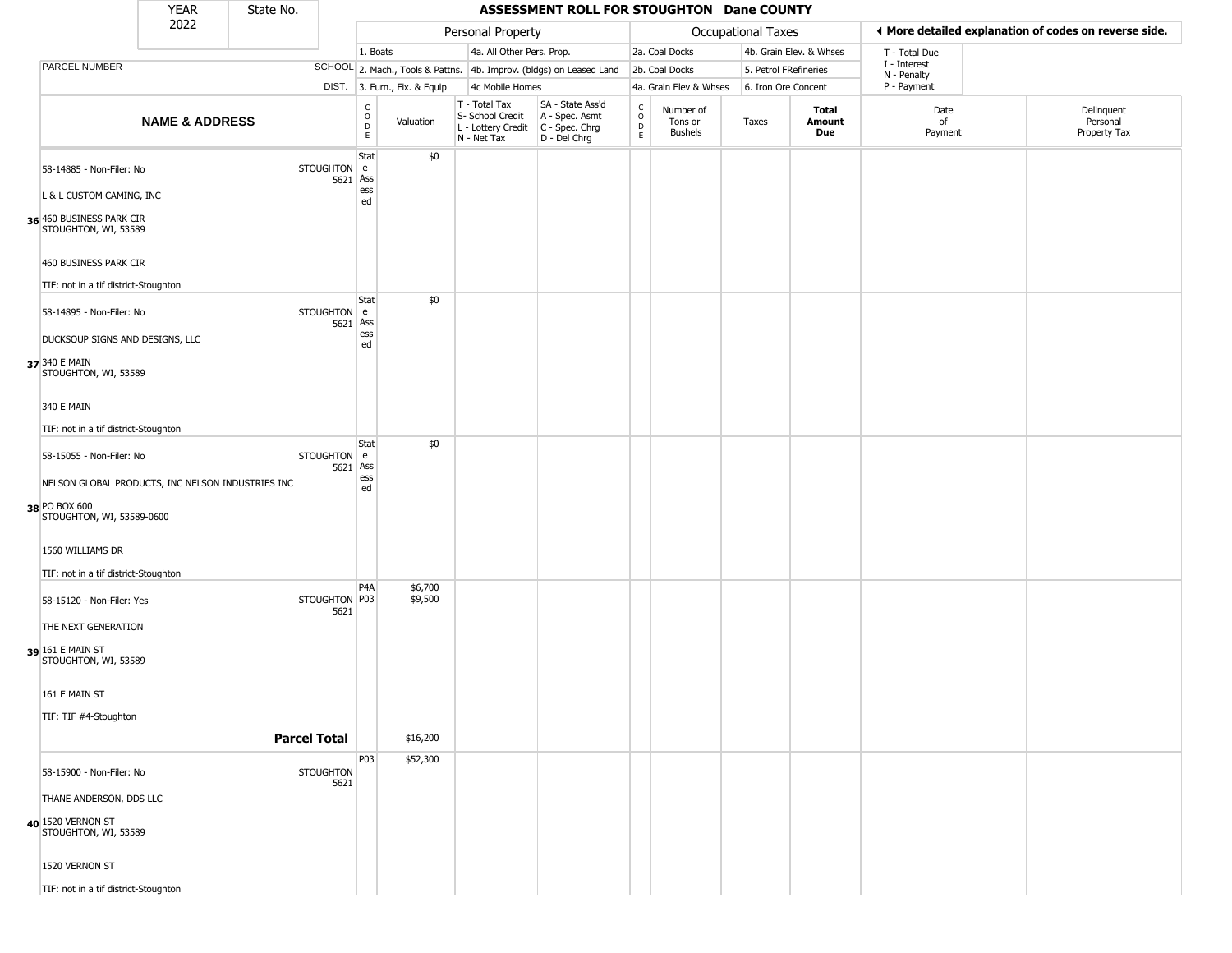|                                                      | <b>YEAR</b>               | State No.           |                          |                                                |                              |                                                  | ASSESSMENT ROLL FOR STOUGHTON Dane COUNTY                                               |                        |                                        |                       |                         |                             |                                                       |
|------------------------------------------------------|---------------------------|---------------------|--------------------------|------------------------------------------------|------------------------------|--------------------------------------------------|-----------------------------------------------------------------------------------------|------------------------|----------------------------------------|-----------------------|-------------------------|-----------------------------|-------------------------------------------------------|
|                                                      | 2022                      |                     |                          |                                                |                              | Personal Property                                |                                                                                         |                        |                                        | Occupational Taxes    |                         |                             | ◀ More detailed explanation of codes on reverse side. |
|                                                      |                           |                     |                          | 1. Boats                                       |                              | 4a. All Other Pers. Prop.                        |                                                                                         |                        | 2a. Coal Docks                         |                       | 4b. Grain Elev. & Whses | T - Total Due               |                                                       |
| <b>PARCEL NUMBER</b>                                 |                           |                     |                          |                                                |                              |                                                  | SCHOOL 2. Mach., Tools & Pattns. 4b. Improv. (bldgs) on Leased Land                     |                        | 2b. Coal Docks                         | 5. Petrol FRefineries |                         | I - Interest<br>N - Penalty |                                                       |
|                                                      |                           |                     |                          |                                                | DIST. 3. Furn., Fix. & Equip | 4c Mobile Homes                                  |                                                                                         |                        | 4a. Grain Elev & Whses                 | 6. Iron Ore Concent   |                         | P - Payment                 |                                                       |
|                                                      | <b>NAME &amp; ADDRESS</b> |                     |                          | $\begin{matrix} 0 \\ 0 \\ D \end{matrix}$<br>E | Valuation                    | T - Total Tax<br>S- School Credit<br>N - Net Tax | SA - State Ass'd<br>A - Spec. Asmt<br>L - Lottery Credit C - Spec. Chrg<br>D - Del Chrg | C<br>$\circ$<br>D<br>E | Number of<br>Tons or<br><b>Bushels</b> | Taxes                 | Total<br>Amount<br>Due  | Date<br>of<br>Payment       | Delinquent<br>Personal<br>Property Tax                |
| 58-14885 - Non-Filer: No<br>L & L CUSTOM CAMING, INC |                           |                     | <b>STOUGHTON</b>         | Stat<br>l e<br>5621 Ass<br>ess                 | \$0                          |                                                  |                                                                                         |                        |                                        |                       |                         |                             |                                                       |
| 36 460 BUSINESS PARK CIR<br>STOUGHTON, WI, 53589     |                           |                     |                          | ed                                             |                              |                                                  |                                                                                         |                        |                                        |                       |                         |                             |                                                       |
| 460 BUSINESS PARK CIR                                |                           |                     |                          |                                                |                              |                                                  |                                                                                         |                        |                                        |                       |                         |                             |                                                       |
| TIF: not in a tif district-Stoughton                 |                           |                     |                          |                                                |                              |                                                  |                                                                                         |                        |                                        |                       |                         |                             |                                                       |
| 58-14895 - Non-Filer: No                             |                           |                     | <b>STOUGHTON</b><br>5621 | Stat<br>  e<br>Ass<br>ess                      | \$0                          |                                                  |                                                                                         |                        |                                        |                       |                         |                             |                                                       |
| DUCKSOUP SIGNS AND DESIGNS, LLC                      |                           |                     |                          | ed                                             |                              |                                                  |                                                                                         |                        |                                        |                       |                         |                             |                                                       |
| 37 340 E MAIN<br>STOUGHTON, WI, 53589                |                           |                     |                          |                                                |                              |                                                  |                                                                                         |                        |                                        |                       |                         |                             |                                                       |
| 340 E MAIN                                           |                           |                     |                          |                                                |                              |                                                  |                                                                                         |                        |                                        |                       |                         |                             |                                                       |
| TIF: not in a tif district-Stoughton                 |                           |                     |                          |                                                |                              |                                                  |                                                                                         |                        |                                        |                       |                         |                             |                                                       |
| 58-15055 - Non-Filer: No                             |                           |                     | STOUGHTON e<br>5621      | Stat<br>Ass<br>ess                             | \$0                          |                                                  |                                                                                         |                        |                                        |                       |                         |                             |                                                       |
| NELSON GLOBAL PRODUCTS, INC NELSON INDUSTRIES INC    |                           |                     |                          | ed                                             |                              |                                                  |                                                                                         |                        |                                        |                       |                         |                             |                                                       |
| 38 PO BOX 600<br>STOUGHTON, WI, 53589-0600           |                           |                     |                          |                                                |                              |                                                  |                                                                                         |                        |                                        |                       |                         |                             |                                                       |
| 1560 WILLIAMS DR                                     |                           |                     |                          |                                                |                              |                                                  |                                                                                         |                        |                                        |                       |                         |                             |                                                       |
| TIF: not in a tif district-Stoughton                 |                           |                     |                          |                                                |                              |                                                  |                                                                                         |                        |                                        |                       |                         |                             |                                                       |
| 58-15120 - Non-Filer: Yes                            |                           |                     | STOUGHTON P03<br>5621    | P4A                                            | \$6,700<br>\$9,500           |                                                  |                                                                                         |                        |                                        |                       |                         |                             |                                                       |
| THE NEXT GENERATION                                  |                           |                     |                          |                                                |                              |                                                  |                                                                                         |                        |                                        |                       |                         |                             |                                                       |
| 39 161 E MAIN ST<br>STOUGHTON, WI, 53589             |                           |                     |                          |                                                |                              |                                                  |                                                                                         |                        |                                        |                       |                         |                             |                                                       |
| 161 E MAIN ST                                        |                           |                     |                          |                                                |                              |                                                  |                                                                                         |                        |                                        |                       |                         |                             |                                                       |
| TIF: TIF #4-Stoughton                                |                           |                     |                          |                                                |                              |                                                  |                                                                                         |                        |                                        |                       |                         |                             |                                                       |
|                                                      |                           | <b>Parcel Total</b> |                          |                                                | \$16,200                     |                                                  |                                                                                         |                        |                                        |                       |                         |                             |                                                       |
| 58-15900 - Non-Filer: No                             |                           |                     | <b>STOUGHTON</b><br>5621 | P03                                            | \$52,300                     |                                                  |                                                                                         |                        |                                        |                       |                         |                             |                                                       |
| THANE ANDERSON, DDS LLC                              |                           |                     |                          |                                                |                              |                                                  |                                                                                         |                        |                                        |                       |                         |                             |                                                       |
| 40 1520 VERNON ST<br>STOUGHTON, WI, 53589            |                           |                     |                          |                                                |                              |                                                  |                                                                                         |                        |                                        |                       |                         |                             |                                                       |
| 1520 VERNON ST                                       |                           |                     |                          |                                                |                              |                                                  |                                                                                         |                        |                                        |                       |                         |                             |                                                       |
| TIF: not in a tif district-Stoughton                 |                           |                     |                          |                                                |                              |                                                  |                                                                                         |                        |                                        |                       |                         |                             |                                                       |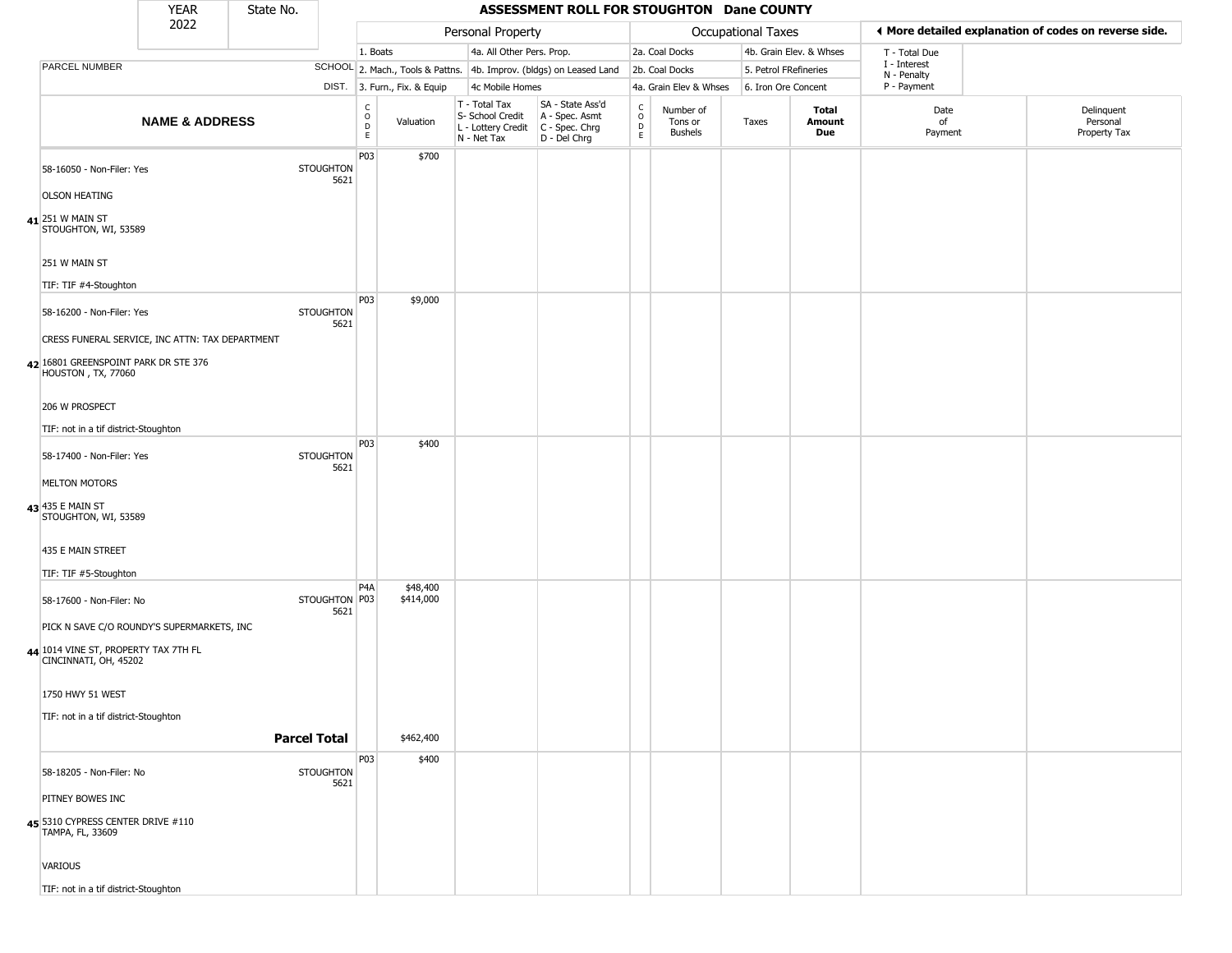|                                                                  | <b>YEAR</b>                                     | State No. |                          |                                    |                              |                                                                                         | ASSESSMENT ROLL FOR STOUGHTON Dane COUNTY                           |                                                          |                                        |                       |                               |                             |                                                       |
|------------------------------------------------------------------|-------------------------------------------------|-----------|--------------------------|------------------------------------|------------------------------|-----------------------------------------------------------------------------------------|---------------------------------------------------------------------|----------------------------------------------------------|----------------------------------------|-----------------------|-------------------------------|-----------------------------|-------------------------------------------------------|
|                                                                  | 2022                                            |           |                          |                                    |                              | Personal Property                                                                       |                                                                     |                                                          |                                        | Occupational Taxes    |                               |                             | ◀ More detailed explanation of codes on reverse side. |
|                                                                  |                                                 |           |                          | 1. Boats                           |                              | 4a. All Other Pers. Prop.                                                               |                                                                     |                                                          | 2a. Coal Docks                         |                       | 4b. Grain Elev. & Whses       | T - Total Due               |                                                       |
| PARCEL NUMBER                                                    |                                                 |           |                          |                                    |                              |                                                                                         | SCHOOL 2. Mach., Tools & Pattns. 4b. Improv. (bldgs) on Leased Land |                                                          | 2b. Coal Docks                         | 5. Petrol FRefineries |                               | I - Interest<br>N - Penalty |                                                       |
|                                                                  |                                                 |           |                          |                                    | DIST. 3. Furn., Fix. & Equip | 4c Mobile Homes                                                                         |                                                                     |                                                          | 4a. Grain Elev & Whses                 | 6. Iron Ore Concent   |                               | P - Payment                 |                                                       |
|                                                                  | <b>NAME &amp; ADDRESS</b>                       |           |                          | $\int_{0}^{c}$<br>$\mathsf D$<br>E | Valuation                    | T - Total Tax<br>S- School Credit<br>L - Lottery Credit   C - Spec. Chrg<br>N - Net Tax | SA - State Ass'd<br>A - Spec. Asmt<br>D - Del Chrg                  | $\begin{smallmatrix} C \\ 0 \\ D \end{smallmatrix}$<br>E | Number of<br>Tons or<br><b>Bushels</b> | Taxes                 | <b>Total</b><br>Amount<br>Due | Date<br>of<br>Payment       | Delinquent<br>Personal<br>Property Tax                |
| 58-16050 - Non-Filer: Yes                                        |                                                 |           | <b>STOUGHTON</b><br>5621 | P03                                | \$700                        |                                                                                         |                                                                     |                                                          |                                        |                       |                               |                             |                                                       |
| <b>OLSON HEATING</b><br>41 251 W MAIN ST<br>STOUGHTON, WI, 53589 |                                                 |           |                          |                                    |                              |                                                                                         |                                                                     |                                                          |                                        |                       |                               |                             |                                                       |
| 251 W MAIN ST                                                    |                                                 |           |                          |                                    |                              |                                                                                         |                                                                     |                                                          |                                        |                       |                               |                             |                                                       |
| TIF: TIF #4-Stoughton                                            |                                                 |           |                          |                                    |                              |                                                                                         |                                                                     |                                                          |                                        |                       |                               |                             |                                                       |
| 58-16200 - Non-Filer: Yes                                        |                                                 |           | <b>STOUGHTON</b><br>5621 | P03                                | \$9,000                      |                                                                                         |                                                                     |                                                          |                                        |                       |                               |                             |                                                       |
|                                                                  | CRESS FUNERAL SERVICE, INC ATTN: TAX DEPARTMENT |           |                          |                                    |                              |                                                                                         |                                                                     |                                                          |                                        |                       |                               |                             |                                                       |
| 42 16801 GREENSPOINT PARK DR STE 376<br>HOUSTON, TX, 77060       |                                                 |           |                          |                                    |                              |                                                                                         |                                                                     |                                                          |                                        |                       |                               |                             |                                                       |
| 206 W PROSPECT                                                   |                                                 |           |                          |                                    |                              |                                                                                         |                                                                     |                                                          |                                        |                       |                               |                             |                                                       |
| TIF: not in a tif district-Stoughton                             |                                                 |           |                          |                                    |                              |                                                                                         |                                                                     |                                                          |                                        |                       |                               |                             |                                                       |
| 58-17400 - Non-Filer: Yes                                        |                                                 |           | <b>STOUGHTON</b><br>5621 | P03                                | \$400                        |                                                                                         |                                                                     |                                                          |                                        |                       |                               |                             |                                                       |
| <b>MELTON MOTORS</b>                                             |                                                 |           |                          |                                    |                              |                                                                                         |                                                                     |                                                          |                                        |                       |                               |                             |                                                       |
| 43 435 E MAIN ST<br>STOUGHTON, WI, 53589                         |                                                 |           |                          |                                    |                              |                                                                                         |                                                                     |                                                          |                                        |                       |                               |                             |                                                       |
| 435 E MAIN STREET                                                |                                                 |           |                          |                                    |                              |                                                                                         |                                                                     |                                                          |                                        |                       |                               |                             |                                                       |
| TIF: TIF #5-Stoughton                                            |                                                 |           |                          |                                    |                              |                                                                                         |                                                                     |                                                          |                                        |                       |                               |                             |                                                       |
| 58-17600 - Non-Filer: No                                         |                                                 |           | STOUGHTON P03<br>5621    | P <sub>4</sub> A                   | \$48,400<br>\$414,000        |                                                                                         |                                                                     |                                                          |                                        |                       |                               |                             |                                                       |
|                                                                  | PICK N SAVE C/O ROUNDY'S SUPERMARKETS, INC      |           |                          |                                    |                              |                                                                                         |                                                                     |                                                          |                                        |                       |                               |                             |                                                       |
| 44 1014 VINE ST, PROPERTY TAX 7TH FL<br>CINCINNATI, OH, 45202    |                                                 |           |                          |                                    |                              |                                                                                         |                                                                     |                                                          |                                        |                       |                               |                             |                                                       |
| 1750 HWY 51 WEST                                                 |                                                 |           |                          |                                    |                              |                                                                                         |                                                                     |                                                          |                                        |                       |                               |                             |                                                       |
| TIF: not in a tif district-Stoughton                             |                                                 |           | <b>Parcel Total</b>      |                                    | \$462,400                    |                                                                                         |                                                                     |                                                          |                                        |                       |                               |                             |                                                       |
|                                                                  |                                                 |           |                          | P03                                | \$400                        |                                                                                         |                                                                     |                                                          |                                        |                       |                               |                             |                                                       |
| 58-18205 - Non-Filer: No                                         |                                                 |           | <b>STOUGHTON</b><br>5621 |                                    |                              |                                                                                         |                                                                     |                                                          |                                        |                       |                               |                             |                                                       |
| PITNEY BOWES INC                                                 |                                                 |           |                          |                                    |                              |                                                                                         |                                                                     |                                                          |                                        |                       |                               |                             |                                                       |
| 45 5310 CYPRESS CENTER DRIVE #110<br>TAMPA, FL, 33609            |                                                 |           |                          |                                    |                              |                                                                                         |                                                                     |                                                          |                                        |                       |                               |                             |                                                       |
| VARIOUS                                                          |                                                 |           |                          |                                    |                              |                                                                                         |                                                                     |                                                          |                                        |                       |                               |                             |                                                       |
| TIF: not in a tif district-Stoughton                             |                                                 |           |                          |                                    |                              |                                                                                         |                                                                     |                                                          |                                        |                       |                               |                             |                                                       |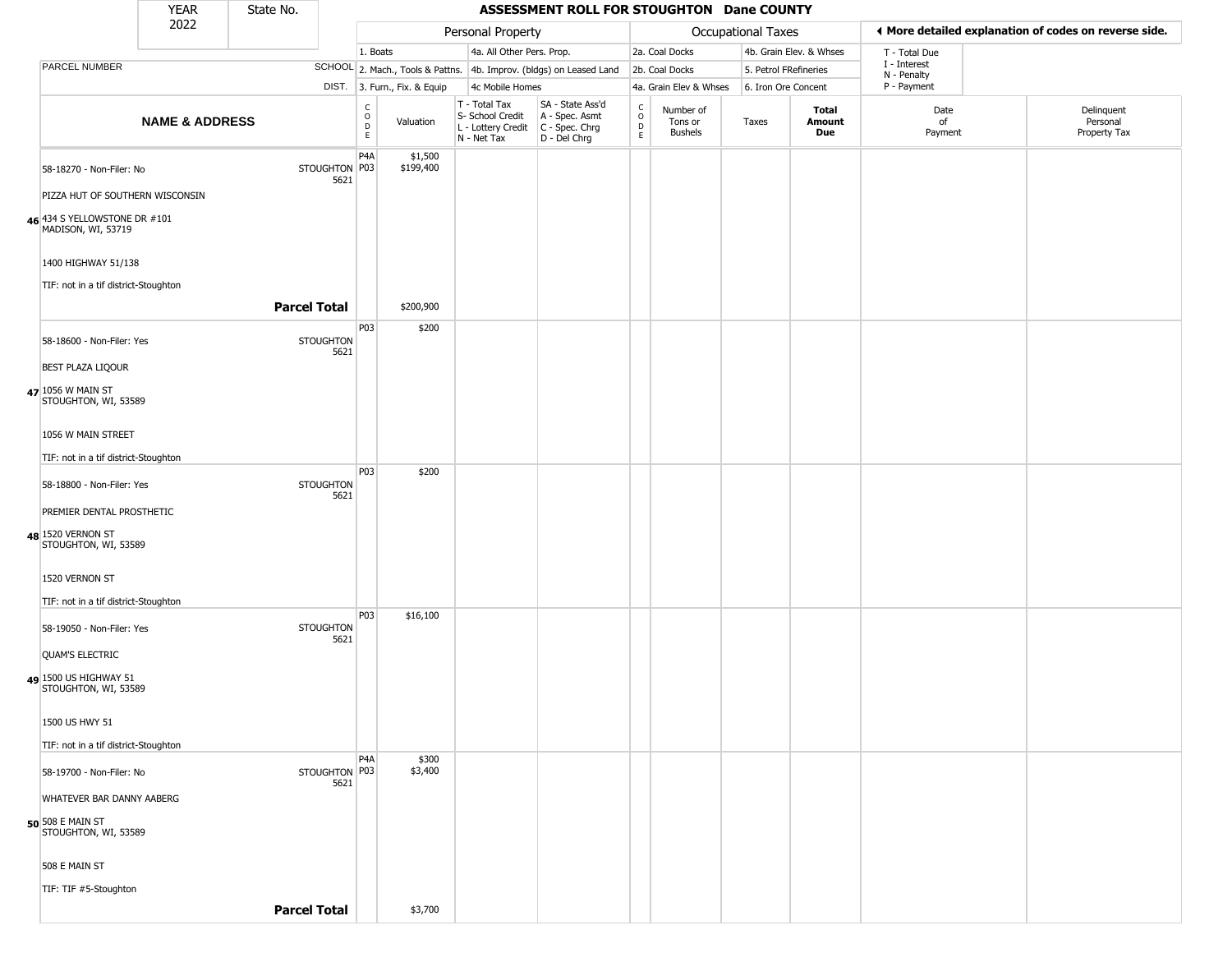|                                                    | <b>YEAR</b>               | State No.           |                          |                                                          |                              |                                                                                         | ASSESSMENT ROLL FOR STOUGHTON Dane COUNTY                           |                             |                                        |                       |                         |                             |                                                       |
|----------------------------------------------------|---------------------------|---------------------|--------------------------|----------------------------------------------------------|------------------------------|-----------------------------------------------------------------------------------------|---------------------------------------------------------------------|-----------------------------|----------------------------------------|-----------------------|-------------------------|-----------------------------|-------------------------------------------------------|
|                                                    | 2022                      |                     |                          |                                                          |                              | Personal Property                                                                       |                                                                     |                             |                                        | Occupational Taxes    |                         |                             | ♦ More detailed explanation of codes on reverse side. |
|                                                    |                           |                     |                          | 1. Boats                                                 |                              | 4a. All Other Pers. Prop.                                                               |                                                                     |                             | 2a. Coal Docks                         |                       | 4b. Grain Elev. & Whses | T - Total Due               |                                                       |
| PARCEL NUMBER                                      |                           |                     |                          |                                                          |                              |                                                                                         | SCHOOL 2. Mach., Tools & Pattns. 4b. Improv. (bldgs) on Leased Land |                             | 2b. Coal Docks                         | 5. Petrol FRefineries |                         | I - Interest<br>N - Penalty |                                                       |
|                                                    |                           |                     |                          |                                                          | DIST. 3. Furn., Fix. & Equip | 4c Mobile Homes                                                                         |                                                                     |                             | 4a. Grain Elev & Whses                 | 6. Iron Ore Concent   |                         | P - Payment                 |                                                       |
|                                                    | <b>NAME &amp; ADDRESS</b> |                     |                          | $\begin{smallmatrix} C \\ O \\ D \end{smallmatrix}$<br>E | Valuation                    | T - Total Tax<br>S- School Credit<br>L - Lottery Credit   C - Spec. Chrg<br>N - Net Tax | SA - State Ass'd<br>A - Spec. Asmt<br>D - Del Chrg                  | $\rm_{o}^{\rm c}$<br>D<br>E | Number of<br>Tons or<br><b>Bushels</b> | Taxes                 | Total<br>Amount<br>Due  | Date<br>of<br>Payment       | Delinquent<br>Personal<br>Property Tax                |
| 58-18270 - Non-Filer: No                           |                           |                     | STOUGHTON P03<br>5621    | P <sub>4</sub> A                                         | \$1,500<br>\$199,400         |                                                                                         |                                                                     |                             |                                        |                       |                         |                             |                                                       |
| PIZZA HUT OF SOUTHERN WISCONSIN                    |                           |                     |                          |                                                          |                              |                                                                                         |                                                                     |                             |                                        |                       |                         |                             |                                                       |
| 46 434 S YELLOWSTONE DR #101<br>MADISON, WI, 53719 |                           |                     |                          |                                                          |                              |                                                                                         |                                                                     |                             |                                        |                       |                         |                             |                                                       |
| 1400 HIGHWAY 51/138                                |                           |                     |                          |                                                          |                              |                                                                                         |                                                                     |                             |                                        |                       |                         |                             |                                                       |
| TIF: not in a tif district-Stoughton               |                           | <b>Parcel Total</b> |                          |                                                          | \$200,900                    |                                                                                         |                                                                     |                             |                                        |                       |                         |                             |                                                       |
| 58-18600 - Non-Filer: Yes                          |                           |                     | <b>STOUGHTON</b><br>5621 | P03                                                      | \$200                        |                                                                                         |                                                                     |                             |                                        |                       |                         |                             |                                                       |
| <b>BEST PLAZA LIQOUR</b>                           |                           |                     |                          |                                                          |                              |                                                                                         |                                                                     |                             |                                        |                       |                         |                             |                                                       |
| 47 1056 W MAIN ST<br>STOUGHTON, WI, 53589          |                           |                     |                          |                                                          |                              |                                                                                         |                                                                     |                             |                                        |                       |                         |                             |                                                       |
| 1056 W MAIN STREET                                 |                           |                     |                          |                                                          |                              |                                                                                         |                                                                     |                             |                                        |                       |                         |                             |                                                       |
| TIF: not in a tif district-Stoughton               |                           |                     |                          |                                                          |                              |                                                                                         |                                                                     |                             |                                        |                       |                         |                             |                                                       |
| 58-18800 - Non-Filer: Yes                          |                           |                     | <b>STOUGHTON</b><br>5621 | P03                                                      | \$200                        |                                                                                         |                                                                     |                             |                                        |                       |                         |                             |                                                       |
| PREMIER DENTAL PROSTHETIC                          |                           |                     |                          |                                                          |                              |                                                                                         |                                                                     |                             |                                        |                       |                         |                             |                                                       |
| 48 1520 VERNON ST<br>STOUGHTON, WI, 53589          |                           |                     |                          |                                                          |                              |                                                                                         |                                                                     |                             |                                        |                       |                         |                             |                                                       |
| 1520 VERNON ST                                     |                           |                     |                          |                                                          |                              |                                                                                         |                                                                     |                             |                                        |                       |                         |                             |                                                       |
| TIF: not in a tif district-Stoughton               |                           |                     |                          |                                                          |                              |                                                                                         |                                                                     |                             |                                        |                       |                         |                             |                                                       |
| 58-19050 - Non-Filer: Yes                          |                           |                     | <b>STOUGHTON</b><br>5621 | P03                                                      | \$16,100                     |                                                                                         |                                                                     |                             |                                        |                       |                         |                             |                                                       |
| <b>QUAM'S ELECTRIC</b>                             |                           |                     |                          |                                                          |                              |                                                                                         |                                                                     |                             |                                        |                       |                         |                             |                                                       |
| 49 1500 US HIGHWAY 51<br>STOUGHTON, WI, 53589      |                           |                     |                          |                                                          |                              |                                                                                         |                                                                     |                             |                                        |                       |                         |                             |                                                       |
| 1500 US HWY 51                                     |                           |                     |                          |                                                          |                              |                                                                                         |                                                                     |                             |                                        |                       |                         |                             |                                                       |
| TIF: not in a tif district-Stoughton               |                           |                     |                          |                                                          |                              |                                                                                         |                                                                     |                             |                                        |                       |                         |                             |                                                       |
| 58-19700 - Non-Filer: No                           |                           |                     | STOUGHTON P03<br>5621    | P <sub>4</sub> A                                         | \$300<br>\$3,400             |                                                                                         |                                                                     |                             |                                        |                       |                         |                             |                                                       |
| WHATEVER BAR DANNY AABERG                          |                           |                     |                          |                                                          |                              |                                                                                         |                                                                     |                             |                                        |                       |                         |                             |                                                       |
| 50 508 E MAIN ST<br>STOUGHTON, WI, 53589           |                           |                     |                          |                                                          |                              |                                                                                         |                                                                     |                             |                                        |                       |                         |                             |                                                       |
| 508 E MAIN ST                                      |                           |                     |                          |                                                          |                              |                                                                                         |                                                                     |                             |                                        |                       |                         |                             |                                                       |
| TIF: TIF #5-Stoughton                              |                           |                     |                          |                                                          |                              |                                                                                         |                                                                     |                             |                                        |                       |                         |                             |                                                       |
|                                                    |                           | <b>Parcel Total</b> |                          |                                                          | \$3,700                      |                                                                                         |                                                                     |                             |                                        |                       |                         |                             |                                                       |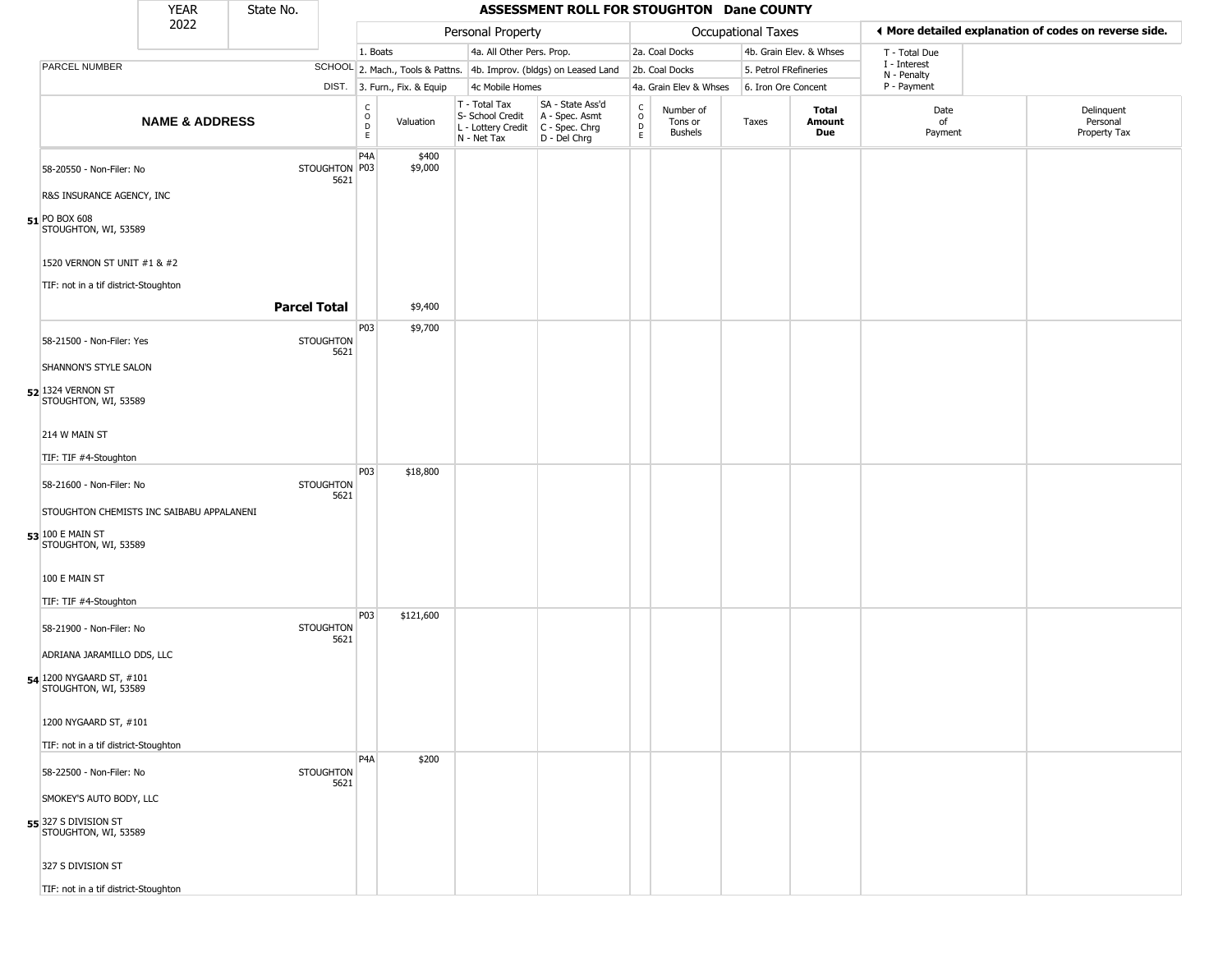|                             |                                      | YEAR                                      | State No. |                          |                                                          |                              |                                                                                           | ASSESSMENT ROLL FOR STOUGHTON Dane COUNTY                           |                                                          |                                        |                    |                         |                             |                                                       |
|-----------------------------|--------------------------------------|-------------------------------------------|-----------|--------------------------|----------------------------------------------------------|------------------------------|-------------------------------------------------------------------------------------------|---------------------------------------------------------------------|----------------------------------------------------------|----------------------------------------|--------------------|-------------------------|-----------------------------|-------------------------------------------------------|
|                             |                                      | 2022                                      |           |                          |                                                          |                              | Personal Property                                                                         |                                                                     |                                                          |                                        | Occupational Taxes |                         |                             | ♦ More detailed explanation of codes on reverse side. |
|                             |                                      |                                           |           |                          | 1. Boats                                                 |                              | 4a. All Other Pers. Prop.                                                                 |                                                                     |                                                          | 2a. Coal Docks                         |                    | 4b. Grain Elev. & Whses | T - Total Due               |                                                       |
| PARCEL NUMBER               |                                      |                                           |           |                          |                                                          |                              |                                                                                           | SCHOOL 2. Mach., Tools & Pattns. 4b. Improv. (bldgs) on Leased Land |                                                          | 2b. Coal Docks                         |                    | 5. Petrol FRefineries   | I - Interest<br>N - Penalty |                                                       |
|                             |                                      |                                           |           |                          |                                                          | DIST. 3. Furn., Fix. & Equip | 4c Mobile Homes                                                                           |                                                                     |                                                          | 4a. Grain Elev & Whses                 |                    | 6. Iron Ore Concent     | P - Payment                 |                                                       |
|                             |                                      | <b>NAME &amp; ADDRESS</b>                 |           |                          | $\begin{matrix} 0 \\ 0 \\ 0 \end{matrix}$<br>$\mathsf E$ | Valuation                    | T - Total Tax<br>S- School Credit<br>$L$ - Lottery Credit $C$ - Spec. Chrg<br>N - Net Tax | SA - State Ass'd<br>A - Spec. Asmt<br>D - Del Chrg                  | $\begin{matrix} 0 \\ 0 \\ D \end{matrix}$<br>$\mathsf E$ | Number of<br>Tons or<br><b>Bushels</b> | Taxes              | Total<br>Amount<br>Due  | Date<br>of<br>Payment       | Delinquent<br>Personal<br>Property Tax                |
|                             | 58-20550 - Non-Filer: No             |                                           |           | STOUGHTON P03<br>5621    | P <sub>4</sub> A                                         | \$400<br>\$9,000             |                                                                                           |                                                                     |                                                          |                                        |                    |                         |                             |                                                       |
|                             | R&S INSURANCE AGENCY, INC            |                                           |           |                          |                                                          |                              |                                                                                           |                                                                     |                                                          |                                        |                    |                         |                             |                                                       |
| 51 PO BOX 608               | STOUGHTON, WI, 53589                 |                                           |           |                          |                                                          |                              |                                                                                           |                                                                     |                                                          |                                        |                    |                         |                             |                                                       |
|                             | 1520 VERNON ST UNIT #1 & #2          |                                           |           |                          |                                                          |                              |                                                                                           |                                                                     |                                                          |                                        |                    |                         |                             |                                                       |
|                             | TIF: not in a tif district-Stoughton |                                           |           |                          |                                                          |                              |                                                                                           |                                                                     |                                                          |                                        |                    |                         |                             |                                                       |
|                             |                                      |                                           |           | <b>Parcel Total</b>      |                                                          | \$9,400                      |                                                                                           |                                                                     |                                                          |                                        |                    |                         |                             |                                                       |
|                             | 58-21500 - Non-Filer: Yes            |                                           |           | <b>STOUGHTON</b>         | P03                                                      | \$9,700                      |                                                                                           |                                                                     |                                                          |                                        |                    |                         |                             |                                                       |
|                             | SHANNON'S STYLE SALON                |                                           |           | 5621                     |                                                          |                              |                                                                                           |                                                                     |                                                          |                                        |                    |                         |                             |                                                       |
| 52 1324 VERNON ST           | STOUGHTON, WI, 53589                 |                                           |           |                          |                                                          |                              |                                                                                           |                                                                     |                                                          |                                        |                    |                         |                             |                                                       |
| 214 W MAIN ST               |                                      |                                           |           |                          |                                                          |                              |                                                                                           |                                                                     |                                                          |                                        |                    |                         |                             |                                                       |
|                             | TIF: TIF #4-Stoughton                |                                           |           |                          |                                                          |                              |                                                                                           |                                                                     |                                                          |                                        |                    |                         |                             |                                                       |
|                             | 58-21600 - Non-Filer: No             |                                           |           | <b>STOUGHTON</b><br>5621 | P03                                                      | \$18,800                     |                                                                                           |                                                                     |                                                          |                                        |                    |                         |                             |                                                       |
|                             |                                      | STOUGHTON CHEMISTS INC SAIBABU APPALANENI |           |                          |                                                          |                              |                                                                                           |                                                                     |                                                          |                                        |                    |                         |                             |                                                       |
| 53 100 E MAIN ST            | STOUGHTON, WI, 53589                 |                                           |           |                          |                                                          |                              |                                                                                           |                                                                     |                                                          |                                        |                    |                         |                             |                                                       |
| 100 E MAIN ST               |                                      |                                           |           |                          |                                                          |                              |                                                                                           |                                                                     |                                                          |                                        |                    |                         |                             |                                                       |
|                             | TIF: TIF #4-Stoughton                |                                           |           |                          | P03                                                      |                              |                                                                                           |                                                                     |                                                          |                                        |                    |                         |                             |                                                       |
|                             | 58-21900 - Non-Filer: No             |                                           |           | <b>STOUGHTON</b><br>5621 |                                                          | \$121,600                    |                                                                                           |                                                                     |                                                          |                                        |                    |                         |                             |                                                       |
|                             | ADRIANA JARAMILLO DDS, LLC           |                                           |           |                          |                                                          |                              |                                                                                           |                                                                     |                                                          |                                        |                    |                         |                             |                                                       |
| 54 1200 NYGAARD ST, #101    | STOUGHTON, WI, 53589                 |                                           |           |                          |                                                          |                              |                                                                                           |                                                                     |                                                          |                                        |                    |                         |                             |                                                       |
|                             | 1200 NYGAARD ST, #101                |                                           |           |                          |                                                          |                              |                                                                                           |                                                                     |                                                          |                                        |                    |                         |                             |                                                       |
|                             | TIF: not in a tif district-Stoughton |                                           |           |                          |                                                          |                              |                                                                                           |                                                                     |                                                          |                                        |                    |                         |                             |                                                       |
|                             | 58-22500 - Non-Filer: No             |                                           |           | <b>STOUGHTON</b><br>5621 | P <sub>4</sub> A                                         | \$200                        |                                                                                           |                                                                     |                                                          |                                        |                    |                         |                             |                                                       |
|                             | SMOKEY'S AUTO BODY, LLC              |                                           |           |                          |                                                          |                              |                                                                                           |                                                                     |                                                          |                                        |                    |                         |                             |                                                       |
| <b>55</b> 327 S DIVISION ST | STOUGHTON, WI, 53589                 |                                           |           |                          |                                                          |                              |                                                                                           |                                                                     |                                                          |                                        |                    |                         |                             |                                                       |
| 327 S DIVISION ST           |                                      |                                           |           |                          |                                                          |                              |                                                                                           |                                                                     |                                                          |                                        |                    |                         |                             |                                                       |
|                             | TIF: not in a tif district-Stoughton |                                           |           |                          |                                                          |                              |                                                                                           |                                                                     |                                                          |                                        |                    |                         |                             |                                                       |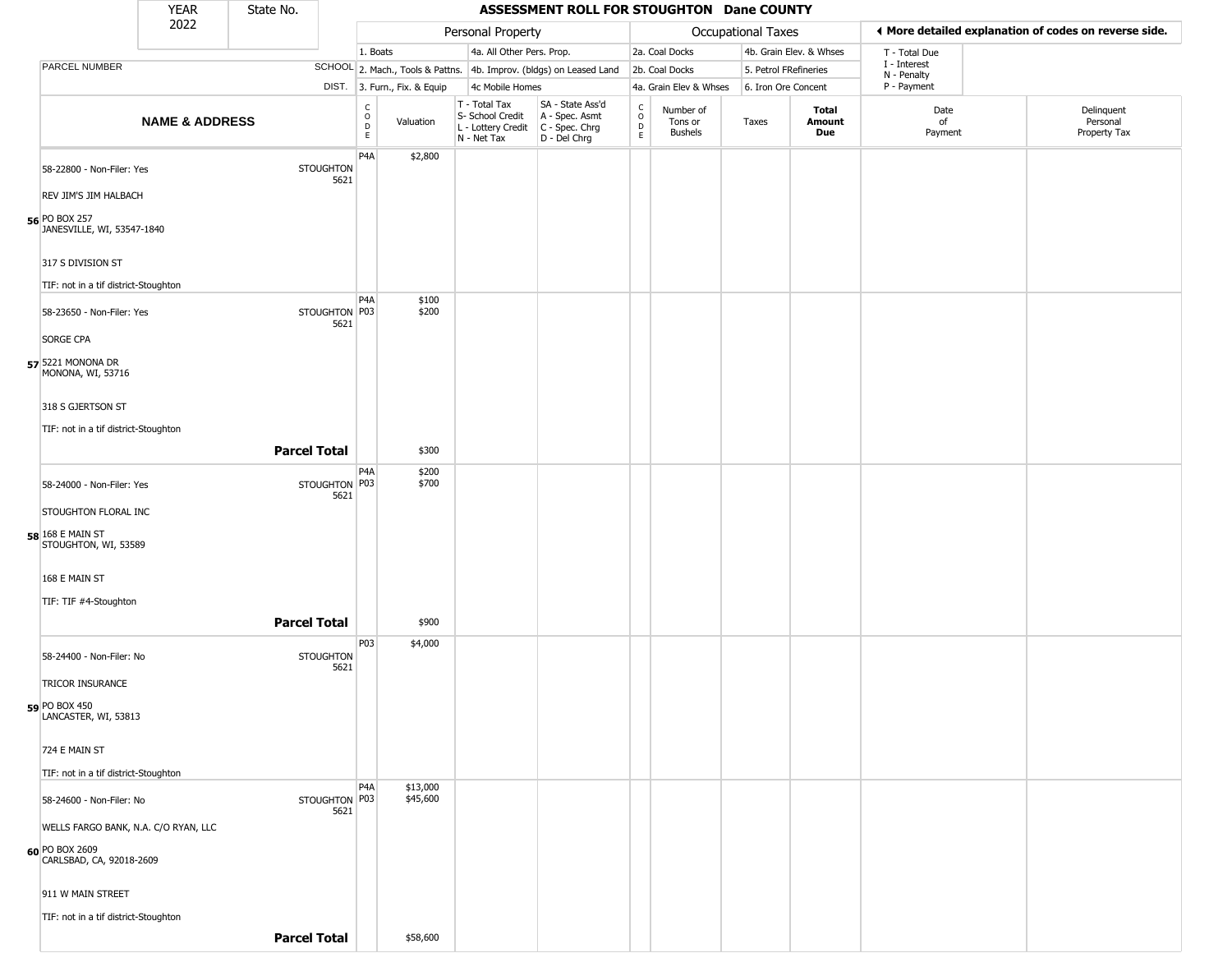|                                                    | <b>YEAR</b>               | State No.           |                          |                         |                              |                                                                                       | ASSESSMENT ROLL FOR STOUGHTON Dane COUNTY                           |                                              |                                 |                           |                         |                             |                                                       |
|----------------------------------------------------|---------------------------|---------------------|--------------------------|-------------------------|------------------------------|---------------------------------------------------------------------------------------|---------------------------------------------------------------------|----------------------------------------------|---------------------------------|---------------------------|-------------------------|-----------------------------|-------------------------------------------------------|
|                                                    | 2022                      |                     |                          |                         |                              | Personal Property                                                                     |                                                                     |                                              |                                 | <b>Occupational Taxes</b> |                         |                             | ♦ More detailed explanation of codes on reverse side. |
|                                                    |                           |                     |                          | 1. Boats                |                              | 4a. All Other Pers. Prop.                                                             |                                                                     |                                              | 2a. Coal Docks                  |                           | 4b. Grain Elev. & Whses | T - Total Due               |                                                       |
| PARCEL NUMBER                                      |                           |                     |                          |                         |                              |                                                                                       | SCHOOL 2. Mach., Tools & Pattns. 4b. Improv. (bldgs) on Leased Land |                                              | 2b. Coal Docks                  | 5. Petrol FRefineries     |                         | I - Interest<br>N - Penalty |                                                       |
|                                                    |                           |                     |                          |                         | DIST. 3. Furn., Fix. & Equip | 4c Mobile Homes                                                                       |                                                                     |                                              | 4a. Grain Elev & Whses          | 6. Iron Ore Concent       |                         | P - Payment                 |                                                       |
|                                                    | <b>NAME &amp; ADDRESS</b> |                     |                          | $\frac{c}{0}$<br>D<br>E | Valuation                    | T - Total Tax<br>S- School Credit<br>L - Lottery Credit C - Spec. Chrg<br>N - Net Tax | SA - State Ass'd<br>A - Spec. Asmt<br>D - Del Chrg                  | $\int_{0}^{c}$<br>$\mathsf D$<br>$\mathsf E$ | Number of<br>Tons or<br>Bushels | Taxes                     | Total<br>Amount<br>Due  | Date<br>of<br>Payment       | Delinquent<br>Personal<br>Property Tax                |
| 58-22800 - Non-Filer: Yes<br>REV JIM'S JIM HALBACH |                           |                     | <b>STOUGHTON</b><br>5621 | P <sub>4</sub> A        | \$2,800                      |                                                                                       |                                                                     |                                              |                                 |                           |                         |                             |                                                       |
| 56 PO BOX 257<br>JANESVILLE, WI, 53547-1840        |                           |                     |                          |                         |                              |                                                                                       |                                                                     |                                              |                                 |                           |                         |                             |                                                       |
| 317 S DIVISION ST                                  |                           |                     |                          |                         |                              |                                                                                       |                                                                     |                                              |                                 |                           |                         |                             |                                                       |
| TIF: not in a tif district-Stoughton               |                           |                     |                          | P <sub>4</sub> A        | \$100                        |                                                                                       |                                                                     |                                              |                                 |                           |                         |                             |                                                       |
| 58-23650 - Non-Filer: Yes<br><b>SORGE CPA</b>      |                           |                     | STOUGHTON P03<br>5621    |                         | \$200                        |                                                                                       |                                                                     |                                              |                                 |                           |                         |                             |                                                       |
| 57 5221 MONONA DR<br>MONONA, WI, 53716             |                           |                     |                          |                         |                              |                                                                                       |                                                                     |                                              |                                 |                           |                         |                             |                                                       |
| 318 S GJERTSON ST                                  |                           |                     |                          |                         |                              |                                                                                       |                                                                     |                                              |                                 |                           |                         |                             |                                                       |
| TIF: not in a tif district-Stoughton               |                           |                     |                          |                         |                              |                                                                                       |                                                                     |                                              |                                 |                           |                         |                             |                                                       |
|                                                    |                           | <b>Parcel Total</b> |                          |                         | \$300                        |                                                                                       |                                                                     |                                              |                                 |                           |                         |                             |                                                       |
| 58-24000 - Non-Filer: Yes                          |                           |                     | STOUGHTON P03<br>5621    | P <sub>4</sub> A        | \$200<br>\$700               |                                                                                       |                                                                     |                                              |                                 |                           |                         |                             |                                                       |
| STOUGHTON FLORAL INC                               |                           |                     |                          |                         |                              |                                                                                       |                                                                     |                                              |                                 |                           |                         |                             |                                                       |
| 58 168 E MAIN ST<br>STOUGHTON, WI, 53589           |                           |                     |                          |                         |                              |                                                                                       |                                                                     |                                              |                                 |                           |                         |                             |                                                       |
| 168 E MAIN ST                                      |                           |                     |                          |                         |                              |                                                                                       |                                                                     |                                              |                                 |                           |                         |                             |                                                       |
| TIF: TIF #4-Stoughton                              |                           |                     |                          |                         |                              |                                                                                       |                                                                     |                                              |                                 |                           |                         |                             |                                                       |
|                                                    |                           | <b>Parcel Total</b> |                          |                         | \$900                        |                                                                                       |                                                                     |                                              |                                 |                           |                         |                             |                                                       |
| 58-24400 - Non-Filer: No                           |                           |                     | <b>STOUGHTON</b><br>5621 | P03                     | \$4,000                      |                                                                                       |                                                                     |                                              |                                 |                           |                         |                             |                                                       |
| TRICOR INSURANCE                                   |                           |                     |                          |                         |                              |                                                                                       |                                                                     |                                              |                                 |                           |                         |                             |                                                       |
| 59 PO BOX 450<br>LANCASTER, WI, 53813              |                           |                     |                          |                         |                              |                                                                                       |                                                                     |                                              |                                 |                           |                         |                             |                                                       |
| 724 E MAIN ST                                      |                           |                     |                          |                         |                              |                                                                                       |                                                                     |                                              |                                 |                           |                         |                             |                                                       |
| TIF: not in a tif district-Stoughton               |                           |                     |                          | P4A                     | \$13,000                     |                                                                                       |                                                                     |                                              |                                 |                           |                         |                             |                                                       |
| 58-24600 - Non-Filer: No                           |                           |                     | STOUGHTON P03<br>5621    |                         | \$45,600                     |                                                                                       |                                                                     |                                              |                                 |                           |                         |                             |                                                       |
| WELLS FARGO BANK, N.A. C/O RYAN, LLC               |                           |                     |                          |                         |                              |                                                                                       |                                                                     |                                              |                                 |                           |                         |                             |                                                       |
| 60 PO BOX 2609<br>CARLSBAD, CA, 92018-2609         |                           |                     |                          |                         |                              |                                                                                       |                                                                     |                                              |                                 |                           |                         |                             |                                                       |
| 911 W MAIN STREET                                  |                           |                     |                          |                         |                              |                                                                                       |                                                                     |                                              |                                 |                           |                         |                             |                                                       |
| TIF: not in a tif district-Stoughton               |                           |                     |                          |                         |                              |                                                                                       |                                                                     |                                              |                                 |                           |                         |                             |                                                       |
|                                                    |                           | <b>Parcel Total</b> |                          |                         | \$58,600                     |                                                                                       |                                                                     |                                              |                                 |                           |                         |                             |                                                       |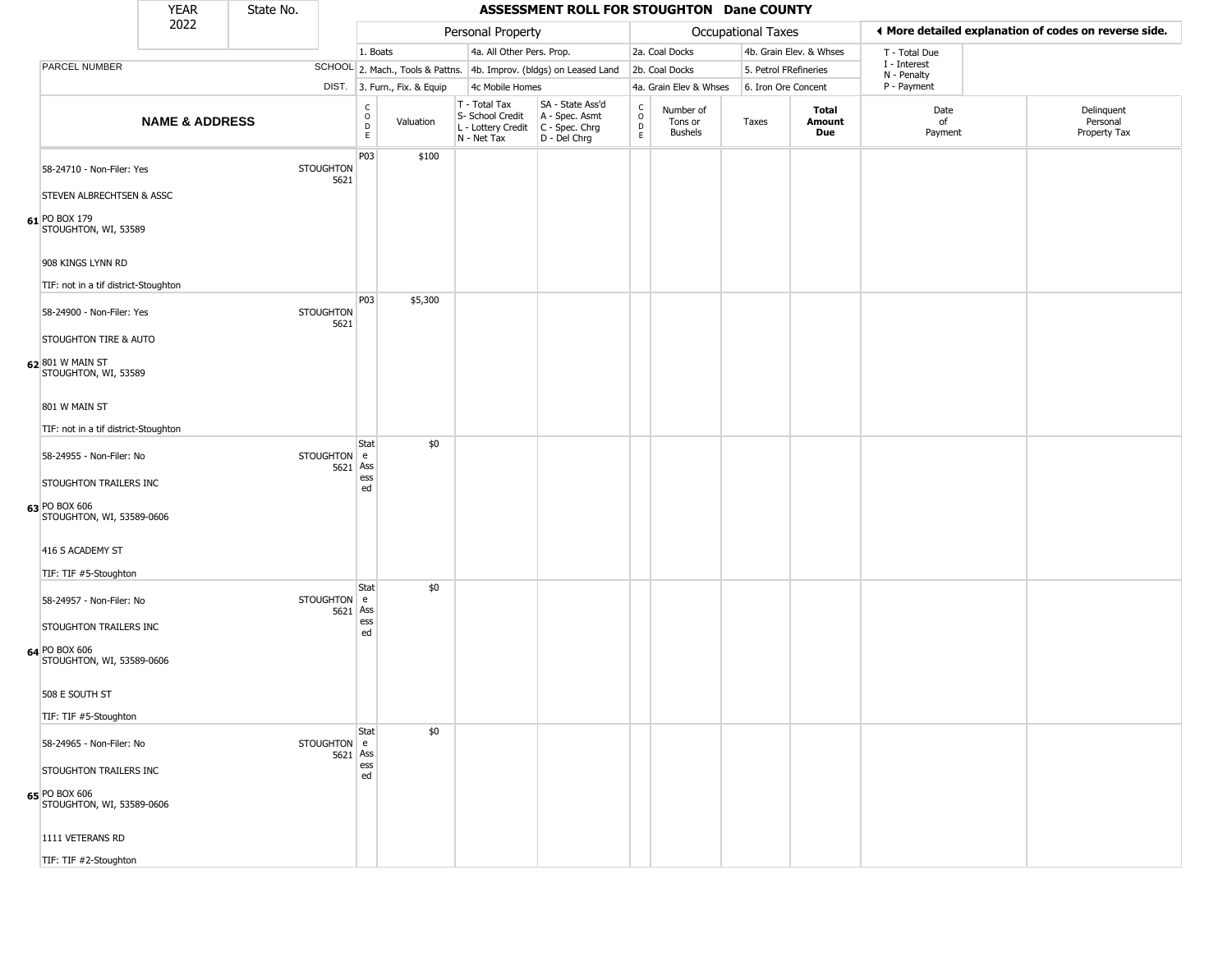|                                                           | <b>YEAR</b>               | State No. |                          |                                                                     |                              |                                                                        | ASSESSMENT ROLL FOR STOUGHTON Dane COUNTY                            |                         |                                        |                           |                               |                             |                                                       |
|-----------------------------------------------------------|---------------------------|-----------|--------------------------|---------------------------------------------------------------------|------------------------------|------------------------------------------------------------------------|----------------------------------------------------------------------|-------------------------|----------------------------------------|---------------------------|-------------------------------|-----------------------------|-------------------------------------------------------|
|                                                           | 2022                      |           |                          |                                                                     |                              | Personal Property                                                      |                                                                      |                         |                                        | <b>Occupational Taxes</b> |                               |                             | ◀ More detailed explanation of codes on reverse side. |
|                                                           |                           |           |                          | 1. Boats                                                            |                              | 4a. All Other Pers. Prop.                                              |                                                                      |                         | 2a. Coal Docks                         |                           | 4b. Grain Elev. & Whses       | T - Total Due               |                                                       |
| PARCEL NUMBER                                             |                           |           |                          |                                                                     |                              |                                                                        | SCHOOL 2. Mach., Tools & Pattns. 4b. Improv. (bldgs) on Leased Land  |                         | 2b. Coal Docks                         |                           | 5. Petrol FRefineries         | I - Interest<br>N - Penalty |                                                       |
|                                                           |                           |           |                          |                                                                     | DIST. 3. Furn., Fix. & Equip | 4c Mobile Homes                                                        |                                                                      |                         | 4a. Grain Elev & Whses                 |                           | 6. Iron Ore Concent           | P - Payment                 |                                                       |
|                                                           | <b>NAME &amp; ADDRESS</b> |           |                          | $\overset{\mathsf{C}}{\underset{\mathsf{D}}{\circ}}$<br>$\mathsf E$ | Valuation                    | T - Total Tax<br>S- School Credit<br>L - Lottery Credit<br>N - Net Tax | SA - State Ass'd<br>A - Spec. Asmt<br>C - Spec. Chrg<br>D - Del Chrg | C<br>$\circ$<br>D<br>E. | Number of<br>Tons or<br><b>Bushels</b> | Taxes                     | <b>Total</b><br>Amount<br>Due | Date<br>of<br>Payment       | Delinquent<br>Personal<br>Property Tax                |
| 58-24710 - Non-Filer: Yes                                 |                           |           | <b>STOUGHTON</b><br>5621 | P03                                                                 | \$100                        |                                                                        |                                                                      |                         |                                        |                           |                               |                             |                                                       |
| STEVEN ALBRECHTSEN & ASSC                                 |                           |           |                          |                                                                     |                              |                                                                        |                                                                      |                         |                                        |                           |                               |                             |                                                       |
| 61 PO BOX 179<br>STOUGHTON, WI, 53589                     |                           |           |                          |                                                                     |                              |                                                                        |                                                                      |                         |                                        |                           |                               |                             |                                                       |
| 908 KINGS LYNN RD<br>TIF: not in a tif district-Stoughton |                           |           |                          |                                                                     |                              |                                                                        |                                                                      |                         |                                        |                           |                               |                             |                                                       |
| 58-24900 - Non-Filer: Yes                                 |                           |           | <b>STOUGHTON</b><br>5621 | P03                                                                 | \$5,300                      |                                                                        |                                                                      |                         |                                        |                           |                               |                             |                                                       |
| STOUGHTON TIRE & AUTO                                     |                           |           |                          |                                                                     |                              |                                                                        |                                                                      |                         |                                        |                           |                               |                             |                                                       |
| 62 801 W MAIN ST<br>STOUGHTON, WI, 53589                  |                           |           |                          |                                                                     |                              |                                                                        |                                                                      |                         |                                        |                           |                               |                             |                                                       |
| 801 W MAIN ST                                             |                           |           |                          |                                                                     |                              |                                                                        |                                                                      |                         |                                        |                           |                               |                             |                                                       |
| TIF: not in a tif district-Stoughton                      |                           |           |                          | Stat                                                                | \$0                          |                                                                        |                                                                      |                         |                                        |                           |                               |                             |                                                       |
| 58-24955 - Non-Filer: No                                  |                           |           | STOUGHTON e<br>5621 Ass  | ess                                                                 |                              |                                                                        |                                                                      |                         |                                        |                           |                               |                             |                                                       |
| STOUGHTON TRAILERS INC                                    |                           |           |                          | ed                                                                  |                              |                                                                        |                                                                      |                         |                                        |                           |                               |                             |                                                       |
| 63 PO BOX 606<br>STOUGHTON, WI, 53589-0606                |                           |           |                          |                                                                     |                              |                                                                        |                                                                      |                         |                                        |                           |                               |                             |                                                       |
| 416 S ACADEMY ST                                          |                           |           |                          |                                                                     |                              |                                                                        |                                                                      |                         |                                        |                           |                               |                             |                                                       |
| TIF: TIF #5-Stoughton                                     |                           |           |                          |                                                                     |                              |                                                                        |                                                                      |                         |                                        |                           |                               |                             |                                                       |
| 58-24957 - Non-Filer: No                                  |                           |           | STOUGHTON e<br>5621 Ass  | <b>Stat</b>                                                         | \$0                          |                                                                        |                                                                      |                         |                                        |                           |                               |                             |                                                       |
| STOUGHTON TRAILERS INC                                    |                           |           |                          | ess<br>ed                                                           |                              |                                                                        |                                                                      |                         |                                        |                           |                               |                             |                                                       |
| 64 PO BOX 606<br>STOUGHTON, WI, 53589-0606                |                           |           |                          |                                                                     |                              |                                                                        |                                                                      |                         |                                        |                           |                               |                             |                                                       |
| 508 E SOUTH ST                                            |                           |           |                          |                                                                     |                              |                                                                        |                                                                      |                         |                                        |                           |                               |                             |                                                       |
| TIF: TIF #5-Stoughton                                     |                           |           |                          |                                                                     |                              |                                                                        |                                                                      |                         |                                        |                           |                               |                             |                                                       |
| 58-24965 - Non-Filer: No                                  |                           |           | STOUGHTON e<br>5621 Ass  | Stat                                                                | \$0                          |                                                                        |                                                                      |                         |                                        |                           |                               |                             |                                                       |
| STOUGHTON TRAILERS INC                                    |                           |           |                          | ess<br>ed                                                           |                              |                                                                        |                                                                      |                         |                                        |                           |                               |                             |                                                       |
| 65 PO BOX 606<br>STOUGHTON, WI, 53589-0606                |                           |           |                          |                                                                     |                              |                                                                        |                                                                      |                         |                                        |                           |                               |                             |                                                       |
| 1111 VETERANS RD                                          |                           |           |                          |                                                                     |                              |                                                                        |                                                                      |                         |                                        |                           |                               |                             |                                                       |

TIF: TIF #2-Stoughton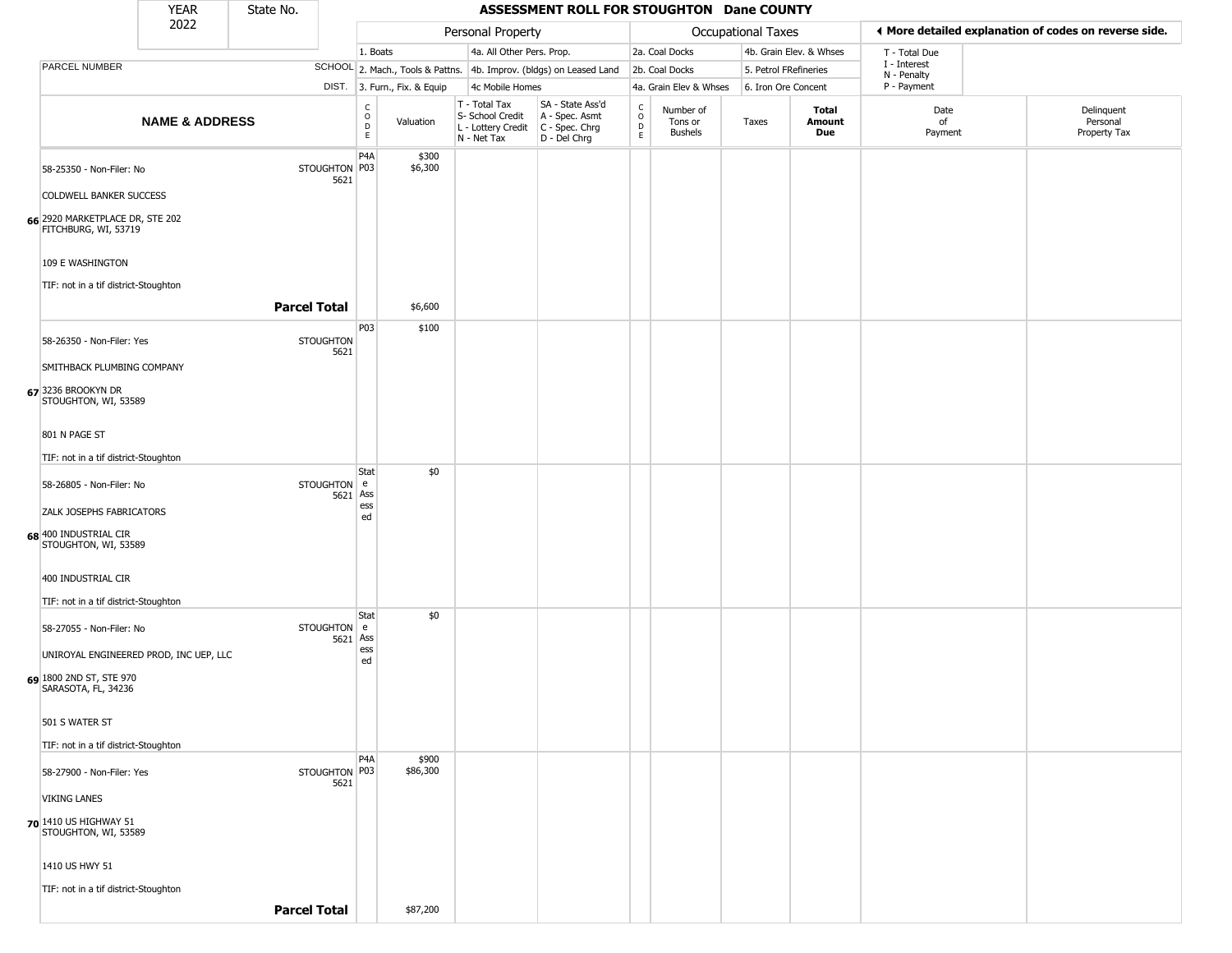|                                                                          | <b>YEAR</b>               | State No. |                          |                                                 |                              |                                                                        | ASSESSMENT ROLL FOR STOUGHTON Dane COUNTY                            |                                                 |                                        |                       |                         |                             |                                                       |
|--------------------------------------------------------------------------|---------------------------|-----------|--------------------------|-------------------------------------------------|------------------------------|------------------------------------------------------------------------|----------------------------------------------------------------------|-------------------------------------------------|----------------------------------------|-----------------------|-------------------------|-----------------------------|-------------------------------------------------------|
|                                                                          | 2022                      |           |                          |                                                 |                              | Personal Property                                                      |                                                                      |                                                 |                                        | Occupational Taxes    |                         |                             | ♦ More detailed explanation of codes on reverse side. |
|                                                                          |                           |           |                          | 1. Boats                                        |                              | 4a. All Other Pers. Prop.                                              |                                                                      |                                                 | 2a. Coal Docks                         |                       | 4b. Grain Elev. & Whses | T - Total Due               |                                                       |
| PARCEL NUMBER                                                            |                           |           |                          |                                                 |                              |                                                                        | SCHOOL 2. Mach., Tools & Pattns. 4b. Improv. (bldgs) on Leased Land  |                                                 | 2b. Coal Docks                         | 5. Petrol FRefineries |                         | I - Interest<br>N - Penalty |                                                       |
|                                                                          |                           |           |                          |                                                 | DIST. 3. Furn., Fix. & Equip | 4c Mobile Homes                                                        |                                                                      |                                                 | 4a. Grain Elev & Whses                 | 6. Iron Ore Concent   |                         | P - Payment                 |                                                       |
|                                                                          | <b>NAME &amp; ADDRESS</b> |           |                          | $\begin{array}{c} C \\ O \\ D \\ E \end{array}$ | Valuation                    | T - Total Tax<br>S- School Credit<br>L - Lottery Credit<br>N - Net Tax | SA - State Ass'd<br>A - Spec. Asmt<br>C - Spec. Chrg<br>D - Del Chrg | $\begin{array}{c} C \\ O \\ D \\ E \end{array}$ | Number of<br>Tons or<br><b>Bushels</b> | Taxes                 | Total<br>Amount<br>Due  | Date<br>of<br>Payment       | Delinquent<br>Personal<br>Property Tax                |
| 58-25350 - Non-Filer: No<br><b>COLDWELL BANKER SUCCESS</b>               |                           |           | STOUGHTON P03<br>5621    | P <sub>4</sub> A                                | \$300<br>\$6,300             |                                                                        |                                                                      |                                                 |                                        |                       |                         |                             |                                                       |
| 66 2920 MARKETPLACE DR, STE 202<br>FITCHBURG, WI, 53719                  |                           |           |                          |                                                 |                              |                                                                        |                                                                      |                                                 |                                        |                       |                         |                             |                                                       |
| 109 E WASHINGTON<br>TIF: not in a tif district-Stoughton                 |                           |           |                          |                                                 |                              |                                                                        |                                                                      |                                                 |                                        |                       |                         |                             |                                                       |
|                                                                          |                           |           | <b>Parcel Total</b>      |                                                 | \$6,600                      |                                                                        |                                                                      |                                                 |                                        |                       |                         |                             |                                                       |
| 58-26350 - Non-Filer: Yes                                                |                           |           | <b>STOUGHTON</b><br>5621 | P03                                             | \$100                        |                                                                        |                                                                      |                                                 |                                        |                       |                         |                             |                                                       |
| SMITHBACK PLUMBING COMPANY<br>67 3236 BROOKYN DR<br>STOUGHTON, WI, 53589 |                           |           |                          |                                                 |                              |                                                                        |                                                                      |                                                 |                                        |                       |                         |                             |                                                       |
| 801 N PAGE ST                                                            |                           |           |                          |                                                 |                              |                                                                        |                                                                      |                                                 |                                        |                       |                         |                             |                                                       |
| TIF: not in a tif district-Stoughton                                     |                           |           |                          |                                                 |                              |                                                                        |                                                                      |                                                 |                                        |                       |                         |                             |                                                       |
| 58-26805 - Non-Filer: No                                                 |                           |           | STOUGHTON e<br>5621      | Stat<br>Ass                                     | \$0                          |                                                                        |                                                                      |                                                 |                                        |                       |                         |                             |                                                       |
| ZALK JOSEPHS FABRICATORS                                                 |                           |           |                          | ess<br>ed                                       |                              |                                                                        |                                                                      |                                                 |                                        |                       |                         |                             |                                                       |
| 68 400 INDUSTRIAL CIR<br>STOUGHTON, WI, 53589                            |                           |           |                          |                                                 |                              |                                                                        |                                                                      |                                                 |                                        |                       |                         |                             |                                                       |
| 400 INDUSTRIAL CIR                                                       |                           |           |                          |                                                 |                              |                                                                        |                                                                      |                                                 |                                        |                       |                         |                             |                                                       |
| TIF: not in a tif district-Stoughton                                     |                           |           |                          |                                                 |                              |                                                                        |                                                                      |                                                 |                                        |                       |                         |                             |                                                       |
| 58-27055 - Non-Filer: No                                                 |                           |           | <b>STOUGHTON</b><br>5621 | Stat<br>l e<br>Ass                              | \$0                          |                                                                        |                                                                      |                                                 |                                        |                       |                         |                             |                                                       |
| UNIROYAL ENGINEERED PROD, INC UEP, LLC                                   |                           |           |                          | ess<br>ed                                       |                              |                                                                        |                                                                      |                                                 |                                        |                       |                         |                             |                                                       |
| 69 1800 2ND ST, STE 970<br>SARASOTA, FL, 34236                           |                           |           |                          |                                                 |                              |                                                                        |                                                                      |                                                 |                                        |                       |                         |                             |                                                       |
| 501 S WATER ST                                                           |                           |           |                          |                                                 |                              |                                                                        |                                                                      |                                                 |                                        |                       |                         |                             |                                                       |
| TIF: not in a tif district-Stoughton                                     |                           |           |                          | P <sub>4</sub> A                                | \$900                        |                                                                        |                                                                      |                                                 |                                        |                       |                         |                             |                                                       |
| 58-27900 - Non-Filer: Yes                                                |                           |           | STOUGHTON P03<br>5621    |                                                 | \$86,300                     |                                                                        |                                                                      |                                                 |                                        |                       |                         |                             |                                                       |
| <b>VIKING LANES</b>                                                      |                           |           |                          |                                                 |                              |                                                                        |                                                                      |                                                 |                                        |                       |                         |                             |                                                       |
| 70 1410 US HIGHWAY 51<br>STOUGHTON, WI, 53589                            |                           |           |                          |                                                 |                              |                                                                        |                                                                      |                                                 |                                        |                       |                         |                             |                                                       |
| 1410 US HWY 51                                                           |                           |           |                          |                                                 |                              |                                                                        |                                                                      |                                                 |                                        |                       |                         |                             |                                                       |
| TIF: not in a tif district-Stoughton                                     |                           |           | <b>Parcel Total</b>      |                                                 | \$87,200                     |                                                                        |                                                                      |                                                 |                                        |                       |                         |                             |                                                       |
|                                                                          |                           |           |                          |                                                 |                              |                                                                        |                                                                      |                                                 |                                        |                       |                         |                             |                                                       |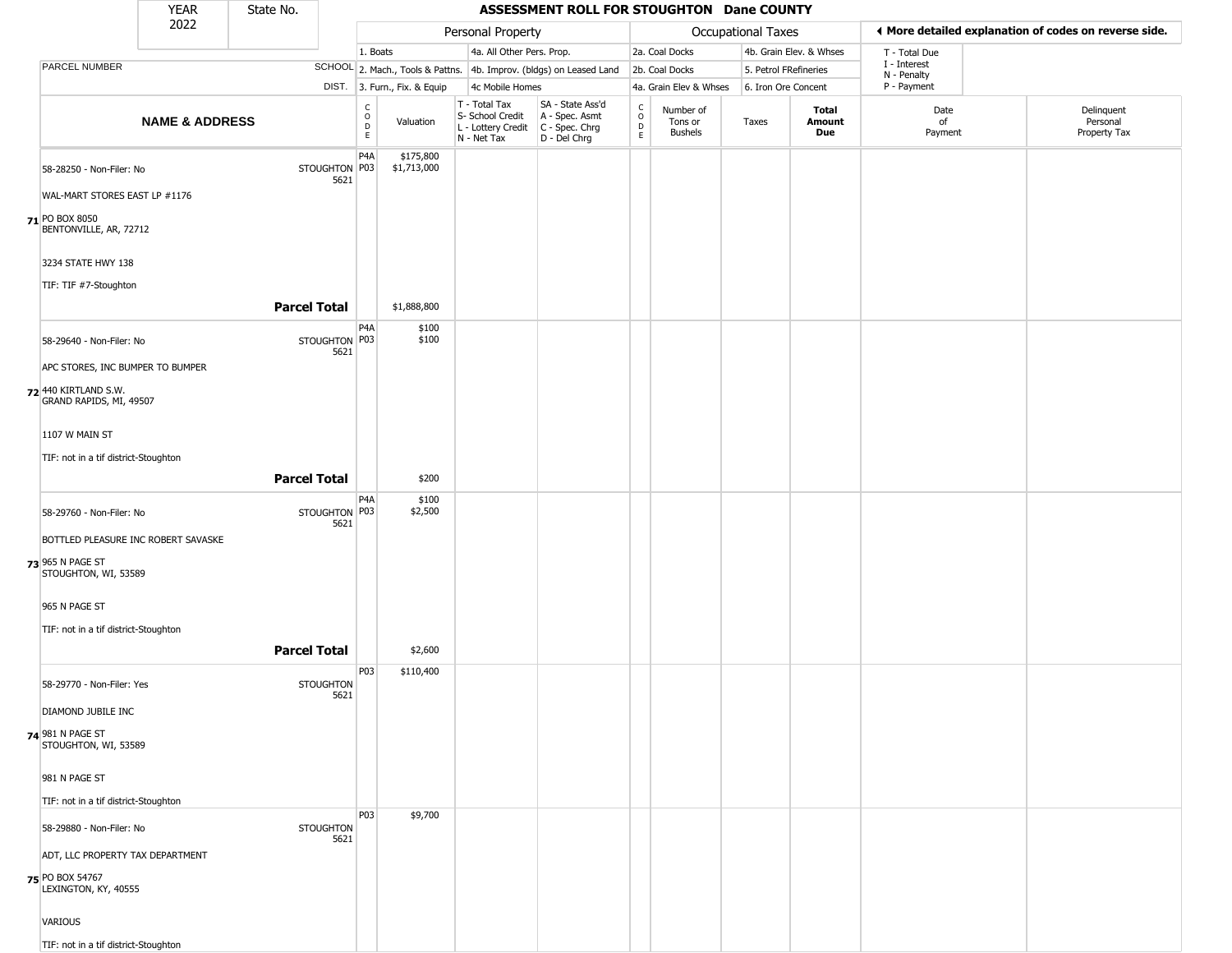|                                                                                 | <b>YEAR</b>               | State No.           |                                                          |                              |                                                                                         | ASSESSMENT ROLL FOR STOUGHTON Dane COUNTY                           |                                                 |                                        |                           |                         |                             |                                                       |
|---------------------------------------------------------------------------------|---------------------------|---------------------|----------------------------------------------------------|------------------------------|-----------------------------------------------------------------------------------------|---------------------------------------------------------------------|-------------------------------------------------|----------------------------------------|---------------------------|-------------------------|-----------------------------|-------------------------------------------------------|
|                                                                                 | 2022                      |                     |                                                          |                              | Personal Property                                                                       |                                                                     |                                                 |                                        | <b>Occupational Taxes</b> |                         |                             | ♦ More detailed explanation of codes on reverse side. |
|                                                                                 |                           |                     |                                                          | 1. Boats                     | 4a. All Other Pers. Prop.                                                               |                                                                     |                                                 | 2a. Coal Docks                         |                           | 4b. Grain Elev. & Whses | T - Total Due               |                                                       |
| PARCEL NUMBER                                                                   |                           |                     |                                                          |                              |                                                                                         | SCHOOL 2. Mach., Tools & Pattns. 4b. Improv. (bldgs) on Leased Land |                                                 | 2b. Coal Docks                         | 5. Petrol FRefineries     |                         | I - Interest<br>N - Penalty |                                                       |
|                                                                                 |                           |                     |                                                          | DIST. 3. Furn., Fix. & Equip | 4c Mobile Homes                                                                         |                                                                     |                                                 | 4a. Grain Elev & Whses                 | 6. Iron Ore Concent       |                         | P - Payment                 |                                                       |
|                                                                                 | <b>NAME &amp; ADDRESS</b> |                     | $\begin{matrix} 0 \\ 0 \\ 0 \end{matrix}$<br>$\mathsf E$ | Valuation                    | T - Total Tax<br>S- School Credit<br>L - Lottery Credit   C - Spec. Chrg<br>N - Net Tax | SA - State Ass'd<br>A - Spec. Asmt<br>$D - Del Chrg$                | $\begin{array}{c} C \\ O \\ D \\ E \end{array}$ | Number of<br>Tons or<br><b>Bushels</b> | Taxes                     | Total<br>Amount<br>Due  | Date<br>of<br>Payment       | Delinquent<br>Personal<br>Property Tax                |
| 58-28250 - Non-Filer: No                                                        |                           | STOUGHTON P03       | P <sub>4</sub> A<br>5621                                 | \$175,800<br>\$1,713,000     |                                                                                         |                                                                     |                                                 |                                        |                           |                         |                             |                                                       |
| WAL-MART STORES EAST LP #1176<br>71 PO BOX 8050<br>BENTONVILLE, AR, 72712       |                           |                     |                                                          |                              |                                                                                         |                                                                     |                                                 |                                        |                           |                         |                             |                                                       |
| 3234 STATE HWY 138                                                              |                           |                     |                                                          |                              |                                                                                         |                                                                     |                                                 |                                        |                           |                         |                             |                                                       |
| TIF: TIF #7-Stoughton                                                           |                           | <b>Parcel Total</b> |                                                          | \$1,888,800                  |                                                                                         |                                                                     |                                                 |                                        |                           |                         |                             |                                                       |
| 58-29640 - Non-Filer: No                                                        |                           | STOUGHTON P03       | P <sub>4</sub> A                                         | \$100<br>\$100               |                                                                                         |                                                                     |                                                 |                                        |                           |                         |                             |                                                       |
| APC STORES, INC BUMPER TO BUMPER                                                |                           |                     | 5621                                                     |                              |                                                                                         |                                                                     |                                                 |                                        |                           |                         |                             |                                                       |
| 72 440 KIRTLAND S.W.<br>GRAND RAPIDS, MI, 49507                                 |                           |                     |                                                          |                              |                                                                                         |                                                                     |                                                 |                                        |                           |                         |                             |                                                       |
| 1107 W MAIN ST                                                                  |                           |                     |                                                          |                              |                                                                                         |                                                                     |                                                 |                                        |                           |                         |                             |                                                       |
| TIF: not in a tif district-Stoughton                                            |                           | <b>Parcel Total</b> |                                                          | \$200                        |                                                                                         |                                                                     |                                                 |                                        |                           |                         |                             |                                                       |
| 58-29760 - Non-Filer: No                                                        |                           | STOUGHTON P03       | P <sub>4</sub> A<br>5621                                 | \$100<br>\$2,500             |                                                                                         |                                                                     |                                                 |                                        |                           |                         |                             |                                                       |
| BOTTLED PLEASURE INC ROBERT SAVASKE<br>73 965 N PAGE ST<br>STOUGHTON, WI, 53589 |                           |                     |                                                          |                              |                                                                                         |                                                                     |                                                 |                                        |                           |                         |                             |                                                       |
| 965 N PAGE ST                                                                   |                           |                     |                                                          |                              |                                                                                         |                                                                     |                                                 |                                        |                           |                         |                             |                                                       |
| TIF: not in a tif district-Stoughton                                            |                           | <b>Parcel Total</b> |                                                          | \$2,600                      |                                                                                         |                                                                     |                                                 |                                        |                           |                         |                             |                                                       |
| 58-29770 - Non-Filer: Yes                                                       |                           | <b>STOUGHTON</b>    | P03<br>5621                                              | \$110,400                    |                                                                                         |                                                                     |                                                 |                                        |                           |                         |                             |                                                       |
| DIAMOND JUBILE INC                                                              |                           |                     |                                                          |                              |                                                                                         |                                                                     |                                                 |                                        |                           |                         |                             |                                                       |
| 74 981 N PAGE ST<br>STOUGHTON, WI, 53589                                        |                           |                     |                                                          |                              |                                                                                         |                                                                     |                                                 |                                        |                           |                         |                             |                                                       |
| 981 N PAGE ST                                                                   |                           |                     |                                                          |                              |                                                                                         |                                                                     |                                                 |                                        |                           |                         |                             |                                                       |
| TIF: not in a tif district-Stoughton<br>58-29880 - Non-Filer: No                |                           | <b>STOUGHTON</b>    | P03                                                      | \$9,700                      |                                                                                         |                                                                     |                                                 |                                        |                           |                         |                             |                                                       |
| ADT, LLC PROPERTY TAX DEPARTMENT                                                |                           |                     | 5621                                                     |                              |                                                                                         |                                                                     |                                                 |                                        |                           |                         |                             |                                                       |
| 75 PO BOX 54767<br>LEXINGTON, KY, 40555                                         |                           |                     |                                                          |                              |                                                                                         |                                                                     |                                                 |                                        |                           |                         |                             |                                                       |
| <b>VARIOUS</b>                                                                  |                           |                     |                                                          |                              |                                                                                         |                                                                     |                                                 |                                        |                           |                         |                             |                                                       |
| TIF: not in a tif district-Stoughton                                            |                           |                     |                                                          |                              |                                                                                         |                                                                     |                                                 |                                        |                           |                         |                             |                                                       |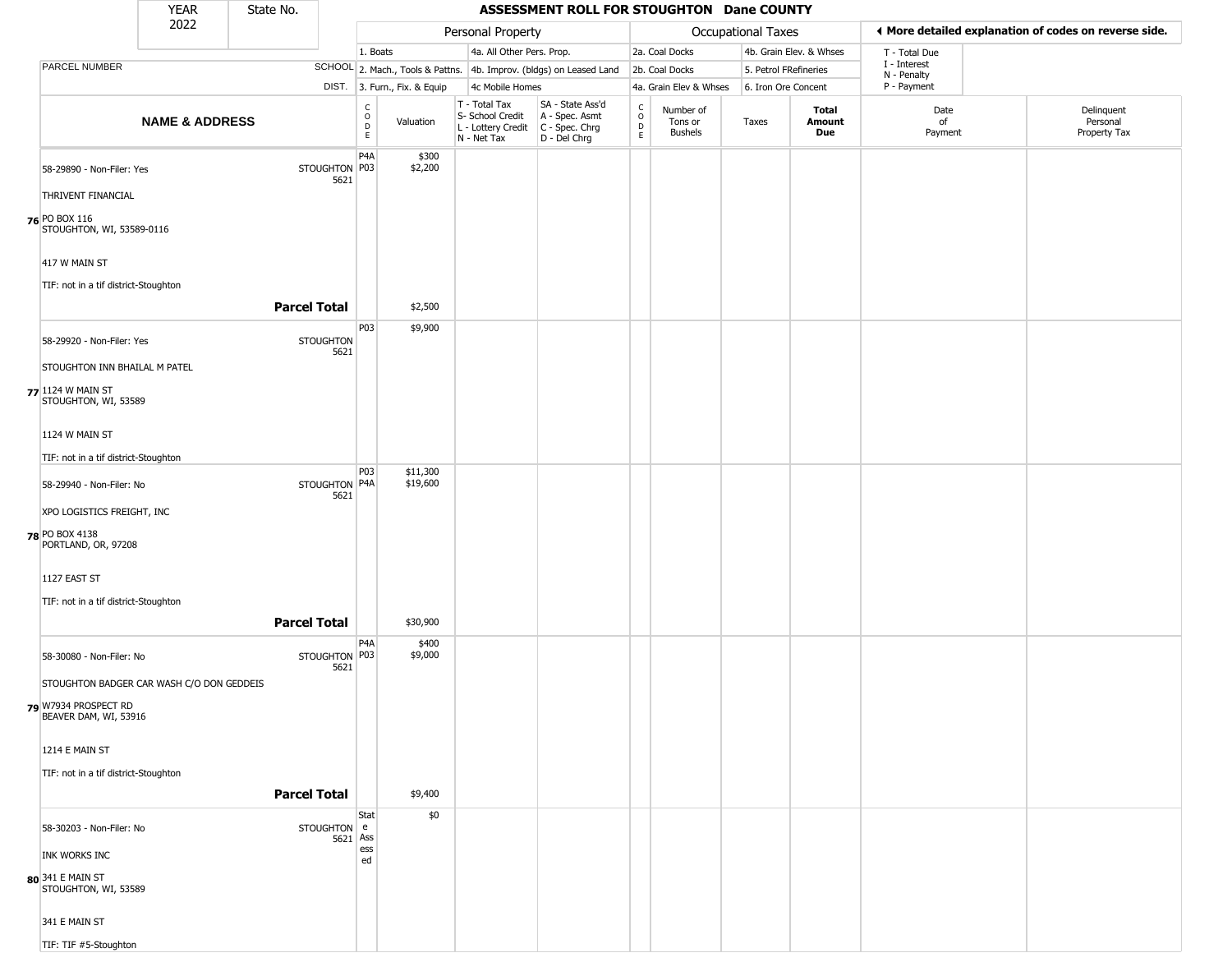|                      |                                               | <b>YEAR</b>                               | State No.           |                         |                              |                              |                                                  | ASSESSMENT ROLL FOR STOUGHTON Dane COUNTY                                               |                          |                                        |                    |                         |                        |                             |                                                       |
|----------------------|-----------------------------------------------|-------------------------------------------|---------------------|-------------------------|------------------------------|------------------------------|--------------------------------------------------|-----------------------------------------------------------------------------------------|--------------------------|----------------------------------------|--------------------|-------------------------|------------------------|-----------------------------|-------------------------------------------------------|
|                      |                                               | 2022                                      |                     |                         |                              |                              | Personal Property                                |                                                                                         |                          |                                        | Occupational Taxes |                         |                        |                             | ♦ More detailed explanation of codes on reverse side. |
|                      |                                               |                                           |                     |                         | 1. Boats                     |                              |                                                  | 4a. All Other Pers. Prop.                                                               |                          | 2a. Coal Docks                         |                    | 4b. Grain Elev. & Whses |                        | T - Total Due               |                                                       |
|                      | <b>PARCEL NUMBER</b>                          |                                           |                     |                         |                              |                              |                                                  | SCHOOL 2. Mach., Tools & Pattns. 4b. Improv. (bldgs) on Leased Land                     |                          | 2b. Coal Docks                         |                    | 5. Petrol FRefineries   |                        | I - Interest<br>N - Penalty |                                                       |
|                      |                                               |                                           |                     |                         |                              | DIST. 3. Furn., Fix. & Equip | 4c Mobile Homes                                  |                                                                                         |                          | 4a. Grain Elev & Whses                 |                    | 6. Iron Ore Concent     |                        | P - Payment                 |                                                       |
|                      |                                               | <b>NAME &amp; ADDRESS</b>                 |                     |                         | $_{\rm o}^{\rm c}$<br>D<br>E | Valuation                    | T - Total Tax<br>S- School Credit<br>N - Net Tax | SA - State Ass'd<br>A - Spec. Asmt<br>L - Lottery Credit C - Spec. Chrg<br>D - Del Chrg | $\int_{0}^{c}$<br>D<br>E | Number of<br>Tons or<br><b>Bushels</b> | Taxes              |                         | Total<br>Amount<br>Due | Date<br>of<br>Payment       | Delinquent<br>Personal<br>Property Tax                |
|                      | 58-29890 - Non-Filer: Yes                     |                                           |                     | STOUGHTON P03<br>5621   | P <sub>4</sub> A             | \$300<br>\$2,200             |                                                  |                                                                                         |                          |                                        |                    |                         |                        |                             |                                                       |
| <b>76 PO BOX 116</b> | THRIVENT FINANCIAL                            |                                           |                     |                         |                              |                              |                                                  |                                                                                         |                          |                                        |                    |                         |                        |                             |                                                       |
|                      | STOUGHTON, WI, 53589-0116                     |                                           |                     |                         |                              |                              |                                                  |                                                                                         |                          |                                        |                    |                         |                        |                             |                                                       |
|                      | 417 W MAIN ST                                 |                                           |                     |                         |                              |                              |                                                  |                                                                                         |                          |                                        |                    |                         |                        |                             |                                                       |
|                      | TIF: not in a tif district-Stoughton          |                                           | <b>Parcel Total</b> |                         |                              | \$2,500                      |                                                  |                                                                                         |                          |                                        |                    |                         |                        |                             |                                                       |
|                      | 58-29920 - Non-Filer: Yes                     |                                           |                     | <b>STOUGHTON</b>        | P <sub>03</sub>              | \$9,900                      |                                                  |                                                                                         |                          |                                        |                    |                         |                        |                             |                                                       |
|                      | STOUGHTON INN BHAILAL M PATEL                 |                                           |                     | 5621                    |                              |                              |                                                  |                                                                                         |                          |                                        |                    |                         |                        |                             |                                                       |
|                      | 77 1124 W MAIN ST<br>STOUGHTON, WI, 53589     |                                           |                     |                         |                              |                              |                                                  |                                                                                         |                          |                                        |                    |                         |                        |                             |                                                       |
|                      | 1124 W MAIN ST                                |                                           |                     |                         |                              |                              |                                                  |                                                                                         |                          |                                        |                    |                         |                        |                             |                                                       |
|                      | TIF: not in a tif district-Stoughton          |                                           |                     |                         |                              |                              |                                                  |                                                                                         |                          |                                        |                    |                         |                        |                             |                                                       |
|                      | 58-29940 - Non-Filer: No                      |                                           |                     | STOUGHTON P4A<br>5621   | P03                          | \$11,300<br>\$19,600         |                                                  |                                                                                         |                          |                                        |                    |                         |                        |                             |                                                       |
|                      | XPO LOGISTICS FREIGHT, INC                    |                                           |                     |                         |                              |                              |                                                  |                                                                                         |                          |                                        |                    |                         |                        |                             |                                                       |
| 78 PO BOX 4138       | PORTLAND, OR, 97208                           |                                           |                     |                         |                              |                              |                                                  |                                                                                         |                          |                                        |                    |                         |                        |                             |                                                       |
|                      | 1127 EAST ST                                  |                                           |                     |                         |                              |                              |                                                  |                                                                                         |                          |                                        |                    |                         |                        |                             |                                                       |
|                      | TIF: not in a tif district-Stoughton          |                                           |                     |                         |                              |                              |                                                  |                                                                                         |                          |                                        |                    |                         |                        |                             |                                                       |
|                      |                                               |                                           | <b>Parcel Total</b> |                         | P <sub>4</sub> A             | \$30,900<br>\$400            |                                                  |                                                                                         |                          |                                        |                    |                         |                        |                             |                                                       |
|                      | 58-30080 - Non-Filer: No                      |                                           |                     | STOUGHTON P03<br>5621   |                              | \$9,000                      |                                                  |                                                                                         |                          |                                        |                    |                         |                        |                             |                                                       |
|                      |                                               | STOUGHTON BADGER CAR WASH C/O DON GEDDEIS |                     |                         |                              |                              |                                                  |                                                                                         |                          |                                        |                    |                         |                        |                             |                                                       |
|                      | 79 W7934 PROSPECT RD<br>BEAVER DAM, WI, 53916 |                                           |                     |                         |                              |                              |                                                  |                                                                                         |                          |                                        |                    |                         |                        |                             |                                                       |
|                      | 1214 E MAIN ST                                |                                           |                     |                         |                              |                              |                                                  |                                                                                         |                          |                                        |                    |                         |                        |                             |                                                       |
|                      | TIF: not in a tif district-Stoughton          |                                           |                     |                         |                              |                              |                                                  |                                                                                         |                          |                                        |                    |                         |                        |                             |                                                       |
|                      |                                               |                                           | <b>Parcel Total</b> |                         |                              | \$9,400                      |                                                  |                                                                                         |                          |                                        |                    |                         |                        |                             |                                                       |
|                      | 58-30203 - Non-Filer: No                      |                                           |                     | STOUGHTON e<br>5621 Ass | Stat                         | \$0                          |                                                  |                                                                                         |                          |                                        |                    |                         |                        |                             |                                                       |
|                      | INK WORKS INC                                 |                                           |                     |                         | ess<br>ed                    |                              |                                                  |                                                                                         |                          |                                        |                    |                         |                        |                             |                                                       |
|                      | 80 341 E MAIN ST<br>STOUGHTON, WI, 53589      |                                           |                     |                         |                              |                              |                                                  |                                                                                         |                          |                                        |                    |                         |                        |                             |                                                       |
|                      | 341 E MAIN ST                                 |                                           |                     |                         |                              |                              |                                                  |                                                                                         |                          |                                        |                    |                         |                        |                             |                                                       |
|                      | TIF: TIF #5-Stoughton                         |                                           |                     |                         |                              |                              |                                                  |                                                                                         |                          |                                        |                    |                         |                        |                             |                                                       |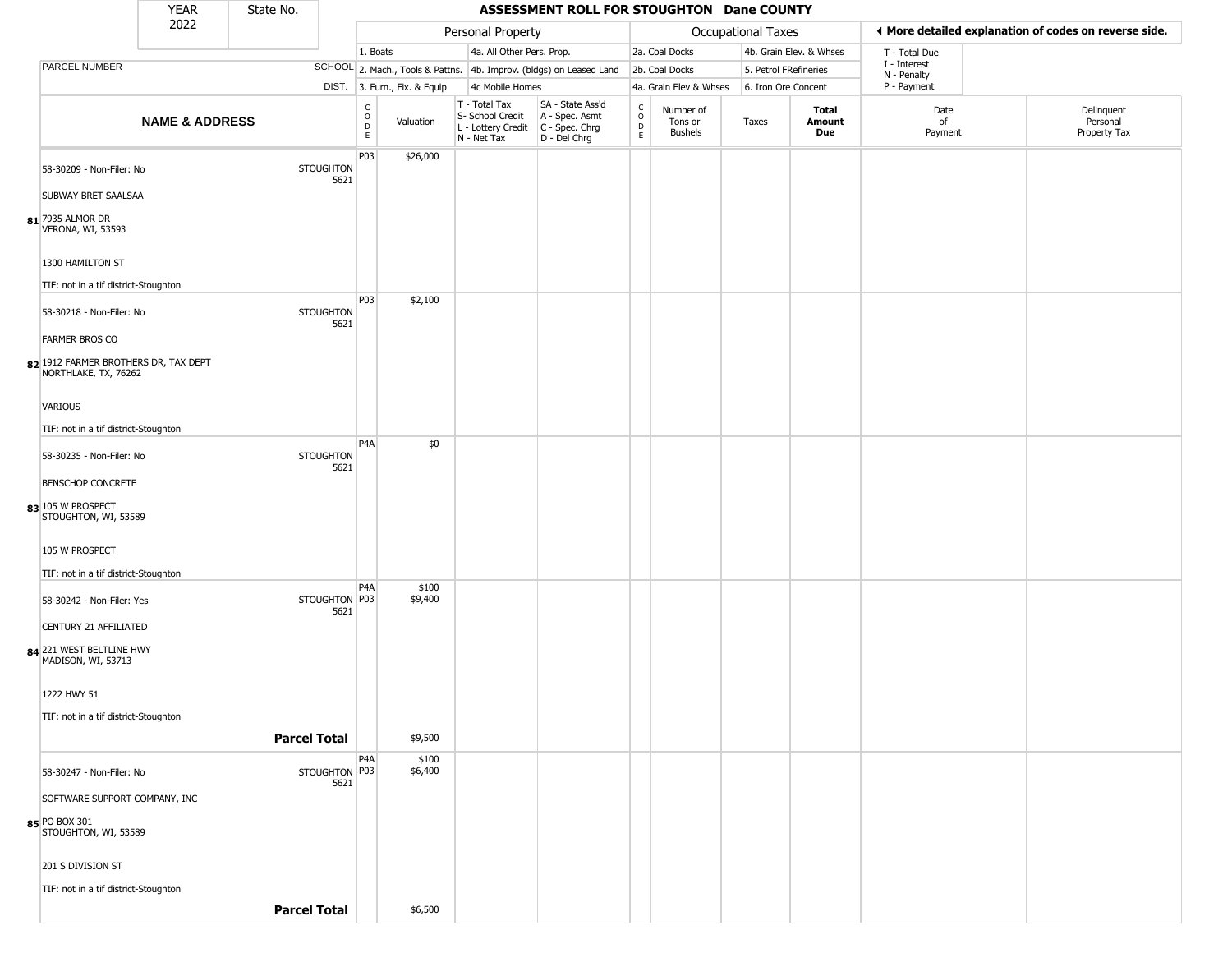|                                                              | <b>YEAR</b>               | State No.           |                          |                            |                              |                                                                                       | ASSESSMENT ROLL FOR STOUGHTON Dane COUNTY                           |                                            |                                 |                    |                         |                             |                                                       |
|--------------------------------------------------------------|---------------------------|---------------------|--------------------------|----------------------------|------------------------------|---------------------------------------------------------------------------------------|---------------------------------------------------------------------|--------------------------------------------|---------------------------------|--------------------|-------------------------|-----------------------------|-------------------------------------------------------|
|                                                              | 2022                      |                     |                          |                            |                              | Personal Property                                                                     |                                                                     |                                            |                                 | Occupational Taxes |                         |                             | ◀ More detailed explanation of codes on reverse side. |
|                                                              |                           |                     |                          | 1. Boats                   |                              | 4a. All Other Pers. Prop.                                                             |                                                                     |                                            | 2a. Coal Docks                  |                    | 4b. Grain Elev. & Whses | T - Total Due               |                                                       |
| PARCEL NUMBER                                                |                           |                     |                          |                            |                              |                                                                                       | SCHOOL 2. Mach., Tools & Pattns. 4b. Improv. (bldgs) on Leased Land |                                            | 2b. Coal Docks                  |                    | 5. Petrol FRefineries   | I - Interest<br>N - Penalty |                                                       |
|                                                              |                           |                     |                          |                            | DIST. 3. Furn., Fix. & Equip | 4c Mobile Homes                                                                       |                                                                     |                                            | 4a. Grain Elev & Whses          |                    | 6. Iron Ore Concent     | P - Payment                 |                                                       |
|                                                              | <b>NAME &amp; ADDRESS</b> |                     |                          | C<br>$\mathsf O$<br>D<br>E | Valuation                    | T - Total Tax<br>S- School Credit<br>L - Lottery Credit C - Spec. Chrg<br>N - Net Tax | SA - State Ass'd<br>A - Spec. Asmt<br>D - Del Chrg                  | $\begin{array}{c} C \\ 0 \\ E \end{array}$ | Number of<br>Tons or<br>Bushels | Taxes              | Total<br>Amount<br>Due  | Date<br>of<br>Payment       | Delinquent<br>Personal<br>Property Tax                |
| 58-30209 - Non-Filer: No                                     |                           |                     | <b>STOUGHTON</b><br>5621 | P03                        | \$26,000                     |                                                                                       |                                                                     |                                            |                                 |                    |                         |                             |                                                       |
| <b>SUBWAY BRET SAALSAA</b>                                   |                           |                     |                          |                            |                              |                                                                                       |                                                                     |                                            |                                 |                    |                         |                             |                                                       |
| $81$ <sup>7935</sup> Almor Dr<br>VERONA, WI, 53593           |                           |                     |                          |                            |                              |                                                                                       |                                                                     |                                            |                                 |                    |                         |                             |                                                       |
| 1300 HAMILTON ST<br>TIF: not in a tif district-Stoughton     |                           |                     |                          |                            |                              |                                                                                       |                                                                     |                                            |                                 |                    |                         |                             |                                                       |
|                                                              |                           |                     |                          | P03                        | \$2,100                      |                                                                                       |                                                                     |                                            |                                 |                    |                         |                             |                                                       |
| 58-30218 - Non-Filer: No<br><b>FARMER BROS CO</b>            |                           |                     | <b>STOUGHTON</b><br>5621 |                            |                              |                                                                                       |                                                                     |                                            |                                 |                    |                         |                             |                                                       |
| 82 1912 FARMER BROTHERS DR, TAX DEPT<br>NORTHLAKE, TX, 76262 |                           |                     |                          |                            |                              |                                                                                       |                                                                     |                                            |                                 |                    |                         |                             |                                                       |
| <b>VARIOUS</b>                                               |                           |                     |                          |                            |                              |                                                                                       |                                                                     |                                            |                                 |                    |                         |                             |                                                       |
| TIF: not in a tif district-Stoughton                         |                           |                     |                          | P <sub>4</sub> A           | \$0                          |                                                                                       |                                                                     |                                            |                                 |                    |                         |                             |                                                       |
| 58-30235 - Non-Filer: No                                     |                           |                     | <b>STOUGHTON</b><br>5621 |                            |                              |                                                                                       |                                                                     |                                            |                                 |                    |                         |                             |                                                       |
| <b>BENSCHOP CONCRETE</b>                                     |                           |                     |                          |                            |                              |                                                                                       |                                                                     |                                            |                                 |                    |                         |                             |                                                       |
| 83 105 W PROSPECT<br>STOUGHTON, WI, 53589                    |                           |                     |                          |                            |                              |                                                                                       |                                                                     |                                            |                                 |                    |                         |                             |                                                       |
| 105 W PROSPECT                                               |                           |                     |                          |                            |                              |                                                                                       |                                                                     |                                            |                                 |                    |                         |                             |                                                       |
| TIF: not in a tif district-Stoughton                         |                           |                     |                          |                            |                              |                                                                                       |                                                                     |                                            |                                 |                    |                         |                             |                                                       |
| 58-30242 - Non-Filer: Yes                                    |                           |                     | STOUGHTON P03<br>5621    | P4A                        | \$100<br>\$9,400             |                                                                                       |                                                                     |                                            |                                 |                    |                         |                             |                                                       |
| CENTURY 21 AFFILIATED                                        |                           |                     |                          |                            |                              |                                                                                       |                                                                     |                                            |                                 |                    |                         |                             |                                                       |
| 84 221 WEST BELTLINE HWY<br>MADISON, WI, 53713               |                           |                     |                          |                            |                              |                                                                                       |                                                                     |                                            |                                 |                    |                         |                             |                                                       |
| 1222 HWY 51                                                  |                           |                     |                          |                            |                              |                                                                                       |                                                                     |                                            |                                 |                    |                         |                             |                                                       |
| TIF: not in a tif district-Stoughton                         |                           | <b>Parcel Total</b> |                          |                            | \$9,500                      |                                                                                       |                                                                     |                                            |                                 |                    |                         |                             |                                                       |
| 58-30247 - Non-Filer: No                                     |                           |                     | STOUGHTON P03<br>5621    | P <sub>4</sub> A           | \$100<br>\$6,400             |                                                                                       |                                                                     |                                            |                                 |                    |                         |                             |                                                       |
| SOFTWARE SUPPORT COMPANY, INC                                |                           |                     |                          |                            |                              |                                                                                       |                                                                     |                                            |                                 |                    |                         |                             |                                                       |
| 85 PO BOX 301<br>STOUGHTON, WI, 53589                        |                           |                     |                          |                            |                              |                                                                                       |                                                                     |                                            |                                 |                    |                         |                             |                                                       |
| 201 S DIVISION ST                                            |                           |                     |                          |                            |                              |                                                                                       |                                                                     |                                            |                                 |                    |                         |                             |                                                       |
| TIF: not in a tif district-Stoughton                         |                           |                     |                          |                            |                              |                                                                                       |                                                                     |                                            |                                 |                    |                         |                             |                                                       |
|                                                              |                           | <b>Parcel Total</b> |                          |                            | \$6,500                      |                                                                                       |                                                                     |                                            |                                 |                    |                         |                             |                                                       |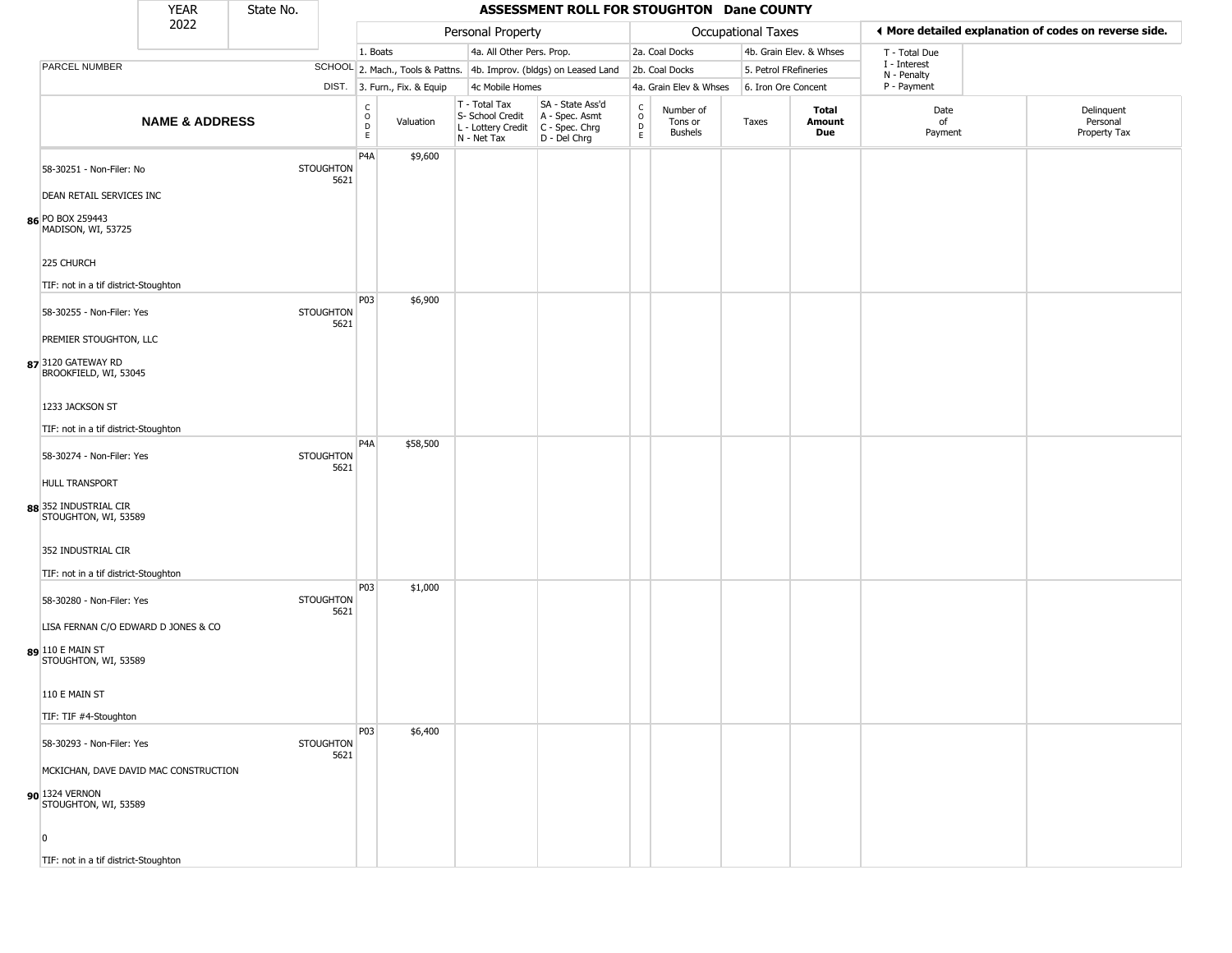|                                                                                 | <b>YEAR</b>               | State No. |                          |                                   |                              |                                                                                         | ASSESSMENT ROLL FOR STOUGHTON Dane COUNTY                           |                                            |                                        |                    |                         |                             |                                                       |
|---------------------------------------------------------------------------------|---------------------------|-----------|--------------------------|-----------------------------------|------------------------------|-----------------------------------------------------------------------------------------|---------------------------------------------------------------------|--------------------------------------------|----------------------------------------|--------------------|-------------------------|-----------------------------|-------------------------------------------------------|
|                                                                                 | 2022                      |           |                          |                                   |                              | Personal Property                                                                       |                                                                     |                                            |                                        | Occupational Taxes |                         |                             | ♦ More detailed explanation of codes on reverse side. |
|                                                                                 |                           |           |                          | 1. Boats                          |                              | 4a. All Other Pers. Prop.                                                               |                                                                     |                                            | 2a. Coal Docks                         |                    | 4b. Grain Elev. & Whses | T - Total Due               |                                                       |
| PARCEL NUMBER                                                                   |                           |           |                          |                                   |                              |                                                                                         | SCHOOL 2. Mach., Tools & Pattns. 4b. Improv. (bldgs) on Leased Land |                                            | 2b. Coal Docks                         |                    | 5. Petrol FRefineries   | I - Interest<br>N - Penalty |                                                       |
|                                                                                 |                           |           |                          |                                   | DIST. 3. Furn., Fix. & Equip | 4c Mobile Homes                                                                         |                                                                     |                                            | 4a. Grain Elev & Whses                 |                    | 6. Iron Ore Concent     | P - Payment                 |                                                       |
|                                                                                 | <b>NAME &amp; ADDRESS</b> |           |                          | $\frac{c}{0}$<br>$\mathsf D$<br>E | Valuation                    | T - Total Tax<br>S- School Credit<br>L - Lottery Credit   C - Spec. Chrg<br>N - Net Tax | SA - State Ass'd<br>A - Spec. Asmt<br>$D - Del Chrg$                | $\begin{array}{c} C \\ 0 \\ E \end{array}$ | Number of<br>Tons or<br><b>Bushels</b> | Taxes              | Total<br>Amount<br>Due  | Date<br>of<br>Payment       | Delinquent<br>Personal<br>Property Tax                |
| 58-30251 - Non-Filer: No                                                        |                           |           | <b>STOUGHTON</b><br>5621 | P4A                               | \$9,600                      |                                                                                         |                                                                     |                                            |                                        |                    |                         |                             |                                                       |
| DEAN RETAIL SERVICES INC                                                        |                           |           |                          |                                   |                              |                                                                                         |                                                                     |                                            |                                        |                    |                         |                             |                                                       |
| 86 PO BOX 259443<br>MADISON, WI, 53725                                          |                           |           |                          |                                   |                              |                                                                                         |                                                                     |                                            |                                        |                    |                         |                             |                                                       |
| 225 CHURCH<br>TIF: not in a tif district-Stoughton                              |                           |           |                          |                                   |                              |                                                                                         |                                                                     |                                            |                                        |                    |                         |                             |                                                       |
| 58-30255 - Non-Filer: Yes                                                       |                           |           | <b>STOUGHTON</b><br>5621 | P03                               | \$6,900                      |                                                                                         |                                                                     |                                            |                                        |                    |                         |                             |                                                       |
| PREMIER STOUGHTON, LLC<br>87 3120 GATEWAY RD<br>BROOKFIELD, WI, 53045           |                           |           |                          |                                   |                              |                                                                                         |                                                                     |                                            |                                        |                    |                         |                             |                                                       |
| 1233 JACKSON ST<br>TIF: not in a tif district-Stoughton                         |                           |           |                          |                                   |                              |                                                                                         |                                                                     |                                            |                                        |                    |                         |                             |                                                       |
| 58-30274 - Non-Filer: Yes                                                       |                           |           | <b>STOUGHTON</b><br>5621 | P4A                               | \$58,500                     |                                                                                         |                                                                     |                                            |                                        |                    |                         |                             |                                                       |
| <b>HULL TRANSPORT</b><br>88 352 INDUSTRIAL CIR<br>STOUGHTON, WI, 53589          |                           |           |                          |                                   |                              |                                                                                         |                                                                     |                                            |                                        |                    |                         |                             |                                                       |
| 352 INDUSTRIAL CIR<br>TIF: not in a tif district-Stoughton                      |                           |           |                          |                                   |                              |                                                                                         |                                                                     |                                            |                                        |                    |                         |                             |                                                       |
| 58-30280 - Non-Filer: Yes                                                       |                           |           | <b>STOUGHTON</b><br>5621 | P03                               | \$1,000                      |                                                                                         |                                                                     |                                            |                                        |                    |                         |                             |                                                       |
| LISA FERNAN C/O EDWARD D JONES & CO<br>89 110 E MAIN ST<br>STOUGHTON, WI, 53589 |                           |           |                          |                                   |                              |                                                                                         |                                                                     |                                            |                                        |                    |                         |                             |                                                       |
| 110 E MAIN ST                                                                   |                           |           |                          |                                   |                              |                                                                                         |                                                                     |                                            |                                        |                    |                         |                             |                                                       |
| TIF: TIF #4-Stoughton                                                           |                           |           |                          | P03                               | \$6,400                      |                                                                                         |                                                                     |                                            |                                        |                    |                         |                             |                                                       |
| 58-30293 - Non-Filer: Yes                                                       |                           |           | <b>STOUGHTON</b><br>5621 |                                   |                              |                                                                                         |                                                                     |                                            |                                        |                    |                         |                             |                                                       |
| MCKICHAN, DAVE DAVID MAC CONSTRUCTION<br>90 1324 VERNON<br>STOUGHTON, WI, 53589 |                           |           |                          |                                   |                              |                                                                                         |                                                                     |                                            |                                        |                    |                         |                             |                                                       |
| $\Omega$<br>TIF: not in a tif district-Stoughton                                |                           |           |                          |                                   |                              |                                                                                         |                                                                     |                                            |                                        |                    |                         |                             |                                                       |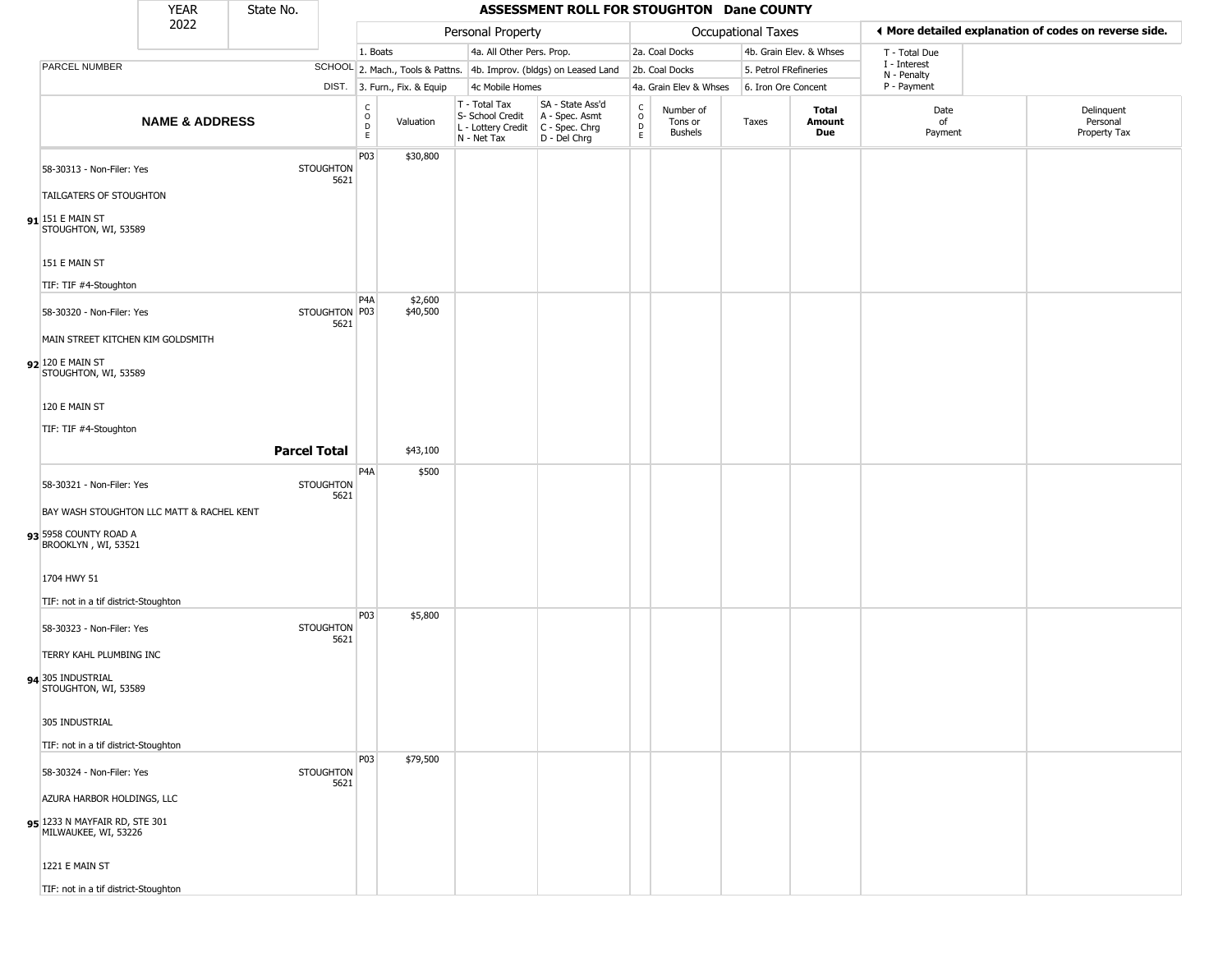|                                                                                  | <b>YEAR</b>               | State No.           |                          |                                       |                              |                                                                                       | ASSESSMENT ROLL FOR STOUGHTON Dane COUNTY                           |                                 |                                        |                       |                         |                             |                                                       |
|----------------------------------------------------------------------------------|---------------------------|---------------------|--------------------------|---------------------------------------|------------------------------|---------------------------------------------------------------------------------------|---------------------------------------------------------------------|---------------------------------|----------------------------------------|-----------------------|-------------------------|-----------------------------|-------------------------------------------------------|
|                                                                                  | 2022                      |                     |                          |                                       |                              | Personal Property                                                                     |                                                                     |                                 |                                        | Occupational Taxes    |                         |                             | ◀ More detailed explanation of codes on reverse side. |
|                                                                                  |                           |                     |                          | 1. Boats                              |                              | 4a. All Other Pers. Prop.                                                             |                                                                     |                                 | 2a. Coal Docks                         |                       | 4b. Grain Elev. & Whses | T - Total Due               |                                                       |
| <b>PARCEL NUMBER</b>                                                             |                           |                     |                          |                                       |                              |                                                                                       | SCHOOL 2. Mach., Tools & Pattns. 4b. Improv. (bldgs) on Leased Land |                                 | 2b. Coal Docks                         | 5. Petrol FRefineries |                         | I - Interest<br>N - Penalty |                                                       |
|                                                                                  |                           |                     |                          |                                       | DIST. 3. Furn., Fix. & Equip | 4c Mobile Homes                                                                       |                                                                     |                                 | 4a. Grain Elev & Whses                 | 6. Iron Ore Concent   |                         | P - Payment                 |                                                       |
|                                                                                  | <b>NAME &amp; ADDRESS</b> |                     |                          | $\mathsf{C}$<br>$\mathsf O$<br>D<br>E | Valuation                    | T - Total Tax<br>S- School Credit<br>L - Lottery Credit C - Spec. Chrg<br>N - Net Tax | SA - State Ass'd<br>A - Spec. Asmt<br>D - Del Chrg                  | $\rm ^c_o$<br>$\mathsf{D}$<br>E | Number of<br>Tons or<br><b>Bushels</b> | Taxes                 | Total<br>Amount<br>Due  | Date<br>of<br>Payment       | Delinquent<br>Personal<br>Property Tax                |
| 58-30313 - Non-Filer: Yes                                                        |                           |                     | <b>STOUGHTON</b><br>5621 | P03                                   | \$30,800                     |                                                                                       |                                                                     |                                 |                                        |                       |                         |                             |                                                       |
| TAILGATERS OF STOUGHTON<br>$91$ <sup>151</sup> E MAIN ST<br>STOUGHTON, WI, 53589 |                           |                     |                          |                                       |                              |                                                                                       |                                                                     |                                 |                                        |                       |                         |                             |                                                       |
| 151 E MAIN ST                                                                    |                           |                     |                          |                                       |                              |                                                                                       |                                                                     |                                 |                                        |                       |                         |                             |                                                       |
| TIF: TIF #4-Stoughton                                                            |                           |                     |                          |                                       |                              |                                                                                       |                                                                     |                                 |                                        |                       |                         |                             |                                                       |
| 58-30320 - Non-Filer: Yes                                                        |                           |                     | STOUGHTON P03<br>5621    | P <sub>4</sub> A                      | \$2,600<br>\$40,500          |                                                                                       |                                                                     |                                 |                                        |                       |                         |                             |                                                       |
| MAIN STREET KITCHEN KIM GOLDSMITH                                                |                           |                     |                          |                                       |                              |                                                                                       |                                                                     |                                 |                                        |                       |                         |                             |                                                       |
| 92 120 E MAIN ST<br>STOUGHTON, WI, 53589                                         |                           |                     |                          |                                       |                              |                                                                                       |                                                                     |                                 |                                        |                       |                         |                             |                                                       |
| 120 E MAIN ST                                                                    |                           |                     |                          |                                       |                              |                                                                                       |                                                                     |                                 |                                        |                       |                         |                             |                                                       |
| TIF: TIF #4-Stoughton                                                            |                           |                     |                          |                                       |                              |                                                                                       |                                                                     |                                 |                                        |                       |                         |                             |                                                       |
|                                                                                  |                           | <b>Parcel Total</b> |                          |                                       | \$43,100                     |                                                                                       |                                                                     |                                 |                                        |                       |                         |                             |                                                       |
|                                                                                  |                           |                     |                          | P <sub>4</sub> A                      | \$500                        |                                                                                       |                                                                     |                                 |                                        |                       |                         |                             |                                                       |
| 58-30321 - Non-Filer: Yes<br>BAY WASH STOUGHTON LLC MATT & RACHEL KENT           |                           |                     | <b>STOUGHTON</b><br>5621 |                                       |                              |                                                                                       |                                                                     |                                 |                                        |                       |                         |                             |                                                       |
|                                                                                  |                           |                     |                          |                                       |                              |                                                                                       |                                                                     |                                 |                                        |                       |                         |                             |                                                       |
| 93 5958 COUNTY ROAD A<br>BROOKLYN, WI, 53521                                     |                           |                     |                          |                                       |                              |                                                                                       |                                                                     |                                 |                                        |                       |                         |                             |                                                       |
| 1704 HWY 51                                                                      |                           |                     |                          |                                       |                              |                                                                                       |                                                                     |                                 |                                        |                       |                         |                             |                                                       |
| TIF: not in a tif district-Stoughton                                             |                           |                     |                          |                                       |                              |                                                                                       |                                                                     |                                 |                                        |                       |                         |                             |                                                       |
| 58-30323 - Non-Filer: Yes                                                        |                           |                     | <b>STOUGHTON</b><br>5621 | P03                                   | \$5,800                      |                                                                                       |                                                                     |                                 |                                        |                       |                         |                             |                                                       |
| TERRY KAHL PLUMBING INC                                                          |                           |                     |                          |                                       |                              |                                                                                       |                                                                     |                                 |                                        |                       |                         |                             |                                                       |
| 94 305 INDUSTRIAL<br>STOUGHTON, WI, 53589                                        |                           |                     |                          |                                       |                              |                                                                                       |                                                                     |                                 |                                        |                       |                         |                             |                                                       |
| 305 INDUSTRIAL                                                                   |                           |                     |                          |                                       |                              |                                                                                       |                                                                     |                                 |                                        |                       |                         |                             |                                                       |
| TIF: not in a tif district-Stoughton                                             |                           |                     |                          |                                       |                              |                                                                                       |                                                                     |                                 |                                        |                       |                         |                             |                                                       |
|                                                                                  |                           |                     | <b>STOUGHTON</b>         | <b>P03</b>                            | \$79,500                     |                                                                                       |                                                                     |                                 |                                        |                       |                         |                             |                                                       |
| 58-30324 - Non-Filer: Yes                                                        |                           |                     | 5621                     |                                       |                              |                                                                                       |                                                                     |                                 |                                        |                       |                         |                             |                                                       |
| AZURA HARBOR HOLDINGS, LLC                                                       |                           |                     |                          |                                       |                              |                                                                                       |                                                                     |                                 |                                        |                       |                         |                             |                                                       |
| 95 1233 N MAYFAIR RD, STE 301<br>MILWAUKEE, WI, 53226                            |                           |                     |                          |                                       |                              |                                                                                       |                                                                     |                                 |                                        |                       |                         |                             |                                                       |
| 1221 E MAIN ST                                                                   |                           |                     |                          |                                       |                              |                                                                                       |                                                                     |                                 |                                        |                       |                         |                             |                                                       |
| TIF: not in a tif district-Stoughton                                             |                           |                     |                          |                                       |                              |                                                                                       |                                                                     |                                 |                                        |                       |                         |                             |                                                       |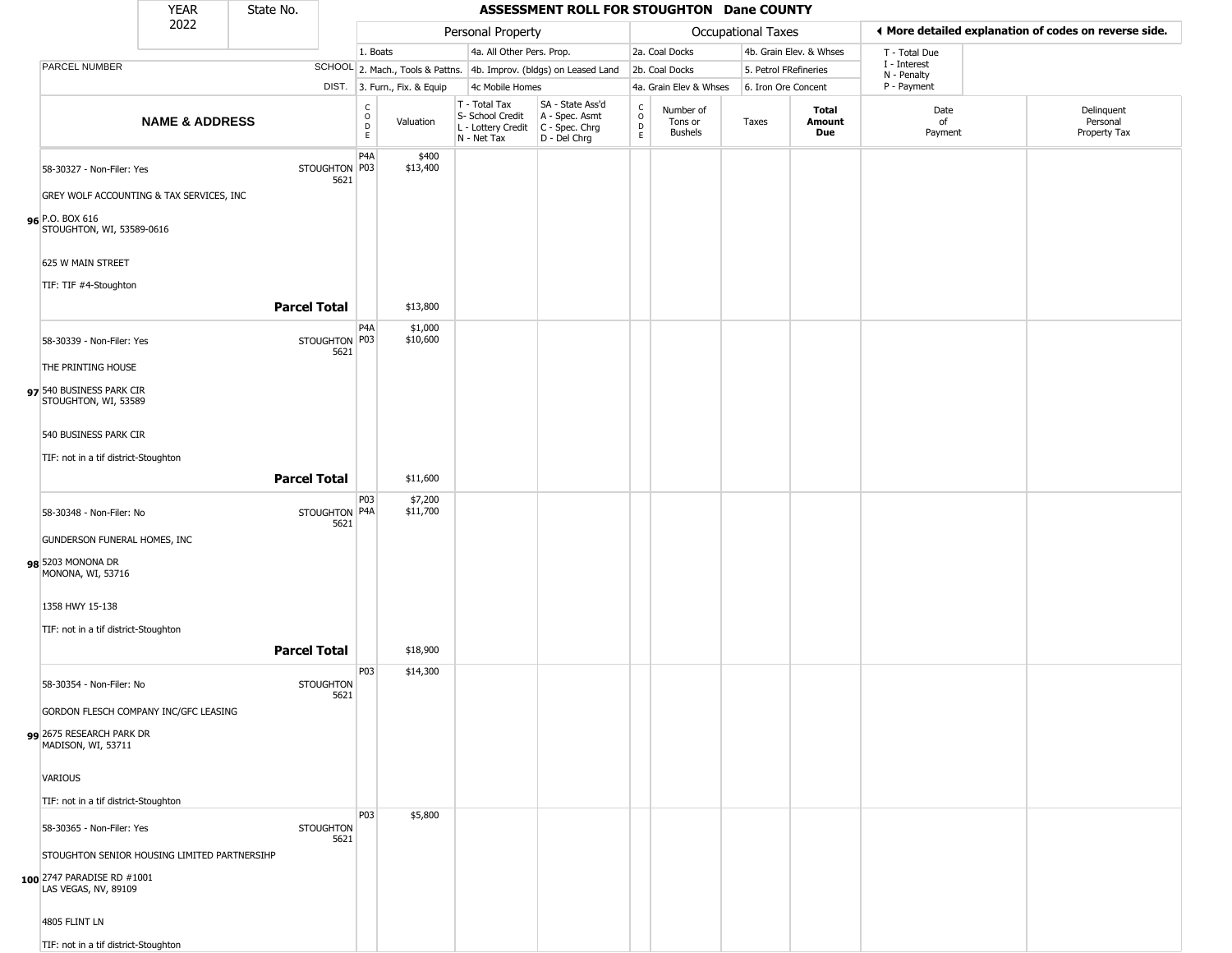|                                                                                          | <b>YEAR</b>               | State No.           |                          |                        |                              |                                                                        | ASSESSMENT ROLL FOR STOUGHTON Dane COUNTY                            |                                                |                                        |                    |                         |                             |                                                       |
|------------------------------------------------------------------------------------------|---------------------------|---------------------|--------------------------|------------------------|------------------------------|------------------------------------------------------------------------|----------------------------------------------------------------------|------------------------------------------------|----------------------------------------|--------------------|-------------------------|-----------------------------|-------------------------------------------------------|
|                                                                                          | 2022                      |                     |                          |                        |                              | Personal Property                                                      |                                                                      |                                                |                                        | Occupational Taxes |                         |                             | ◀ More detailed explanation of codes on reverse side. |
|                                                                                          |                           |                     |                          | 1. Boats               |                              | 4a. All Other Pers. Prop.                                              |                                                                      |                                                | 2a. Coal Docks                         |                    | 4b. Grain Elev. & Whses | T - Total Due               |                                                       |
| PARCEL NUMBER                                                                            |                           |                     |                          |                        |                              |                                                                        | SCHOOL 2. Mach., Tools & Pattns. 4b. Improv. (bldgs) on Leased Land  |                                                | 2b. Coal Docks                         |                    | 5. Petrol FRefineries   | I - Interest<br>N - Penalty |                                                       |
|                                                                                          |                           |                     |                          |                        | DIST. 3. Furn., Fix. & Equip | 4c Mobile Homes                                                        |                                                                      |                                                | 4a. Grain Elev & Whses                 |                    | 6. Iron Ore Concent     | P - Payment                 |                                                       |
|                                                                                          | <b>NAME &amp; ADDRESS</b> |                     |                          | C<br>$\circ$<br>D<br>E | Valuation                    | T - Total Tax<br>S- School Credit<br>L - Lottery Credit<br>N - Net Tax | SA - State Ass'd<br>A - Spec. Asmt<br>C - Spec. Chrg<br>D - Del Chrg | $\begin{matrix} 0 \\ 0 \\ D \end{matrix}$<br>E | Number of<br>Tons or<br><b>Bushels</b> | Taxes              | Total<br>Amount<br>Due  | Date<br>of<br>Payment       | Delinguent<br>Personal<br>Property Tax                |
| 58-30327 - Non-Filer: Yes<br>GREY WOLF ACCOUNTING & TAX SERVICES, INC<br>96 P.O. BOX 616 |                           |                     | STOUGHTON P03<br>5621    | P <sub>4</sub> A       | \$400<br>\$13,400            |                                                                        |                                                                      |                                                |                                        |                    |                         |                             |                                                       |
| STOUGHTON, WI, 53589-0616<br>625 W MAIN STREET<br>TIF: TIF #4-Stoughton                  |                           | <b>Parcel Total</b> |                          |                        | \$13,800                     |                                                                        |                                                                      |                                                |                                        |                    |                         |                             |                                                       |
|                                                                                          |                           |                     |                          |                        |                              |                                                                        |                                                                      |                                                |                                        |                    |                         |                             |                                                       |
| 58-30339 - Non-Filer: Yes<br>THE PRINTING HOUSE<br>97 540 BUSINESS PARK CIR              |                           |                     | STOUGHTON P03<br>5621    | P <sub>4</sub> A       | \$1,000<br>\$10,600          |                                                                        |                                                                      |                                                |                                        |                    |                         |                             |                                                       |
| STOUGHTON, WI, 53589<br>540 BUSINESS PARK CIR                                            |                           |                     |                          |                        |                              |                                                                        |                                                                      |                                                |                                        |                    |                         |                             |                                                       |
| TIF: not in a tif district-Stoughton                                                     |                           |                     |                          |                        |                              |                                                                        |                                                                      |                                                |                                        |                    |                         |                             |                                                       |
|                                                                                          |                           | <b>Parcel Total</b> |                          |                        | \$11,600                     |                                                                        |                                                                      |                                                |                                        |                    |                         |                             |                                                       |
| 58-30348 - Non-Filer: No<br>GUNDERSON FUNERAL HOMES, INC                                 |                           |                     | STOUGHTON P4A<br>5621    | P <sub>0</sub> 3       | \$7,200<br>\$11,700          |                                                                        |                                                                      |                                                |                                        |                    |                         |                             |                                                       |
| 98 5203 MONONA DR<br>MONONA, WI, 53716                                                   |                           |                     |                          |                        |                              |                                                                        |                                                                      |                                                |                                        |                    |                         |                             |                                                       |
| 1358 HWY 15-138                                                                          |                           |                     |                          |                        |                              |                                                                        |                                                                      |                                                |                                        |                    |                         |                             |                                                       |
| TIF: not in a tif district-Stoughton                                                     |                           |                     |                          |                        |                              |                                                                        |                                                                      |                                                |                                        |                    |                         |                             |                                                       |
|                                                                                          |                           | <b>Parcel Total</b> |                          |                        | \$18,900                     |                                                                        |                                                                      |                                                |                                        |                    |                         |                             |                                                       |
| 58-30354 - Non-Filer: No                                                                 |                           |                     | <b>STOUGHTON</b><br>5621 | P03                    | \$14,300                     |                                                                        |                                                                      |                                                |                                        |                    |                         |                             |                                                       |
| GORDON FLESCH COMPANY INC/GFC LEASING<br>99 2675 RESEARCH PARK DR<br>MADISON, WI, 53711  |                           |                     |                          |                        |                              |                                                                        |                                                                      |                                                |                                        |                    |                         |                             |                                                       |
| VARIOUS<br>TIF: not in a tif district-Stoughton                                          |                           |                     |                          |                        |                              |                                                                        |                                                                      |                                                |                                        |                    |                         |                             |                                                       |
| 58-30365 - Non-Filer: Yes                                                                |                           |                     | <b>STOUGHTON</b>         | P03                    | \$5,800                      |                                                                        |                                                                      |                                                |                                        |                    |                         |                             |                                                       |
|                                                                                          |                           |                     | 5621                     |                        |                              |                                                                        |                                                                      |                                                |                                        |                    |                         |                             |                                                       |
| STOUGHTON SENIOR HOUSING LIMITED PARTNERSIHP                                             |                           |                     |                          |                        |                              |                                                                        |                                                                      |                                                |                                        |                    |                         |                             |                                                       |
| 100 2747 PARADISE RD #1001<br>LAS VEGAS, NV, 89109                                       |                           |                     |                          |                        |                              |                                                                        |                                                                      |                                                |                                        |                    |                         |                             |                                                       |
| 4805 FLINT LN                                                                            |                           |                     |                          |                        |                              |                                                                        |                                                                      |                                                |                                        |                    |                         |                             |                                                       |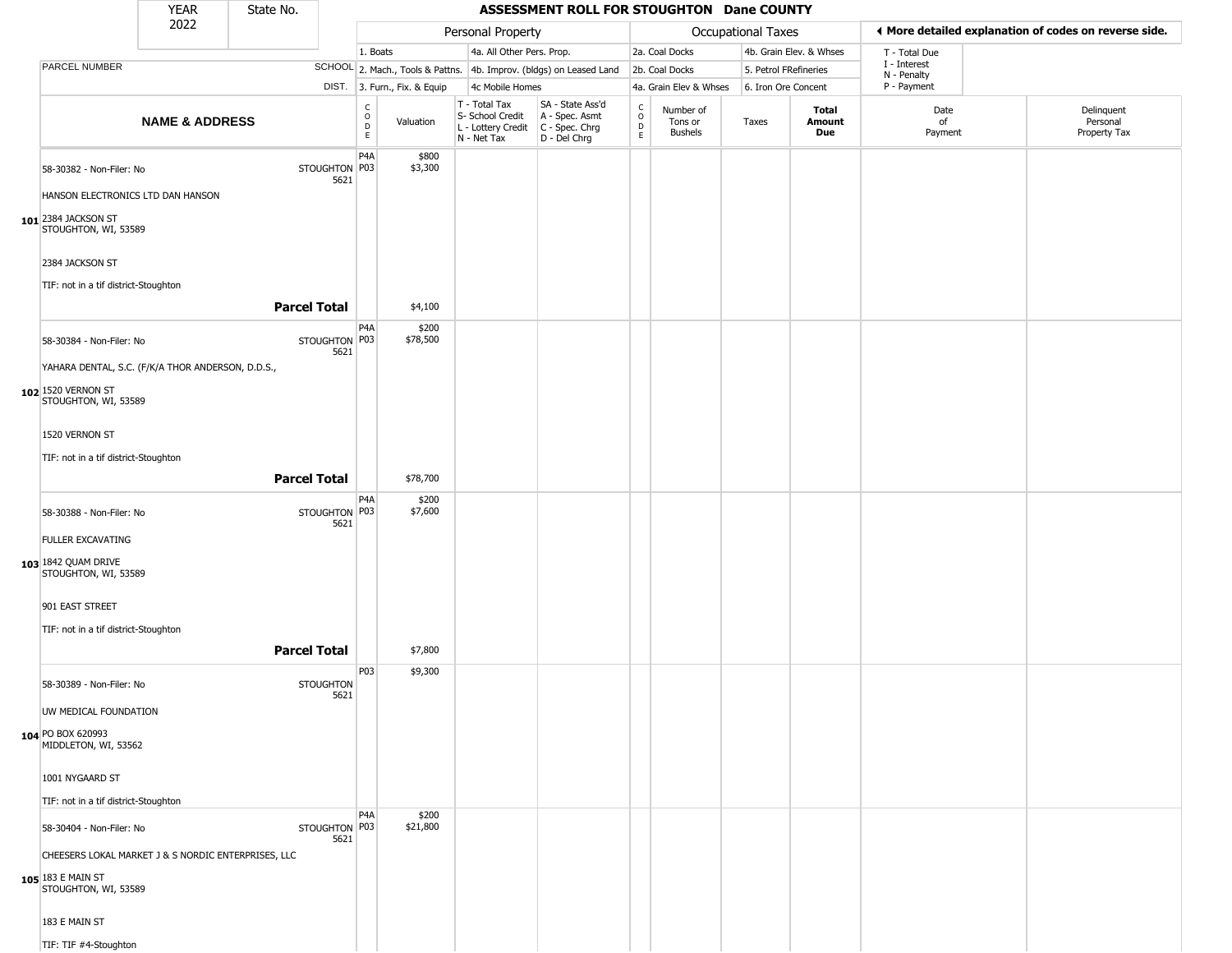|                                                               | <b>YEAR</b>               | State No.           |                          |                            |                              |                                                                                       | ASSESSMENT ROLL FOR STOUGHTON Dane COUNTY                           |                         |                                        |                           |                         |                             |                                                       |
|---------------------------------------------------------------|---------------------------|---------------------|--------------------------|----------------------------|------------------------------|---------------------------------------------------------------------------------------|---------------------------------------------------------------------|-------------------------|----------------------------------------|---------------------------|-------------------------|-----------------------------|-------------------------------------------------------|
|                                                               | 2022                      |                     |                          |                            |                              | Personal Property                                                                     |                                                                     |                         |                                        | <b>Occupational Taxes</b> |                         |                             | ♦ More detailed explanation of codes on reverse side. |
|                                                               |                           |                     |                          | 1. Boats                   |                              | 4a. All Other Pers. Prop.                                                             |                                                                     |                         | 2a. Coal Docks                         |                           | 4b. Grain Elev. & Whses | T - Total Due               |                                                       |
| PARCEL NUMBER                                                 |                           |                     |                          |                            |                              |                                                                                       | SCHOOL 2. Mach., Tools & Pattns. 4b. Improv. (bldgs) on Leased Land |                         | 2b. Coal Docks                         | 5. Petrol FRefineries     |                         | I - Interest<br>N - Penalty |                                                       |
|                                                               |                           |                     |                          |                            | DIST. 3. Furn., Fix. & Equip | 4c Mobile Homes                                                                       |                                                                     |                         | 4a. Grain Elev & Whses                 | 6. Iron Ore Concent       |                         | P - Payment                 |                                                       |
|                                                               | <b>NAME &amp; ADDRESS</b> |                     |                          | C<br>$\mathsf O$<br>D<br>E | Valuation                    | T - Total Tax<br>S- School Credit<br>L - Lottery Credit C - Spec. Chrg<br>N - Net Tax | SA - State Ass'd<br>A - Spec. Asmt<br>D - Del Chrg                  | $\frac{c}{0}$<br>D<br>E | Number of<br>Tons or<br><b>Bushels</b> | Taxes                     | Total<br>Amount<br>Due  | Date<br>of<br>Payment       | Delinquent<br>Personal<br>Property Tax                |
| 58-30382 - Non-Filer: No<br>HANSON ELECTRONICS LTD DAN HANSON |                           |                     | STOUGHTON P03<br>5621    | P <sub>4</sub> A           | \$800<br>\$3,300             |                                                                                       |                                                                     |                         |                                        |                           |                         |                             |                                                       |
| 101 2384 JACKSON ST<br>STOUGHTON, WI, 53589                   |                           |                     |                          |                            |                              |                                                                                       |                                                                     |                         |                                        |                           |                         |                             |                                                       |
| 2384 JACKSON ST                                               |                           |                     |                          |                            |                              |                                                                                       |                                                                     |                         |                                        |                           |                         |                             |                                                       |
| TIF: not in a tif district-Stoughton                          |                           | <b>Parcel Total</b> |                          |                            | \$4,100                      |                                                                                       |                                                                     |                         |                                        |                           |                         |                             |                                                       |
| 58-30384 - Non-Filer: No                                      |                           |                     | STOUGHTON P03<br>5621    | P4A                        | \$200<br>\$78,500            |                                                                                       |                                                                     |                         |                                        |                           |                         |                             |                                                       |
| YAHARA DENTAL, S.C. (F/K/A THOR ANDERSON, D.D.S.,             |                           |                     |                          |                            |                              |                                                                                       |                                                                     |                         |                                        |                           |                         |                             |                                                       |
| 102 1520 VERNON ST<br>STOUGHTON, WI, 53589                    |                           |                     |                          |                            |                              |                                                                                       |                                                                     |                         |                                        |                           |                         |                             |                                                       |
| 1520 VERNON ST                                                |                           |                     |                          |                            |                              |                                                                                       |                                                                     |                         |                                        |                           |                         |                             |                                                       |
|                                                               |                           |                     |                          |                            |                              |                                                                                       |                                                                     |                         |                                        |                           |                         |                             |                                                       |
| TIF: not in a tif district-Stoughton                          |                           | <b>Parcel Total</b> |                          |                            |                              |                                                                                       |                                                                     |                         |                                        |                           |                         |                             |                                                       |
|                                                               |                           |                     |                          | P4A                        | \$78,700                     |                                                                                       |                                                                     |                         |                                        |                           |                         |                             |                                                       |
| 58-30388 - Non-Filer: No                                      |                           |                     | STOUGHTON   P03          |                            | \$200<br>\$7,600             |                                                                                       |                                                                     |                         |                                        |                           |                         |                             |                                                       |
| <b>FULLER EXCAVATING</b>                                      |                           |                     | 5621                     |                            |                              |                                                                                       |                                                                     |                         |                                        |                           |                         |                             |                                                       |
| 103 1842 QUAM DRIVE                                           |                           |                     |                          |                            |                              |                                                                                       |                                                                     |                         |                                        |                           |                         |                             |                                                       |
| STOUGHTON, WI, 53589                                          |                           |                     |                          |                            |                              |                                                                                       |                                                                     |                         |                                        |                           |                         |                             |                                                       |
| 901 EAST STREET                                               |                           |                     |                          |                            |                              |                                                                                       |                                                                     |                         |                                        |                           |                         |                             |                                                       |
| TIF: not in a tif district-Stoughton                          |                           |                     |                          |                            |                              |                                                                                       |                                                                     |                         |                                        |                           |                         |                             |                                                       |
|                                                               |                           | <b>Parcel Total</b> |                          |                            | \$7,800                      |                                                                                       |                                                                     |                         |                                        |                           |                         |                             |                                                       |
| 58-30389 - Non-Filer: No                                      |                           |                     | <b>STOUGHTON</b><br>5621 | P03                        | \$9,300                      |                                                                                       |                                                                     |                         |                                        |                           |                         |                             |                                                       |
| UW MEDICAL FOUNDATION                                         |                           |                     |                          |                            |                              |                                                                                       |                                                                     |                         |                                        |                           |                         |                             |                                                       |
| 104 PO BOX 620993<br>MIDDLETON, WI, 53562                     |                           |                     |                          |                            |                              |                                                                                       |                                                                     |                         |                                        |                           |                         |                             |                                                       |
| 1001 NYGAARD ST                                               |                           |                     |                          |                            |                              |                                                                                       |                                                                     |                         |                                        |                           |                         |                             |                                                       |
| TIF: not in a tif district-Stoughton                          |                           |                     |                          |                            |                              |                                                                                       |                                                                     |                         |                                        |                           |                         |                             |                                                       |
| 58-30404 - Non-Filer: No                                      |                           |                     | STOUGHTON P03<br>5621    | P <sub>4</sub> A           | \$200<br>\$21,800            |                                                                                       |                                                                     |                         |                                        |                           |                         |                             |                                                       |
| CHEESERS LOKAL MARKET J & S NORDIC ENTERPRISES, LLC           |                           |                     |                          |                            |                              |                                                                                       |                                                                     |                         |                                        |                           |                         |                             |                                                       |
| 105 183 E MAIN ST<br>STOUGHTON, WI, 53589                     |                           |                     |                          |                            |                              |                                                                                       |                                                                     |                         |                                        |                           |                         |                             |                                                       |
| 183 E MAIN ST                                                 |                           |                     |                          |                            |                              |                                                                                       |                                                                     |                         |                                        |                           |                         |                             |                                                       |
| TIF: TIF #4-Stoughton                                         |                           |                     |                          |                            |                              |                                                                                       |                                                                     |                         |                                        |                           |                         |                             |                                                       |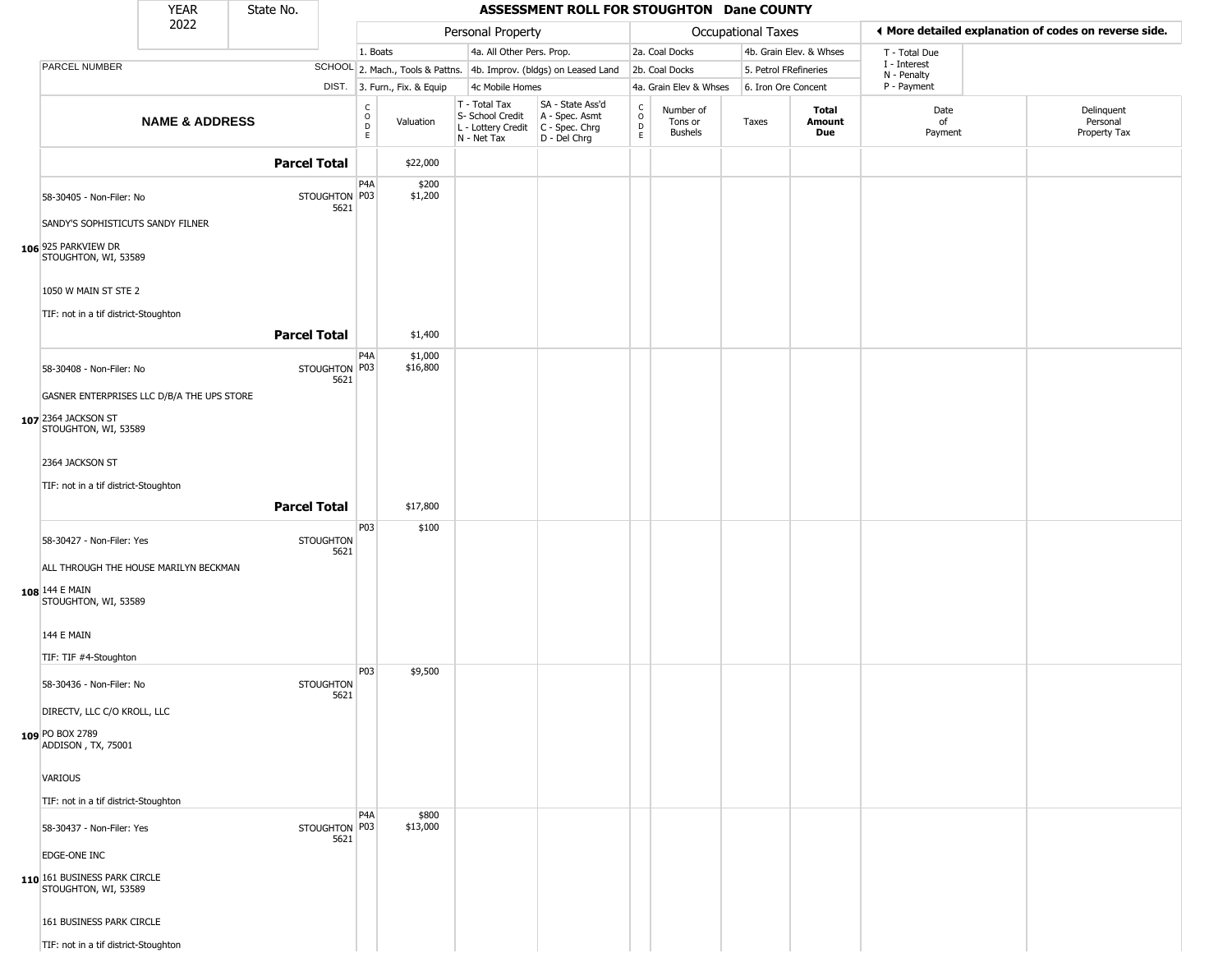|                                                               | <b>YEAR</b>               | State No.           |                          |                         |                              |                                                                        | ASSESSMENT ROLL FOR STOUGHTON Dane COUNTY                            |                        |                                 |                       |                         |                            |                                                       |
|---------------------------------------------------------------|---------------------------|---------------------|--------------------------|-------------------------|------------------------------|------------------------------------------------------------------------|----------------------------------------------------------------------|------------------------|---------------------------------|-----------------------|-------------------------|----------------------------|-------------------------------------------------------|
|                                                               | 2022                      |                     |                          |                         |                              | Personal Property                                                      |                                                                      |                        |                                 | Occupational Taxes    |                         |                            | ◀ More detailed explanation of codes on reverse side. |
|                                                               |                           |                     |                          | 1. Boats                |                              | 4a. All Other Pers. Prop.                                              |                                                                      |                        | 2a. Coal Docks                  |                       | 4b. Grain Elev. & Whses | T - Total Due              |                                                       |
| PARCEL NUMBER                                                 |                           |                     |                          |                         |                              |                                                                        | SCHOOL 2. Mach., Tools & Pattns. 4b. Improv. (bldgs) on Leased Land  |                        | 2b. Coal Docks                  | 5. Petrol FRefineries |                         | I - Interest               |                                                       |
|                                                               |                           |                     |                          |                         | DIST. 3. Furn., Fix. & Equip | 4c Mobile Homes                                                        |                                                                      |                        | 4a. Grain Elev & Whses          | 6. Iron Ore Concent   |                         | N - Penalty<br>P - Payment |                                                       |
|                                                               | <b>NAME &amp; ADDRESS</b> |                     |                          | C<br>$\circ$<br>D<br>E. | Valuation                    | T - Total Tax<br>S- School Credit<br>L - Lottery Credit<br>N - Net Tax | SA - State Ass'd<br>A - Spec. Asmt<br>C - Spec. Chrg<br>D - Del Chrg | C<br>$\circ$<br>D<br>E | Number of<br>Tons or<br>Bushels | Taxes                 | Total<br>Amount<br>Due  | Date<br>of<br>Payment      | Delinquent<br>Personal<br>Property Tax                |
|                                                               |                           | <b>Parcel Total</b> |                          |                         | \$22,000                     |                                                                        |                                                                      |                        |                                 |                       |                         |                            |                                                       |
| 58-30405 - Non-Filer: No<br>SANDY'S SOPHISTICUTS SANDY FILNER |                           |                     | STOUGHTON P03<br>5621    | P4A                     | \$200<br>\$1,200             |                                                                        |                                                                      |                        |                                 |                       |                         |                            |                                                       |
| 106 925 PARKVIEW DR<br>STOUGHTON, WI, 53589                   |                           |                     |                          |                         |                              |                                                                        |                                                                      |                        |                                 |                       |                         |                            |                                                       |
| 1050 W MAIN ST STE 2<br>TIF: not in a tif district-Stoughton  |                           |                     |                          |                         |                              |                                                                        |                                                                      |                        |                                 |                       |                         |                            |                                                       |
|                                                               |                           | <b>Parcel Total</b> |                          |                         | \$1,400                      |                                                                        |                                                                      |                        |                                 |                       |                         |                            |                                                       |
| 58-30408 - Non-Filer: No                                      |                           |                     | STOUGHTON P03            | P <sub>4</sub> A        | \$1,000<br>\$16,800          |                                                                        |                                                                      |                        |                                 |                       |                         |                            |                                                       |
| GASNER ENTERPRISES LLC D/B/A THE UPS STORE                    |                           |                     | 5621                     |                         |                              |                                                                        |                                                                      |                        |                                 |                       |                         |                            |                                                       |
| 107 2364 JACKSON ST<br>STOUGHTON, WI, 53589                   |                           |                     |                          |                         |                              |                                                                        |                                                                      |                        |                                 |                       |                         |                            |                                                       |
| 2364 JACKSON ST                                               |                           |                     |                          |                         |                              |                                                                        |                                                                      |                        |                                 |                       |                         |                            |                                                       |
| TIF: not in a tif district-Stoughton                          |                           |                     |                          |                         |                              |                                                                        |                                                                      |                        |                                 |                       |                         |                            |                                                       |
|                                                               |                           | <b>Parcel Total</b> |                          |                         | \$17,800                     |                                                                        |                                                                      |                        |                                 |                       |                         |                            |                                                       |
| 58-30427 - Non-Filer: Yes                                     |                           |                     | <b>STOUGHTON</b><br>5621 | P03                     | \$100                        |                                                                        |                                                                      |                        |                                 |                       |                         |                            |                                                       |
| ALL THROUGH THE HOUSE MARILYN BECKMAN                         |                           |                     |                          |                         |                              |                                                                        |                                                                      |                        |                                 |                       |                         |                            |                                                       |
| 108 144 E MAIN<br>STOUGHTON, WI, 53589                        |                           |                     |                          |                         |                              |                                                                        |                                                                      |                        |                                 |                       |                         |                            |                                                       |
| 144 E MAIN                                                    |                           |                     |                          |                         |                              |                                                                        |                                                                      |                        |                                 |                       |                         |                            |                                                       |
| TIF: TIF #4-Stoughton                                         |                           |                     |                          | P03                     | \$9,500                      |                                                                        |                                                                      |                        |                                 |                       |                         |                            |                                                       |
| 58-30436 - Non-Filer: No                                      |                           |                     | <b>STOUGHTON</b><br>5621 |                         |                              |                                                                        |                                                                      |                        |                                 |                       |                         |                            |                                                       |
| DIRECTV, LLC C/O KROLL, LLC                                   |                           |                     |                          |                         |                              |                                                                        |                                                                      |                        |                                 |                       |                         |                            |                                                       |
| 109 PO BOX 2789<br>ADDISON, TX, 75001                         |                           |                     |                          |                         |                              |                                                                        |                                                                      |                        |                                 |                       |                         |                            |                                                       |
| VARIOUS                                                       |                           |                     |                          |                         |                              |                                                                        |                                                                      |                        |                                 |                       |                         |                            |                                                       |
| TIF: not in a tif district-Stoughton                          |                           |                     |                          | P <sub>4</sub> A        | \$800                        |                                                                        |                                                                      |                        |                                 |                       |                         |                            |                                                       |
| 58-30437 - Non-Filer: Yes                                     |                           |                     | STOUGHTON P03<br>5621    |                         | \$13,000                     |                                                                        |                                                                      |                        |                                 |                       |                         |                            |                                                       |
| EDGE-ONE INC                                                  |                           |                     |                          |                         |                              |                                                                        |                                                                      |                        |                                 |                       |                         |                            |                                                       |
| 110 161 BUSINESS PARK CIRCLE<br>STOUGHTON, WI, 53589          |                           |                     |                          |                         |                              |                                                                        |                                                                      |                        |                                 |                       |                         |                            |                                                       |
| 161 BUSINESS PARK CIRCLE                                      |                           |                     |                          |                         |                              |                                                                        |                                                                      |                        |                                 |                       |                         |                            |                                                       |
| TIF: not in a tif district-Stoughton                          |                           |                     |                          |                         |                              |                                                                        |                                                                      |                        |                                 |                       |                         |                            |                                                       |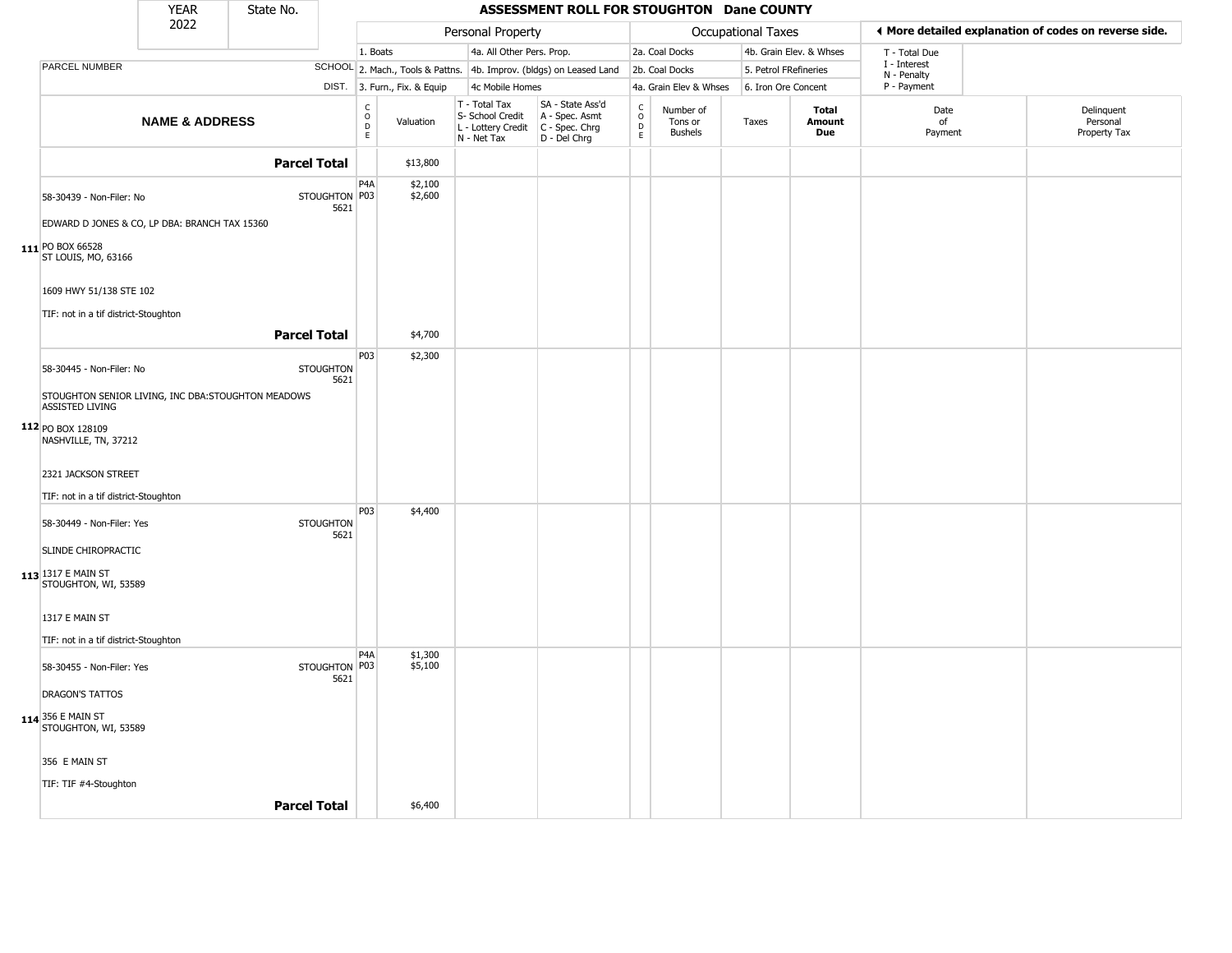|                                                                              | <b>YEAR</b>               | State No.           |                          |                      |                              |                                                                        | ASSESSMENT ROLL FOR STOUGHTON Dane COUNTY                            |                                             |                                        |                       |                         |                             |                                                       |
|------------------------------------------------------------------------------|---------------------------|---------------------|--------------------------|----------------------|------------------------------|------------------------------------------------------------------------|----------------------------------------------------------------------|---------------------------------------------|----------------------------------------|-----------------------|-------------------------|-----------------------------|-------------------------------------------------------|
|                                                                              | 2022                      |                     |                          |                      |                              | Personal Property                                                      |                                                                      |                                             |                                        | Occupational Taxes    |                         |                             | ◀ More detailed explanation of codes on reverse side. |
|                                                                              |                           |                     |                          | 1. Boats             |                              | 4a. All Other Pers. Prop.                                              |                                                                      |                                             | 2a. Coal Docks                         |                       | 4b. Grain Elev. & Whses | T - Total Due               |                                                       |
| <b>PARCEL NUMBER</b>                                                         |                           |                     |                          |                      |                              |                                                                        | SCHOOL 2. Mach., Tools & Pattns. 4b. Improv. (bldgs) on Leased Land  |                                             | 2b. Coal Docks                         | 5. Petrol FRefineries |                         | I - Interest<br>N - Penalty |                                                       |
|                                                                              |                           |                     |                          |                      | DIST. 3. Furn., Fix. & Equip | 4c Mobile Homes                                                        |                                                                      |                                             | 4a. Grain Elev & Whses                 | 6. Iron Ore Concent   |                         | P - Payment                 |                                                       |
|                                                                              | <b>NAME &amp; ADDRESS</b> |                     |                          | $\rm _o^c$<br>D<br>E | Valuation                    | T - Total Tax<br>S- School Credit<br>L - Lottery Credit<br>N - Net Tax | SA - State Ass'd<br>A - Spec. Asmt<br>C - Spec. Chrg<br>D - Del Chrg | $\frac{c}{0}$<br>$\mathsf D$<br>$\mathsf E$ | Number of<br>Tons or<br><b>Bushels</b> | Taxes                 | Total<br>Amount<br>Due  | Date<br>of<br>Payment       | Delinquent<br>Personal<br>Property Tax                |
|                                                                              |                           | <b>Parcel Total</b> |                          |                      | \$13,800                     |                                                                        |                                                                      |                                             |                                        |                       |                         |                             |                                                       |
| 58-30439 - Non-Filer: No                                                     |                           |                     | STOUGHTON P03<br>5621    | P <sub>4</sub> A     | \$2,100<br>\$2,600           |                                                                        |                                                                      |                                             |                                        |                       |                         |                             |                                                       |
| EDWARD D JONES & CO, LP DBA: BRANCH TAX 15360                                |                           |                     |                          |                      |                              |                                                                        |                                                                      |                                             |                                        |                       |                         |                             |                                                       |
| 111 PO BOX 66528<br>ST LOUIS, MO, 63166                                      |                           |                     |                          |                      |                              |                                                                        |                                                                      |                                             |                                        |                       |                         |                             |                                                       |
| 1609 HWY 51/138 STE 102                                                      |                           |                     |                          |                      |                              |                                                                        |                                                                      |                                             |                                        |                       |                         |                             |                                                       |
| TIF: not in a tif district-Stoughton                                         |                           |                     |                          |                      |                              |                                                                        |                                                                      |                                             |                                        |                       |                         |                             |                                                       |
|                                                                              |                           | <b>Parcel Total</b> |                          |                      | \$4,700                      |                                                                        |                                                                      |                                             |                                        |                       |                         |                             |                                                       |
| 58-30445 - Non-Filer: No                                                     |                           |                     | <b>STOUGHTON</b><br>5621 | P03                  | \$2,300                      |                                                                        |                                                                      |                                             |                                        |                       |                         |                             |                                                       |
| STOUGHTON SENIOR LIVING, INC DBA:STOUGHTON MEADOWS<br><b>ASSISTED LIVING</b> |                           |                     |                          |                      |                              |                                                                        |                                                                      |                                             |                                        |                       |                         |                             |                                                       |
| 112 PO BOX 128109<br>NASHVILLE, TN, 37212                                    |                           |                     |                          |                      |                              |                                                                        |                                                                      |                                             |                                        |                       |                         |                             |                                                       |
| 2321 JACKSON STREET                                                          |                           |                     |                          |                      |                              |                                                                        |                                                                      |                                             |                                        |                       |                         |                             |                                                       |
| TIF: not in a tif district-Stoughton                                         |                           |                     |                          | P03                  | \$4,400                      |                                                                        |                                                                      |                                             |                                        |                       |                         |                             |                                                       |
| 58-30449 - Non-Filer: Yes<br>SLINDE CHIROPRACTIC                             |                           |                     | <b>STOUGHTON</b><br>5621 |                      |                              |                                                                        |                                                                      |                                             |                                        |                       |                         |                             |                                                       |
|                                                                              |                           |                     |                          |                      |                              |                                                                        |                                                                      |                                             |                                        |                       |                         |                             |                                                       |
| 113 1317 E MAIN ST<br>STOUGHTON, WI, 53589                                   |                           |                     |                          |                      |                              |                                                                        |                                                                      |                                             |                                        |                       |                         |                             |                                                       |
| 1317 E MAIN ST                                                               |                           |                     |                          |                      |                              |                                                                        |                                                                      |                                             |                                        |                       |                         |                             |                                                       |
| TIF: not in a tif district-Stoughton                                         |                           |                     |                          |                      |                              |                                                                        |                                                                      |                                             |                                        |                       |                         |                             |                                                       |
| 58-30455 - Non-Filer: Yes                                                    |                           |                     | STOUGHTON P03<br>5621    | P <sub>4</sub> A     | \$1,300<br>\$5,100           |                                                                        |                                                                      |                                             |                                        |                       |                         |                             |                                                       |
| <b>DRAGON'S TATTOS</b>                                                       |                           |                     |                          |                      |                              |                                                                        |                                                                      |                                             |                                        |                       |                         |                             |                                                       |
| <b>114</b> 356 E MAIN ST<br>STOUGHTON, WI, 53589                             |                           |                     |                          |                      |                              |                                                                        |                                                                      |                                             |                                        |                       |                         |                             |                                                       |
| 356 E MAIN ST                                                                |                           |                     |                          |                      |                              |                                                                        |                                                                      |                                             |                                        |                       |                         |                             |                                                       |
| TIF: TIF #4-Stoughton                                                        |                           |                     |                          |                      |                              |                                                                        |                                                                      |                                             |                                        |                       |                         |                             |                                                       |
|                                                                              |                           | <b>Parcel Total</b> |                          |                      | \$6,400                      |                                                                        |                                                                      |                                             |                                        |                       |                         |                             |                                                       |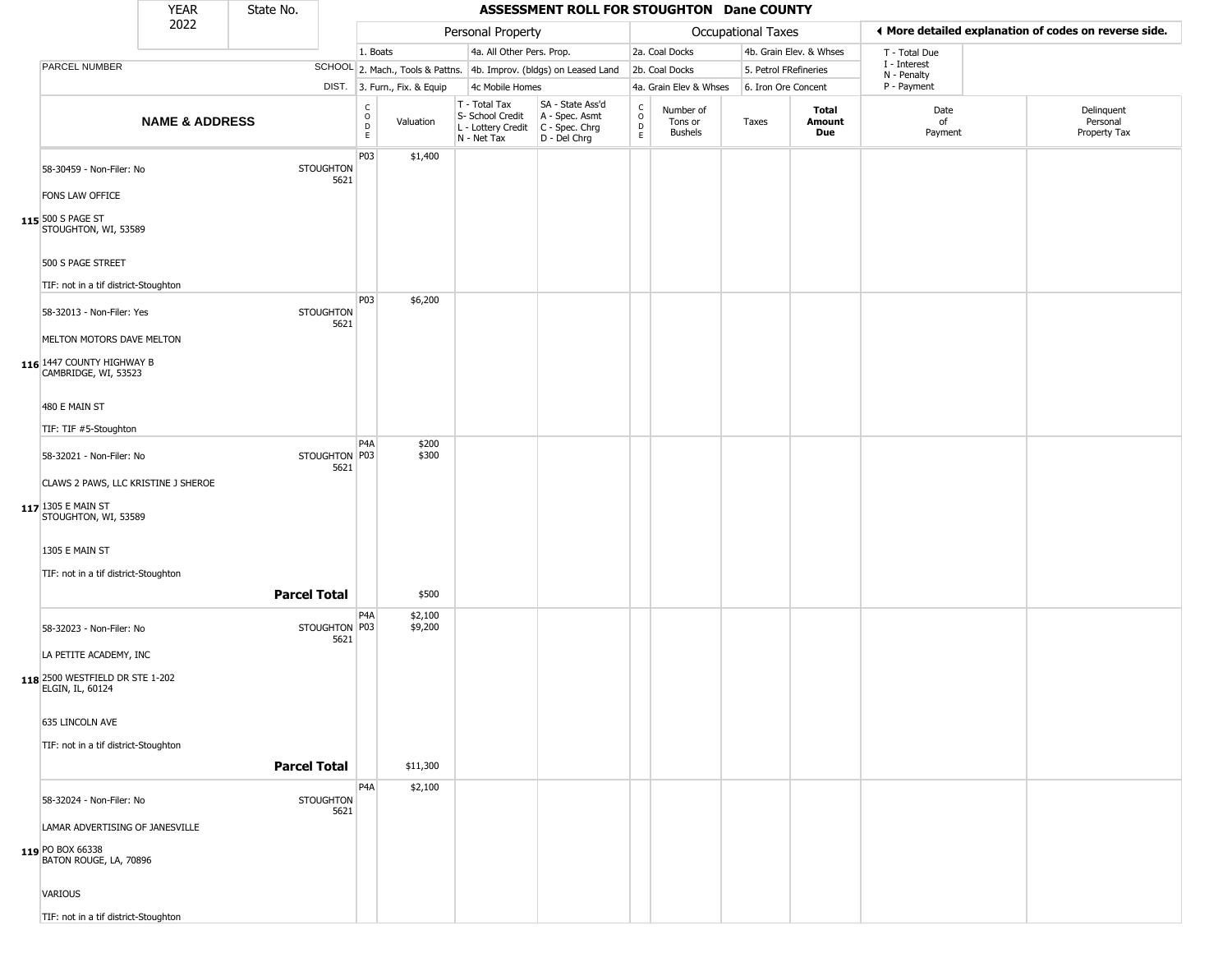|                                                                                   | <b>YEAR</b>               | State No.           |                          |                          |                              |                                                                        | ASSESSMENT ROLL FOR STOUGHTON Dane COUNTY                            |                        |                                        |                       |                         |                             |                                                       |
|-----------------------------------------------------------------------------------|---------------------------|---------------------|--------------------------|--------------------------|------------------------------|------------------------------------------------------------------------|----------------------------------------------------------------------|------------------------|----------------------------------------|-----------------------|-------------------------|-----------------------------|-------------------------------------------------------|
|                                                                                   | 2022                      |                     |                          |                          |                              | Personal Property                                                      |                                                                      |                        |                                        | Occupational Taxes    |                         |                             | ♦ More detailed explanation of codes on reverse side. |
|                                                                                   |                           |                     |                          | 1. Boats                 |                              | 4a. All Other Pers. Prop.                                              |                                                                      |                        | 2a. Coal Docks                         |                       | 4b. Grain Elev. & Whses | T - Total Due               |                                                       |
| <b>PARCEL NUMBER</b>                                                              |                           |                     |                          |                          |                              |                                                                        | SCHOOL 2. Mach., Tools & Pattns. 4b. Improv. (bldgs) on Leased Land  |                        | 2b. Coal Docks                         | 5. Petrol FRefineries |                         | I - Interest<br>N - Penalty |                                                       |
|                                                                                   |                           |                     |                          |                          | DIST. 3. Furn., Fix. & Equip | 4c Mobile Homes                                                        |                                                                      |                        | 4a. Grain Elev & Whses                 | 6. Iron Ore Concent   |                         | P - Payment                 |                                                       |
|                                                                                   | <b>NAME &amp; ADDRESS</b> |                     |                          | $\int_{0}^{c}$<br>D<br>E | Valuation                    | T - Total Tax<br>S- School Credit<br>L - Lottery Credit<br>N - Net Tax | SA - State Ass'd<br>A - Spec. Asmt<br>C - Spec. Chrg<br>D - Del Chrg | C<br>$\circ$<br>D<br>E | Number of<br>Tons or<br><b>Bushels</b> | Taxes                 | Total<br>Amount<br>Due  | Date<br>of<br>Payment       | Delinquent<br>Personal<br>Property Tax                |
| 58-30459 - Non-Filer: No                                                          |                           |                     | <b>STOUGHTON</b><br>5621 | P03                      | \$1,400                      |                                                                        |                                                                      |                        |                                        |                       |                         |                             |                                                       |
| FONS LAW OFFICE<br>115 500 S PAGE ST<br>STOUGHTON, WI, 53589                      |                           |                     |                          |                          |                              |                                                                        |                                                                      |                        |                                        |                       |                         |                             |                                                       |
| 500 S PAGE STREET                                                                 |                           |                     |                          |                          |                              |                                                                        |                                                                      |                        |                                        |                       |                         |                             |                                                       |
| TIF: not in a tif district-Stoughton                                              |                           |                     |                          |                          |                              |                                                                        |                                                                      |                        |                                        |                       |                         |                             |                                                       |
| 58-32013 - Non-Filer: Yes                                                         |                           |                     | <b>STOUGHTON</b><br>5621 | P03                      | \$6,200                      |                                                                        |                                                                      |                        |                                        |                       |                         |                             |                                                       |
| MELTON MOTORS DAVE MELTON<br>116 1447 COUNTY HIGHWAY B<br>CAMBRIDGE, WI, 53523    |                           |                     |                          |                          |                              |                                                                        |                                                                      |                        |                                        |                       |                         |                             |                                                       |
| 480 E MAIN ST                                                                     |                           |                     |                          |                          |                              |                                                                        |                                                                      |                        |                                        |                       |                         |                             |                                                       |
| TIF: TIF #5-Stoughton                                                             |                           |                     |                          |                          |                              |                                                                        |                                                                      |                        |                                        |                       |                         |                             |                                                       |
| 58-32021 - Non-Filer: No                                                          |                           |                     | STOUGHTON P03<br>5621    | P <sub>4</sub> A         | \$200<br>\$300               |                                                                        |                                                                      |                        |                                        |                       |                         |                             |                                                       |
| CLAWS 2 PAWS, LLC KRISTINE J SHEROE<br>117 1305 E MAIN ST<br>STOUGHTON, WI, 53589 |                           |                     |                          |                          |                              |                                                                        |                                                                      |                        |                                        |                       |                         |                             |                                                       |
| 1305 E MAIN ST                                                                    |                           |                     |                          |                          |                              |                                                                        |                                                                      |                        |                                        |                       |                         |                             |                                                       |
| TIF: not in a tif district-Stoughton                                              |                           | <b>Parcel Total</b> |                          |                          | \$500                        |                                                                        |                                                                      |                        |                                        |                       |                         |                             |                                                       |
| 58-32023 - Non-Filer: No                                                          |                           |                     | STOUGHTON P03            | P <sub>4</sub> A         | \$2,100<br>\$9,200           |                                                                        |                                                                      |                        |                                        |                       |                         |                             |                                                       |
| LA PETITE ACADEMY, INC                                                            |                           |                     | 5621                     |                          |                              |                                                                        |                                                                      |                        |                                        |                       |                         |                             |                                                       |
| 118 2500 WESTFIELD DR STE 1-202<br>ELGIN, IL, 60124                               |                           |                     |                          |                          |                              |                                                                        |                                                                      |                        |                                        |                       |                         |                             |                                                       |
| 635 LINCOLN AVE                                                                   |                           |                     |                          |                          |                              |                                                                        |                                                                      |                        |                                        |                       |                         |                             |                                                       |
| TIF: not in a tif district-Stoughton                                              |                           |                     |                          |                          |                              |                                                                        |                                                                      |                        |                                        |                       |                         |                             |                                                       |
|                                                                                   |                           | <b>Parcel Total</b> |                          |                          | \$11,300                     |                                                                        |                                                                      |                        |                                        |                       |                         |                             |                                                       |
| 58-32024 - Non-Filer: No                                                          |                           |                     | <b>STOUGHTON</b><br>5621 | P4A                      | \$2,100                      |                                                                        |                                                                      |                        |                                        |                       |                         |                             |                                                       |
| LAMAR ADVERTISING OF JANESVILLE<br>119 PO BOX 66338                               |                           |                     |                          |                          |                              |                                                                        |                                                                      |                        |                                        |                       |                         |                             |                                                       |
| BATON ROUGE, LA, 70896<br>VARIOUS                                                 |                           |                     |                          |                          |                              |                                                                        |                                                                      |                        |                                        |                       |                         |                             |                                                       |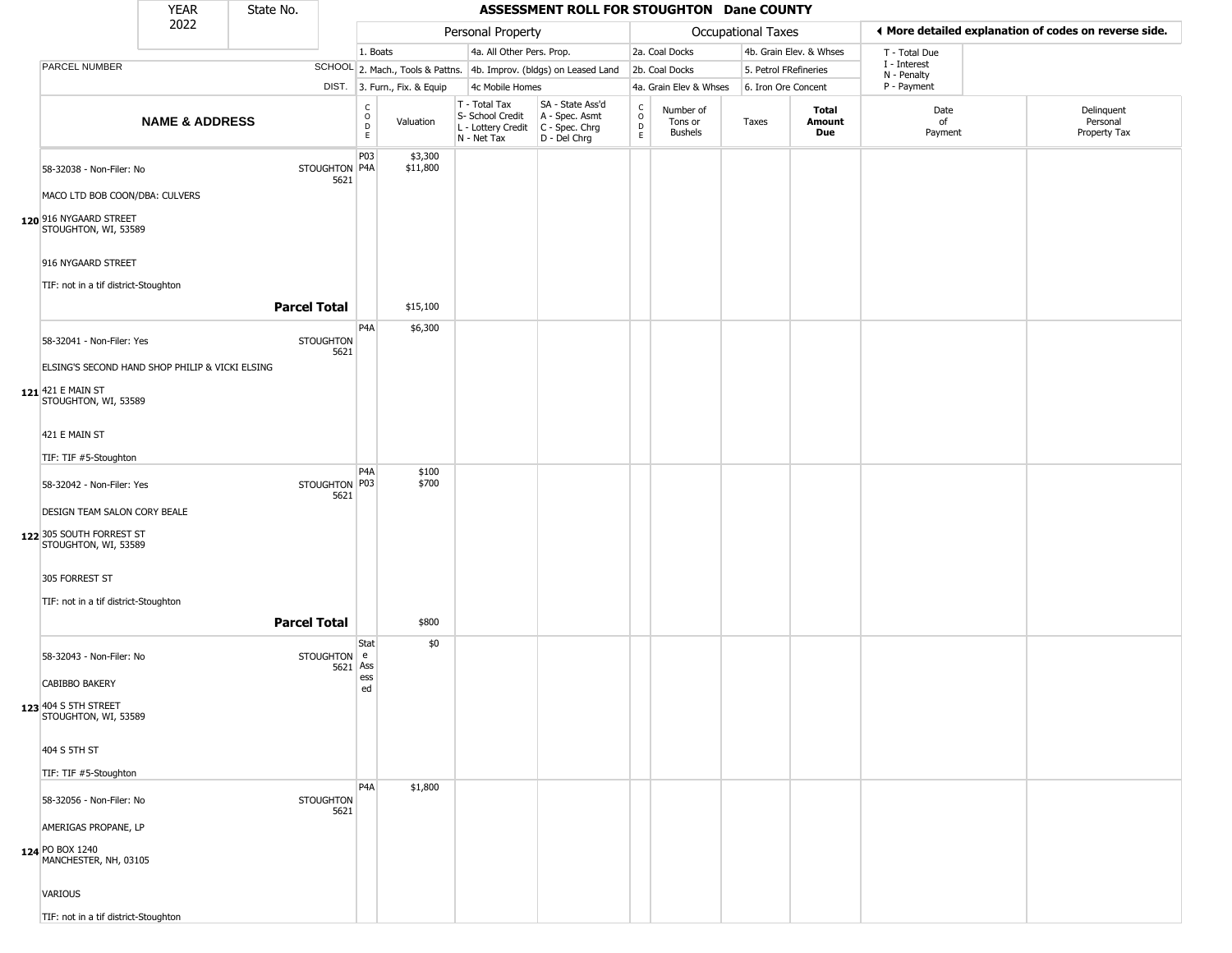|                                                  | <b>YEAR</b>                                     | State No.           |                          |                                                 |                              |                                                                                           | ASSESSMENT ROLL FOR STOUGHTON Dane COUNTY                           |                         |                                        |                       |                         |                             |                                                       |
|--------------------------------------------------|-------------------------------------------------|---------------------|--------------------------|-------------------------------------------------|------------------------------|-------------------------------------------------------------------------------------------|---------------------------------------------------------------------|-------------------------|----------------------------------------|-----------------------|-------------------------|-----------------------------|-------------------------------------------------------|
|                                                  | 2022                                            |                     |                          |                                                 |                              | Personal Property                                                                         |                                                                     |                         |                                        | Occupational Taxes    |                         |                             | I More detailed explanation of codes on reverse side. |
|                                                  |                                                 |                     |                          | 1. Boats                                        |                              | 4a. All Other Pers. Prop.                                                                 |                                                                     |                         | 2a. Coal Docks                         |                       | 4b. Grain Elev. & Whses | T - Total Due               |                                                       |
| PARCEL NUMBER                                    |                                                 |                     |                          |                                                 |                              |                                                                                           | SCHOOL 2. Mach., Tools & Pattns. 4b. Improv. (bldgs) on Leased Land |                         | 2b. Coal Docks                         | 5. Petrol FRefineries |                         | I - Interest<br>N - Penalty |                                                       |
|                                                  |                                                 |                     |                          |                                                 | DIST. 3. Furn., Fix. & Equip | 4c Mobile Homes                                                                           |                                                                     |                         | 4a. Grain Elev & Whses                 | 6. Iron Ore Concent   |                         | P - Payment                 |                                                       |
|                                                  | <b>NAME &amp; ADDRESS</b>                       |                     |                          | $\begin{array}{c} C \\ O \\ D \\ E \end{array}$ | Valuation                    | T - Total Tax<br>S- School Credit<br>$L$ - Lottery Credit $C$ - Spec. Chrg<br>N - Net Tax | SA - State Ass'd<br>A - Spec. Asmt<br>D - Del Chrg                  | $\frac{c}{0}$<br>D<br>E | Number of<br>Tons or<br><b>Bushels</b> | Taxes                 | Total<br>Amount<br>Due  | Date<br>of<br>Payment       | Delinquent<br>Personal<br>Property Tax                |
| 58-32038 - Non-Filer: No                         |                                                 |                     | STOUGHTON P4A<br>5621    | P03                                             | \$3,300<br>\$11,800          |                                                                                           |                                                                     |                         |                                        |                       |                         |                             |                                                       |
| MACO LTD BOB COON/DBA: CULVERS                   |                                                 |                     |                          |                                                 |                              |                                                                                           |                                                                     |                         |                                        |                       |                         |                             |                                                       |
| 120 916 NYGAARD STREET<br>STOUGHTON, WI, 53589   |                                                 |                     |                          |                                                 |                              |                                                                                           |                                                                     |                         |                                        |                       |                         |                             |                                                       |
| 916 NYGAARD STREET                               |                                                 |                     |                          |                                                 |                              |                                                                                           |                                                                     |                         |                                        |                       |                         |                             |                                                       |
| TIF: not in a tif district-Stoughton             |                                                 | <b>Parcel Total</b> |                          |                                                 | \$15,100                     |                                                                                           |                                                                     |                         |                                        |                       |                         |                             |                                                       |
|                                                  |                                                 |                     |                          | P <sub>4</sub> A                                | \$6,300                      |                                                                                           |                                                                     |                         |                                        |                       |                         |                             |                                                       |
| 58-32041 - Non-Filer: Yes                        | ELSING'S SECOND HAND SHOP PHILIP & VICKI ELSING |                     | <b>STOUGHTON</b><br>5621 |                                                 |                              |                                                                                           |                                                                     |                         |                                        |                       |                         |                             |                                                       |
| 121 421 E MAIN ST<br>STOUGHTON, WI, 53589        |                                                 |                     |                          |                                                 |                              |                                                                                           |                                                                     |                         |                                        |                       |                         |                             |                                                       |
| 421 E MAIN ST                                    |                                                 |                     |                          |                                                 |                              |                                                                                           |                                                                     |                         |                                        |                       |                         |                             |                                                       |
| TIF: TIF #5-Stoughton                            |                                                 |                     |                          |                                                 |                              |                                                                                           |                                                                     |                         |                                        |                       |                         |                             |                                                       |
| 58-32042 - Non-Filer: Yes                        |                                                 |                     | STOUGHTON P03<br>5621    | P <sub>4</sub> A                                | \$100<br>\$700               |                                                                                           |                                                                     |                         |                                        |                       |                         |                             |                                                       |
| DESIGN TEAM SALON CORY BEALE                     |                                                 |                     |                          |                                                 |                              |                                                                                           |                                                                     |                         |                                        |                       |                         |                             |                                                       |
| 122 305 SOUTH FORREST ST<br>STOUGHTON, WI, 53589 |                                                 |                     |                          |                                                 |                              |                                                                                           |                                                                     |                         |                                        |                       |                         |                             |                                                       |
| 305 FORREST ST                                   |                                                 |                     |                          |                                                 |                              |                                                                                           |                                                                     |                         |                                        |                       |                         |                             |                                                       |
| TIF: not in a tif district-Stoughton             |                                                 |                     |                          |                                                 |                              |                                                                                           |                                                                     |                         |                                        |                       |                         |                             |                                                       |
|                                                  |                                                 | <b>Parcel Total</b> |                          |                                                 | \$800                        |                                                                                           |                                                                     |                         |                                        |                       |                         |                             |                                                       |
| 58-32043 - Non-Filer: No                         |                                                 |                     | STOUGHTON e<br>5621      | Stat<br>Ass                                     | \$0                          |                                                                                           |                                                                     |                         |                                        |                       |                         |                             |                                                       |
| CABIBBO BAKERY                                   |                                                 |                     |                          | ess<br>ed                                       |                              |                                                                                           |                                                                     |                         |                                        |                       |                         |                             |                                                       |
| 123 404 S 5TH STREET<br>STOUGHTON, WI, 53589     |                                                 |                     |                          |                                                 |                              |                                                                                           |                                                                     |                         |                                        |                       |                         |                             |                                                       |
| 404 S 5TH ST                                     |                                                 |                     |                          |                                                 |                              |                                                                                           |                                                                     |                         |                                        |                       |                         |                             |                                                       |
| TIF: TIF #5-Stoughton                            |                                                 |                     |                          |                                                 |                              |                                                                                           |                                                                     |                         |                                        |                       |                         |                             |                                                       |
| 58-32056 - Non-Filer: No                         |                                                 |                     | <b>STOUGHTON</b><br>5621 | P <sub>4</sub> A                                | \$1,800                      |                                                                                           |                                                                     |                         |                                        |                       |                         |                             |                                                       |
| AMERIGAS PROPANE, LP                             |                                                 |                     |                          |                                                 |                              |                                                                                           |                                                                     |                         |                                        |                       |                         |                             |                                                       |
| 124 PO BOX 1240<br>MANCHESTER, NH, 03105         |                                                 |                     |                          |                                                 |                              |                                                                                           |                                                                     |                         |                                        |                       |                         |                             |                                                       |
| VARIOUS                                          |                                                 |                     |                          |                                                 |                              |                                                                                           |                                                                     |                         |                                        |                       |                         |                             |                                                       |
| TIF: not in a tif district-Stoughton             |                                                 |                     |                          |                                                 |                              |                                                                                           |                                                                     |                         |                                        |                       |                         |                             |                                                       |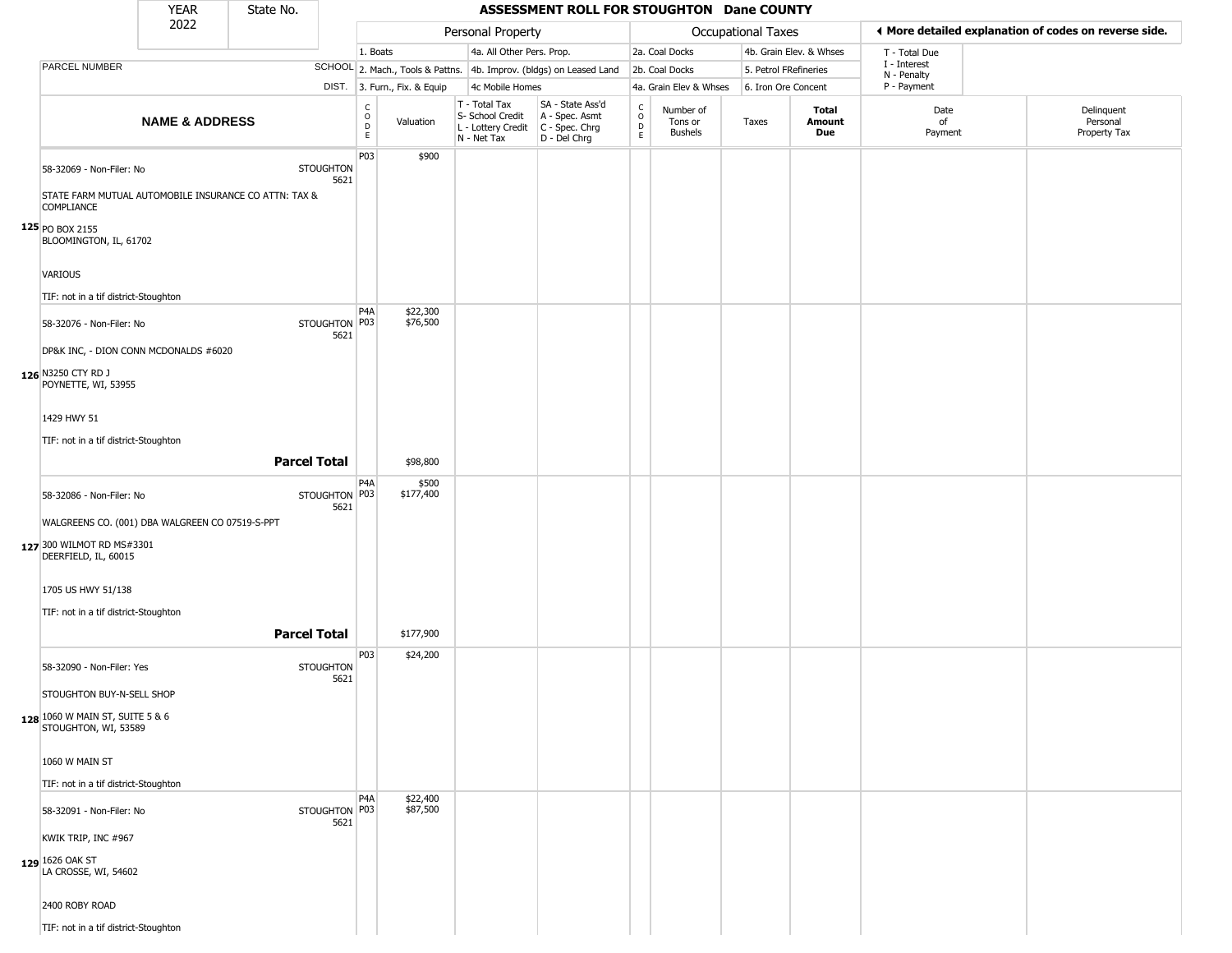|                                                         | <b>YEAR</b>                                     | State No.                                             |                          |                                            |                              |                                                                                         | ASSESSMENT ROLL FOR STOUGHTON Dane COUNTY                           |                                            |                                        |                           |                         |                             |                                                       |
|---------------------------------------------------------|-------------------------------------------------|-------------------------------------------------------|--------------------------|--------------------------------------------|------------------------------|-----------------------------------------------------------------------------------------|---------------------------------------------------------------------|--------------------------------------------|----------------------------------------|---------------------------|-------------------------|-----------------------------|-------------------------------------------------------|
|                                                         | 2022                                            |                                                       |                          |                                            |                              | Personal Property                                                                       |                                                                     |                                            |                                        | <b>Occupational Taxes</b> |                         |                             | ♦ More detailed explanation of codes on reverse side. |
|                                                         |                                                 |                                                       |                          | 1. Boats                                   |                              | 4a. All Other Pers. Prop.                                                               |                                                                     |                                            | 2a. Coal Docks                         |                           | 4b. Grain Elev. & Whses | T - Total Due               |                                                       |
| PARCEL NUMBER                                           |                                                 |                                                       |                          |                                            |                              |                                                                                         | SCHOOL 2. Mach., Tools & Pattns. 4b. Improv. (bldgs) on Leased Land |                                            | 2b. Coal Docks                         |                           | 5. Petrol FRefineries   | I - Interest<br>N - Penalty |                                                       |
|                                                         |                                                 |                                                       |                          |                                            | DIST. 3. Furn., Fix. & Equip | 4c Mobile Homes                                                                         |                                                                     |                                            | 4a. Grain Elev & Whses                 |                           | 6. Iron Ore Concent     | P - Payment                 |                                                       |
|                                                         | <b>NAME &amp; ADDRESS</b>                       |                                                       |                          | $\begin{array}{c} C \\ O \\ E \end{array}$ | Valuation                    | T - Total Tax<br>S- School Credit<br>L - Lottery Credit   C - Spec. Chrg<br>N - Net Tax | SA - State Ass'd<br>A - Spec. Asmt<br>D - Del Chrg                  | $\begin{array}{c} C \\ O \\ E \end{array}$ | Number of<br>Tons or<br><b>Bushels</b> | Taxes                     | Total<br>Amount<br>Due  | Date<br>of<br>Payment       | Delinquent<br>Personal<br>Property Tax                |
| 58-32069 - Non-Filer: No                                |                                                 |                                                       | <b>STOUGHTON</b><br>5621 | P03                                        | \$900                        |                                                                                         |                                                                     |                                            |                                        |                           |                         |                             |                                                       |
| <b>COMPLIANCE</b><br>$125$ PO BOX 2155                  |                                                 | STATE FARM MUTUAL AUTOMOBILE INSURANCE CO ATTN: TAX & |                          |                                            |                              |                                                                                         |                                                                     |                                            |                                        |                           |                         |                             |                                                       |
| BLOOMINGTON, IL, 61702                                  |                                                 |                                                       |                          |                                            |                              |                                                                                         |                                                                     |                                            |                                        |                           |                         |                             |                                                       |
| VARIOUS                                                 |                                                 |                                                       |                          |                                            |                              |                                                                                         |                                                                     |                                            |                                        |                           |                         |                             |                                                       |
| TIF: not in a tif district-Stoughton                    |                                                 |                                                       |                          | P <sub>4</sub> A                           | \$22,300                     |                                                                                         |                                                                     |                                            |                                        |                           |                         |                             |                                                       |
| 58-32076 - Non-Filer: No                                |                                                 |                                                       | STOUGHTON P03<br>5621    |                                            | \$76,500                     |                                                                                         |                                                                     |                                            |                                        |                           |                         |                             |                                                       |
| 126 N3250 CTY RD J<br>POYNETTE, WI, 53955               | DP&K INC, - DION CONN MCDONALDS #6020           |                                                       |                          |                                            |                              |                                                                                         |                                                                     |                                            |                                        |                           |                         |                             |                                                       |
| 1429 HWY 51                                             |                                                 |                                                       |                          |                                            |                              |                                                                                         |                                                                     |                                            |                                        |                           |                         |                             |                                                       |
| TIF: not in a tif district-Stoughton                    |                                                 | <b>Parcel Total</b>                                   |                          |                                            | \$98,800                     |                                                                                         |                                                                     |                                            |                                        |                           |                         |                             |                                                       |
| 58-32086 - Non-Filer: No                                |                                                 |                                                       | STOUGHTON P03            | P4A                                        | \$500<br>\$177,400           |                                                                                         |                                                                     |                                            |                                        |                           |                         |                             |                                                       |
|                                                         | WALGREENS CO. (001) DBA WALGREEN CO 07519-S-PPT |                                                       | 5621                     |                                            |                              |                                                                                         |                                                                     |                                            |                                        |                           |                         |                             |                                                       |
| 127 300 WILMOT RD MS#3301<br>DEERFIELD, IL, 60015       |                                                 |                                                       |                          |                                            |                              |                                                                                         |                                                                     |                                            |                                        |                           |                         |                             |                                                       |
| 1705 US HWY 51/138                                      |                                                 |                                                       |                          |                                            |                              |                                                                                         |                                                                     |                                            |                                        |                           |                         |                             |                                                       |
| TIF: not in a tif district-Stoughton                    |                                                 |                                                       |                          |                                            |                              |                                                                                         |                                                                     |                                            |                                        |                           |                         |                             |                                                       |
|                                                         |                                                 | <b>Parcel Total</b>                                   |                          |                                            | \$177,900                    |                                                                                         |                                                                     |                                            |                                        |                           |                         |                             |                                                       |
| 58-32090 - Non-Filer: Yes                               |                                                 |                                                       | <b>STOUGHTON</b><br>5621 | P <sub>03</sub>                            | \$24,200                     |                                                                                         |                                                                     |                                            |                                        |                           |                         |                             |                                                       |
| STOUGHTON BUY-N-SELL SHOP                               |                                                 |                                                       |                          |                                            |                              |                                                                                         |                                                                     |                                            |                                        |                           |                         |                             |                                                       |
| 128 1060 W MAIN ST, SUITE 5 & 6<br>STOUGHTON, WI, 53589 |                                                 |                                                       |                          |                                            |                              |                                                                                         |                                                                     |                                            |                                        |                           |                         |                             |                                                       |
| 1060 W MAIN ST                                          |                                                 |                                                       |                          |                                            |                              |                                                                                         |                                                                     |                                            |                                        |                           |                         |                             |                                                       |
| TIF: not in a tif district-Stoughton                    |                                                 |                                                       |                          |                                            |                              |                                                                                         |                                                                     |                                            |                                        |                           |                         |                             |                                                       |
| 58-32091 - Non-Filer: No                                |                                                 |                                                       | STOUGHTON P03<br>5621    | P <sub>4</sub> A                           | \$22,400<br>\$87,500         |                                                                                         |                                                                     |                                            |                                        |                           |                         |                             |                                                       |
| KWIK TRIP, INC #967                                     |                                                 |                                                       |                          |                                            |                              |                                                                                         |                                                                     |                                            |                                        |                           |                         |                             |                                                       |
| 129 1626 OAK ST<br>LA CROSSE, WI, 54602                 |                                                 |                                                       |                          |                                            |                              |                                                                                         |                                                                     |                                            |                                        |                           |                         |                             |                                                       |
| 2400 ROBY ROAD                                          |                                                 |                                                       |                          |                                            |                              |                                                                                         |                                                                     |                                            |                                        |                           |                         |                             |                                                       |
| TIF: not in a tif district-Stoughton                    |                                                 |                                                       |                          |                                            |                              |                                                                                         |                                                                     |                                            |                                        |                           |                         |                             |                                                       |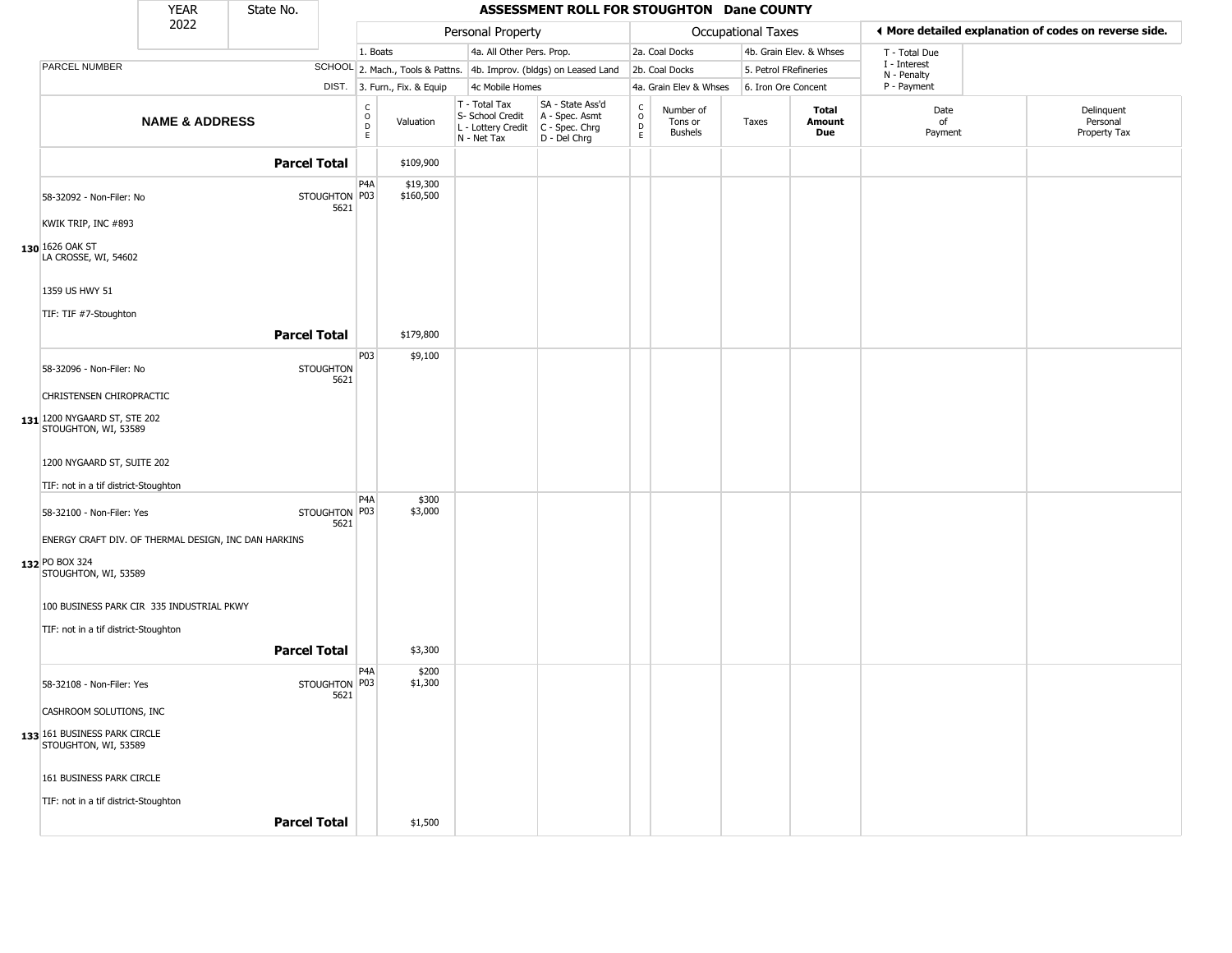|                                                                                                | <b>YEAR</b>               | State No.           |                          |                                                          |                                                                        | ASSESSMENT ROLL FOR STOUGHTON Dane COUNTY                              |                                |                                        |                       |                         |                             |                                                       |
|------------------------------------------------------------------------------------------------|---------------------------|---------------------|--------------------------|----------------------------------------------------------|------------------------------------------------------------------------|------------------------------------------------------------------------|--------------------------------|----------------------------------------|-----------------------|-------------------------|-----------------------------|-------------------------------------------------------|
|                                                                                                | 2022                      |                     |                          |                                                          | Personal Property                                                      |                                                                        |                                |                                        | Occupational Taxes    |                         |                             | ♦ More detailed explanation of codes on reverse side. |
|                                                                                                |                           |                     |                          | 1. Boats                                                 | 4a. All Other Pers. Prop.                                              |                                                                        |                                | 2a. Coal Docks                         |                       | 4b. Grain Elev. & Whses | T - Total Due               |                                                       |
| PARCEL NUMBER                                                                                  |                           |                     |                          |                                                          |                                                                        | SCHOOL 2. Mach., Tools & Pattns. 4b. Improv. (bldgs) on Leased Land    |                                | 2b. Coal Docks                         | 5. Petrol FRefineries |                         | I - Interest<br>N - Penalty |                                                       |
|                                                                                                |                           |                     |                          | DIST. 3. Furn., Fix. & Equip                             | 4c Mobile Homes                                                        |                                                                        |                                | 4a. Grain Elev & Whses                 | 6. Iron Ore Concent   |                         | P - Payment                 |                                                       |
|                                                                                                | <b>NAME &amp; ADDRESS</b> |                     |                          | $\frac{c}{0}$<br>Valuation<br>$\mathsf D$<br>$\mathsf E$ | T - Total Tax<br>S- School Credit<br>L - Lottery Credit<br>N - Net Tax | SA - State Ass'd<br>A - Spec. Asmt<br>$C - Spec. Chrg$<br>D - Del Chrg | $\rm _o^C$<br>D<br>$\mathsf E$ | Number of<br>Tons or<br><b>Bushels</b> | Taxes                 | Total<br>Amount<br>Due  | Date<br>of<br>Payment       | Delinquent<br>Personal<br>Property Tax                |
|                                                                                                |                           | <b>Parcel Total</b> |                          | \$109,900                                                |                                                                        |                                                                        |                                |                                        |                       |                         |                             |                                                       |
| 58-32092 - Non-Filer: No<br>KWIK TRIP, INC #893                                                |                           |                     | STOUGHTON P03<br>5621    | P <sub>4</sub> A<br>\$19,300<br>\$160,500                |                                                                        |                                                                        |                                |                                        |                       |                         |                             |                                                       |
| $130$ 1626 OAK ST<br>LA CROSSE, WI, 54602                                                      |                           |                     |                          |                                                          |                                                                        |                                                                        |                                |                                        |                       |                         |                             |                                                       |
| 1359 US HWY 51<br>TIF: TIF #7-Stoughton                                                        |                           |                     |                          |                                                          |                                                                        |                                                                        |                                |                                        |                       |                         |                             |                                                       |
|                                                                                                |                           | <b>Parcel Total</b> |                          | \$179,800                                                |                                                                        |                                                                        |                                |                                        |                       |                         |                             |                                                       |
| 58-32096 - Non-Filer: No                                                                       |                           |                     | <b>STOUGHTON</b><br>5621 | P03<br>\$9,100                                           |                                                                        |                                                                        |                                |                                        |                       |                         |                             |                                                       |
| CHRISTENSEN CHIROPRACTIC                                                                       |                           |                     |                          |                                                          |                                                                        |                                                                        |                                |                                        |                       |                         |                             |                                                       |
| 131 1200 NYGAARD ST, STE 202<br>STOUGHTON, WI, 53589                                           |                           |                     |                          |                                                          |                                                                        |                                                                        |                                |                                        |                       |                         |                             |                                                       |
| 1200 NYGAARD ST, SUITE 202<br>TIF: not in a tif district-Stoughton                             |                           |                     |                          |                                                          |                                                                        |                                                                        |                                |                                        |                       |                         |                             |                                                       |
| 58-32100 - Non-Filer: Yes                                                                      |                           |                     | STOUGHTON P03<br>5621    | P <sub>4</sub> A<br>\$300<br>\$3,000                     |                                                                        |                                                                        |                                |                                        |                       |                         |                             |                                                       |
| ENERGY CRAFT DIV. OF THERMAL DESIGN, INC DAN HARKINS<br>132 PO BOX 324<br>STOUGHTON, WI, 53589 |                           |                     |                          |                                                          |                                                                        |                                                                        |                                |                                        |                       |                         |                             |                                                       |
| 100 BUSINESS PARK CIR 335 INDUSTRIAL PKWY<br>TIF: not in a tif district-Stoughton              |                           |                     |                          |                                                          |                                                                        |                                                                        |                                |                                        |                       |                         |                             |                                                       |
|                                                                                                |                           | <b>Parcel Total</b> |                          | \$3,300                                                  |                                                                        |                                                                        |                                |                                        |                       |                         |                             |                                                       |
| 58-32108 - Non-Filer: Yes                                                                      |                           |                     | STOUGHTON P03<br>5621    | P <sub>4</sub> A<br>\$200<br>\$1,300                     |                                                                        |                                                                        |                                |                                        |                       |                         |                             |                                                       |
| CASHROOM SOLUTIONS, INC<br>133 161 BUSINESS PARK CIRCLE                                        |                           |                     |                          |                                                          |                                                                        |                                                                        |                                |                                        |                       |                         |                             |                                                       |
| STOUGHTON, WI, 53589                                                                           |                           |                     |                          |                                                          |                                                                        |                                                                        |                                |                                        |                       |                         |                             |                                                       |
| 161 BUSINESS PARK CIRCLE<br>TIF: not in a tif district-Stoughton                               |                           |                     |                          |                                                          |                                                                        |                                                                        |                                |                                        |                       |                         |                             |                                                       |
|                                                                                                |                           | <b>Parcel Total</b> |                          | \$1,500                                                  |                                                                        |                                                                        |                                |                                        |                       |                         |                             |                                                       |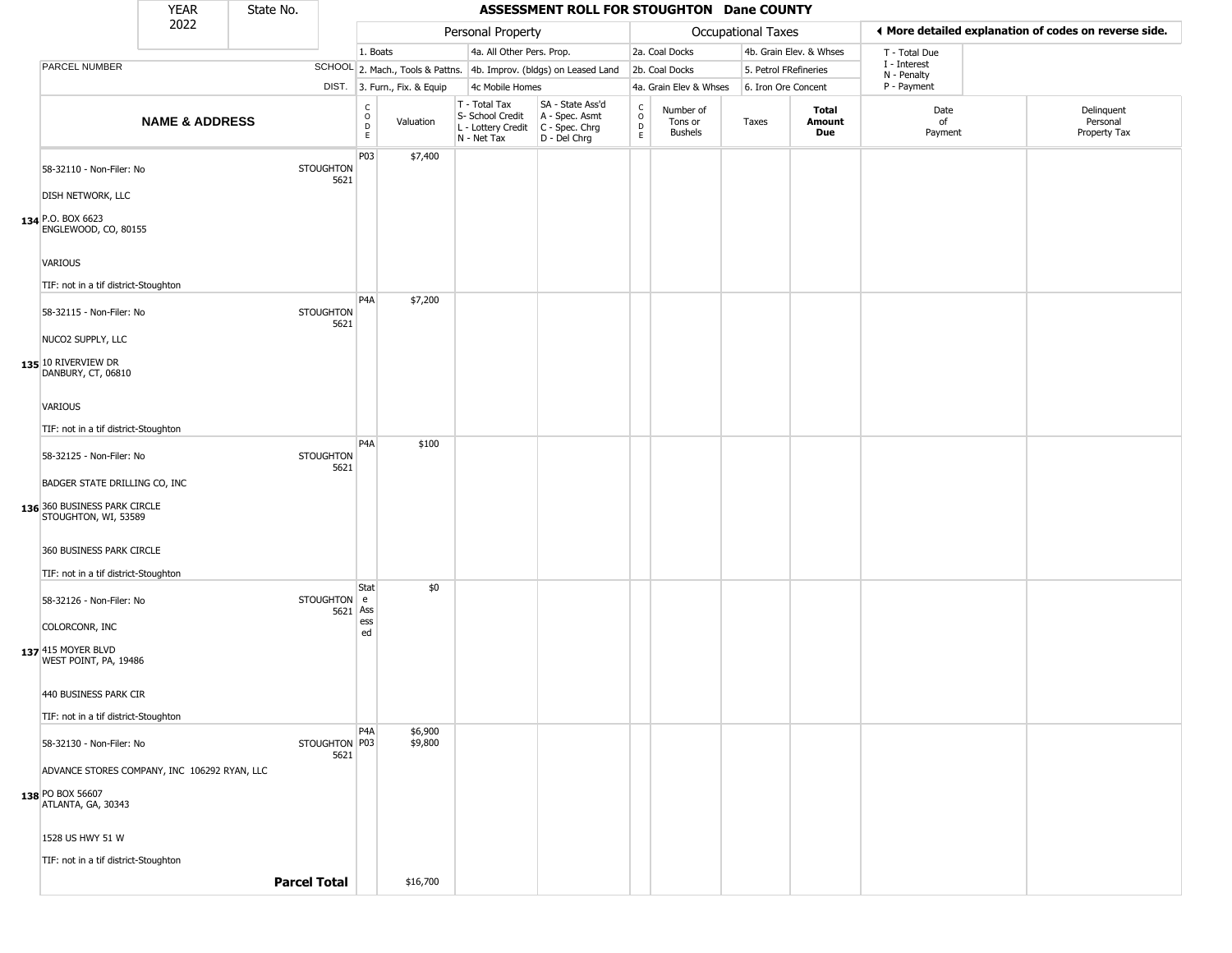|                                                                                            | <b>YEAR</b>               | State No.           |                          |                                   |                              |                                                                        | ASSESSMENT ROLL FOR STOUGHTON Dane COUNTY                            |                         |                                        |                    |                         |                             |                                                       |
|--------------------------------------------------------------------------------------------|---------------------------|---------------------|--------------------------|-----------------------------------|------------------------------|------------------------------------------------------------------------|----------------------------------------------------------------------|-------------------------|----------------------------------------|--------------------|-------------------------|-----------------------------|-------------------------------------------------------|
|                                                                                            | 2022                      |                     |                          |                                   |                              | Personal Property                                                      |                                                                      |                         |                                        | Occupational Taxes |                         |                             | ◀ More detailed explanation of codes on reverse side. |
|                                                                                            |                           |                     |                          | 1. Boats                          |                              | 4a. All Other Pers. Prop.                                              |                                                                      |                         | 2a. Coal Docks                         |                    | 4b. Grain Elev. & Whses | T - Total Due               |                                                       |
| PARCEL NUMBER                                                                              |                           |                     |                          |                                   |                              |                                                                        | SCHOOL 2. Mach., Tools & Pattns. 4b. Improv. (bldgs) on Leased Land  |                         | 2b. Coal Docks                         |                    | 5. Petrol FRefineries   | I - Interest<br>N - Penalty |                                                       |
|                                                                                            |                           |                     |                          |                                   | DIST. 3. Furn., Fix. & Equip | 4c Mobile Homes                                                        |                                                                      |                         | 4a. Grain Elev & Whses                 |                    | 6. Iron Ore Concent     | P - Payment                 |                                                       |
|                                                                                            | <b>NAME &amp; ADDRESS</b> |                     |                          | $\frac{C}{O}$<br>$\mathsf D$<br>E | Valuation                    | T - Total Tax<br>S- School Credit<br>L - Lottery Credit<br>N - Net Tax | SA - State Ass'd<br>A - Spec. Asmt<br>C - Spec. Chrg<br>D - Del Chrg | $\frac{c}{0}$<br>D<br>E | Number of<br>Tons or<br><b>Bushels</b> | Taxes              | Total<br>Amount<br>Due  | Date<br>of<br>Payment       | Delinquent<br>Personal<br>Property Tax                |
| 58-32110 - Non-Filer: No<br>DISH NETWORK, LLC<br>134 P.O. BOX 6623<br>ENGLEWOOD, CO, 80155 |                           |                     | <b>STOUGHTON</b><br>5621 | <b>P03</b>                        | \$7,400                      |                                                                        |                                                                      |                         |                                        |                    |                         |                             |                                                       |
| <b>VARIOUS</b>                                                                             |                           |                     |                          |                                   |                              |                                                                        |                                                                      |                         |                                        |                    |                         |                             |                                                       |
| TIF: not in a tif district-Stoughton<br>58-32115 - Non-Filer: No<br>NUCO2 SUPPLY, LLC      |                           |                     | <b>STOUGHTON</b><br>5621 | P <sub>4</sub> A                  | \$7,200                      |                                                                        |                                                                      |                         |                                        |                    |                         |                             |                                                       |
| 135 10 RIVERVIEW DR<br>DANBURY, CT, 06810                                                  |                           |                     |                          |                                   |                              |                                                                        |                                                                      |                         |                                        |                    |                         |                             |                                                       |
| <b>VARIOUS</b><br>TIF: not in a tif district-Stoughton                                     |                           |                     |                          |                                   |                              |                                                                        |                                                                      |                         |                                        |                    |                         |                             |                                                       |
| 58-32125 - Non-Filer: No                                                                   |                           |                     | <b>STOUGHTON</b><br>5621 | P <sub>4</sub> A                  | \$100                        |                                                                        |                                                                      |                         |                                        |                    |                         |                             |                                                       |
| BADGER STATE DRILLING CO, INC<br>136 360 BUSINESS PARK CIRCLE<br>STOUGHTON, WI, 53589      |                           |                     |                          |                                   |                              |                                                                        |                                                                      |                         |                                        |                    |                         |                             |                                                       |
| 360 BUSINESS PARK CIRCLE                                                                   |                           |                     |                          |                                   |                              |                                                                        |                                                                      |                         |                                        |                    |                         |                             |                                                       |
| TIF: not in a tif district-Stoughton                                                       |                           |                     |                          |                                   |                              |                                                                        |                                                                      |                         |                                        |                    |                         |                             |                                                       |
| 58-32126 - Non-Filer: No                                                                   |                           |                     | STOUGHTON e<br>5621 Ass  | Stat<br>ess                       | \$0                          |                                                                        |                                                                      |                         |                                        |                    |                         |                             |                                                       |
| COLORCONR, INC<br>137 415 MOYER BLVD<br>WEST POINT, PA, 19486                              |                           |                     |                          | ed                                |                              |                                                                        |                                                                      |                         |                                        |                    |                         |                             |                                                       |
| 440 BUSINESS PARK CIR                                                                      |                           |                     |                          |                                   |                              |                                                                        |                                                                      |                         |                                        |                    |                         |                             |                                                       |
| TIF: not in a tif district-Stoughton                                                       |                           |                     |                          | P <sub>4</sub> A                  | \$6,900                      |                                                                        |                                                                      |                         |                                        |                    |                         |                             |                                                       |
| 58-32130 - Non-Filer: No                                                                   |                           |                     | STOUGHTON P03<br>5621    |                                   | \$9,800                      |                                                                        |                                                                      |                         |                                        |                    |                         |                             |                                                       |
| ADVANCE STORES COMPANY, INC 106292 RYAN, LLC                                               |                           |                     |                          |                                   |                              |                                                                        |                                                                      |                         |                                        |                    |                         |                             |                                                       |
| 138 PO BOX 56607<br>ATLANTA, GA, 30343                                                     |                           |                     |                          |                                   |                              |                                                                        |                                                                      |                         |                                        |                    |                         |                             |                                                       |
| 1528 US HWY 51 W                                                                           |                           |                     |                          |                                   |                              |                                                                        |                                                                      |                         |                                        |                    |                         |                             |                                                       |
| TIF: not in a tif district-Stoughton                                                       |                           |                     |                          |                                   |                              |                                                                        |                                                                      |                         |                                        |                    |                         |                             |                                                       |
|                                                                                            |                           | <b>Parcel Total</b> |                          |                                   | \$16,700                     |                                                                        |                                                                      |                         |                                        |                    |                         |                             |                                                       |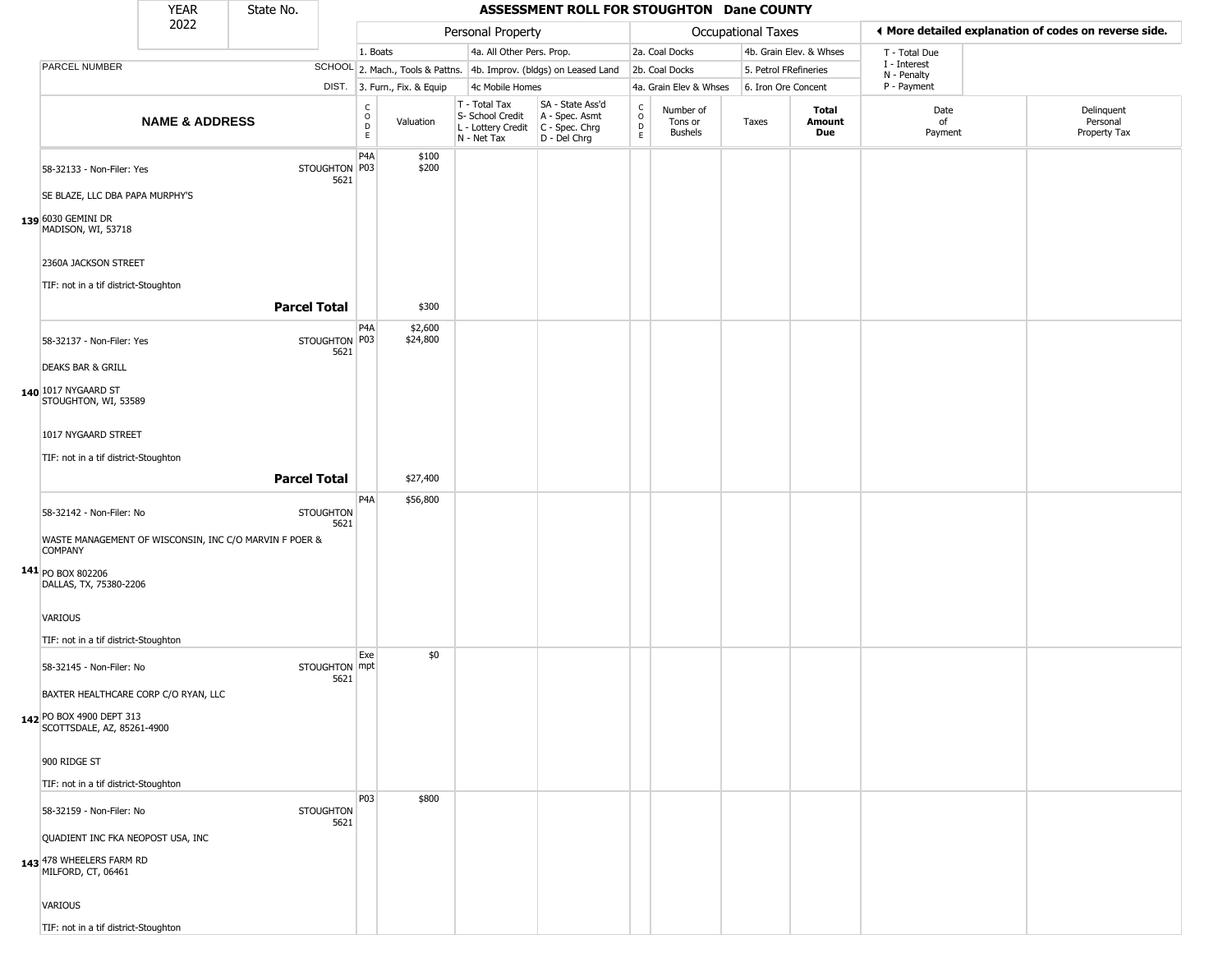|                                                                                                                                                                                                        | <b>YEAR</b>               | State No. |                                              |                                             |                                 |                                                                        | ASSESSMENT ROLL FOR STOUGHTON Dane COUNTY                              |                                   |                                        |                       |                         |                             |                                                       |
|--------------------------------------------------------------------------------------------------------------------------------------------------------------------------------------------------------|---------------------------|-----------|----------------------------------------------|---------------------------------------------|---------------------------------|------------------------------------------------------------------------|------------------------------------------------------------------------|-----------------------------------|----------------------------------------|-----------------------|-------------------------|-----------------------------|-------------------------------------------------------|
|                                                                                                                                                                                                        | 2022                      |           |                                              |                                             |                                 | Personal Property                                                      |                                                                        |                                   |                                        | Occupational Taxes    |                         |                             | I More detailed explanation of codes on reverse side. |
|                                                                                                                                                                                                        |                           |           |                                              | 1. Boats                                    |                                 | 4a. All Other Pers. Prop.                                              |                                                                        |                                   | 2a. Coal Docks                         |                       | 4b. Grain Elev. & Whses | T - Total Due               |                                                       |
| PARCEL NUMBER                                                                                                                                                                                          |                           |           |                                              |                                             |                                 |                                                                        | SCHOOL 2. Mach., Tools & Pattns. 4b. Improv. (bldgs) on Leased Land    |                                   | 2b. Coal Docks                         | 5. Petrol FRefineries |                         | I - Interest<br>N - Penalty |                                                       |
|                                                                                                                                                                                                        |                           |           |                                              |                                             | DIST. 3. Furn., Fix. & Equip    | 4c Mobile Homes                                                        |                                                                        |                                   | 4a. Grain Elev & Whses                 | 6. Iron Ore Concent   |                         | P - Payment                 |                                                       |
|                                                                                                                                                                                                        | <b>NAME &amp; ADDRESS</b> |           |                                              | $\mathsf{C}$<br>$\circ$<br>$\mathsf D$<br>E | Valuation                       | T - Total Tax<br>S- School Credit<br>L - Lottery Credit<br>N - Net Tax | SA - State Ass'd<br>A - Spec. Asmt<br>$C - Spec. Chrg$<br>D - Del Chrg | $\rm_{o}^{c}$<br>$\mathsf D$<br>E | Number of<br>Tons or<br><b>Bushels</b> | Taxes                 | Total<br>Amount<br>Due  | Date<br>of<br>Payment       | Delinquent<br>Personal<br>Property Tax                |
| 58-32133 - Non-Filer: Yes<br>SE BLAZE, LLC DBA PAPA MURPHY'S<br>139 6030 GEMINI DR                                                                                                                     |                           |           | STOUGHTON P03<br>5621                        | P <sub>4</sub> A                            | \$100<br>\$200                  |                                                                        |                                                                        |                                   |                                        |                       |                         |                             |                                                       |
| MADISON, WI, 53718<br>2360A JACKSON STREET<br>TIF: not in a tif district-Stoughton                                                                                                                     |                           |           | <b>Parcel Total</b>                          |                                             | \$300                           |                                                                        |                                                                        |                                   |                                        |                       |                         |                             |                                                       |
|                                                                                                                                                                                                        |                           |           |                                              |                                             |                                 |                                                                        |                                                                        |                                   |                                        |                       |                         |                             |                                                       |
| 58-32137 - Non-Filer: Yes<br><b>DEAKS BAR &amp; GRILL</b><br>140 1017 NYGAARD ST<br>STOUGHTON, WI, 53589<br>1017 NYGAARD STREET<br>TIF: not in a tif district-Stoughton                                |                           |           | STOUGHTON P03<br>5621<br><b>Parcel Total</b> | P <sub>4</sub> A                            | \$2,600<br>\$24,800<br>\$27,400 |                                                                        |                                                                        |                                   |                                        |                       |                         |                             |                                                       |
|                                                                                                                                                                                                        |                           |           |                                              | P4A                                         | \$56,800                        |                                                                        |                                                                        |                                   |                                        |                       |                         |                             |                                                       |
| 58-32142 - Non-Filer: No<br>WASTE MANAGEMENT OF WISCONSIN, INC C/O MARVIN F POER &<br><b>COMPANY</b><br>141 PO BOX 802206<br>DALLAS, TX, 75380-2206<br>VARIOUS<br>TIF: not in a tif district-Stoughton |                           |           | <b>STOUGHTON</b><br>5621                     |                                             |                                 |                                                                        |                                                                        |                                   |                                        |                       |                         |                             |                                                       |
| 58-32145 - Non-Filer: No<br>BAXTER HEALTHCARE CORP C/O RYAN, LLC<br>142 PO BOX 4900 DEPT 313<br>SCOTTSDALE, AZ, 85261-4900<br>900 RIDGE ST                                                             |                           |           | STOUGHTON mpt<br>5621                        | Exe                                         | \$0                             |                                                                        |                                                                        |                                   |                                        |                       |                         |                             |                                                       |
| TIF: not in a tif district-Stoughton                                                                                                                                                                   |                           |           |                                              |                                             |                                 |                                                                        |                                                                        |                                   |                                        |                       |                         |                             |                                                       |
| 58-32159 - Non-Filer: No<br>QUADIENT INC FKA NEOPOST USA, INC<br>143 478 WHEELERS FARM RD<br>MILFORD, CT, 06461<br>VARIOUS<br>TIF: not in a tif district-Stoughton                                     |                           |           | <b>STOUGHTON</b><br>5621                     | P03                                         | \$800                           |                                                                        |                                                                        |                                   |                                        |                       |                         |                             |                                                       |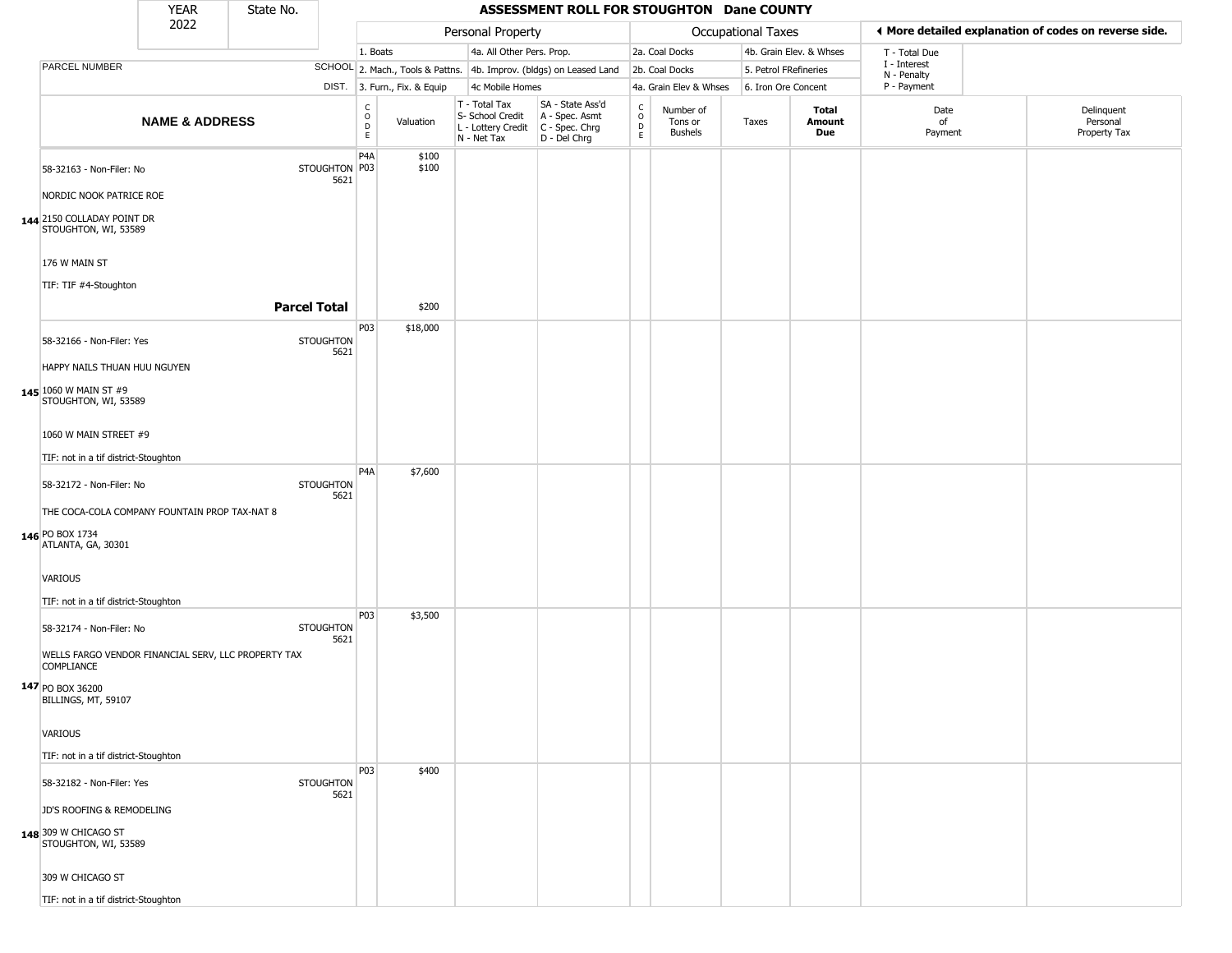|                                                                          | <b>YEAR</b>               | State No.           |                          |                                            |                |                                                                        | ASSESSMENT ROLL FOR STOUGHTON Dane COUNTY                            |                                     |                                        |                       |                         |                             |                                                       |
|--------------------------------------------------------------------------|---------------------------|---------------------|--------------------------|--------------------------------------------|----------------|------------------------------------------------------------------------|----------------------------------------------------------------------|-------------------------------------|----------------------------------------|-----------------------|-------------------------|-----------------------------|-------------------------------------------------------|
|                                                                          | 2022                      |                     |                          |                                            |                | Personal Property                                                      |                                                                      |                                     |                                        | Occupational Taxes    |                         |                             | ◀ More detailed explanation of codes on reverse side. |
|                                                                          |                           |                     |                          | 1. Boats                                   |                | 4a. All Other Pers. Prop.                                              |                                                                      |                                     | 2a. Coal Docks                         |                       | 4b. Grain Elev. & Whses | T - Total Due               |                                                       |
| PARCEL NUMBER                                                            |                           |                     |                          |                                            |                |                                                                        | SCHOOL 2. Mach., Tools & Pattns. 4b. Improv. (bldgs) on Leased Land  |                                     | 2b. Coal Docks                         | 5. Petrol FRefineries |                         | I - Interest<br>N - Penalty |                                                       |
|                                                                          |                           |                     |                          | DIST. 3. Furn., Fix. & Equip               |                | 4c Mobile Homes                                                        |                                                                      |                                     | 4a. Grain Elev & Whses                 | 6. Iron Ore Concent   |                         | P - Payment                 |                                                       |
|                                                                          | <b>NAME &amp; ADDRESS</b> |                     |                          | $\begin{array}{c} C \\ 0 \\ E \end{array}$ | Valuation      | T - Total Tax<br>S- School Credit<br>L - Lottery Credit<br>N - Net Tax | SA - State Ass'd<br>A - Spec. Asmt<br>C - Spec. Chrg<br>D - Del Chrg | C<br>$\circ$<br>D<br>$\mathsf{E}^-$ | Number of<br>Tons or<br><b>Bushels</b> | Taxes                 | Total<br>Amount<br>Due  | Date<br>of<br>Payment       | Delinquent<br>Personal<br>Property Tax                |
| 58-32163 - Non-Filer: No                                                 |                           |                     | STOUGHTON   P03<br>5621  | P4A                                        | \$100<br>\$100 |                                                                        |                                                                      |                                     |                                        |                       |                         |                             |                                                       |
| NORDIC NOOK PATRICE ROE                                                  |                           |                     |                          |                                            |                |                                                                        |                                                                      |                                     |                                        |                       |                         |                             |                                                       |
| 144 2150 COLLADAY POINT DR<br>STOUGHTON, WI, 53589                       |                           |                     |                          |                                            |                |                                                                        |                                                                      |                                     |                                        |                       |                         |                             |                                                       |
| 176 W MAIN ST                                                            |                           |                     |                          |                                            |                |                                                                        |                                                                      |                                     |                                        |                       |                         |                             |                                                       |
| TIF: TIF #4-Stoughton                                                    |                           |                     |                          |                                            |                |                                                                        |                                                                      |                                     |                                        |                       |                         |                             |                                                       |
|                                                                          |                           | <b>Parcel Total</b> |                          |                                            | \$200          |                                                                        |                                                                      |                                     |                                        |                       |                         |                             |                                                       |
|                                                                          |                           |                     |                          | P03                                        | \$18,000       |                                                                        |                                                                      |                                     |                                        |                       |                         |                             |                                                       |
| 58-32166 - Non-Filer: Yes                                                |                           |                     | <b>STOUGHTON</b><br>5621 |                                            |                |                                                                        |                                                                      |                                     |                                        |                       |                         |                             |                                                       |
| HAPPY NAILS THUAN HUU NGUYEN                                             |                           |                     |                          |                                            |                |                                                                        |                                                                      |                                     |                                        |                       |                         |                             |                                                       |
| 145 1060 W MAIN ST #9<br>STOUGHTON, WI, 53589                            |                           |                     |                          |                                            |                |                                                                        |                                                                      |                                     |                                        |                       |                         |                             |                                                       |
| 1060 W MAIN STREET #9                                                    |                           |                     |                          |                                            |                |                                                                        |                                                                      |                                     |                                        |                       |                         |                             |                                                       |
| TIF: not in a tif district-Stoughton                                     |                           |                     |                          |                                            |                |                                                                        |                                                                      |                                     |                                        |                       |                         |                             |                                                       |
| 58-32172 - Non-Filer: No                                                 |                           |                     | <b>STOUGHTON</b>         | P <sub>4</sub> A                           | \$7,600        |                                                                        |                                                                      |                                     |                                        |                       |                         |                             |                                                       |
| THE COCA-COLA COMPANY FOUNTAIN PROP TAX-NAT 8                            |                           |                     | 5621                     |                                            |                |                                                                        |                                                                      |                                     |                                        |                       |                         |                             |                                                       |
| 146 PO BOX 1734<br>ATLANTA, GA, 30301                                    |                           |                     |                          |                                            |                |                                                                        |                                                                      |                                     |                                        |                       |                         |                             |                                                       |
| VARIOUS                                                                  |                           |                     |                          |                                            |                |                                                                        |                                                                      |                                     |                                        |                       |                         |                             |                                                       |
| TIF: not in a tif district-Stoughton                                     |                           |                     |                          |                                            |                |                                                                        |                                                                      |                                     |                                        |                       |                         |                             |                                                       |
| 58-32174 - Non-Filer: No                                                 |                           |                     | <b>STOUGHTON</b><br>5621 | P03                                        | \$3,500        |                                                                        |                                                                      |                                     |                                        |                       |                         |                             |                                                       |
| WELLS FARGO VENDOR FINANCIAL SERV, LLC PROPERTY TAX<br><b>COMPLIANCE</b> |                           |                     |                          |                                            |                |                                                                        |                                                                      |                                     |                                        |                       |                         |                             |                                                       |
| 147 PO BOX 36200<br>BILLINGS, MT, 59107                                  |                           |                     |                          |                                            |                |                                                                        |                                                                      |                                     |                                        |                       |                         |                             |                                                       |
| <b>VARIOUS</b>                                                           |                           |                     |                          |                                            |                |                                                                        |                                                                      |                                     |                                        |                       |                         |                             |                                                       |
| TIF: not in a tif district-Stoughton                                     |                           |                     |                          |                                            |                |                                                                        |                                                                      |                                     |                                        |                       |                         |                             |                                                       |
| 58-32182 - Non-Filer: Yes                                                |                           |                     | <b>STOUGHTON</b><br>5621 | <b>P03</b>                                 | \$400          |                                                                        |                                                                      |                                     |                                        |                       |                         |                             |                                                       |
| JD'S ROOFING & REMODELING                                                |                           |                     |                          |                                            |                |                                                                        |                                                                      |                                     |                                        |                       |                         |                             |                                                       |
| 148 309 W CHICAGO ST<br>STOUGHTON, WI, 53589                             |                           |                     |                          |                                            |                |                                                                        |                                                                      |                                     |                                        |                       |                         |                             |                                                       |
| 309 W CHICAGO ST                                                         |                           |                     |                          |                                            |                |                                                                        |                                                                      |                                     |                                        |                       |                         |                             |                                                       |
| TIF: not in a tif district-Stoughton                                     |                           |                     |                          |                                            |                |                                                                        |                                                                      |                                     |                                        |                       |                         |                             |                                                       |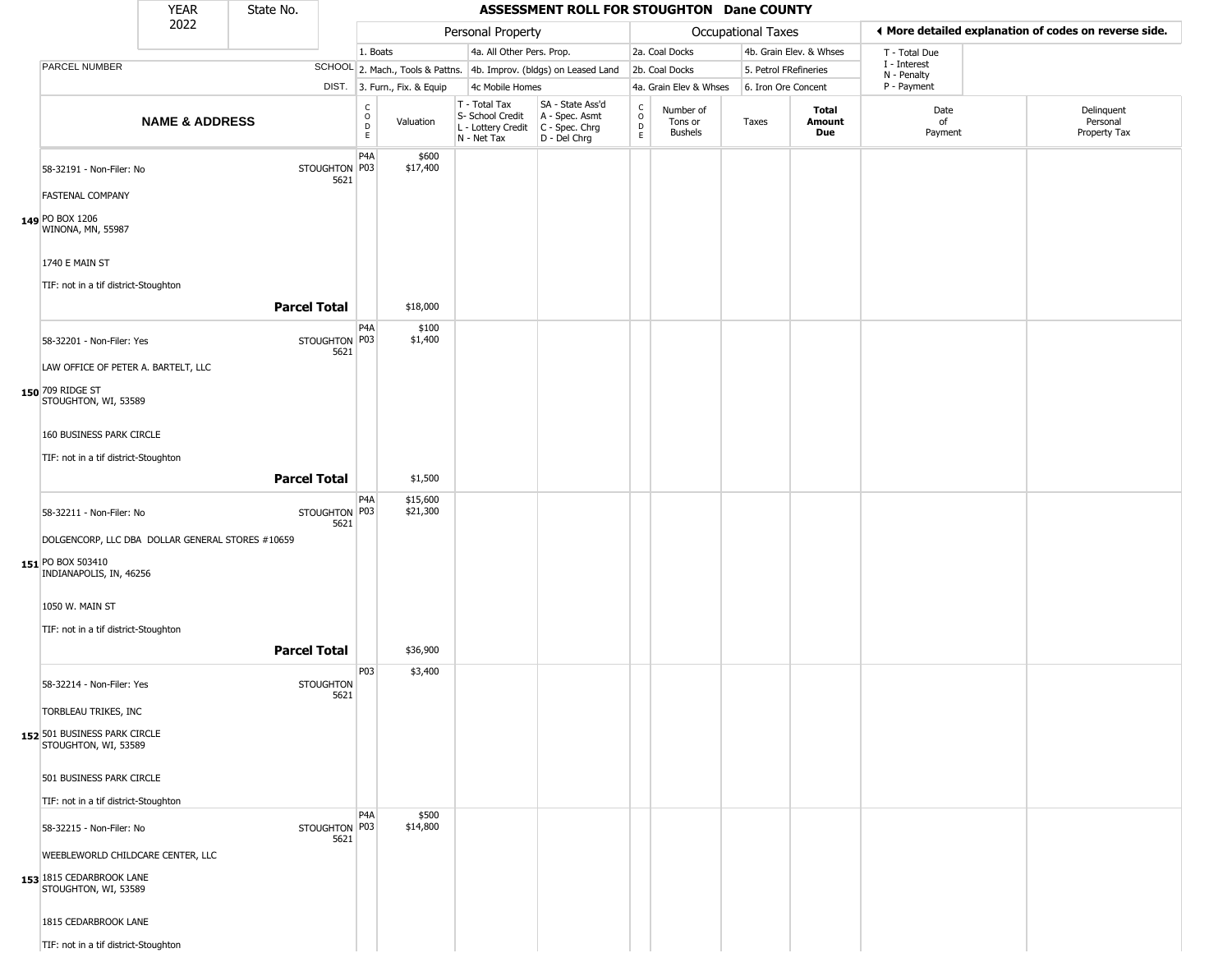|                                                                                                                                                                                  | <b>YEAR</b>               | State No.           |                          |                        |                              |                                                                        | ASSESSMENT ROLL FOR STOUGHTON Dane COUNTY                            |                                                |                                 |                       |                         |                             |                                                       |
|----------------------------------------------------------------------------------------------------------------------------------------------------------------------------------|---------------------------|---------------------|--------------------------|------------------------|------------------------------|------------------------------------------------------------------------|----------------------------------------------------------------------|------------------------------------------------|---------------------------------|-----------------------|-------------------------|-----------------------------|-------------------------------------------------------|
|                                                                                                                                                                                  | 2022                      |                     |                          |                        |                              | Personal Property                                                      |                                                                      |                                                |                                 | Occupational Taxes    |                         |                             | ♦ More detailed explanation of codes on reverse side. |
|                                                                                                                                                                                  |                           |                     |                          | 1. Boats               |                              | 4a. All Other Pers. Prop.                                              |                                                                      |                                                | 2a. Coal Docks                  |                       | 4b. Grain Elev. & Whses | T - Total Due               |                                                       |
| PARCEL NUMBER                                                                                                                                                                    |                           |                     |                          |                        |                              |                                                                        | SCHOOL 2. Mach., Tools & Pattns. 4b. Improv. (bldgs) on Leased Land  |                                                | 2b. Coal Docks                  | 5. Petrol FRefineries |                         | I - Interest<br>N - Penalty |                                                       |
|                                                                                                                                                                                  |                           |                     |                          |                        | DIST. 3. Furn., Fix. & Equip | 4c Mobile Homes                                                        |                                                                      |                                                | 4a. Grain Elev & Whses          | 6. Iron Ore Concent   |                         | P - Payment                 |                                                       |
|                                                                                                                                                                                  | <b>NAME &amp; ADDRESS</b> |                     |                          | C<br>$\circ$<br>D<br>E | Valuation                    | T - Total Tax<br>S- School Credit<br>L - Lottery Credit<br>N - Net Tax | SA - State Ass'd<br>A - Spec. Asmt<br>C - Spec. Chrg<br>D - Del Chrg | $\begin{matrix} 0 \\ 0 \\ 0 \end{matrix}$<br>E | Number of<br>Tons or<br>Bushels | Taxes                 | Total<br>Amount<br>Due  | Date<br>of<br>Payment       | Delinquent<br>Personal<br>Property Tax                |
| 58-32191 - Non-Filer: No<br><b>FASTENAL COMPANY</b><br>149 PO BOX 1206<br>WINONA, MN, 55987                                                                                      |                           |                     | STOUGHTON P03<br>5621    | P4A                    | \$600<br>\$17,400            |                                                                        |                                                                      |                                                |                                 |                       |                         |                             |                                                       |
| 1740 E MAIN ST<br>TIF: not in a tif district-Stoughton                                                                                                                           |                           |                     |                          |                        |                              |                                                                        |                                                                      |                                                |                                 |                       |                         |                             |                                                       |
|                                                                                                                                                                                  |                           | <b>Parcel Total</b> |                          |                        | \$18,000                     |                                                                        |                                                                      |                                                |                                 |                       |                         |                             |                                                       |
| 58-32201 - Non-Filer: Yes<br>LAW OFFICE OF PETER A. BARTELT, LLC<br>150 709 RIDGE ST<br>STOUGHTON, WI, 53589<br>160 BUSINESS PARK CIRCLE<br>TIF: not in a tif district-Stoughton |                           | <b>Parcel Total</b> | STOUGHTON P03<br>5621    | P4A                    | \$100<br>\$1,400<br>\$1,500  |                                                                        |                                                                      |                                                |                                 |                       |                         |                             |                                                       |
| 58-32211 - Non-Filer: No<br>DOLGENCORP, LLC DBA DOLLAR GENERAL STORES #10659<br>151 PO BOX 503410<br>INDIANAPOLIS, IN, 46256<br>1050 W. MAIN ST                                  |                           |                     | STOUGHTON P03<br>5621    | P4A                    | \$15,600<br>\$21,300         |                                                                        |                                                                      |                                                |                                 |                       |                         |                             |                                                       |
| TIF: not in a tif district-Stoughton                                                                                                                                             |                           |                     |                          |                        |                              |                                                                        |                                                                      |                                                |                                 |                       |                         |                             |                                                       |
|                                                                                                                                                                                  |                           | <b>Parcel Total</b> |                          |                        | \$36,900                     |                                                                        |                                                                      |                                                |                                 |                       |                         |                             |                                                       |
| 58-32214 - Non-Filer: Yes<br>TORBLEAU TRIKES, INC<br>152 501 BUSINESS PARK CIRCLE<br>STOUGHTON, WI, 53589                                                                        |                           |                     | <b>STOUGHTON</b><br>5621 | P03                    | \$3,400                      |                                                                        |                                                                      |                                                |                                 |                       |                         |                             |                                                       |
| 501 BUSINESS PARK CIRCLE                                                                                                                                                         |                           |                     |                          |                        |                              |                                                                        |                                                                      |                                                |                                 |                       |                         |                             |                                                       |
| TIF: not in a tif district-Stoughton                                                                                                                                             |                           |                     |                          | P4A                    | \$500                        |                                                                        |                                                                      |                                                |                                 |                       |                         |                             |                                                       |
| 58-32215 - Non-Filer: No<br>WEEBLEWORLD CHILDCARE CENTER, LLC<br>153 1815 CEDARBROOK LANE<br>STOUGHTON, WI, 53589<br>1815 CEDARBROOK LANE                                        |                           |                     | STOUGHTON P03<br>5621    |                        | \$14,800                     |                                                                        |                                                                      |                                                |                                 |                       |                         |                             |                                                       |
| TIF: not in a tif district-Stoughton                                                                                                                                             |                           |                     |                          |                        |                              |                                                                        |                                                                      |                                                |                                 |                       |                         |                             |                                                       |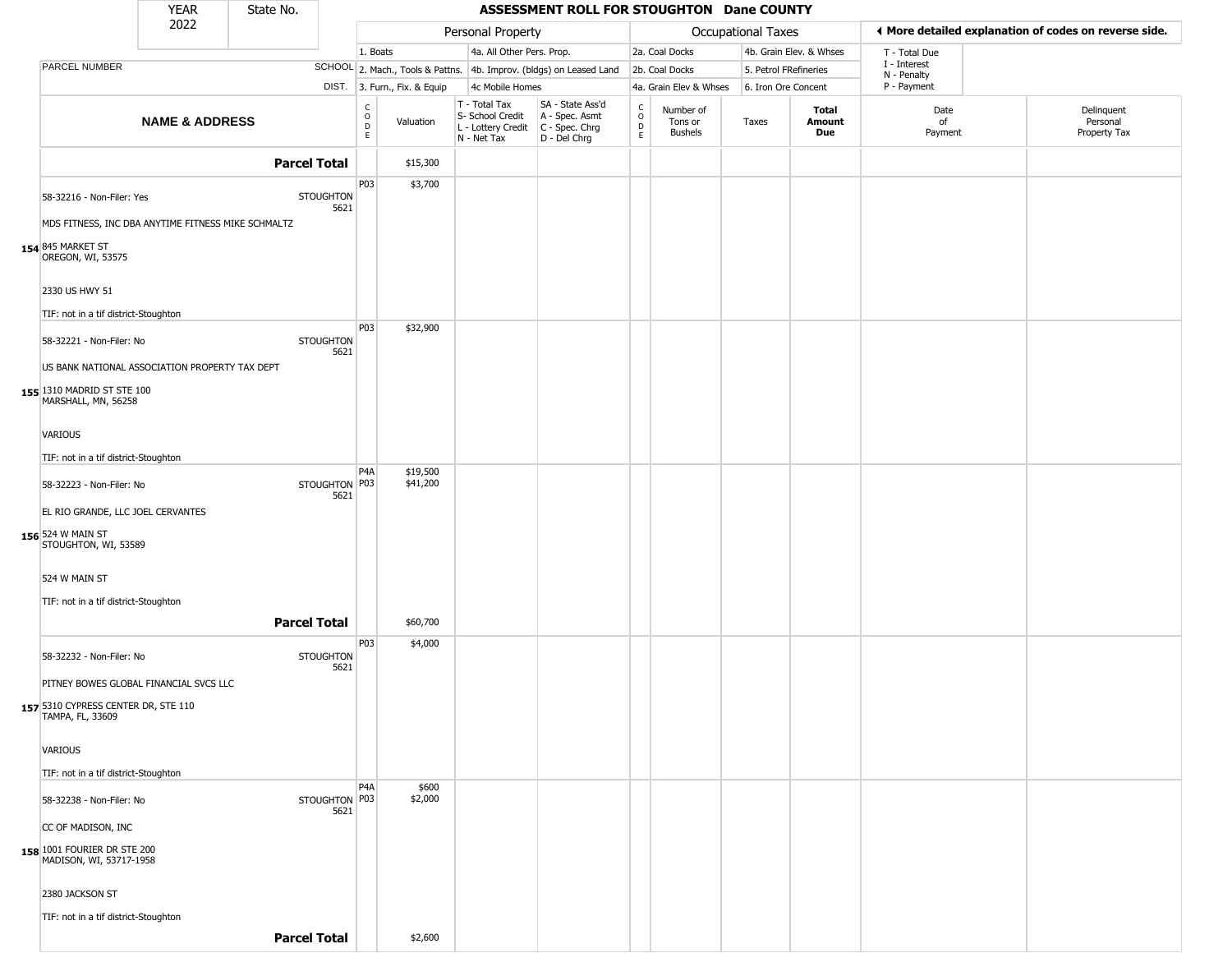|                                                                                              | <b>YEAR</b>               | State No.           |                          |                        |                              |                                                                                         | ASSESSMENT ROLL FOR STOUGHTON Dane COUNTY                           |                                                |                                        |                       |                         |                                                       |                                        |
|----------------------------------------------------------------------------------------------|---------------------------|---------------------|--------------------------|------------------------|------------------------------|-----------------------------------------------------------------------------------------|---------------------------------------------------------------------|------------------------------------------------|----------------------------------------|-----------------------|-------------------------|-------------------------------------------------------|----------------------------------------|
|                                                                                              | 2022                      |                     |                          |                        |                              | Personal Property                                                                       |                                                                     |                                                |                                        | Occupational Taxes    |                         | ◀ More detailed explanation of codes on reverse side. |                                        |
|                                                                                              |                           |                     |                          | 1. Boats               |                              | 4a. All Other Pers. Prop.                                                               |                                                                     |                                                | 2a. Coal Docks                         |                       | 4b. Grain Elev. & Whses | T - Total Due                                         |                                        |
| PARCEL NUMBER                                                                                |                           |                     |                          |                        |                              |                                                                                         | SCHOOL 2. Mach., Tools & Pattns. 4b. Improv. (bldgs) on Leased Land |                                                | 2b. Coal Docks                         | 5. Petrol FRefineries |                         | I - Interest<br>N - Penalty                           |                                        |
|                                                                                              |                           |                     |                          |                        | DIST. 3. Furn., Fix. & Equip | 4c Mobile Homes                                                                         |                                                                     |                                                | 4a. Grain Elev & Whses                 | 6. Iron Ore Concent   |                         | P - Payment                                           |                                        |
|                                                                                              | <b>NAME &amp; ADDRESS</b> |                     |                          | C<br>$\circ$<br>D<br>E | Valuation                    | T - Total Tax<br>S- School Credit<br>L - Lottery Credit   C - Spec. Chrg<br>N - Net Tax | SA - State Ass'd<br>A - Spec. Asmt<br>D - Del Chrg                  | $\begin{matrix} 0 \\ 0 \\ D \end{matrix}$<br>E | Number of<br>Tons or<br><b>Bushels</b> | Taxes                 | Total<br>Amount<br>Due  | Date<br>of<br>Payment                                 | Delinquent<br>Personal<br>Property Tax |
|                                                                                              |                           | <b>Parcel Total</b> |                          |                        | \$15,300                     |                                                                                         |                                                                     |                                                |                                        |                       |                         |                                                       |                                        |
| 58-32216 - Non-Filer: Yes                                                                    |                           |                     | <b>STOUGHTON</b><br>5621 | P03                    | \$3,700                      |                                                                                         |                                                                     |                                                |                                        |                       |                         |                                                       |                                        |
| MDS FITNESS, INC DBA ANYTIME FITNESS MIKE SCHMALTZ<br>154 845 MARKET ST<br>OREGON, WI, 53575 |                           |                     |                          |                        |                              |                                                                                         |                                                                     |                                                |                                        |                       |                         |                                                       |                                        |
| 2330 US HWY 51                                                                               |                           |                     |                          |                        |                              |                                                                                         |                                                                     |                                                |                                        |                       |                         |                                                       |                                        |
| TIF: not in a tif district-Stoughton<br>58-32221 - Non-Filer: No                             |                           |                     | <b>STOUGHTON</b><br>5621 | P03                    | \$32,900                     |                                                                                         |                                                                     |                                                |                                        |                       |                         |                                                       |                                        |
| US BANK NATIONAL ASSOCIATION PROPERTY TAX DEPT                                               |                           |                     |                          |                        |                              |                                                                                         |                                                                     |                                                |                                        |                       |                         |                                                       |                                        |
| 155 1310 MADRID ST STE 100<br>MARSHALL, MN, 56258                                            |                           |                     |                          |                        |                              |                                                                                         |                                                                     |                                                |                                        |                       |                         |                                                       |                                        |
| <b>VARIOUS</b>                                                                               |                           |                     |                          |                        |                              |                                                                                         |                                                                     |                                                |                                        |                       |                         |                                                       |                                        |
| TIF: not in a tif district-Stoughton                                                         |                           |                     |                          |                        |                              |                                                                                         |                                                                     |                                                |                                        |                       |                         |                                                       |                                        |
| 58-32223 - Non-Filer: No                                                                     |                           |                     | STOUGHTON   P03<br>5621  | P4A                    | \$19,500<br>\$41,200         |                                                                                         |                                                                     |                                                |                                        |                       |                         |                                                       |                                        |
| EL RIO GRANDE, LLC JOEL CERVANTES                                                            |                           |                     |                          |                        |                              |                                                                                         |                                                                     |                                                |                                        |                       |                         |                                                       |                                        |
| 156 524 W MAIN ST<br>STOUGHTON, WI, 53589                                                    |                           |                     |                          |                        |                              |                                                                                         |                                                                     |                                                |                                        |                       |                         |                                                       |                                        |
| 524 W MAIN ST                                                                                |                           |                     |                          |                        |                              |                                                                                         |                                                                     |                                                |                                        |                       |                         |                                                       |                                        |
| TIF: not in a tif district-Stoughton                                                         |                           |                     |                          |                        |                              |                                                                                         |                                                                     |                                                |                                        |                       |                         |                                                       |                                        |
|                                                                                              |                           | <b>Parcel Total</b> |                          |                        | \$60,700                     |                                                                                         |                                                                     |                                                |                                        |                       |                         |                                                       |                                        |
| 58-32232 - Non-Filer: No                                                                     |                           |                     | <b>STOUGHTON</b><br>5621 | P03                    | \$4,000                      |                                                                                         |                                                                     |                                                |                                        |                       |                         |                                                       |                                        |
| PITNEY BOWES GLOBAL FINANCIAL SVCS LLC                                                       |                           |                     |                          |                        |                              |                                                                                         |                                                                     |                                                |                                        |                       |                         |                                                       |                                        |
| 157 5310 CYPRESS CENTER DR, STE 110<br>TAMPA, FL, 33609                                      |                           |                     |                          |                        |                              |                                                                                         |                                                                     |                                                |                                        |                       |                         |                                                       |                                        |
| VARIOUS                                                                                      |                           |                     |                          |                        |                              |                                                                                         |                                                                     |                                                |                                        |                       |                         |                                                       |                                        |
| TIF: not in a tif district-Stoughton                                                         |                           |                     |                          | P <sub>4</sub> A       | \$600                        |                                                                                         |                                                                     |                                                |                                        |                       |                         |                                                       |                                        |
| 58-32238 - Non-Filer: No                                                                     |                           |                     | STOUGHTON P03<br>5621    |                        | \$2,000                      |                                                                                         |                                                                     |                                                |                                        |                       |                         |                                                       |                                        |
| CC OF MADISON, INC                                                                           |                           |                     |                          |                        |                              |                                                                                         |                                                                     |                                                |                                        |                       |                         |                                                       |                                        |
| 158 1001 FOURIER DR STE 200<br>MADISON, WI, 53717-1958                                       |                           |                     |                          |                        |                              |                                                                                         |                                                                     |                                                |                                        |                       |                         |                                                       |                                        |
| 2380 JACKSON ST                                                                              |                           |                     |                          |                        |                              |                                                                                         |                                                                     |                                                |                                        |                       |                         |                                                       |                                        |
| TIF: not in a tif district-Stoughton                                                         |                           |                     |                          |                        |                              |                                                                                         |                                                                     |                                                |                                        |                       |                         |                                                       |                                        |
|                                                                                              |                           | <b>Parcel Total</b> |                          |                        | \$2,600                      |                                                                                         |                                                                     |                                                |                                        |                       |                         |                                                       |                                        |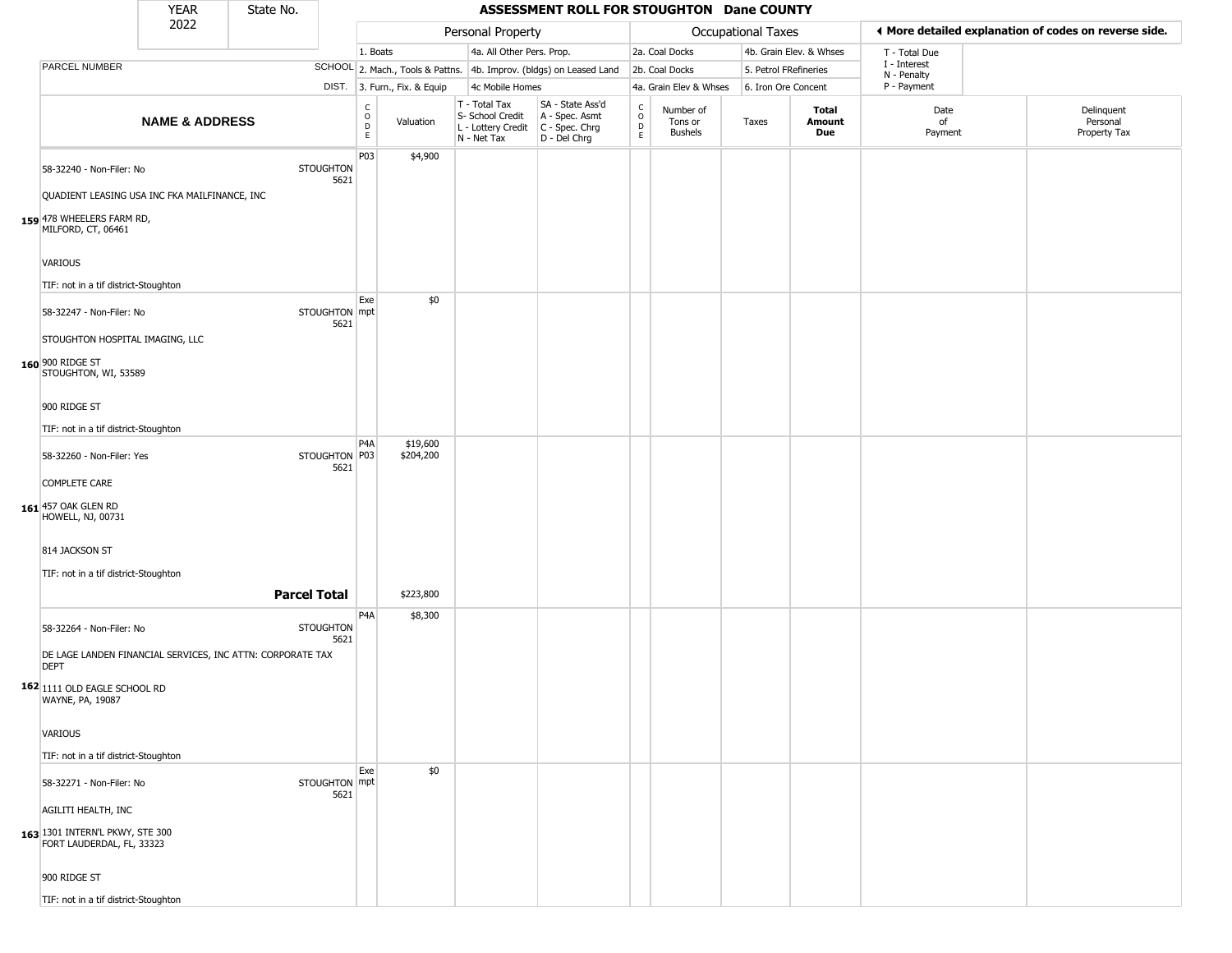|                                                                           | <b>YEAR</b>               | State No.           |                          |                                            |                              |                                                                          | ASSESSMENT ROLL FOR STOUGHTON Dane COUNTY                              |                                           |                                        |                       |                         |                             |                                                       |
|---------------------------------------------------------------------------|---------------------------|---------------------|--------------------------|--------------------------------------------|------------------------------|--------------------------------------------------------------------------|------------------------------------------------------------------------|-------------------------------------------|----------------------------------------|-----------------------|-------------------------|-----------------------------|-------------------------------------------------------|
|                                                                           | 2022                      |                     |                          |                                            |                              | Personal Property                                                        |                                                                        |                                           |                                        | Occupational Taxes    |                         |                             | ♦ More detailed explanation of codes on reverse side. |
|                                                                           |                           |                     |                          | 1. Boats                                   |                              | 4a. All Other Pers. Prop.                                                |                                                                        |                                           | 2a. Coal Docks                         |                       | 4b. Grain Elev. & Whses | T - Total Due               |                                                       |
| PARCEL NUMBER                                                             |                           |                     |                          |                                            |                              |                                                                          | SCHOOL 2. Mach., Tools & Pattns. 4b. Improv. (bldgs) on Leased Land    |                                           | 2b. Coal Docks                         | 5. Petrol FRefineries |                         | I - Interest<br>N - Penalty |                                                       |
|                                                                           |                           |                     |                          |                                            | DIST. 3. Furn., Fix. & Equip | 4c Mobile Homes                                                          |                                                                        |                                           | 4a. Grain Elev & Whses                 | 6. Iron Ore Concent   |                         | P - Payment                 |                                                       |
|                                                                           | <b>NAME &amp; ADDRESS</b> |                     |                          | $\begin{array}{c} C \\ 0 \\ E \end{array}$ | Valuation                    | $T - Total Tax$<br>S- School Credit<br>L - Lottery Credit<br>N - Net Tax | SA - State Ass'd<br>A - Spec. Asmt<br>$C - Spec. Chrg$<br>D - Del Chrg | c<br>$\circ$<br>$\mathsf{D}_{\mathsf{E}}$ | Number of<br>Tons or<br><b>Bushels</b> | Taxes                 | Total<br>Amount<br>Due  | Date<br>of<br>Payment       | Delinquent<br>Personal<br>Property Tax                |
| 58-32240 - Non-Filer: No                                                  |                           |                     | <b>STOUGHTON</b><br>5621 | P03                                        | \$4,900                      |                                                                          |                                                                        |                                           |                                        |                       |                         |                             |                                                       |
| QUADIENT LEASING USA INC FKA MAILFINANCE, INC                             |                           |                     |                          |                                            |                              |                                                                          |                                                                        |                                           |                                        |                       |                         |                             |                                                       |
| 159 478 WHEELERS FARM RD,<br>MILFORD, CT, 06461                           |                           |                     |                          |                                            |                              |                                                                          |                                                                        |                                           |                                        |                       |                         |                             |                                                       |
| <b>VARIOUS</b>                                                            |                           |                     |                          |                                            |                              |                                                                          |                                                                        |                                           |                                        |                       |                         |                             |                                                       |
| TIF: not in a tif district-Stoughton                                      |                           |                     |                          |                                            |                              |                                                                          |                                                                        |                                           |                                        |                       |                         |                             |                                                       |
| 58-32247 - Non-Filer: No                                                  |                           |                     | STOUGHTON mpt<br>5621    | Exe                                        | \$0                          |                                                                          |                                                                        |                                           |                                        |                       |                         |                             |                                                       |
| STOUGHTON HOSPITAL IMAGING, LLC                                           |                           |                     |                          |                                            |                              |                                                                          |                                                                        |                                           |                                        |                       |                         |                             |                                                       |
| 160 900 RIDGE ST<br>STOUGHTON, WI, 53589                                  |                           |                     |                          |                                            |                              |                                                                          |                                                                        |                                           |                                        |                       |                         |                             |                                                       |
| 900 RIDGE ST                                                              |                           |                     |                          |                                            |                              |                                                                          |                                                                        |                                           |                                        |                       |                         |                             |                                                       |
| TIF: not in a tif district-Stoughton                                      |                           |                     |                          |                                            |                              |                                                                          |                                                                        |                                           |                                        |                       |                         |                             |                                                       |
| 58-32260 - Non-Filer: Yes                                                 |                           |                     | STOUGHTON P03            | P <sub>4</sub> A                           | \$19,600<br>\$204,200        |                                                                          |                                                                        |                                           |                                        |                       |                         |                             |                                                       |
|                                                                           |                           |                     | 5621                     |                                            |                              |                                                                          |                                                                        |                                           |                                        |                       |                         |                             |                                                       |
| COMPLETE CARE                                                             |                           |                     |                          |                                            |                              |                                                                          |                                                                        |                                           |                                        |                       |                         |                             |                                                       |
| 161 457 OAK GLEN RD<br>HOWELL, NJ, 00731                                  |                           |                     |                          |                                            |                              |                                                                          |                                                                        |                                           |                                        |                       |                         |                             |                                                       |
| 814 JACKSON ST                                                            |                           |                     |                          |                                            |                              |                                                                          |                                                                        |                                           |                                        |                       |                         |                             |                                                       |
| TIF: not in a tif district-Stoughton                                      |                           |                     |                          |                                            |                              |                                                                          |                                                                        |                                           |                                        |                       |                         |                             |                                                       |
|                                                                           |                           | <b>Parcel Total</b> |                          |                                            | \$223,800                    |                                                                          |                                                                        |                                           |                                        |                       |                         |                             |                                                       |
|                                                                           |                           |                     |                          | P <sub>4</sub> A                           | \$8,300                      |                                                                          |                                                                        |                                           |                                        |                       |                         |                             |                                                       |
| 58-32264 - Non-Filer: No                                                  |                           |                     | <b>STOUGHTON</b><br>5621 |                                            |                              |                                                                          |                                                                        |                                           |                                        |                       |                         |                             |                                                       |
| DE LAGE LANDEN FINANCIAL SERVICES, INC ATTN: CORPORATE TAX<br><b>DEPT</b> |                           |                     |                          |                                            |                              |                                                                          |                                                                        |                                           |                                        |                       |                         |                             |                                                       |
| 162 1111 OLD EAGLE SCHOOL RD<br>WAYNE, PA, 19087                          |                           |                     |                          |                                            |                              |                                                                          |                                                                        |                                           |                                        |                       |                         |                             |                                                       |
| <b>VARIOUS</b>                                                            |                           |                     |                          |                                            |                              |                                                                          |                                                                        |                                           |                                        |                       |                         |                             |                                                       |
| TIF: not in a tif district-Stoughton                                      |                           |                     |                          |                                            |                              |                                                                          |                                                                        |                                           |                                        |                       |                         |                             |                                                       |
| 58-32271 - Non-Filer: No                                                  |                           |                     | STOUGHTON mpt            | Exe                                        | \$0                          |                                                                          |                                                                        |                                           |                                        |                       |                         |                             |                                                       |
| AGILITI HEALTH, INC                                                       |                           |                     | 5621                     |                                            |                              |                                                                          |                                                                        |                                           |                                        |                       |                         |                             |                                                       |
| 163 1301 INTERN'L PKWY, STE 300<br>FORT LAUDERDAL, FL, 33323              |                           |                     |                          |                                            |                              |                                                                          |                                                                        |                                           |                                        |                       |                         |                             |                                                       |
| 900 RIDGE ST                                                              |                           |                     |                          |                                            |                              |                                                                          |                                                                        |                                           |                                        |                       |                         |                             |                                                       |
| TIF: not in a tif district-Stoughton                                      |                           |                     |                          |                                            |                              |                                                                          |                                                                        |                                           |                                        |                       |                         |                             |                                                       |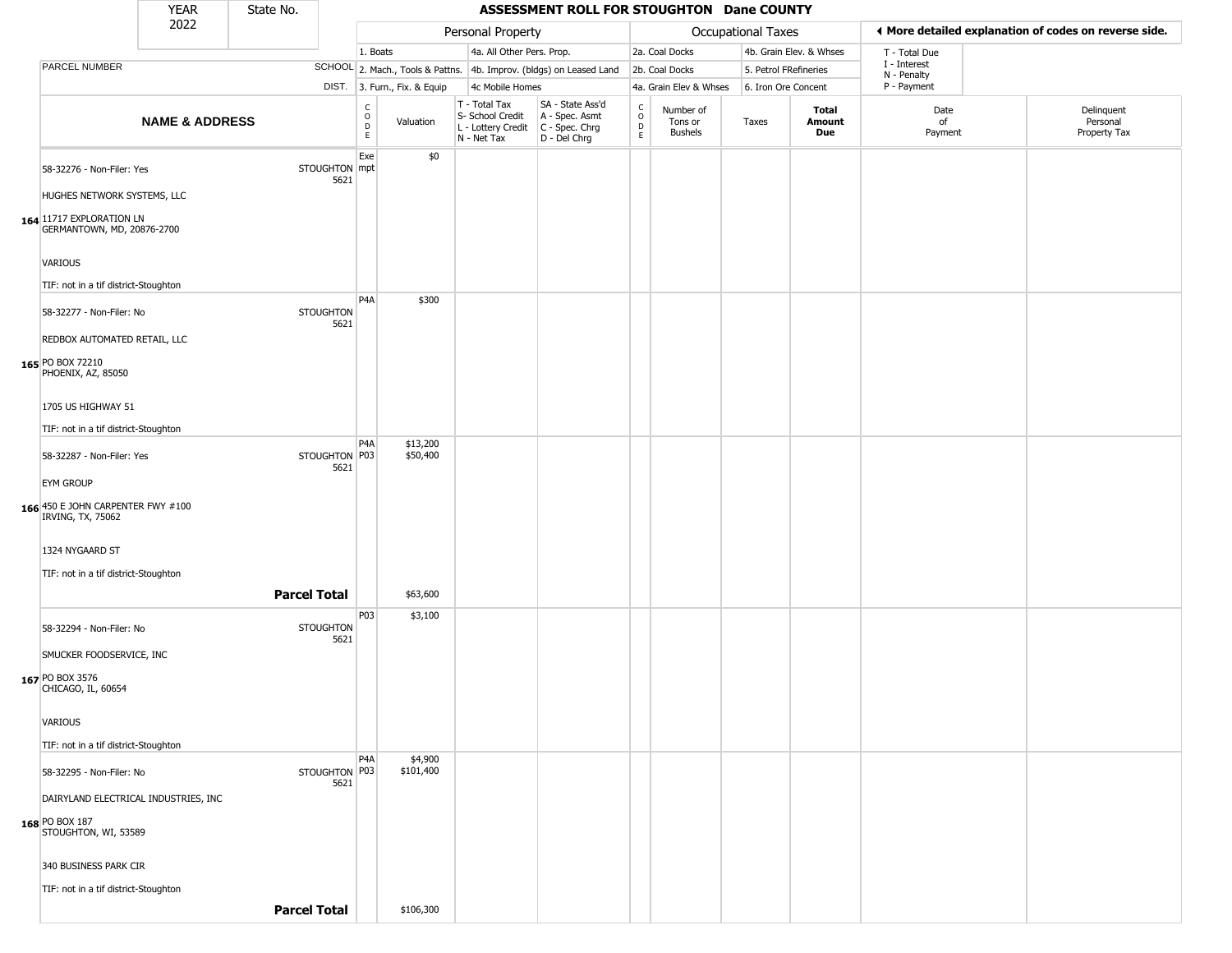|                                                          | <b>YEAR</b>                          | State No.           |                          |                                                |                              |                                                                                         | ASSESSMENT ROLL FOR STOUGHTON Dane COUNTY                           |                                          |                                        |                       |                         |                             |                                                       |
|----------------------------------------------------------|--------------------------------------|---------------------|--------------------------|------------------------------------------------|------------------------------|-----------------------------------------------------------------------------------------|---------------------------------------------------------------------|------------------------------------------|----------------------------------------|-----------------------|-------------------------|-----------------------------|-------------------------------------------------------|
|                                                          | 2022                                 |                     |                          |                                                |                              | Personal Property                                                                       |                                                                     |                                          |                                        | Occupational Taxes    |                         |                             | ♦ More detailed explanation of codes on reverse side. |
|                                                          |                                      |                     |                          | 1. Boats                                       |                              | 4a. All Other Pers. Prop.                                                               |                                                                     |                                          | 2a. Coal Docks                         |                       | 4b. Grain Elev. & Whses | T - Total Due               |                                                       |
| PARCEL NUMBER                                            |                                      |                     |                          |                                                |                              |                                                                                         | SCHOOL 2. Mach., Tools & Pattns. 4b. Improv. (bldgs) on Leased Land |                                          | 2b. Coal Docks                         | 5. Petrol FRefineries |                         | I - Interest<br>N - Penalty |                                                       |
|                                                          |                                      |                     |                          |                                                | DIST. 3. Furn., Fix. & Equip | 4c Mobile Homes                                                                         |                                                                     |                                          | 4a. Grain Elev & Whses                 | 6. Iron Ore Concent   |                         | P - Payment                 |                                                       |
|                                                          | <b>NAME &amp; ADDRESS</b>            |                     |                          | $\begin{matrix} 0 \\ 0 \\ D \end{matrix}$<br>E | Valuation                    | T - Total Tax<br>S- School Credit<br>L - Lottery Credit   C - Spec. Chrg<br>N - Net Tax | SA - State Ass'd<br>A - Spec. Asmt<br>D - Del Chrg                  | $\rm _o^C$<br>$\mathsf D$<br>$\mathsf E$ | Number of<br>Tons or<br><b>Bushels</b> | Taxes                 | Total<br>Amount<br>Due  | Date<br>of<br>Payment       | Delinquent<br>Personal<br>Property Tax                |
| 58-32276 - Non-Filer: Yes<br>HUGHES NETWORK SYSTEMS, LLC |                                      |                     | STOUGHTON mpt<br>5621    | Exe                                            | \$0                          |                                                                                         |                                                                     |                                          |                                        |                       |                         |                             |                                                       |
| 164 11717 EXPLORATION LN<br>GERMANTOWN, MD, 20876-2700   |                                      |                     |                          |                                                |                              |                                                                                         |                                                                     |                                          |                                        |                       |                         |                             |                                                       |
| <b>VARIOUS</b>                                           |                                      |                     |                          |                                                |                              |                                                                                         |                                                                     |                                          |                                        |                       |                         |                             |                                                       |
| TIF: not in a tif district-Stoughton                     |                                      |                     |                          | P <sub>4</sub> A                               | \$300                        |                                                                                         |                                                                     |                                          |                                        |                       |                         |                             |                                                       |
| 58-32277 - Non-Filer: No                                 |                                      |                     | <b>STOUGHTON</b><br>5621 |                                                |                              |                                                                                         |                                                                     |                                          |                                        |                       |                         |                             |                                                       |
| REDBOX AUTOMATED RETAIL, LLC<br>165 PO BOX 72210         |                                      |                     |                          |                                                |                              |                                                                                         |                                                                     |                                          |                                        |                       |                         |                             |                                                       |
| PHOENIX, AZ, 85050                                       |                                      |                     |                          |                                                |                              |                                                                                         |                                                                     |                                          |                                        |                       |                         |                             |                                                       |
| 1705 US HIGHWAY 51                                       |                                      |                     |                          |                                                |                              |                                                                                         |                                                                     |                                          |                                        |                       |                         |                             |                                                       |
| TIF: not in a tif district-Stoughton                     |                                      |                     |                          | P <sub>4</sub> A                               |                              |                                                                                         |                                                                     |                                          |                                        |                       |                         |                             |                                                       |
| 58-32287 - Non-Filer: Yes                                |                                      |                     | STOUGHTON P03<br>5621    |                                                | \$13,200<br>\$50,400         |                                                                                         |                                                                     |                                          |                                        |                       |                         |                             |                                                       |
| <b>EYM GROUP</b>                                         |                                      |                     |                          |                                                |                              |                                                                                         |                                                                     |                                          |                                        |                       |                         |                             |                                                       |
| 166 450 E JOHN CARPENTER FWY #100<br>IRVING, TX, 75062   |                                      |                     |                          |                                                |                              |                                                                                         |                                                                     |                                          |                                        |                       |                         |                             |                                                       |
| 1324 NYGAARD ST                                          |                                      |                     |                          |                                                |                              |                                                                                         |                                                                     |                                          |                                        |                       |                         |                             |                                                       |
| TIF: not in a tif district-Stoughton                     |                                      |                     |                          |                                                |                              |                                                                                         |                                                                     |                                          |                                        |                       |                         |                             |                                                       |
|                                                          |                                      | <b>Parcel Total</b> |                          |                                                | \$63,600                     |                                                                                         |                                                                     |                                          |                                        |                       |                         |                             |                                                       |
| 58-32294 - Non-Filer: No                                 |                                      |                     | STOUGHTON<br>5621        | P03                                            | \$3,100                      |                                                                                         |                                                                     |                                          |                                        |                       |                         |                             |                                                       |
| SMUCKER FOODSERVICE, INC                                 |                                      |                     |                          |                                                |                              |                                                                                         |                                                                     |                                          |                                        |                       |                         |                             |                                                       |
| 167 PO BOX 3576<br>CHICAGO, IL, 60654                    |                                      |                     |                          |                                                |                              |                                                                                         |                                                                     |                                          |                                        |                       |                         |                             |                                                       |
| VARIOUS                                                  |                                      |                     |                          |                                                |                              |                                                                                         |                                                                     |                                          |                                        |                       |                         |                             |                                                       |
| TIF: not in a tif district-Stoughton                     |                                      |                     |                          |                                                |                              |                                                                                         |                                                                     |                                          |                                        |                       |                         |                             |                                                       |
| 58-32295 - Non-Filer: No                                 |                                      |                     | STOUGHTON P03<br>5621    | P <sub>4</sub> A                               | \$4,900<br>\$101,400         |                                                                                         |                                                                     |                                          |                                        |                       |                         |                             |                                                       |
|                                                          | DAIRYLAND ELECTRICAL INDUSTRIES, INC |                     |                          |                                                |                              |                                                                                         |                                                                     |                                          |                                        |                       |                         |                             |                                                       |
| 168 PO BOX 187<br>STOUGHTON, WI, 53589                   |                                      |                     |                          |                                                |                              |                                                                                         |                                                                     |                                          |                                        |                       |                         |                             |                                                       |
| 340 BUSINESS PARK CIR                                    |                                      |                     |                          |                                                |                              |                                                                                         |                                                                     |                                          |                                        |                       |                         |                             |                                                       |
| TIF: not in a tif district-Stoughton                     |                                      |                     |                          |                                                |                              |                                                                                         |                                                                     |                                          |                                        |                       |                         |                             |                                                       |
|                                                          |                                      | <b>Parcel Total</b> |                          |                                                | \$106,300                    |                                                                                         |                                                                     |                                          |                                        |                       |                         |                             |                                                       |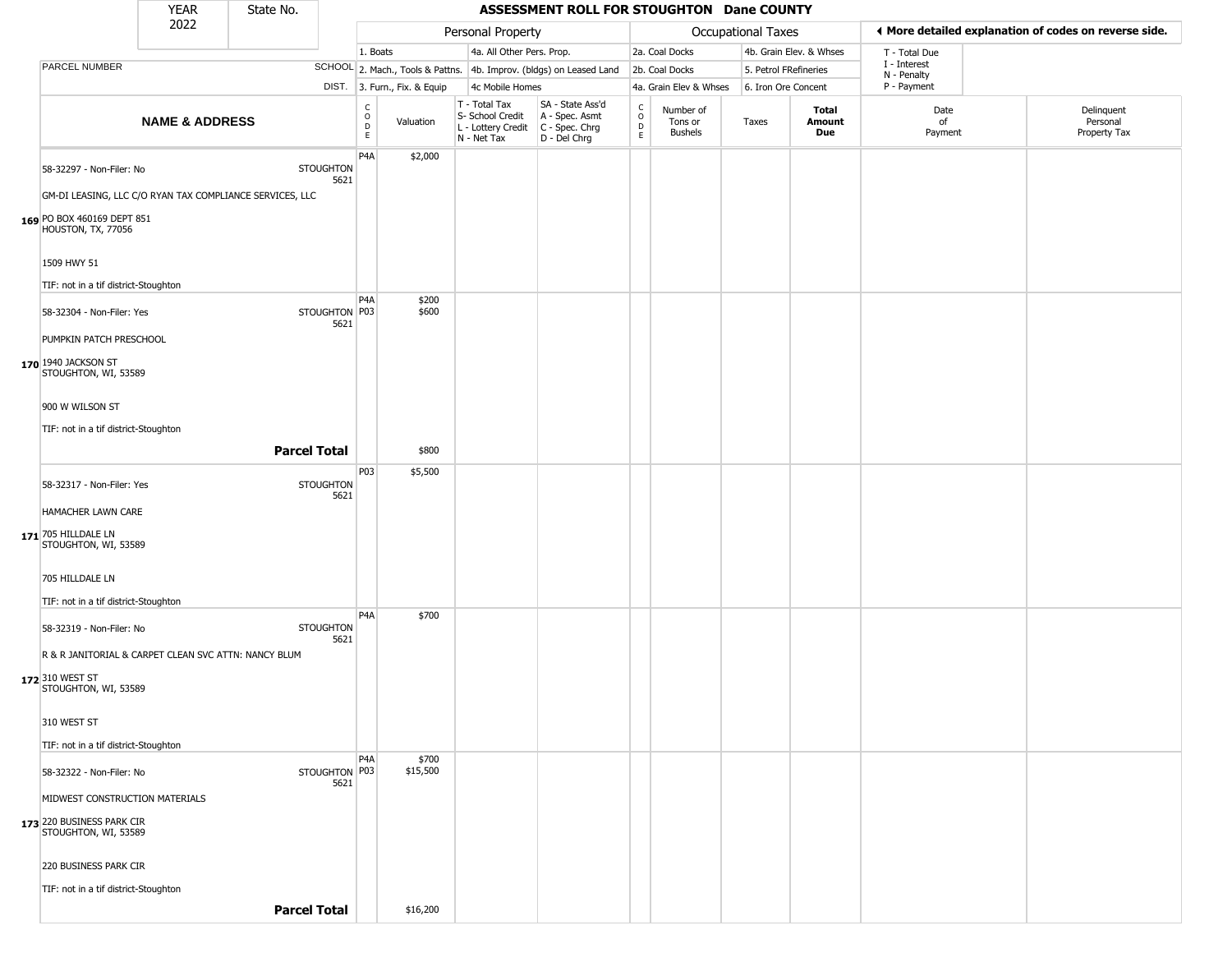|                                                      | <b>YEAR</b>               | State No.                                                |                          |                                              |                              |                                                                                           | ASSESSMENT ROLL FOR STOUGHTON Dane COUNTY                           |                         |                                 |                       |                         |                             |                                                       |
|------------------------------------------------------|---------------------------|----------------------------------------------------------|--------------------------|----------------------------------------------|------------------------------|-------------------------------------------------------------------------------------------|---------------------------------------------------------------------|-------------------------|---------------------------------|-----------------------|-------------------------|-----------------------------|-------------------------------------------------------|
|                                                      | 2022                      |                                                          |                          |                                              |                              | Personal Property                                                                         |                                                                     |                         |                                 | Occupational Taxes    |                         |                             | ♦ More detailed explanation of codes on reverse side. |
|                                                      |                           |                                                          |                          | 1. Boats                                     |                              | 4a. All Other Pers. Prop.                                                                 |                                                                     |                         | 2a. Coal Docks                  |                       | 4b. Grain Elev. & Whses | T - Total Due               |                                                       |
| PARCEL NUMBER                                        |                           |                                                          |                          |                                              |                              |                                                                                           | SCHOOL 2. Mach., Tools & Pattns. 4b. Improv. (bldgs) on Leased Land |                         | 2b. Coal Docks                  | 5. Petrol FRefineries |                         | I - Interest<br>N - Penalty |                                                       |
|                                                      |                           |                                                          |                          |                                              | DIST. 3. Furn., Fix. & Equip | 4c Mobile Homes                                                                           |                                                                     |                         | 4a. Grain Elev & Whses          | 6. Iron Ore Concent   |                         | P - Payment                 |                                                       |
|                                                      | <b>NAME &amp; ADDRESS</b> |                                                          |                          | $\begin{array}{c}\nC \\ O \\ E\n\end{array}$ | Valuation                    | T - Total Tax<br>S- School Credit<br>$L$ - Lottery Credit $C$ - Spec. Chrg<br>N - Net Tax | SA - State Ass'd<br>A - Spec. Asmt<br>D - Del Chrg                  | C<br>$\circ$<br>D<br>E. | Number of<br>Tons or<br>Bushels | Taxes                 | Total<br>Amount<br>Due  | Date<br>of<br>Payment       | Delinquent<br>Personal<br>Property Tax                |
| 58-32297 - Non-Filer: No                             |                           |                                                          | <b>STOUGHTON</b><br>5621 | P <sub>4</sub> A                             | \$2,000                      |                                                                                           |                                                                     |                         |                                 |                       |                         |                             |                                                       |
|                                                      |                           | GM-DI LEASING, LLC C/O RYAN TAX COMPLIANCE SERVICES, LLC |                          |                                              |                              |                                                                                           |                                                                     |                         |                                 |                       |                         |                             |                                                       |
| 169 PO BOX 460169 DEPT 851<br>HOUSTON, TX, 77056     |                           |                                                          |                          |                                              |                              |                                                                                           |                                                                     |                         |                                 |                       |                         |                             |                                                       |
| 1509 HWY 51                                          |                           |                                                          |                          |                                              |                              |                                                                                           |                                                                     |                         |                                 |                       |                         |                             |                                                       |
| TIF: not in a tif district-Stoughton                 |                           |                                                          |                          |                                              |                              |                                                                                           |                                                                     |                         |                                 |                       |                         |                             |                                                       |
| 58-32304 - Non-Filer: Yes                            |                           |                                                          | STOUGHTON P03<br>5621    | P4A                                          | \$200<br>\$600               |                                                                                           |                                                                     |                         |                                 |                       |                         |                             |                                                       |
| PUMPKIN PATCH PRESCHOOL                              |                           |                                                          |                          |                                              |                              |                                                                                           |                                                                     |                         |                                 |                       |                         |                             |                                                       |
| 170 1940 JACKSON ST<br>STOUGHTON, WI, 53589          |                           |                                                          |                          |                                              |                              |                                                                                           |                                                                     |                         |                                 |                       |                         |                             |                                                       |
| 900 W WILSON ST                                      |                           |                                                          |                          |                                              |                              |                                                                                           |                                                                     |                         |                                 |                       |                         |                             |                                                       |
| TIF: not in a tif district-Stoughton                 |                           |                                                          |                          |                                              |                              |                                                                                           |                                                                     |                         |                                 |                       |                         |                             |                                                       |
|                                                      |                           | <b>Parcel Total</b>                                      |                          |                                              | \$800                        |                                                                                           |                                                                     |                         |                                 |                       |                         |                             |                                                       |
| 58-32317 - Non-Filer: Yes                            |                           |                                                          | <b>STOUGHTON</b><br>5621 | P03                                          | \$5,500                      |                                                                                           |                                                                     |                         |                                 |                       |                         |                             |                                                       |
| HAMACHER LAWN CARE                                   |                           |                                                          |                          |                                              |                              |                                                                                           |                                                                     |                         |                                 |                       |                         |                             |                                                       |
| 171 705 HILLDALE LN<br>STOUGHTON, WI, 53589          |                           |                                                          |                          |                                              |                              |                                                                                           |                                                                     |                         |                                 |                       |                         |                             |                                                       |
| 705 HILLDALE LN                                      |                           |                                                          |                          |                                              |                              |                                                                                           |                                                                     |                         |                                 |                       |                         |                             |                                                       |
| TIF: not in a tif district-Stoughton                 |                           |                                                          |                          |                                              |                              |                                                                                           |                                                                     |                         |                                 |                       |                         |                             |                                                       |
| 58-32319 - Non-Filer: No                             |                           |                                                          | <b>STOUGHTON</b><br>5621 | P4A                                          | \$700                        |                                                                                           |                                                                     |                         |                                 |                       |                         |                             |                                                       |
| R & R JANITORIAL & CARPET CLEAN SVC ATTN: NANCY BLUM |                           |                                                          |                          |                                              |                              |                                                                                           |                                                                     |                         |                                 |                       |                         |                             |                                                       |
| 172 310 WEST ST<br>STOUGHTON, WI, 53589              |                           |                                                          |                          |                                              |                              |                                                                                           |                                                                     |                         |                                 |                       |                         |                             |                                                       |
| 310 WEST ST                                          |                           |                                                          |                          |                                              |                              |                                                                                           |                                                                     |                         |                                 |                       |                         |                             |                                                       |
| TIF: not in a tif district-Stoughton                 |                           |                                                          |                          |                                              |                              |                                                                                           |                                                                     |                         |                                 |                       |                         |                             |                                                       |
| 58-32322 - Non-Filer: No                             |                           |                                                          | STOUGHTON P03<br>5621    | P4A                                          | \$700<br>\$15,500            |                                                                                           |                                                                     |                         |                                 |                       |                         |                             |                                                       |
| MIDWEST CONSTRUCTION MATERIALS                       |                           |                                                          |                          |                                              |                              |                                                                                           |                                                                     |                         |                                 |                       |                         |                             |                                                       |
| 173 220 BUSINESS PARK CIR<br>STOUGHTON, WI, 53589    |                           |                                                          |                          |                                              |                              |                                                                                           |                                                                     |                         |                                 |                       |                         |                             |                                                       |
| 220 BUSINESS PARK CIR                                |                           |                                                          |                          |                                              |                              |                                                                                           |                                                                     |                         |                                 |                       |                         |                             |                                                       |
| TIF: not in a tif district-Stoughton                 |                           |                                                          |                          |                                              |                              |                                                                                           |                                                                     |                         |                                 |                       |                         |                             |                                                       |
|                                                      |                           | <b>Parcel Total</b>                                      |                          |                                              | \$16,200                     |                                                                                           |                                                                     |                         |                                 |                       |                         |                             |                                                       |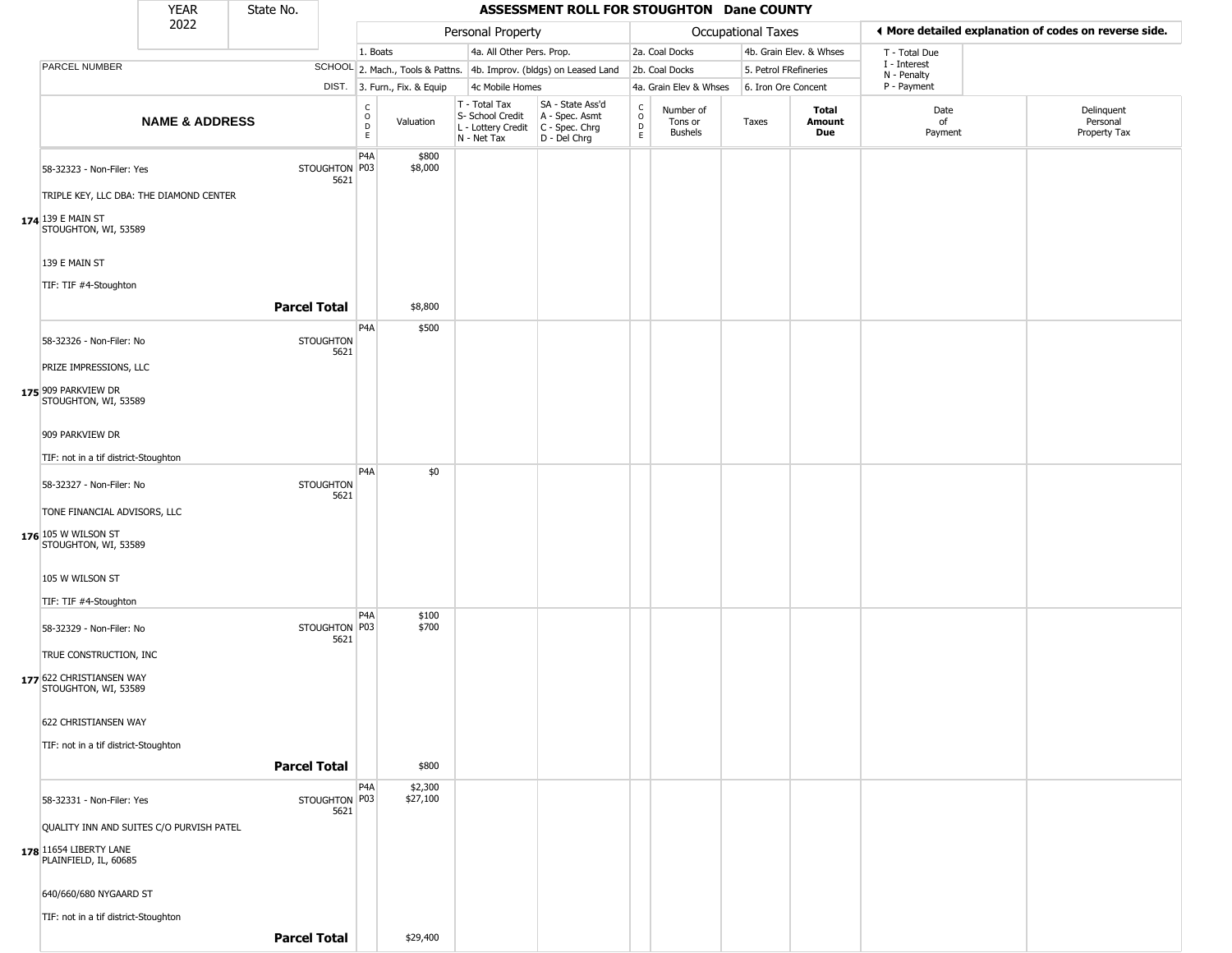|                                                                                             | <b>YEAR</b>               | State No.           |                          |                        |                              |                                                                        | ASSESSMENT ROLL FOR STOUGHTON Dane COUNTY                            |                                                |                                 |                       |                         |                             |                                                       |
|---------------------------------------------------------------------------------------------|---------------------------|---------------------|--------------------------|------------------------|------------------------------|------------------------------------------------------------------------|----------------------------------------------------------------------|------------------------------------------------|---------------------------------|-----------------------|-------------------------|-----------------------------|-------------------------------------------------------|
|                                                                                             | 2022                      |                     |                          |                        |                              | Personal Property                                                      |                                                                      |                                                |                                 | Occupational Taxes    |                         |                             | ◀ More detailed explanation of codes on reverse side. |
|                                                                                             |                           |                     |                          | 1. Boats               |                              | 4a. All Other Pers. Prop.                                              |                                                                      |                                                | 2a. Coal Docks                  |                       | 4b. Grain Elev. & Whses | T - Total Due               |                                                       |
| PARCEL NUMBER                                                                               |                           |                     |                          |                        |                              |                                                                        | SCHOOL 2. Mach., Tools & Pattns. 4b. Improv. (bldgs) on Leased Land  |                                                | 2b. Coal Docks                  | 5. Petrol FRefineries |                         | I - Interest<br>N - Penalty |                                                       |
|                                                                                             |                           |                     |                          |                        | DIST. 3. Furn., Fix. & Equip | 4c Mobile Homes                                                        |                                                                      |                                                | 4a. Grain Elev & Whses          | 6. Iron Ore Concent   |                         | P - Payment                 |                                                       |
|                                                                                             | <b>NAME &amp; ADDRESS</b> |                     |                          | C<br>$\circ$<br>D<br>E | Valuation                    | T - Total Tax<br>S- School Credit<br>L - Lottery Credit<br>N - Net Tax | SA - State Ass'd<br>A - Spec. Asmt<br>C - Spec. Chrg<br>D - Del Chrg | $\begin{matrix} 0 \\ 0 \\ D \end{matrix}$<br>E | Number of<br>Tons or<br>Bushels | Taxes                 | Total<br>Amount<br>Due  | Date<br>of<br>Payment       | Delinquent<br>Personal<br>Property Tax                |
| 58-32323 - Non-Filer: Yes<br>TRIPLE KEY, LLC DBA: THE DIAMOND CENTER                        |                           |                     | STOUGHTON P03<br>5621    | P4A                    | \$800<br>\$8,000             |                                                                        |                                                                      |                                                |                                 |                       |                         |                             |                                                       |
| 174 139 E MAIN ST<br>STOUGHTON, WI, 53589                                                   |                           |                     |                          |                        |                              |                                                                        |                                                                      |                                                |                                 |                       |                         |                             |                                                       |
| 139 E MAIN ST                                                                               |                           |                     |                          |                        |                              |                                                                        |                                                                      |                                                |                                 |                       |                         |                             |                                                       |
| TIF: TIF #4-Stoughton                                                                       |                           | <b>Parcel Total</b> |                          |                        | \$8,800                      |                                                                        |                                                                      |                                                |                                 |                       |                         |                             |                                                       |
| 58-32326 - Non-Filer: No                                                                    |                           |                     | <b>STOUGHTON</b><br>5621 | P4A                    | \$500                        |                                                                        |                                                                      |                                                |                                 |                       |                         |                             |                                                       |
| PRIZE IMPRESSIONS, LLC<br>175 909 PARKVIEW DR<br>STOUGHTON, WI, 53589                       |                           |                     |                          |                        |                              |                                                                        |                                                                      |                                                |                                 |                       |                         |                             |                                                       |
| 909 PARKVIEW DR                                                                             |                           |                     |                          |                        |                              |                                                                        |                                                                      |                                                |                                 |                       |                         |                             |                                                       |
| TIF: not in a tif district-Stoughton                                                        |                           |                     |                          |                        |                              |                                                                        |                                                                      |                                                |                                 |                       |                         |                             |                                                       |
| 58-32327 - Non-Filer: No                                                                    |                           |                     | <b>STOUGHTON</b><br>5621 | P <sub>4</sub> A       | \$0                          |                                                                        |                                                                      |                                                |                                 |                       |                         |                             |                                                       |
| TONE FINANCIAL ADVISORS, LLC<br>176 105 W WILSON ST<br>STOUGHTON, WI, 53589                 |                           |                     |                          |                        |                              |                                                                        |                                                                      |                                                |                                 |                       |                         |                             |                                                       |
| 105 W WILSON ST                                                                             |                           |                     |                          |                        |                              |                                                                        |                                                                      |                                                |                                 |                       |                         |                             |                                                       |
| TIF: TIF #4-Stoughton                                                                       |                           |                     |                          | P4A                    | \$100                        |                                                                        |                                                                      |                                                |                                 |                       |                         |                             |                                                       |
| 58-32329 - Non-Filer: No<br>TRUE CONSTRUCTION, INC                                          |                           |                     | STOUGHTON P03<br>5621    |                        | \$700                        |                                                                        |                                                                      |                                                |                                 |                       |                         |                             |                                                       |
| 177 622 CHRISTIANSEN WAY<br>STOUGHTON, WI, 53589                                            |                           |                     |                          |                        |                              |                                                                        |                                                                      |                                                |                                 |                       |                         |                             |                                                       |
| 622 CHRISTIANSEN WAY<br>TIF: not in a tif district-Stoughton                                |                           |                     |                          |                        |                              |                                                                        |                                                                      |                                                |                                 |                       |                         |                             |                                                       |
|                                                                                             |                           | <b>Parcel Total</b> |                          |                        | \$800                        |                                                                        |                                                                      |                                                |                                 |                       |                         |                             |                                                       |
| 58-32331 - Non-Filer: Yes                                                                   |                           |                     | STOUGHTON P03<br>5621    | P4A                    | \$2,300<br>\$27,100          |                                                                        |                                                                      |                                                |                                 |                       |                         |                             |                                                       |
| QUALITY INN AND SUITES C/O PURVISH PATEL<br>178 11654 LIBERTY LANE<br>PLAINFIELD, IL, 60685 |                           |                     |                          |                        |                              |                                                                        |                                                                      |                                                |                                 |                       |                         |                             |                                                       |
| 640/660/680 NYGAARD ST                                                                      |                           |                     |                          |                        |                              |                                                                        |                                                                      |                                                |                                 |                       |                         |                             |                                                       |
| TIF: not in a tif district-Stoughton                                                        |                           | <b>Parcel Total</b> |                          |                        | \$29,400                     |                                                                        |                                                                      |                                                |                                 |                       |                         |                             |                                                       |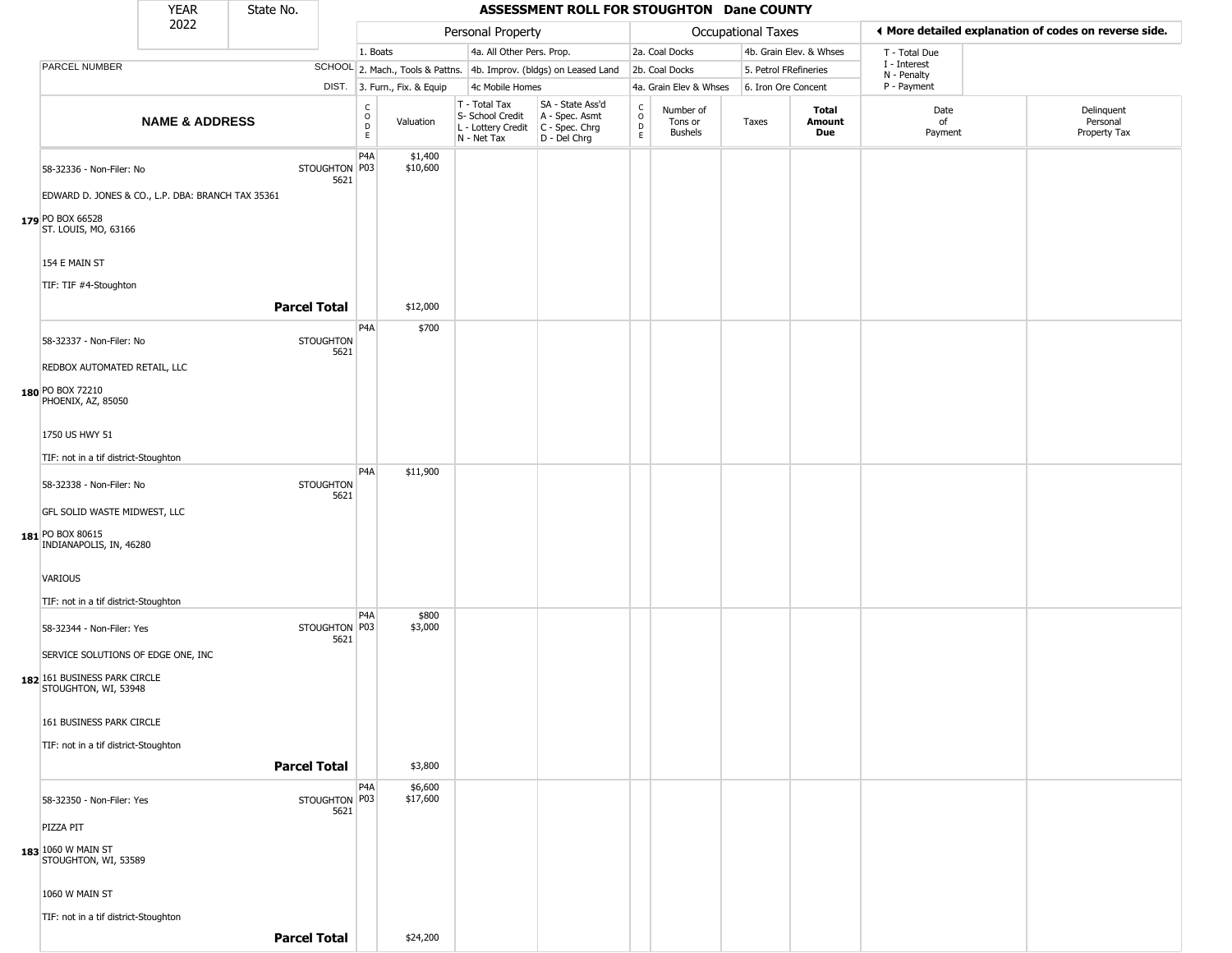|                                                      | <b>YEAR</b>               | State No.           |                          |                                                          |                              |                                                                        | ASSESSMENT ROLL FOR STOUGHTON Dane COUNTY                              |                                                          |                                        |                           |                               |                             |                                                       |
|------------------------------------------------------|---------------------------|---------------------|--------------------------|----------------------------------------------------------|------------------------------|------------------------------------------------------------------------|------------------------------------------------------------------------|----------------------------------------------------------|----------------------------------------|---------------------------|-------------------------------|-----------------------------|-------------------------------------------------------|
|                                                      | 2022                      |                     |                          |                                                          |                              | Personal Property                                                      |                                                                        |                                                          |                                        | <b>Occupational Taxes</b> |                               |                             | ♦ More detailed explanation of codes on reverse side. |
|                                                      |                           |                     |                          | 1. Boats                                                 |                              | 4a. All Other Pers. Prop.                                              |                                                                        |                                                          | 2a. Coal Docks                         |                           | 4b. Grain Elev. & Whses       | T - Total Due               |                                                       |
| PARCEL NUMBER                                        |                           |                     |                          |                                                          |                              |                                                                        | SCHOOL 2. Mach., Tools & Pattns. 4b. Improv. (bldgs) on Leased Land    |                                                          | 2b. Coal Docks                         |                           | 5. Petrol FRefineries         | I - Interest<br>N - Penalty |                                                       |
|                                                      |                           |                     |                          |                                                          | DIST. 3. Furn., Fix. & Equip | 4c Mobile Homes                                                        |                                                                        |                                                          | 4a. Grain Elev & Whses                 |                           | 6. Iron Ore Concent           | P - Payment                 |                                                       |
|                                                      | <b>NAME &amp; ADDRESS</b> |                     |                          | $\begin{matrix} 0 \\ 0 \\ D \end{matrix}$<br>$\mathsf E$ | Valuation                    | T - Total Tax<br>S- School Credit<br>L - Lottery Credit<br>N - Net Tax | SA - State Ass'd<br>A - Spec. Asmt<br>$C - Spec. Chrg$<br>D - Del Chrg | $\begin{smallmatrix} C \\ 0 \\ D \end{smallmatrix}$<br>E | Number of<br>Tons or<br><b>Bushels</b> | Taxes                     | Total<br>Amount<br><b>Due</b> | Date<br>of<br>Payment       | Delinquent<br>Personal<br>Property Tax                |
| 58-32336 - Non-Filer: No                             |                           |                     | STOUGHTON P03<br>5621    | P <sub>4</sub> A                                         | \$1,400<br>\$10,600          |                                                                        |                                                                        |                                                          |                                        |                           |                               |                             |                                                       |
| EDWARD D. JONES & CO., L.P. DBA: BRANCH TAX 35361    |                           |                     |                          |                                                          |                              |                                                                        |                                                                        |                                                          |                                        |                           |                               |                             |                                                       |
| 179 PO BOX 66528<br>ST. LOUIS, MO, 63166             |                           |                     |                          |                                                          |                              |                                                                        |                                                                        |                                                          |                                        |                           |                               |                             |                                                       |
| 154 E MAIN ST                                        |                           |                     |                          |                                                          |                              |                                                                        |                                                                        |                                                          |                                        |                           |                               |                             |                                                       |
| TIF: TIF #4-Stoughton                                |                           |                     |                          |                                                          |                              |                                                                        |                                                                        |                                                          |                                        |                           |                               |                             |                                                       |
|                                                      |                           | <b>Parcel Total</b> |                          |                                                          | \$12,000                     |                                                                        |                                                                        |                                                          |                                        |                           |                               |                             |                                                       |
| 58-32337 - Non-Filer: No                             |                           |                     | <b>STOUGHTON</b><br>5621 | P <sub>4</sub> A                                         | \$700                        |                                                                        |                                                                        |                                                          |                                        |                           |                               |                             |                                                       |
| REDBOX AUTOMATED RETAIL, LLC                         |                           |                     |                          |                                                          |                              |                                                                        |                                                                        |                                                          |                                        |                           |                               |                             |                                                       |
| 180 PO BOX 72210<br>PHOENIX, AZ, 85050               |                           |                     |                          |                                                          |                              |                                                                        |                                                                        |                                                          |                                        |                           |                               |                             |                                                       |
| 1750 US HWY 51                                       |                           |                     |                          |                                                          |                              |                                                                        |                                                                        |                                                          |                                        |                           |                               |                             |                                                       |
| TIF: not in a tif district-Stoughton                 |                           |                     |                          |                                                          |                              |                                                                        |                                                                        |                                                          |                                        |                           |                               |                             |                                                       |
| 58-32338 - Non-Filer: No                             |                           |                     | <b>STOUGHTON</b><br>5621 | P <sub>4</sub> A                                         | \$11,900                     |                                                                        |                                                                        |                                                          |                                        |                           |                               |                             |                                                       |
| GFL SOLID WASTE MIDWEST, LLC                         |                           |                     |                          |                                                          |                              |                                                                        |                                                                        |                                                          |                                        |                           |                               |                             |                                                       |
| 181 PO BOX 80615<br>INDIANAPOLIS, IN, 46280          |                           |                     |                          |                                                          |                              |                                                                        |                                                                        |                                                          |                                        |                           |                               |                             |                                                       |
| <b>VARIOUS</b>                                       |                           |                     |                          |                                                          |                              |                                                                        |                                                                        |                                                          |                                        |                           |                               |                             |                                                       |
| TIF: not in a tif district-Stoughton                 |                           |                     |                          |                                                          |                              |                                                                        |                                                                        |                                                          |                                        |                           |                               |                             |                                                       |
| 58-32344 - Non-Filer: Yes                            |                           |                     | STOUGHTON P03<br>5621    | P4A                                                      | \$800<br>\$3,000             |                                                                        |                                                                        |                                                          |                                        |                           |                               |                             |                                                       |
| SERVICE SOLUTIONS OF EDGE ONE, INC                   |                           |                     |                          |                                                          |                              |                                                                        |                                                                        |                                                          |                                        |                           |                               |                             |                                                       |
| 182 161 BUSINESS PARK CIRCLE<br>STOUGHTON, WI, 53948 |                           |                     |                          |                                                          |                              |                                                                        |                                                                        |                                                          |                                        |                           |                               |                             |                                                       |
| 161 BUSINESS PARK CIRCLE                             |                           |                     |                          |                                                          |                              |                                                                        |                                                                        |                                                          |                                        |                           |                               |                             |                                                       |
| TIF: not in a tif district-Stoughton                 |                           |                     |                          |                                                          |                              |                                                                        |                                                                        |                                                          |                                        |                           |                               |                             |                                                       |
|                                                      |                           | <b>Parcel Total</b> |                          |                                                          | \$3,800                      |                                                                        |                                                                        |                                                          |                                        |                           |                               |                             |                                                       |
|                                                      |                           |                     |                          | P <sub>4</sub> A                                         | \$6,600                      |                                                                        |                                                                        |                                                          |                                        |                           |                               |                             |                                                       |
| 58-32350 - Non-Filer: Yes                            |                           |                     | STOUGHTON P03<br>5621    |                                                          | \$17,600                     |                                                                        |                                                                        |                                                          |                                        |                           |                               |                             |                                                       |
| PIZZA PIT                                            |                           |                     |                          |                                                          |                              |                                                                        |                                                                        |                                                          |                                        |                           |                               |                             |                                                       |
| 183 1060 W MAIN ST<br>STOUGHTON, WI, 53589           |                           |                     |                          |                                                          |                              |                                                                        |                                                                        |                                                          |                                        |                           |                               |                             |                                                       |
| 1060 W MAIN ST                                       |                           |                     |                          |                                                          |                              |                                                                        |                                                                        |                                                          |                                        |                           |                               |                             |                                                       |
| TIF: not in a tif district-Stoughton                 |                           |                     |                          |                                                          |                              |                                                                        |                                                                        |                                                          |                                        |                           |                               |                             |                                                       |
|                                                      |                           | <b>Parcel Total</b> |                          |                                                          | \$24,200                     |                                                                        |                                                                        |                                                          |                                        |                           |                               |                             |                                                       |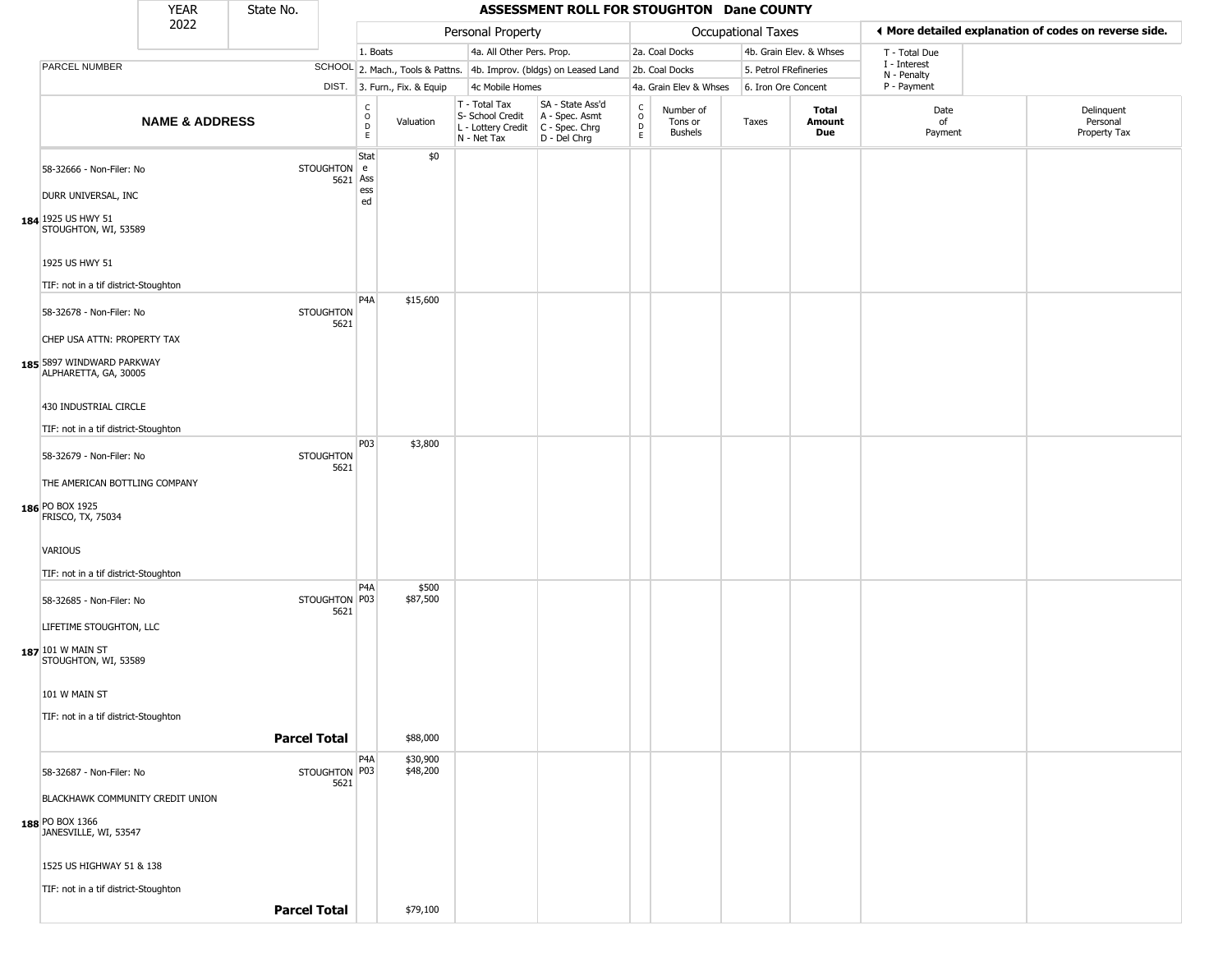|                                                    | <b>YEAR</b>               | State No. |                          |                                      |                              |                                                                        | ASSESSMENT ROLL FOR STOUGHTON Dane COUNTY                            |                                                          |                                        |                     |                         |                             |                                                       |
|----------------------------------------------------|---------------------------|-----------|--------------------------|--------------------------------------|------------------------------|------------------------------------------------------------------------|----------------------------------------------------------------------|----------------------------------------------------------|----------------------------------------|---------------------|-------------------------|-----------------------------|-------------------------------------------------------|
|                                                    | 2022                      |           |                          |                                      |                              | Personal Property                                                      |                                                                      |                                                          |                                        | Occupational Taxes  |                         |                             | ♦ More detailed explanation of codes on reverse side. |
|                                                    |                           |           |                          | 1. Boats                             |                              | 4a. All Other Pers. Prop.                                              |                                                                      |                                                          | 2a. Coal Docks                         |                     | 4b. Grain Elev. & Whses | T - Total Due               |                                                       |
| PARCEL NUMBER                                      |                           |           |                          |                                      |                              |                                                                        | SCHOOL 2. Mach., Tools & Pattns. 4b. Improv. (bldgs) on Leased Land  |                                                          | 2b. Coal Docks                         |                     | 5. Petrol FRefineries   | I - Interest<br>N - Penalty |                                                       |
|                                                    |                           |           |                          |                                      | DIST. 3. Furn., Fix. & Equip | 4c Mobile Homes                                                        |                                                                      |                                                          | 4a. Grain Elev & Whses                 | 6. Iron Ore Concent |                         | P - Payment                 |                                                       |
|                                                    | <b>NAME &amp; ADDRESS</b> |           |                          | c<br>$\circ$<br>$\overline{D}$<br>E. | Valuation                    | T - Total Tax<br>S- School Credit<br>L - Lottery Credit<br>N - Net Tax | SA - State Ass'd<br>A - Spec. Asmt<br>C - Spec. Chrg<br>D - Del Chrg | $\begin{smallmatrix} C \\ O \\ D \end{smallmatrix}$<br>E | Number of<br>Tons or<br><b>Bushels</b> | Taxes               | Total<br>Amount<br>Due  | Date<br>of<br>Payment       | Delinquent<br>Personal<br>Property Tax                |
| 58-32666 - Non-Filer: No                           |                           |           | STOUGHTON e<br>5621 Ass  | Stat                                 | \$0                          |                                                                        |                                                                      |                                                          |                                        |                     |                         |                             |                                                       |
| DURR UNIVERSAL, INC                                |                           |           |                          | ess<br>ed                            |                              |                                                                        |                                                                      |                                                          |                                        |                     |                         |                             |                                                       |
| 184 1925 US HWY 51<br>STOUGHTON, WI, 53589         |                           |           |                          |                                      |                              |                                                                        |                                                                      |                                                          |                                        |                     |                         |                             |                                                       |
| 1925 US HWY 51                                     |                           |           |                          |                                      |                              |                                                                        |                                                                      |                                                          |                                        |                     |                         |                             |                                                       |
| TIF: not in a tif district-Stoughton               |                           |           |                          |                                      |                              |                                                                        |                                                                      |                                                          |                                        |                     |                         |                             |                                                       |
| 58-32678 - Non-Filer: No                           |                           |           | <b>STOUGHTON</b>         | P <sub>4</sub> A                     | \$15,600                     |                                                                        |                                                                      |                                                          |                                        |                     |                         |                             |                                                       |
| CHEP USA ATTN: PROPERTY TAX                        |                           |           | 5621                     |                                      |                              |                                                                        |                                                                      |                                                          |                                        |                     |                         |                             |                                                       |
| 185 5897 WINDWARD PARKWAY<br>ALPHARETTA, GA, 30005 |                           |           |                          |                                      |                              |                                                                        |                                                                      |                                                          |                                        |                     |                         |                             |                                                       |
| 430 INDUSTRIAL CIRCLE                              |                           |           |                          |                                      |                              |                                                                        |                                                                      |                                                          |                                        |                     |                         |                             |                                                       |
| TIF: not in a tif district-Stoughton               |                           |           |                          |                                      |                              |                                                                        |                                                                      |                                                          |                                        |                     |                         |                             |                                                       |
| 58-32679 - Non-Filer: No                           |                           |           | <b>STOUGHTON</b><br>5621 | P03                                  | \$3,800                      |                                                                        |                                                                      |                                                          |                                        |                     |                         |                             |                                                       |
| THE AMERICAN BOTTLING COMPANY                      |                           |           |                          |                                      |                              |                                                                        |                                                                      |                                                          |                                        |                     |                         |                             |                                                       |
| 186 PO BOX 1925<br>FRISCO, TX, 75034               |                           |           |                          |                                      |                              |                                                                        |                                                                      |                                                          |                                        |                     |                         |                             |                                                       |
| VARIOUS                                            |                           |           |                          |                                      |                              |                                                                        |                                                                      |                                                          |                                        |                     |                         |                             |                                                       |
| TIF: not in a tif district-Stoughton               |                           |           |                          |                                      |                              |                                                                        |                                                                      |                                                          |                                        |                     |                         |                             |                                                       |
| 58-32685 - Non-Filer: No                           |                           |           | STOUGHTON P03<br>5621    | P4A                                  | \$500<br>\$87,500            |                                                                        |                                                                      |                                                          |                                        |                     |                         |                             |                                                       |
| LIFETIME STOUGHTON, LLC                            |                           |           |                          |                                      |                              |                                                                        |                                                                      |                                                          |                                        |                     |                         |                             |                                                       |
| 187 101 W MAIN ST<br>STOUGHTON, WI, 53589          |                           |           |                          |                                      |                              |                                                                        |                                                                      |                                                          |                                        |                     |                         |                             |                                                       |
| 101 W MAIN ST                                      |                           |           |                          |                                      |                              |                                                                        |                                                                      |                                                          |                                        |                     |                         |                             |                                                       |
| TIF: not in a tif district-Stoughton               |                           |           |                          |                                      |                              |                                                                        |                                                                      |                                                          |                                        |                     |                         |                             |                                                       |
|                                                    |                           |           | <b>Parcel Total</b>      |                                      | \$88,000                     |                                                                        |                                                                      |                                                          |                                        |                     |                         |                             |                                                       |
| 58-32687 - Non-Filer: No                           |                           |           | STOUGHTON P03            | P <sub>4</sub> A                     | \$30,900<br>\$48,200         |                                                                        |                                                                      |                                                          |                                        |                     |                         |                             |                                                       |
| BLACKHAWK COMMUNITY CREDIT UNION                   |                           |           | 5621                     |                                      |                              |                                                                        |                                                                      |                                                          |                                        |                     |                         |                             |                                                       |
| 188 PO BOX 1366                                    |                           |           |                          |                                      |                              |                                                                        |                                                                      |                                                          |                                        |                     |                         |                             |                                                       |
| JANESVILLE, WI, 53547                              |                           |           |                          |                                      |                              |                                                                        |                                                                      |                                                          |                                        |                     |                         |                             |                                                       |
| 1525 US HIGHWAY 51 & 138                           |                           |           |                          |                                      |                              |                                                                        |                                                                      |                                                          |                                        |                     |                         |                             |                                                       |
| TIF: not in a tif district-Stoughton               |                           |           |                          |                                      |                              |                                                                        |                                                                      |                                                          |                                        |                     |                         |                             |                                                       |
|                                                    |                           |           | <b>Parcel Total</b>      |                                      | \$79,100                     |                                                                        |                                                                      |                                                          |                                        |                     |                         |                             |                                                       |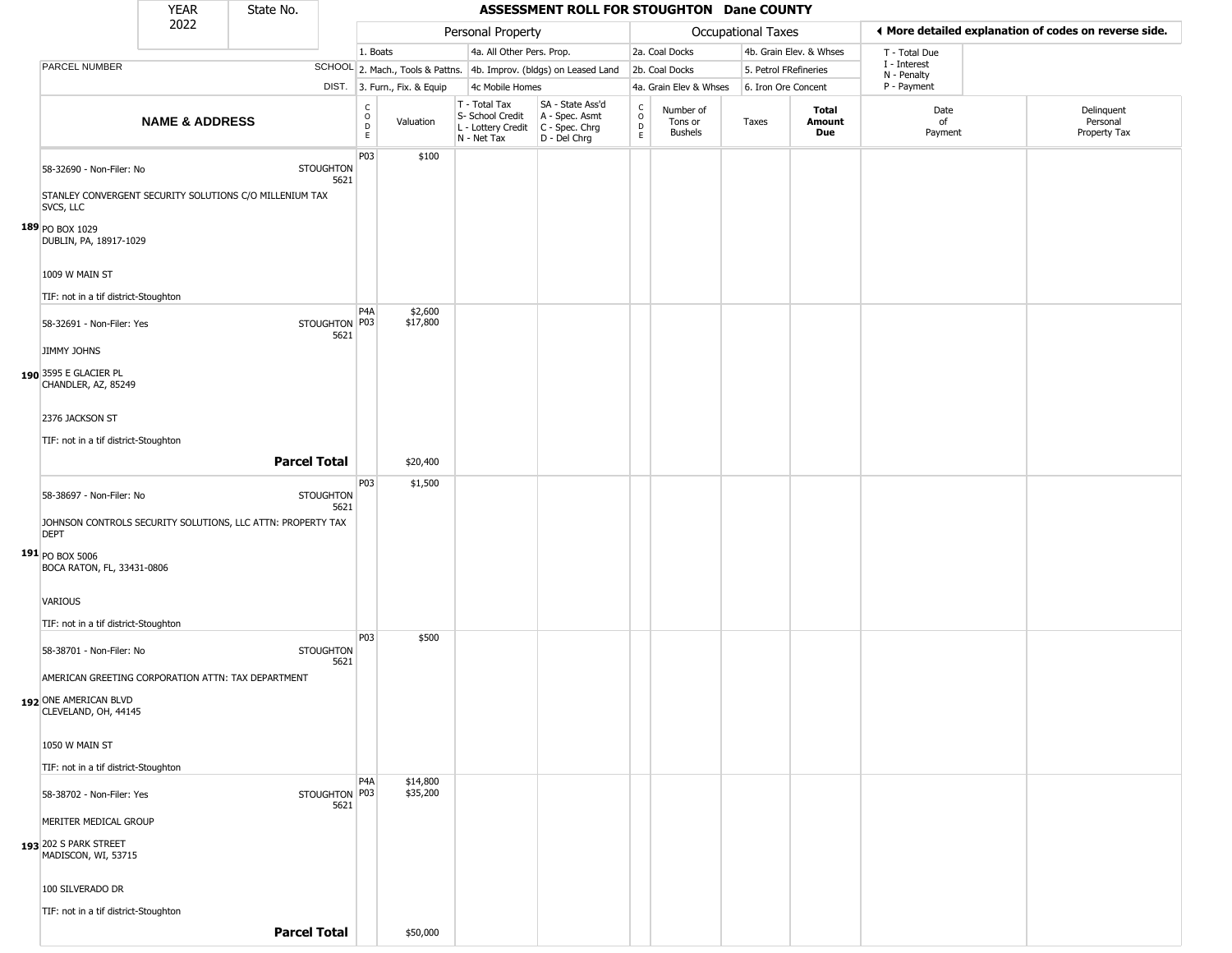|                                                                                                                                                         | <b>YEAR</b>               | State No. |                          |                                                             |                              |                                                                        | ASSESSMENT ROLL FOR STOUGHTON Dane COUNTY                            |                                 |                                        |                       |                               |                             |                                                       |
|---------------------------------------------------------------------------------------------------------------------------------------------------------|---------------------------|-----------|--------------------------|-------------------------------------------------------------|------------------------------|------------------------------------------------------------------------|----------------------------------------------------------------------|---------------------------------|----------------------------------------|-----------------------|-------------------------------|-----------------------------|-------------------------------------------------------|
|                                                                                                                                                         | 2022                      |           |                          |                                                             |                              | Personal Property                                                      |                                                                      |                                 |                                        | Occupational Taxes    |                               |                             | ◀ More detailed explanation of codes on reverse side. |
|                                                                                                                                                         |                           |           |                          | 1. Boats                                                    |                              | 4a. All Other Pers. Prop.                                              |                                                                      |                                 | 2a. Coal Docks                         |                       | 4b. Grain Elev. & Whses       | T - Total Due               |                                                       |
| PARCEL NUMBER                                                                                                                                           |                           |           |                          |                                                             |                              |                                                                        | SCHOOL 2. Mach., Tools & Pattns. 4b. Improv. (bldgs) on Leased Land  |                                 | 2b. Coal Docks                         | 5. Petrol FRefineries |                               | I - Interest<br>N - Penalty |                                                       |
|                                                                                                                                                         |                           |           |                          |                                                             | DIST. 3. Furn., Fix. & Equip | 4c Mobile Homes                                                        |                                                                      |                                 | 4a. Grain Elev & Whses                 | 6. Iron Ore Concent   |                               | P - Payment                 |                                                       |
|                                                                                                                                                         | <b>NAME &amp; ADDRESS</b> |           |                          | $\mathsf{C}$<br>$\circ$<br>$\mathop{\mathsf{D}}_\mathsf{E}$ | Valuation                    | T - Total Tax<br>S- School Credit<br>L - Lottery Credit<br>N - Net Tax | SA - State Ass'd<br>A - Spec. Asmt<br>C - Spec. Chrg<br>D - Del Chrg | $\rm ^c_o$<br>$\mathsf{D}$<br>E | Number of<br>Tons or<br><b>Bushels</b> | Taxes                 | <b>Total</b><br>Amount<br>Due | Date<br>of<br>Payment       | Delinquent<br>Personal<br>Property Tax                |
| 58-32690 - Non-Filer: No<br>STANLEY CONVERGENT SECURITY SOLUTIONS C/O MILLENIUM TAX<br>SVCS, LLC                                                        |                           |           | <b>STOUGHTON</b><br>5621 | P03                                                         | \$100                        |                                                                        |                                                                      |                                 |                                        |                       |                               |                             |                                                       |
| 189 PO BOX 1029<br>DUBLIN, PA, 18917-1029<br>1009 W MAIN ST                                                                                             |                           |           |                          |                                                             |                              |                                                                        |                                                                      |                                 |                                        |                       |                               |                             |                                                       |
| TIF: not in a tif district-Stoughton                                                                                                                    |                           |           |                          |                                                             |                              |                                                                        |                                                                      |                                 |                                        |                       |                               |                             |                                                       |
| 58-32691 - Non-Filer: Yes<br><b>JIMMY JOHNS</b>                                                                                                         |                           |           | STOUGHTON P03<br>5621    | P <sub>4</sub> A                                            | \$2,600<br>\$17,800          |                                                                        |                                                                      |                                 |                                        |                       |                               |                             |                                                       |
| 190 3595 E GLACIER PL<br>CHANDLER, AZ, 85249<br>2376 JACKSON ST                                                                                         |                           |           |                          |                                                             |                              |                                                                        |                                                                      |                                 |                                        |                       |                               |                             |                                                       |
| TIF: not in a tif district-Stoughton                                                                                                                    |                           |           |                          |                                                             |                              |                                                                        |                                                                      |                                 |                                        |                       |                               |                             |                                                       |
|                                                                                                                                                         |                           |           | <b>Parcel Total</b>      |                                                             | \$20,400                     |                                                                        |                                                                      |                                 |                                        |                       |                               |                             |                                                       |
| 58-38697 - Non-Filer: No<br>JOHNSON CONTROLS SECURITY SOLUTIONS, LLC ATTN: PROPERTY TAX<br><b>DEPT</b><br>191 PO BOX 5006<br>BOCA RATON, FL, 33431-0806 |                           |           | <b>STOUGHTON</b><br>5621 | P03                                                         | \$1,500                      |                                                                        |                                                                      |                                 |                                        |                       |                               |                             |                                                       |
| VARIOUS<br>TIF: not in a tif district-Stoughton                                                                                                         |                           |           |                          |                                                             |                              |                                                                        |                                                                      |                                 |                                        |                       |                               |                             |                                                       |
| 58-38701 - Non-Filer: No                                                                                                                                |                           |           | <b>STOUGHTON</b><br>5621 | P03                                                         | \$500                        |                                                                        |                                                                      |                                 |                                        |                       |                               |                             |                                                       |
| AMERICAN GREETING CORPORATION ATTN: TAX DEPARTMENT<br>192 ONE AMERICAN BLVD<br>CLEVELAND, OH, 44145                                                     |                           |           |                          |                                                             |                              |                                                                        |                                                                      |                                 |                                        |                       |                               |                             |                                                       |
| 1050 W MAIN ST                                                                                                                                          |                           |           |                          |                                                             |                              |                                                                        |                                                                      |                                 |                                        |                       |                               |                             |                                                       |
| TIF: not in a tif district-Stoughton                                                                                                                    |                           |           |                          |                                                             |                              |                                                                        |                                                                      |                                 |                                        |                       |                               |                             |                                                       |
| 58-38702 - Non-Filer: Yes<br>MERITER MEDICAL GROUP<br>193 202 S PARK STREET<br>MADISCON, WI, 53715                                                      |                           |           | STOUGHTON P03<br>5621    | P <sub>4</sub> A                                            | \$14,800<br>\$35,200         |                                                                        |                                                                      |                                 |                                        |                       |                               |                             |                                                       |
| 100 SILVERADO DR                                                                                                                                        |                           |           |                          |                                                             |                              |                                                                        |                                                                      |                                 |                                        |                       |                               |                             |                                                       |
| TIF: not in a tif district-Stoughton                                                                                                                    |                           |           |                          |                                                             |                              |                                                                        |                                                                      |                                 |                                        |                       |                               |                             |                                                       |
|                                                                                                                                                         |                           |           | <b>Parcel Total</b>      |                                                             | \$50,000                     |                                                                        |                                                                      |                                 |                                        |                       |                               |                             |                                                       |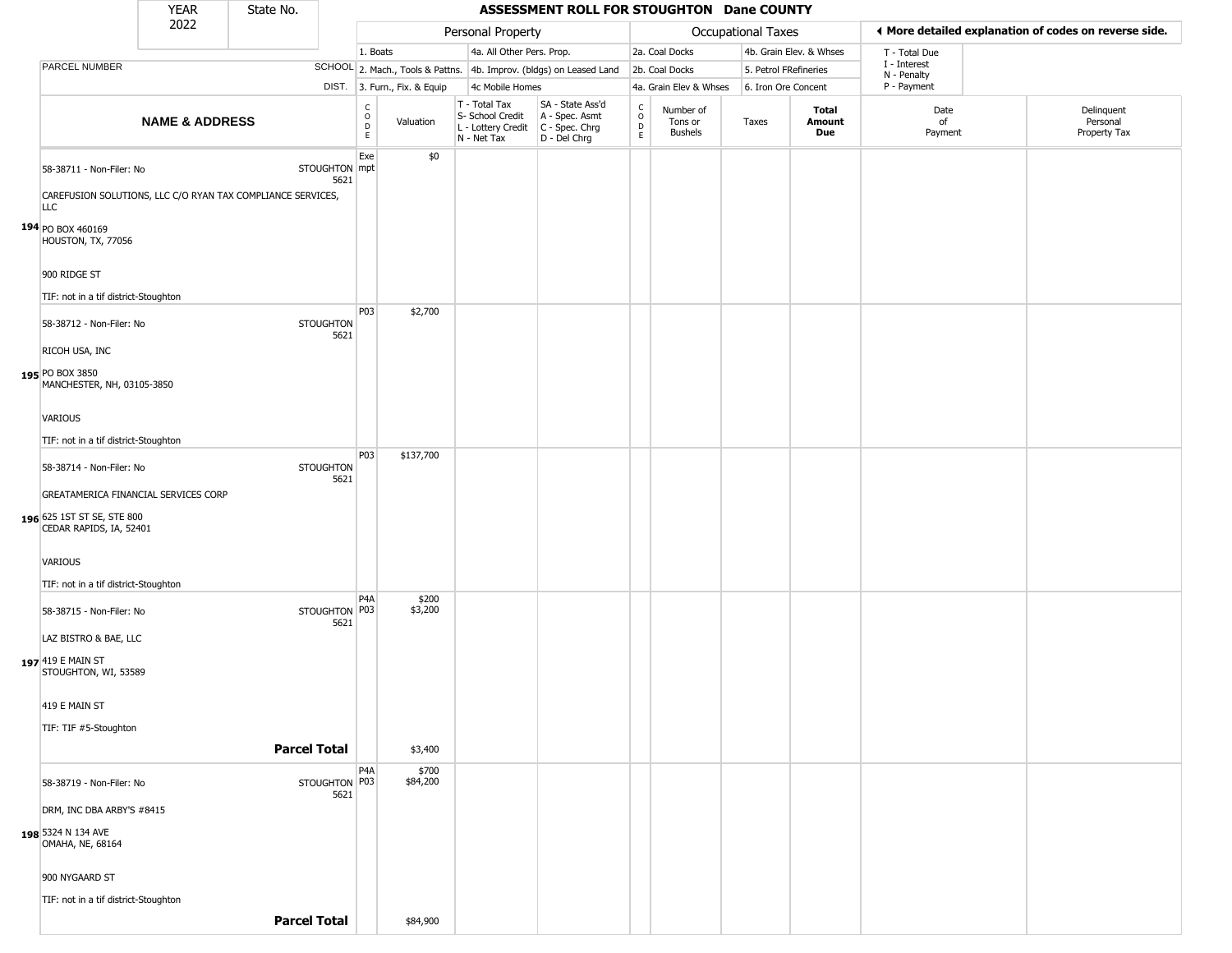|                                                                                                       | <b>YEAR</b>               | State No.           |                          |                                     |                              |                                                                                         | ASSESSMENT ROLL FOR STOUGHTON Dane COUNTY                           |                                |                                 |                       |                         |                             |                                                       |
|-------------------------------------------------------------------------------------------------------|---------------------------|---------------------|--------------------------|-------------------------------------|------------------------------|-----------------------------------------------------------------------------------------|---------------------------------------------------------------------|--------------------------------|---------------------------------|-----------------------|-------------------------|-----------------------------|-------------------------------------------------------|
|                                                                                                       | 2022                      |                     |                          |                                     |                              | Personal Property                                                                       |                                                                     |                                |                                 | Occupational Taxes    |                         |                             | ♦ More detailed explanation of codes on reverse side. |
|                                                                                                       |                           |                     |                          | 1. Boats                            |                              | 4a. All Other Pers. Prop.                                                               |                                                                     |                                | 2a. Coal Docks                  |                       | 4b. Grain Elev. & Whses | T - Total Due               |                                                       |
| PARCEL NUMBER                                                                                         |                           |                     |                          |                                     |                              |                                                                                         | SCHOOL 2. Mach., Tools & Pattns. 4b. Improv. (bldgs) on Leased Land |                                | 2b. Coal Docks                  | 5. Petrol FRefineries |                         | I - Interest<br>N - Penalty |                                                       |
|                                                                                                       |                           |                     |                          |                                     | DIST. 3. Furn., Fix. & Equip | 4c Mobile Homes                                                                         |                                                                     |                                | 4a. Grain Elev & Whses          | 6. Iron Ore Concent   |                         | P - Payment                 |                                                       |
|                                                                                                       | <b>NAME &amp; ADDRESS</b> |                     |                          | $\mathsf{C}$<br>$\overline{D}$<br>E | Valuation                    | T - Total Tax<br>S- School Credit<br>L - Lottery Credit   C - Spec. Chrg<br>N - Net Tax | SA - State Ass'd<br>A - Spec. Asmt<br>D - Del Chrg                  | $\frac{c}{0}$<br>$\frac{D}{E}$ | Number of<br>Tons or<br>Bushels | Taxes                 | Total<br>Amount<br>Due  | Date<br>of<br>Payment       | Delinquent<br>Personal<br>Property Tax                |
| 58-38711 - Non-Filer: No<br>CAREFUSION SOLUTIONS, LLC C/O RYAN TAX COMPLIANCE SERVICES,<br><b>LLC</b> |                           |                     | STOUGHTON mpt<br>5621    | Exe                                 | \$0                          |                                                                                         |                                                                     |                                |                                 |                       |                         |                             |                                                       |
| 194 PO BOX 460169<br>HOUSTON, TX, 77056<br>900 RIDGE ST                                               |                           |                     |                          |                                     |                              |                                                                                         |                                                                     |                                |                                 |                       |                         |                             |                                                       |
| TIF: not in a tif district-Stoughton                                                                  |                           |                     |                          |                                     |                              |                                                                                         |                                                                     |                                |                                 |                       |                         |                             |                                                       |
| 58-38712 - Non-Filer: No<br>RICOH USA, INC                                                            |                           |                     | <b>STOUGHTON</b><br>5621 | P03                                 | \$2,700                      |                                                                                         |                                                                     |                                |                                 |                       |                         |                             |                                                       |
| 195 PO BOX 3850<br>MANCHESTER, NH, 03105-3850                                                         |                           |                     |                          |                                     |                              |                                                                                         |                                                                     |                                |                                 |                       |                         |                             |                                                       |
| <b>VARIOUS</b>                                                                                        |                           |                     |                          |                                     |                              |                                                                                         |                                                                     |                                |                                 |                       |                         |                             |                                                       |
| TIF: not in a tif district-Stoughton                                                                  |                           |                     |                          |                                     |                              |                                                                                         |                                                                     |                                |                                 |                       |                         |                             |                                                       |
|                                                                                                       |                           |                     |                          | P03                                 | \$137,700                    |                                                                                         |                                                                     |                                |                                 |                       |                         |                             |                                                       |
| 58-38714 - Non-Filer: No                                                                              |                           |                     | <b>STOUGHTON</b><br>5621 |                                     |                              |                                                                                         |                                                                     |                                |                                 |                       |                         |                             |                                                       |
| GREATAMERICA FINANCIAL SERVICES CORP                                                                  |                           |                     |                          |                                     |                              |                                                                                         |                                                                     |                                |                                 |                       |                         |                             |                                                       |
| 196 625 1ST ST SE, STE 800<br>CEDAR RAPIDS, IA, 52401                                                 |                           |                     |                          |                                     |                              |                                                                                         |                                                                     |                                |                                 |                       |                         |                             |                                                       |
| <b>VARIOUS</b>                                                                                        |                           |                     |                          |                                     |                              |                                                                                         |                                                                     |                                |                                 |                       |                         |                             |                                                       |
| TIF: not in a tif district-Stoughton                                                                  |                           |                     |                          |                                     |                              |                                                                                         |                                                                     |                                |                                 |                       |                         |                             |                                                       |
| 58-38715 - Non-Filer: No                                                                              |                           |                     | STOUGHTON P03<br>5621    | P <sub>4</sub> A                    | \$200<br>\$3,200             |                                                                                         |                                                                     |                                |                                 |                       |                         |                             |                                                       |
| LAZ BISTRO & BAE, LLC<br>197 419 E MAIN ST<br>STOUGHTON, WI, 53589                                    |                           |                     |                          |                                     |                              |                                                                                         |                                                                     |                                |                                 |                       |                         |                             |                                                       |
| 419 E MAIN ST                                                                                         |                           |                     |                          |                                     |                              |                                                                                         |                                                                     |                                |                                 |                       |                         |                             |                                                       |
| TIF: TIF #5-Stoughton                                                                                 |                           |                     |                          |                                     |                              |                                                                                         |                                                                     |                                |                                 |                       |                         |                             |                                                       |
|                                                                                                       |                           | <b>Parcel Total</b> |                          |                                     | \$3,400                      |                                                                                         |                                                                     |                                |                                 |                       |                         |                             |                                                       |
|                                                                                                       |                           |                     |                          | P4A                                 | \$700                        |                                                                                         |                                                                     |                                |                                 |                       |                         |                             |                                                       |
| 58-38719 - Non-Filer: No                                                                              |                           |                     | STOUGHTON   P03<br>5621  |                                     | \$84,200                     |                                                                                         |                                                                     |                                |                                 |                       |                         |                             |                                                       |
| DRM, INC DBA ARBY'S #8415                                                                             |                           |                     |                          |                                     |                              |                                                                                         |                                                                     |                                |                                 |                       |                         |                             |                                                       |
| 198 5324 N 134 AVE<br>OMAHA, NE, 68164                                                                |                           |                     |                          |                                     |                              |                                                                                         |                                                                     |                                |                                 |                       |                         |                             |                                                       |
| 900 NYGAARD ST                                                                                        |                           |                     |                          |                                     |                              |                                                                                         |                                                                     |                                |                                 |                       |                         |                             |                                                       |
| TIF: not in a tif district-Stoughton                                                                  |                           |                     |                          |                                     |                              |                                                                                         |                                                                     |                                |                                 |                       |                         |                             |                                                       |
|                                                                                                       |                           | <b>Parcel Total</b> |                          |                                     | \$84,900                     |                                                                                         |                                                                     |                                |                                 |                       |                         |                             |                                                       |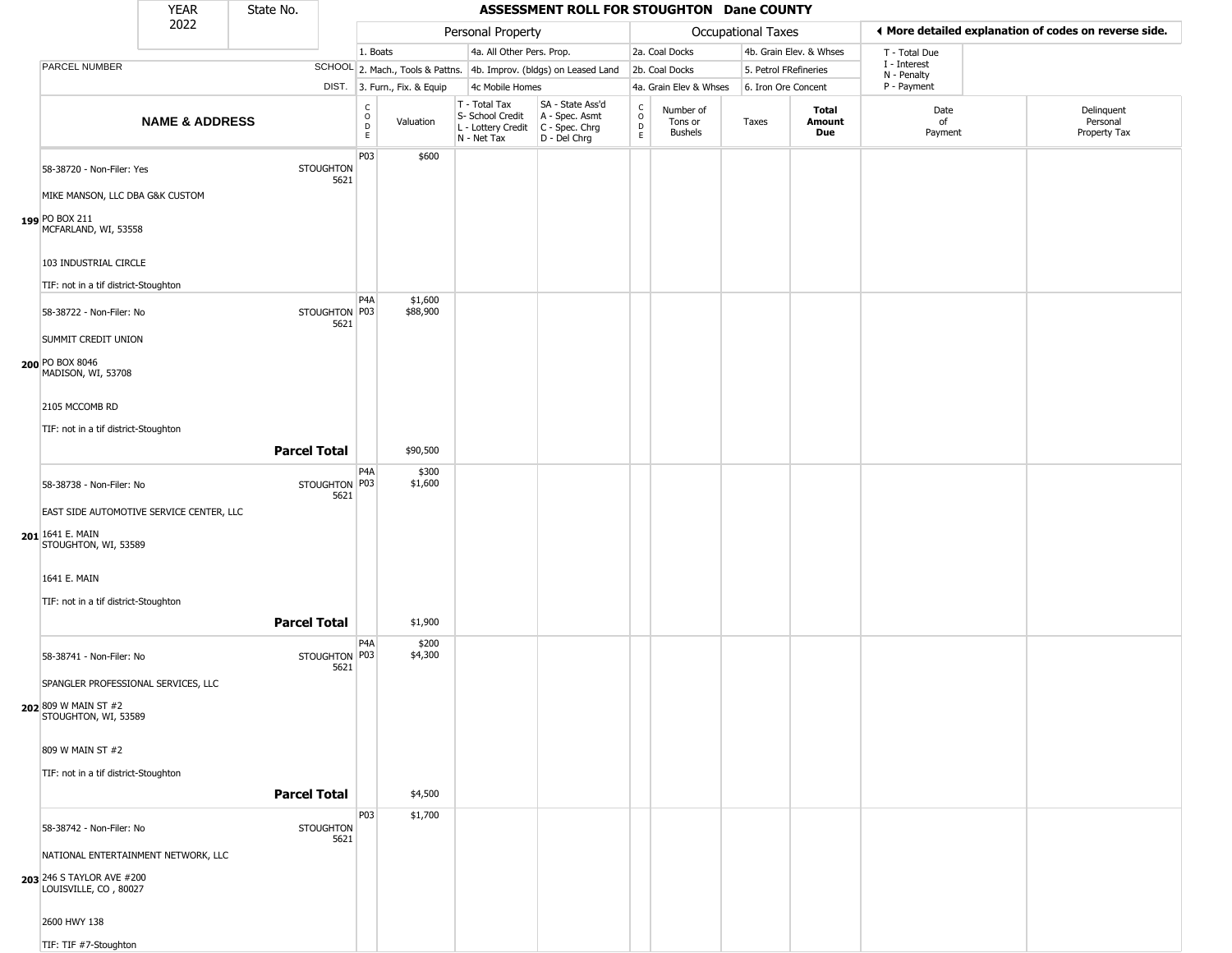|                                                                                                                                                                | <b>YEAR</b>               | State No.           |                          |                                   |                              |                                                                        | ASSESSMENT ROLL FOR STOUGHTON Dane COUNTY                              |                                            |                                        |                       |                         |                             |                                                       |
|----------------------------------------------------------------------------------------------------------------------------------------------------------------|---------------------------|---------------------|--------------------------|-----------------------------------|------------------------------|------------------------------------------------------------------------|------------------------------------------------------------------------|--------------------------------------------|----------------------------------------|-----------------------|-------------------------|-----------------------------|-------------------------------------------------------|
|                                                                                                                                                                | 2022                      |                     |                          |                                   |                              | Personal Property                                                      |                                                                        |                                            |                                        | Occupational Taxes    |                         |                             | ◀ More detailed explanation of codes on reverse side. |
|                                                                                                                                                                |                           |                     |                          | 1. Boats                          |                              | 4a. All Other Pers. Prop.                                              |                                                                        |                                            | 2a. Coal Docks                         |                       | 4b. Grain Elev. & Whses | T - Total Due               |                                                       |
| PARCEL NUMBER                                                                                                                                                  |                           |                     |                          |                                   |                              |                                                                        | SCHOOL 2. Mach., Tools & Pattns. 4b. Improv. (bldgs) on Leased Land    |                                            | 2b. Coal Docks                         | 5. Petrol FRefineries |                         | I - Interest<br>N - Penalty |                                                       |
|                                                                                                                                                                |                           |                     |                          |                                   | DIST. 3. Furn., Fix. & Equip | 4c Mobile Homes                                                        |                                                                        |                                            | 4a. Grain Elev & Whses                 | 6. Iron Ore Concent   |                         | P - Payment                 |                                                       |
|                                                                                                                                                                | <b>NAME &amp; ADDRESS</b> |                     |                          | $\frac{c}{0}$<br>$\mathsf D$<br>E | Valuation                    | T - Total Tax<br>S- School Credit<br>L - Lottery Credit<br>N - Net Tax | SA - State Ass'd<br>A - Spec. Asmt<br>$C - Spec. Chrg$<br>D - Del Chrg | $\begin{array}{c} C \\ 0 \\ E \end{array}$ | Number of<br>Tons or<br><b>Bushels</b> | Taxes                 | Total<br>Amount<br>Due  | Date<br>of<br>Payment       | Delinquent<br>Personal<br>Property Tax                |
| 58-38720 - Non-Filer: Yes<br>MIKE MANSON, LLC DBA G&K CUSTOM<br>199 PO BOX 211<br>MCFARLAND, WI, 53558                                                         |                           |                     | <b>STOUGHTON</b><br>5621 | P03                               | \$600                        |                                                                        |                                                                        |                                            |                                        |                       |                         |                             |                                                       |
| 103 INDUSTRIAL CIRCLE<br>TIF: not in a tif district-Stoughton                                                                                                  |                           |                     |                          | P <sub>4</sub> A                  |                              |                                                                        |                                                                        |                                            |                                        |                       |                         |                             |                                                       |
| 58-38722 - Non-Filer: No<br>SUMMIT CREDIT UNION                                                                                                                |                           |                     | STOUGHTON P03<br>5621    |                                   | \$1,600<br>\$88,900          |                                                                        |                                                                        |                                            |                                        |                       |                         |                             |                                                       |
| 200 PO BOX 8046<br>MADISON, WI, 53708<br>2105 MCCOMB RD<br>TIF: not in a tif district-Stoughton                                                                |                           |                     |                          |                                   |                              |                                                                        |                                                                        |                                            |                                        |                       |                         |                             |                                                       |
|                                                                                                                                                                |                           | <b>Parcel Total</b> |                          |                                   | \$90,500                     |                                                                        |                                                                        |                                            |                                        |                       |                         |                             |                                                       |
|                                                                                                                                                                |                           |                     |                          | P <sub>4</sub> A                  | \$300                        |                                                                        |                                                                        |                                            |                                        |                       |                         |                             |                                                       |
| 58-38738 - Non-Filer: No<br>EAST SIDE AUTOMOTIVE SERVICE CENTER, LLC<br>201 1641 E. MAIN<br>STOUGHTON, WI, 53589                                               |                           |                     | STOUGHTON P03<br>5621    |                                   | \$1,600                      |                                                                        |                                                                        |                                            |                                        |                       |                         |                             |                                                       |
| 1641 E. MAIN                                                                                                                                                   |                           |                     |                          |                                   |                              |                                                                        |                                                                        |                                            |                                        |                       |                         |                             |                                                       |
| TIF: not in a tif district-Stoughton                                                                                                                           |                           | <b>Parcel Total</b> |                          |                                   | \$1,900                      |                                                                        |                                                                        |                                            |                                        |                       |                         |                             |                                                       |
| 58-38741 - Non-Filer: No<br>SPANGLER PROFESSIONAL SERVICES, LLC                                                                                                |                           |                     | STOUGHTON P03<br>5621    | P4A                               | \$200<br>\$4,300             |                                                                        |                                                                        |                                            |                                        |                       |                         |                             |                                                       |
| <b>202</b> 809 W MAIN ST #2<br>STOUGHTON, WI, 53589                                                                                                            |                           |                     |                          |                                   |                              |                                                                        |                                                                        |                                            |                                        |                       |                         |                             |                                                       |
| 809 W MAIN ST #2                                                                                                                                               |                           |                     |                          |                                   |                              |                                                                        |                                                                        |                                            |                                        |                       |                         |                             |                                                       |
| TIF: not in a tif district-Stoughton                                                                                                                           |                           | <b>Parcel Total</b> |                          |                                   | \$4,500                      |                                                                        |                                                                        |                                            |                                        |                       |                         |                             |                                                       |
| 58-38742 - Non-Filer: No<br>NATIONAL ENTERTAINMENT NETWORK, LLC<br>203 246 S TAYLOR AVE #200<br>LOUISVILLE, CO, 80027<br>2600 HWY 138<br>TIF: TIF #7-Stoughton |                           |                     | <b>STOUGHTON</b><br>5621 | P03                               | \$1,700                      |                                                                        |                                                                        |                                            |                                        |                       |                         |                             |                                                       |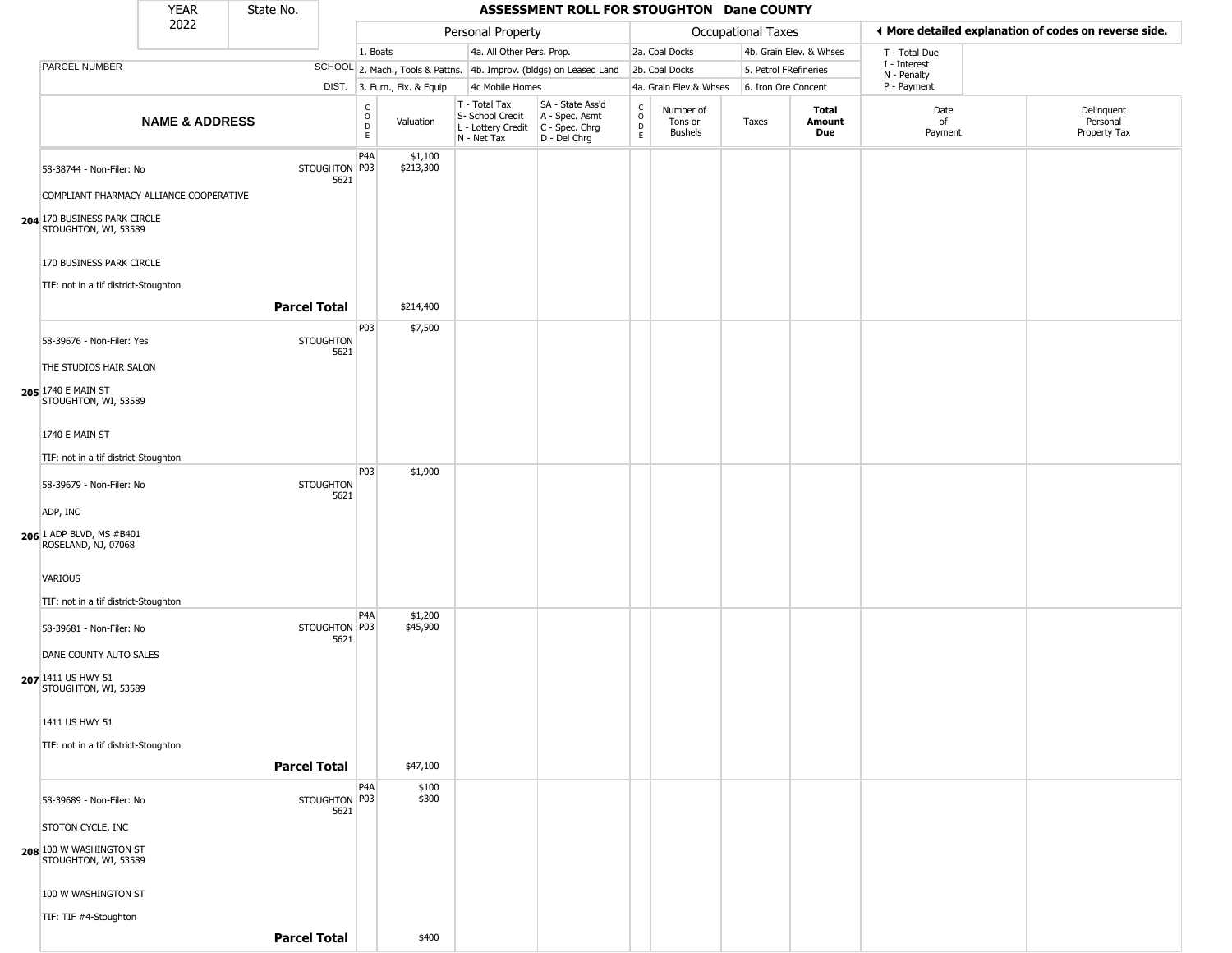|                                                                     | <b>YEAR</b>               | State No.           |                          |                                                |                              |                                                                                       | ASSESSMENT ROLL FOR STOUGHTON Dane COUNTY                           |                         |                                        |                       |                         |                             |                                                        |
|---------------------------------------------------------------------|---------------------------|---------------------|--------------------------|------------------------------------------------|------------------------------|---------------------------------------------------------------------------------------|---------------------------------------------------------------------|-------------------------|----------------------------------------|-----------------------|-------------------------|-----------------------------|--------------------------------------------------------|
|                                                                     | 2022                      |                     |                          |                                                |                              | Personal Property                                                                     |                                                                     |                         |                                        | Occupational Taxes    |                         |                             | If More detailed explanation of codes on reverse side. |
|                                                                     |                           |                     |                          | 1. Boats                                       |                              | 4a. All Other Pers. Prop.                                                             |                                                                     |                         | 2a. Coal Docks                         |                       | 4b. Grain Elev. & Whses | T - Total Due               |                                                        |
| PARCEL NUMBER                                                       |                           |                     |                          |                                                |                              |                                                                                       | SCHOOL 2. Mach., Tools & Pattns. 4b. Improv. (bldgs) on Leased Land |                         | 2b. Coal Docks                         | 5. Petrol FRefineries |                         | I - Interest<br>N - Penalty |                                                        |
|                                                                     |                           |                     |                          |                                                | DIST. 3. Furn., Fix. & Equip | 4c Mobile Homes                                                                       |                                                                     |                         | 4a. Grain Elev & Whses                 | 6. Iron Ore Concent   |                         | P - Payment                 |                                                        |
|                                                                     | <b>NAME &amp; ADDRESS</b> |                     |                          | $\begin{matrix} 0 \\ 0 \\ D \end{matrix}$<br>E | Valuation                    | T - Total Tax<br>S- School Credit<br>L - Lottery Credit C - Spec. Chrg<br>N - Net Tax | SA - State Ass'd<br>A - Spec. Asmt<br>D - Del Chrg                  | $\frac{c}{0}$<br>D<br>E | Number of<br>Tons or<br><b>Bushels</b> | Taxes                 | Total<br>Amount<br>Due  | Date<br>of<br>Payment       | Delinquent<br>Personal<br>Property Tax                 |
| 58-38744 - Non-Filer: No<br>COMPLIANT PHARMACY ALLIANCE COOPERATIVE |                           |                     | STOUGHTON P03<br>5621    | P <sub>4</sub> A                               | \$1,100<br>\$213,300         |                                                                                       |                                                                     |                         |                                        |                       |                         |                             |                                                        |
| 204 170 BUSINESS PARK CIRCLE<br>STOUGHTON, WI, 53589                |                           |                     |                          |                                                |                              |                                                                                       |                                                                     |                         |                                        |                       |                         |                             |                                                        |
| 170 BUSINESS PARK CIRCLE<br>TIF: not in a tif district-Stoughton    |                           |                     |                          |                                                |                              |                                                                                       |                                                                     |                         |                                        |                       |                         |                             |                                                        |
|                                                                     |                           | <b>Parcel Total</b> |                          |                                                | \$214,400                    |                                                                                       |                                                                     |                         |                                        |                       |                         |                             |                                                        |
| 58-39676 - Non-Filer: Yes                                           |                           |                     | <b>STOUGHTON</b><br>5621 | P03                                            | \$7,500                      |                                                                                       |                                                                     |                         |                                        |                       |                         |                             |                                                        |
| THE STUDIOS HAIR SALON                                              |                           |                     |                          |                                                |                              |                                                                                       |                                                                     |                         |                                        |                       |                         |                             |                                                        |
| 205 1740 E MAIN ST<br>STOUGHTON, WI, 53589                          |                           |                     |                          |                                                |                              |                                                                                       |                                                                     |                         |                                        |                       |                         |                             |                                                        |
| 1740 E MAIN ST                                                      |                           |                     |                          |                                                |                              |                                                                                       |                                                                     |                         |                                        |                       |                         |                             |                                                        |
| TIF: not in a tif district-Stoughton                                |                           |                     |                          |                                                |                              |                                                                                       |                                                                     |                         |                                        |                       |                         |                             |                                                        |
| 58-39679 - Non-Filer: No                                            |                           |                     | <b>STOUGHTON</b><br>5621 | P03                                            | \$1,900                      |                                                                                       |                                                                     |                         |                                        |                       |                         |                             |                                                        |
| ADP, INC                                                            |                           |                     |                          |                                                |                              |                                                                                       |                                                                     |                         |                                        |                       |                         |                             |                                                        |
| 206 1 ADP BLVD, MS #B401<br>ROSELAND, NJ, 07068                     |                           |                     |                          |                                                |                              |                                                                                       |                                                                     |                         |                                        |                       |                         |                             |                                                        |
| <b>VARIOUS</b>                                                      |                           |                     |                          |                                                |                              |                                                                                       |                                                                     |                         |                                        |                       |                         |                             |                                                        |
| TIF: not in a tif district-Stoughton                                |                           |                     |                          |                                                |                              |                                                                                       |                                                                     |                         |                                        |                       |                         |                             |                                                        |
| 58-39681 - Non-Filer: No                                            |                           |                     | STOUGHTON P03<br>5621    | P <sub>4</sub> A                               | \$1,200<br>\$45,900          |                                                                                       |                                                                     |                         |                                        |                       |                         |                             |                                                        |
| DANE COUNTY AUTO SALES                                              |                           |                     |                          |                                                |                              |                                                                                       |                                                                     |                         |                                        |                       |                         |                             |                                                        |
| 207 1411 US HWY 51<br>STOUGHTON, WI, 53589                          |                           |                     |                          |                                                |                              |                                                                                       |                                                                     |                         |                                        |                       |                         |                             |                                                        |
| 1411 US HWY 51                                                      |                           |                     |                          |                                                |                              |                                                                                       |                                                                     |                         |                                        |                       |                         |                             |                                                        |
| TIF: not in a tif district-Stoughton                                |                           |                     |                          |                                                |                              |                                                                                       |                                                                     |                         |                                        |                       |                         |                             |                                                        |
|                                                                     |                           | <b>Parcel Total</b> |                          |                                                | \$47,100                     |                                                                                       |                                                                     |                         |                                        |                       |                         |                             |                                                        |
| 58-39689 - Non-Filer: No                                            |                           |                     | STOUGHTON P03<br>5621    | P <sub>4</sub> A                               | \$100<br>\$300               |                                                                                       |                                                                     |                         |                                        |                       |                         |                             |                                                        |
| STOTON CYCLE, INC                                                   |                           |                     |                          |                                                |                              |                                                                                       |                                                                     |                         |                                        |                       |                         |                             |                                                        |
| 208 100 W WASHINGTON ST<br>STOUGHTON, WI, 53589                     |                           |                     |                          |                                                |                              |                                                                                       |                                                                     |                         |                                        |                       |                         |                             |                                                        |
| 100 W WASHINGTON ST                                                 |                           |                     |                          |                                                |                              |                                                                                       |                                                                     |                         |                                        |                       |                         |                             |                                                        |
| TIF: TIF #4-Stoughton                                               |                           |                     |                          |                                                |                              |                                                                                       |                                                                     |                         |                                        |                       |                         |                             |                                                        |
|                                                                     |                           | <b>Parcel Total</b> |                          |                                                | \$400                        |                                                                                       |                                                                     |                         |                                        |                       |                         |                             |                                                        |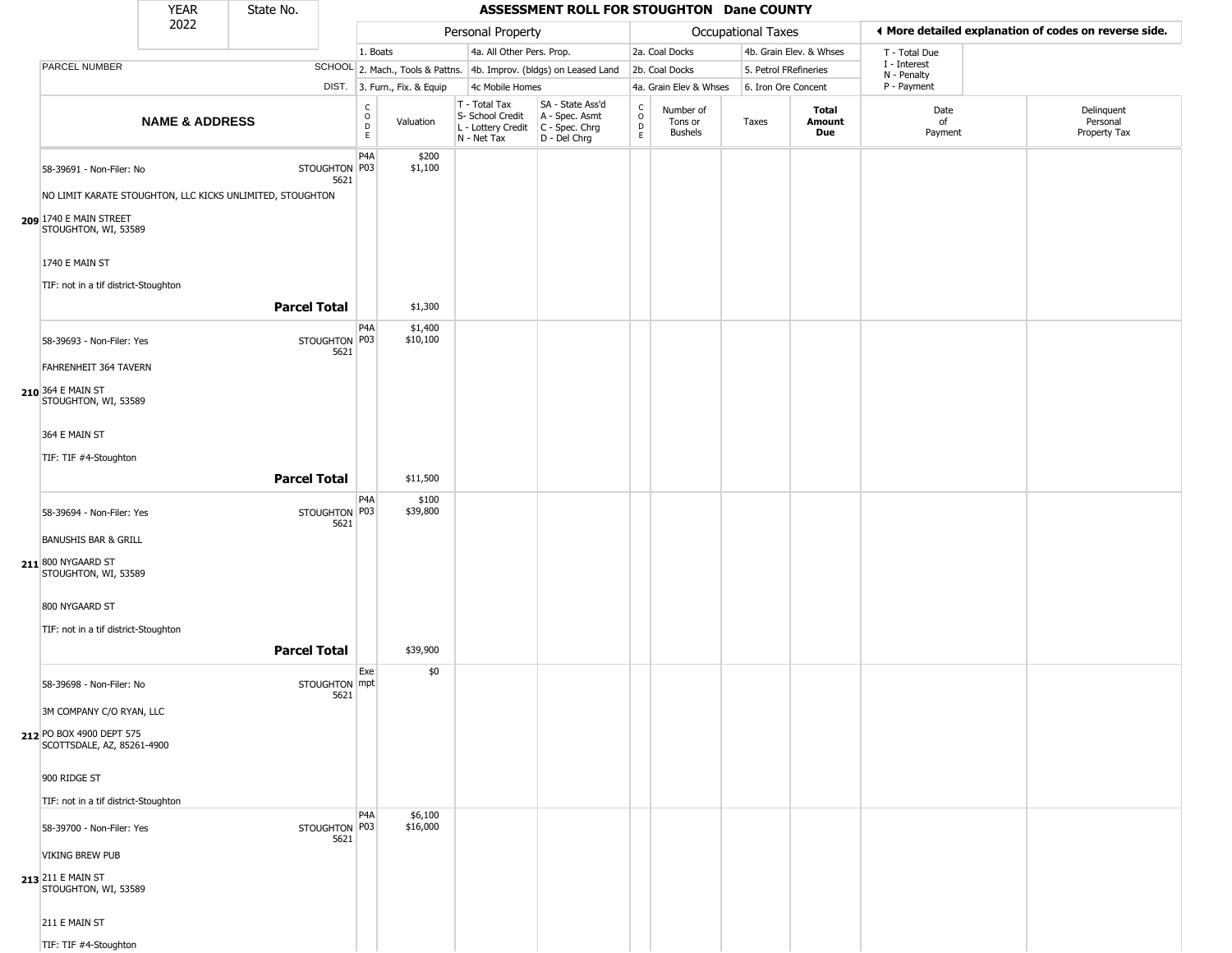|                                                                                       | <b>YEAR</b>               | State No.           |                       |                                   |                              |                                                                        | ASSESSMENT ROLL FOR STOUGHTON Dane COUNTY                            |                                   |                                        |                           |                         |                                                       |                                        |
|---------------------------------------------------------------------------------------|---------------------------|---------------------|-----------------------|-----------------------------------|------------------------------|------------------------------------------------------------------------|----------------------------------------------------------------------|-----------------------------------|----------------------------------------|---------------------------|-------------------------|-------------------------------------------------------|----------------------------------------|
|                                                                                       | 2022                      |                     |                       |                                   |                              | Personal Property                                                      |                                                                      |                                   |                                        | <b>Occupational Taxes</b> |                         | ♦ More detailed explanation of codes on reverse side. |                                        |
|                                                                                       |                           |                     |                       | 1. Boats                          |                              | 4a. All Other Pers. Prop.                                              |                                                                      |                                   | 2a. Coal Docks                         |                           | 4b. Grain Elev. & Whses | T - Total Due                                         |                                        |
| PARCEL NUMBER                                                                         |                           |                     |                       |                                   |                              |                                                                        | SCHOOL 2. Mach., Tools & Pattns. 4b. Improv. (bldgs) on Leased Land  |                                   | 2b. Coal Docks                         | 5. Petrol FRefineries     |                         | I - Interest                                          |                                        |
|                                                                                       |                           |                     |                       |                                   | DIST. 3. Furn., Fix. & Equip | 4c Mobile Homes                                                        |                                                                      |                                   | 4a. Grain Elev & Whses                 | 6. Iron Ore Concent       |                         | N - Penalty<br>P - Payment                            |                                        |
|                                                                                       | <b>NAME &amp; ADDRESS</b> |                     |                       | $\frac{C}{O}$<br>$\mathsf D$<br>E | Valuation                    | T - Total Tax<br>S- School Credit<br>L - Lottery Credit<br>N - Net Tax | SA - State Ass'd<br>A - Spec. Asmt<br>C - Spec. Chrg<br>D - Del Chrg | $\mathsf{C}$<br>$\circ$<br>D<br>E | Number of<br>Tons or<br><b>Bushels</b> | Taxes                     | Total<br>Amount<br>Due  | Date<br>of<br>Payment                                 | Delinquent<br>Personal<br>Property Tax |
| 58-39691 - Non-Filer: No<br>NO LIMIT KARATE STOUGHTON, LLC KICKS UNLIMITED, STOUGHTON |                           |                     | STOUGHTON P03<br>5621 | P <sub>4</sub> A                  | \$200<br>\$1,100             |                                                                        |                                                                      |                                   |                                        |                           |                         |                                                       |                                        |
| 209 1740 E MAIN STREET<br>STOUGHTON, WI, 53589                                        |                           |                     |                       |                                   |                              |                                                                        |                                                                      |                                   |                                        |                           |                         |                                                       |                                        |
| 1740 E MAIN ST<br>TIF: not in a tif district-Stoughton                                |                           |                     |                       |                                   |                              |                                                                        |                                                                      |                                   |                                        |                           |                         |                                                       |                                        |
|                                                                                       |                           | <b>Parcel Total</b> |                       |                                   | \$1,300                      |                                                                        |                                                                      |                                   |                                        |                           |                         |                                                       |                                        |
| 58-39693 - Non-Filer: Yes                                                             |                           |                     | STOUGHTON P03<br>5621 | P <sub>4</sub> A                  | \$1,400<br>\$10,100          |                                                                        |                                                                      |                                   |                                        |                           |                         |                                                       |                                        |
| FAHRENHEIT 364 TAVERN                                                                 |                           |                     |                       |                                   |                              |                                                                        |                                                                      |                                   |                                        |                           |                         |                                                       |                                        |
| 210 364 E MAIN ST<br>STOUGHTON, WI, 53589                                             |                           |                     |                       |                                   |                              |                                                                        |                                                                      |                                   |                                        |                           |                         |                                                       |                                        |
| 364 E MAIN ST                                                                         |                           |                     |                       |                                   |                              |                                                                        |                                                                      |                                   |                                        |                           |                         |                                                       |                                        |
| TIF: TIF #4-Stoughton                                                                 |                           |                     |                       |                                   |                              |                                                                        |                                                                      |                                   |                                        |                           |                         |                                                       |                                        |
|                                                                                       |                           | <b>Parcel Total</b> |                       |                                   | \$11,500                     |                                                                        |                                                                      |                                   |                                        |                           |                         |                                                       |                                        |
| 58-39694 - Non-Filer: Yes                                                             |                           |                     | STOUGHTON P03<br>5621 | P <sub>4</sub> A                  | \$100<br>\$39,800            |                                                                        |                                                                      |                                   |                                        |                           |                         |                                                       |                                        |
| <b>BANUSHIS BAR &amp; GRILL</b><br>211 800 NYGAARD ST<br>STOUGHTON, WI, 53589         |                           |                     |                       |                                   |                              |                                                                        |                                                                      |                                   |                                        |                           |                         |                                                       |                                        |
| 800 NYGAARD ST<br>TIF: not in a tif district-Stoughton                                |                           |                     |                       |                                   |                              |                                                                        |                                                                      |                                   |                                        |                           |                         |                                                       |                                        |
|                                                                                       |                           | <b>Parcel Total</b> |                       |                                   | \$39,900                     |                                                                        |                                                                      |                                   |                                        |                           |                         |                                                       |                                        |
|                                                                                       |                           |                     |                       | Exe                               | \$0                          |                                                                        |                                                                      |                                   |                                        |                           |                         |                                                       |                                        |
| 58-39698 - Non-Filer: No                                                              |                           |                     | STOUGHTON mpt         |                                   |                              |                                                                        |                                                                      |                                   |                                        |                           |                         |                                                       |                                        |
| 3M COMPANY C/O RYAN, LLC                                                              |                           |                     | 5621                  |                                   |                              |                                                                        |                                                                      |                                   |                                        |                           |                         |                                                       |                                        |
| 212 PO BOX 4900 DEPT 575<br>SCOTTSDALE, AZ, 85261-4900                                |                           |                     |                       |                                   |                              |                                                                        |                                                                      |                                   |                                        |                           |                         |                                                       |                                        |
| 900 RIDGE ST                                                                          |                           |                     |                       |                                   |                              |                                                                        |                                                                      |                                   |                                        |                           |                         |                                                       |                                        |
| TIF: not in a tif district-Stoughton                                                  |                           |                     |                       |                                   |                              |                                                                        |                                                                      |                                   |                                        |                           |                         |                                                       |                                        |
| 58-39700 - Non-Filer: Yes                                                             |                           |                     | STOUGHTON P03<br>5621 | P <sub>4</sub> A                  | \$6,100<br>\$16,000          |                                                                        |                                                                      |                                   |                                        |                           |                         |                                                       |                                        |
| <b>VIKING BREW PUB</b>                                                                |                           |                     |                       |                                   |                              |                                                                        |                                                                      |                                   |                                        |                           |                         |                                                       |                                        |
| 213 211 E MAIN ST<br>STOUGHTON, WI, 53589                                             |                           |                     |                       |                                   |                              |                                                                        |                                                                      |                                   |                                        |                           |                         |                                                       |                                        |
| 211 E MAIN ST                                                                         |                           |                     |                       |                                   |                              |                                                                        |                                                                      |                                   |                                        |                           |                         |                                                       |                                        |
| TIF: TIF #4-Stoughton                                                                 |                           |                     |                       |                                   |                              |                                                                        |                                                                      |                                   |                                        |                           |                         |                                                       |                                        |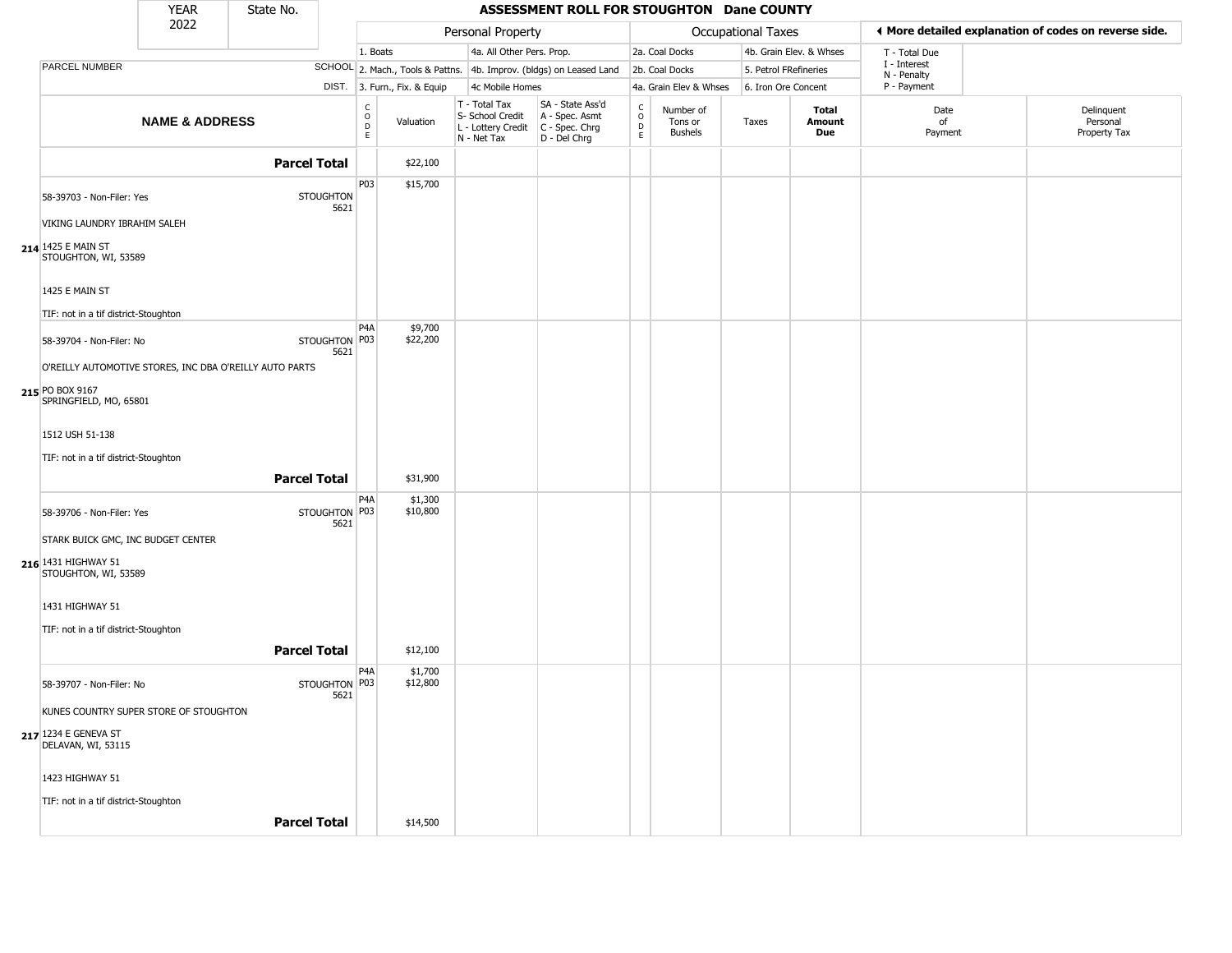|                                                                                             | <b>YEAR</b>               | State No.           |                          |                                                              |                                                                        | ASSESSMENT ROLL FOR STOUGHTON Dane COUNTY                            |                                           |                                 |                       |                         |                             |                                                       |
|---------------------------------------------------------------------------------------------|---------------------------|---------------------|--------------------------|--------------------------------------------------------------|------------------------------------------------------------------------|----------------------------------------------------------------------|-------------------------------------------|---------------------------------|-----------------------|-------------------------|-----------------------------|-------------------------------------------------------|
|                                                                                             | 2022                      |                     |                          |                                                              | Personal Property                                                      |                                                                      |                                           |                                 | Occupational Taxes    |                         |                             | ♦ More detailed explanation of codes on reverse side. |
|                                                                                             |                           |                     |                          | 1. Boats                                                     | 4a. All Other Pers. Prop.                                              |                                                                      |                                           | 2a. Coal Docks                  |                       | 4b. Grain Elev. & Whses | T - Total Due               |                                                       |
| PARCEL NUMBER                                                                               |                           |                     |                          |                                                              |                                                                        | SCHOOL 2. Mach., Tools & Pattns. 4b. Improv. (bldgs) on Leased Land  |                                           | 2b. Coal Docks                  | 5. Petrol FRefineries |                         | I - Interest<br>N - Penalty |                                                       |
|                                                                                             |                           |                     |                          | DIST. 3. Furn., Fix. & Equip                                 | 4c Mobile Homes                                                        |                                                                      |                                           | 4a. Grain Elev & Whses          | 6. Iron Ore Concent   |                         | P - Payment                 |                                                       |
|                                                                                             | <b>NAME &amp; ADDRESS</b> |                     |                          | $\begin{array}{c} C \\ O \\ D \\ E \end{array}$<br>Valuation | T - Total Tax<br>S- School Credit<br>L - Lottery Credit<br>N - Net Tax | SA - State Ass'd<br>A - Spec. Asmt<br>C - Spec. Chrg<br>D - Del Chrg | C<br>$\circ$<br>$\mathsf{D}_{\mathsf{E}}$ | Number of<br>Tons or<br>Bushels | Taxes                 | Total<br>Amount<br>Due  | Date<br>of<br>Payment       | Delinquent<br>Personal<br>Property Tax                |
|                                                                                             |                           | <b>Parcel Total</b> |                          | \$22,100                                                     |                                                                        |                                                                      |                                           |                                 |                       |                         |                             |                                                       |
| 58-39703 - Non-Filer: Yes<br>VIKING LAUNDRY IBRAHIM SALEH                                   |                           |                     | <b>STOUGHTON</b><br>5621 | P03<br>\$15,700                                              |                                                                        |                                                                      |                                           |                                 |                       |                         |                             |                                                       |
| 214 1425 E MAIN ST<br>STOUGHTON, WI, 53589                                                  |                           |                     |                          |                                                              |                                                                        |                                                                      |                                           |                                 |                       |                         |                             |                                                       |
| 1425 E MAIN ST<br>TIF: not in a tif district-Stoughton                                      |                           |                     |                          |                                                              |                                                                        |                                                                      |                                           |                                 |                       |                         |                             |                                                       |
| 58-39704 - Non-Filer: No                                                                    |                           |                     | STOUGHTON P03<br>5621    | P <sub>4</sub> A<br>\$9,700<br>\$22,200                      |                                                                        |                                                                      |                                           |                                 |                       |                         |                             |                                                       |
| O'REILLY AUTOMOTIVE STORES, INC DBA O'REILLY AUTO PARTS                                     |                           |                     |                          |                                                              |                                                                        |                                                                      |                                           |                                 |                       |                         |                             |                                                       |
| 215 PO BOX 9167<br>SPRINGFIELD, MO, 65801                                                   |                           |                     |                          |                                                              |                                                                        |                                                                      |                                           |                                 |                       |                         |                             |                                                       |
| 1512 USH 51-138                                                                             |                           |                     |                          |                                                              |                                                                        |                                                                      |                                           |                                 |                       |                         |                             |                                                       |
| TIF: not in a tif district-Stoughton                                                        |                           |                     |                          |                                                              |                                                                        |                                                                      |                                           |                                 |                       |                         |                             |                                                       |
|                                                                                             |                           | <b>Parcel Total</b> |                          | \$31,900                                                     |                                                                        |                                                                      |                                           |                                 |                       |                         |                             |                                                       |
| 58-39706 - Non-Filer: Yes                                                                   |                           |                     | STOUGHTON P03<br>5621    | P <sub>4</sub> A<br>\$1,300<br>\$10,800                      |                                                                        |                                                                      |                                           |                                 |                       |                         |                             |                                                       |
| STARK BUICK GMC, INC BUDGET CENTER<br>216 1431 HIGHWAY 51<br>STOUGHTON, WI, 53589           |                           |                     |                          |                                                              |                                                                        |                                                                      |                                           |                                 |                       |                         |                             |                                                       |
| 1431 HIGHWAY 51                                                                             |                           |                     |                          |                                                              |                                                                        |                                                                      |                                           |                                 |                       |                         |                             |                                                       |
| TIF: not in a tif district-Stoughton                                                        |                           | <b>Parcel Total</b> |                          | \$12,100                                                     |                                                                        |                                                                      |                                           |                                 |                       |                         |                             |                                                       |
|                                                                                             |                           |                     |                          | P <sub>4</sub> A<br>\$1,700                                  |                                                                        |                                                                      |                                           |                                 |                       |                         |                             |                                                       |
| 58-39707 - Non-Filer: No                                                                    |                           |                     | STOUGHTON P03<br>5621    | \$12,800                                                     |                                                                        |                                                                      |                                           |                                 |                       |                         |                             |                                                       |
| KUNES COUNTRY SUPER STORE OF STOUGHTON<br><b>217</b> 1234 E GENEVA ST<br>DELAVAN, WI, 53115 |                           |                     |                          |                                                              |                                                                        |                                                                      |                                           |                                 |                       |                         |                             |                                                       |
| 1423 HIGHWAY 51                                                                             |                           |                     |                          |                                                              |                                                                        |                                                                      |                                           |                                 |                       |                         |                             |                                                       |
| TIF: not in a tif district-Stoughton                                                        |                           |                     |                          |                                                              |                                                                        |                                                                      |                                           |                                 |                       |                         |                             |                                                       |
|                                                                                             |                           | <b>Parcel Total</b> |                          | \$14,500                                                     |                                                                        |                                                                      |                                           |                                 |                       |                         |                             |                                                       |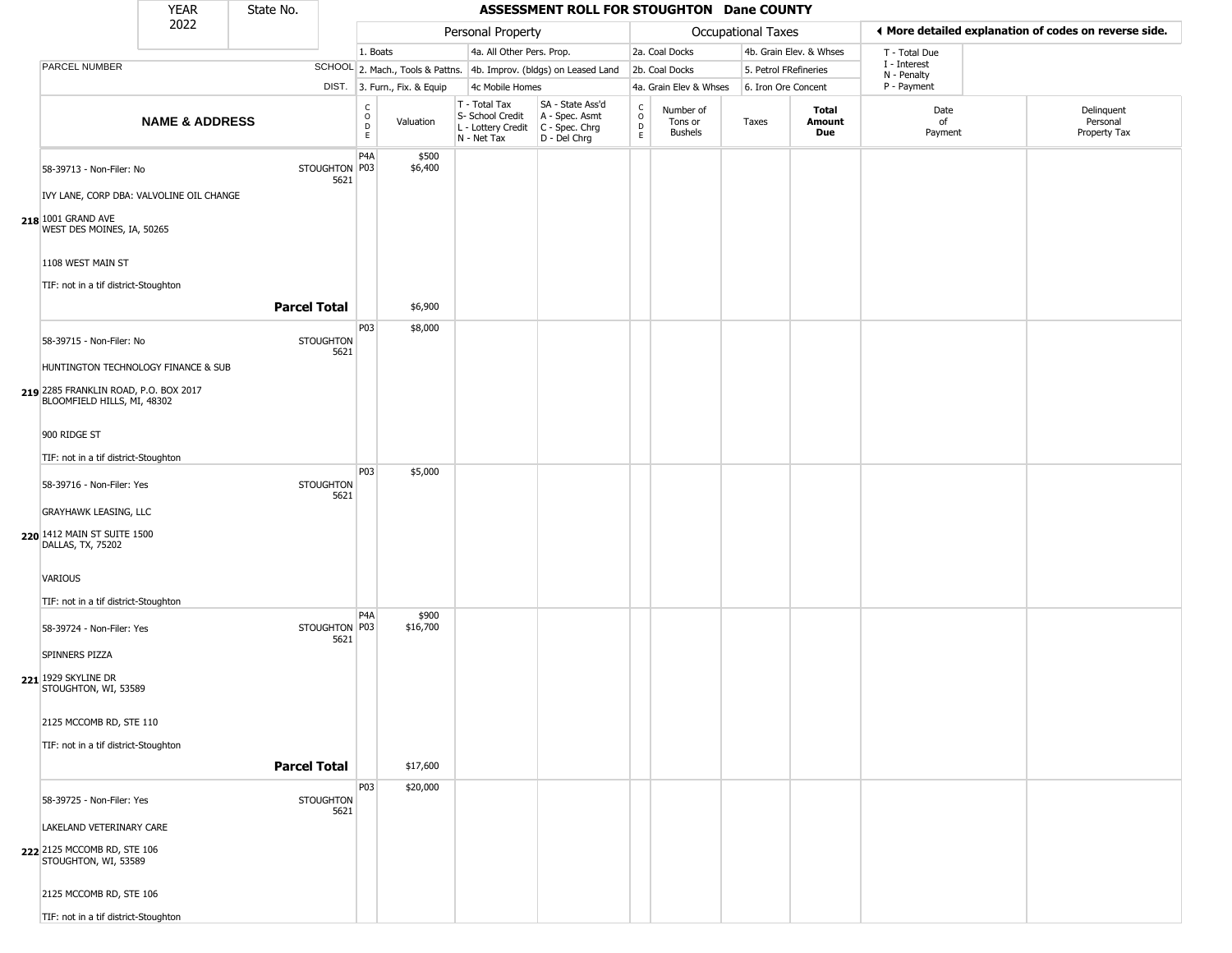|                                                                                                             | <b>YEAR</b>               | State No.           |                          |                                   |                              |                                                                        | ASSESSMENT ROLL FOR STOUGHTON Dane COUNTY                              |                                    |                                        |                       |                         |                             |                                                       |
|-------------------------------------------------------------------------------------------------------------|---------------------------|---------------------|--------------------------|-----------------------------------|------------------------------|------------------------------------------------------------------------|------------------------------------------------------------------------|------------------------------------|----------------------------------------|-----------------------|-------------------------|-----------------------------|-------------------------------------------------------|
|                                                                                                             | 2022                      |                     |                          |                                   |                              | Personal Property                                                      |                                                                        |                                    |                                        | Occupational Taxes    |                         |                             | ♦ More detailed explanation of codes on reverse side. |
|                                                                                                             |                           |                     |                          | 1. Boats                          |                              | 4a. All Other Pers. Prop.                                              |                                                                        |                                    | 2a. Coal Docks                         |                       | 4b. Grain Elev. & Whses | T - Total Due               |                                                       |
| PARCEL NUMBER                                                                                               |                           |                     |                          |                                   |                              |                                                                        | SCHOOL 2. Mach., Tools & Pattns. 4b. Improv. (bldgs) on Leased Land    |                                    | 2b. Coal Docks                         | 5. Petrol FRefineries |                         | I - Interest<br>N - Penalty |                                                       |
|                                                                                                             |                           |                     |                          |                                   | DIST. 3. Furn., Fix. & Equip | 4c Mobile Homes                                                        |                                                                        |                                    | 4a. Grain Elev & Whses                 | 6. Iron Ore Concent   |                         | P - Payment                 |                                                       |
|                                                                                                             | <b>NAME &amp; ADDRESS</b> |                     |                          | C<br>$\circ$<br>$\mathsf{D}$<br>E | Valuation                    | T - Total Tax<br>S- School Credit<br>L - Lottery Credit<br>N - Net Tax | SA - State Ass'd<br>A - Spec. Asmt<br>$C - Spec. Chrg$<br>D - Del Chrg | $\rm_{o}^{c}$<br>$\mathsf{D}$<br>E | Number of<br>Tons or<br><b>Bushels</b> | Taxes                 | Total<br>Amount<br>Due  | Date<br>of<br>Payment       | Delinquent<br>Personal<br>Property Tax                |
| 58-39713 - Non-Filer: No<br>IVY LANE, CORP DBA: VALVOLINE OIL CHANGE                                        |                           |                     | STOUGHTON P03<br>5621    | P <sub>4</sub> A                  | \$500<br>\$6,400             |                                                                        |                                                                        |                                    |                                        |                       |                         |                             |                                                       |
| 218 1001 GRAND AVE<br>WEST DES MOINES, IA, 50265                                                            |                           |                     |                          |                                   |                              |                                                                        |                                                                        |                                    |                                        |                       |                         |                             |                                                       |
| 1108 WEST MAIN ST<br>TIF: not in a tif district-Stoughton                                                   |                           |                     |                          |                                   |                              |                                                                        |                                                                        |                                    |                                        |                       |                         |                             |                                                       |
|                                                                                                             |                           | <b>Parcel Total</b> |                          |                                   | \$6,900                      |                                                                        |                                                                        |                                    |                                        |                       |                         |                             |                                                       |
| 58-39715 - Non-Filer: No                                                                                    |                           |                     | <b>STOUGHTON</b><br>5621 | P03                               | \$8,000                      |                                                                        |                                                                        |                                    |                                        |                       |                         |                             |                                                       |
| HUNTINGTON TECHNOLOGY FINANCE & SUB<br>219 2285 FRANKLIN ROAD, P.O. BOX 2017<br>BLOOMFIELD HILLS, MI, 48302 |                           |                     |                          |                                   |                              |                                                                        |                                                                        |                                    |                                        |                       |                         |                             |                                                       |
| 900 RIDGE ST                                                                                                |                           |                     |                          |                                   |                              |                                                                        |                                                                        |                                    |                                        |                       |                         |                             |                                                       |
| TIF: not in a tif district-Stoughton                                                                        |                           |                     |                          |                                   |                              |                                                                        |                                                                        |                                    |                                        |                       |                         |                             |                                                       |
| 58-39716 - Non-Filer: Yes                                                                                   |                           |                     | <b>STOUGHTON</b><br>5621 | P03                               | \$5,000                      |                                                                        |                                                                        |                                    |                                        |                       |                         |                             |                                                       |
| <b>GRAYHAWK LEASING, LLC</b>                                                                                |                           |                     |                          |                                   |                              |                                                                        |                                                                        |                                    |                                        |                       |                         |                             |                                                       |
| 220 1412 MAIN ST SUITE 1500<br>DALLAS, TX, 75202                                                            |                           |                     |                          |                                   |                              |                                                                        |                                                                        |                                    |                                        |                       |                         |                             |                                                       |
| VARIOUS                                                                                                     |                           |                     |                          |                                   |                              |                                                                        |                                                                        |                                    |                                        |                       |                         |                             |                                                       |
| TIF: not in a tif district-Stoughton                                                                        |                           |                     |                          |                                   |                              |                                                                        |                                                                        |                                    |                                        |                       |                         |                             |                                                       |
| 58-39724 - Non-Filer: Yes                                                                                   |                           |                     | STOUGHTON P03<br>5621    | P <sub>4</sub> A                  | \$900<br>\$16,700            |                                                                        |                                                                        |                                    |                                        |                       |                         |                             |                                                       |
| SPINNERS PIZZA                                                                                              |                           |                     |                          |                                   |                              |                                                                        |                                                                        |                                    |                                        |                       |                         |                             |                                                       |
| 221 1929 SKYLINE DR<br>STOUGHTON, WI, 53589                                                                 |                           |                     |                          |                                   |                              |                                                                        |                                                                        |                                    |                                        |                       |                         |                             |                                                       |
| 2125 MCCOMB RD, STE 110                                                                                     |                           |                     |                          |                                   |                              |                                                                        |                                                                        |                                    |                                        |                       |                         |                             |                                                       |
| TIF: not in a tif district-Stoughton                                                                        |                           |                     |                          |                                   |                              |                                                                        |                                                                        |                                    |                                        |                       |                         |                             |                                                       |
|                                                                                                             |                           | <b>Parcel Total</b> |                          |                                   | \$17,600                     |                                                                        |                                                                        |                                    |                                        |                       |                         |                             |                                                       |
| 58-39725 - Non-Filer: Yes                                                                                   |                           |                     | <b>STOUGHTON</b><br>5621 | P03                               | \$20,000                     |                                                                        |                                                                        |                                    |                                        |                       |                         |                             |                                                       |
| LAKELAND VETERINARY CARE                                                                                    |                           |                     |                          |                                   |                              |                                                                        |                                                                        |                                    |                                        |                       |                         |                             |                                                       |
| 222 2125 MCCOMB RD, STE 106<br>STOUGHTON, WI, 53589                                                         |                           |                     |                          |                                   |                              |                                                                        |                                                                        |                                    |                                        |                       |                         |                             |                                                       |
| 2125 MCCOMB RD, STE 106                                                                                     |                           |                     |                          |                                   |                              |                                                                        |                                                                        |                                    |                                        |                       |                         |                             |                                                       |
| TIF: not in a tif district-Stoughton                                                                        |                           |                     |                          |                                   |                              |                                                                        |                                                                        |                                    |                                        |                       |                         |                             |                                                       |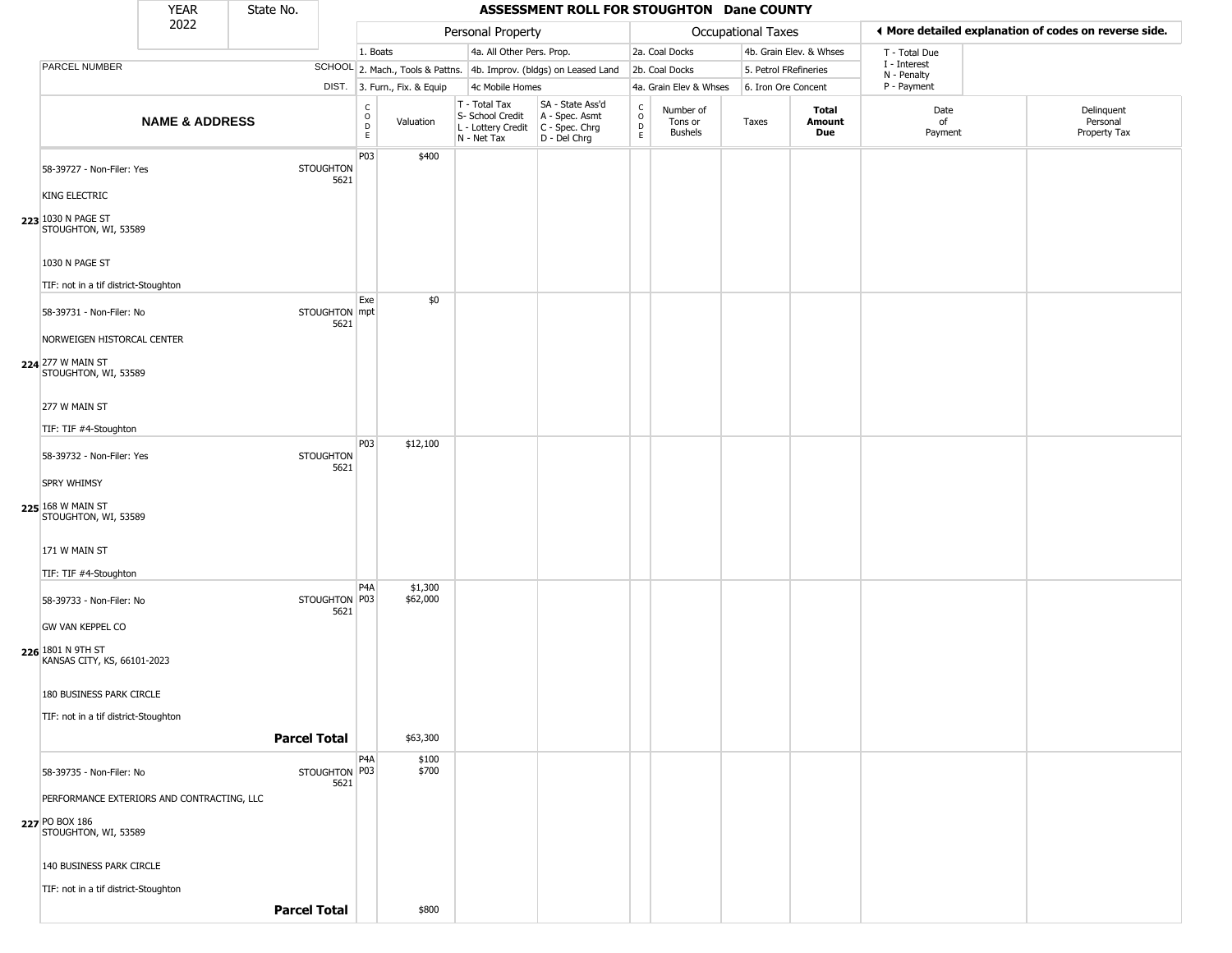|                                            | <b>YEAR</b>                                | State No.           |                          |                                                 |                              |                                                  | ASSESSMENT ROLL FOR STOUGHTON Dane COUNTY                                                   |                        |                                        |                       |                         |                             |                                                       |
|--------------------------------------------|--------------------------------------------|---------------------|--------------------------|-------------------------------------------------|------------------------------|--------------------------------------------------|---------------------------------------------------------------------------------------------|------------------------|----------------------------------------|-----------------------|-------------------------|-----------------------------|-------------------------------------------------------|
|                                            | 2022                                       |                     |                          |                                                 |                              | Personal Property                                |                                                                                             |                        |                                        | Occupational Taxes    |                         |                             | ♦ More detailed explanation of codes on reverse side. |
|                                            |                                            |                     |                          | 1. Boats                                        |                              | 4a. All Other Pers. Prop.                        |                                                                                             |                        | 2a. Coal Docks                         |                       | 4b. Grain Elev. & Whses | T - Total Due               |                                                       |
| PARCEL NUMBER                              |                                            |                     |                          |                                                 |                              |                                                  | SCHOOL 2. Mach., Tools & Pattns. 4b. Improv. (bldgs) on Leased Land                         |                        | 2b. Coal Docks                         | 5. Petrol FRefineries |                         | I - Interest<br>N - Penalty |                                                       |
|                                            |                                            |                     |                          |                                                 | DIST. 3. Furn., Fix. & Equip | 4c Mobile Homes                                  |                                                                                             |                        | 4a. Grain Elev & Whses                 | 6. Iron Ore Concent   |                         | P - Payment                 |                                                       |
|                                            | <b>NAME &amp; ADDRESS</b>                  |                     |                          | $\begin{array}{c} C \\ O \\ D \\ E \end{array}$ | Valuation                    | T - Total Tax<br>S- School Credit<br>N - Net Tax | SA - State Ass'd<br>A - Spec. Asmt<br>$L$ - Lottery Credit $C$ - Spec. Chrg<br>D - Del Chrg | C<br>$\circ$<br>D<br>E | Number of<br>Tons or<br><b>Bushels</b> | Taxes                 | Total<br>Amount<br>Due  | Date<br>of<br>Payment       | Delinquent<br>Personal<br>Property Tax                |
| 58-39727 - Non-Filer: Yes                  |                                            |                     | <b>STOUGHTON</b><br>5621 | P03                                             | \$400                        |                                                  |                                                                                             |                        |                                        |                       |                         |                             |                                                       |
| <b>KING ELECTRIC</b>                       |                                            |                     |                          |                                                 |                              |                                                  |                                                                                             |                        |                                        |                       |                         |                             |                                                       |
| 223 1030 N PAGE ST<br>STOUGHTON, WI, 53589 |                                            |                     |                          |                                                 |                              |                                                  |                                                                                             |                        |                                        |                       |                         |                             |                                                       |
| 1030 N PAGE ST                             |                                            |                     |                          |                                                 |                              |                                                  |                                                                                             |                        |                                        |                       |                         |                             |                                                       |
|                                            | TIF: not in a tif district-Stoughton       |                     |                          |                                                 |                              |                                                  |                                                                                             |                        |                                        |                       |                         |                             |                                                       |
| 58-39731 - Non-Filer: No                   |                                            |                     | STOUGHTON mpt<br>5621    | Exe                                             | \$0                          |                                                  |                                                                                             |                        |                                        |                       |                         |                             |                                                       |
|                                            | NORWEIGEN HISTORCAL CENTER                 |                     |                          |                                                 |                              |                                                  |                                                                                             |                        |                                        |                       |                         |                             |                                                       |
| 224 277 W MAIN ST<br>STOUGHTON, WI, 53589  |                                            |                     |                          |                                                 |                              |                                                  |                                                                                             |                        |                                        |                       |                         |                             |                                                       |
| 277 W MAIN ST                              |                                            |                     |                          |                                                 |                              |                                                  |                                                                                             |                        |                                        |                       |                         |                             |                                                       |
| TIF: TIF #4-Stoughton                      |                                            |                     |                          |                                                 |                              |                                                  |                                                                                             |                        |                                        |                       |                         |                             |                                                       |
| 58-39732 - Non-Filer: Yes                  |                                            |                     | <b>STOUGHTON</b><br>5621 | P03                                             | \$12,100                     |                                                  |                                                                                             |                        |                                        |                       |                         |                             |                                                       |
| <b>SPRY WHIMSY</b>                         |                                            |                     |                          |                                                 |                              |                                                  |                                                                                             |                        |                                        |                       |                         |                             |                                                       |
| 225 168 W MAIN ST<br>STOUGHTON, WI, 53589  |                                            |                     |                          |                                                 |                              |                                                  |                                                                                             |                        |                                        |                       |                         |                             |                                                       |
| 171 W MAIN ST                              |                                            |                     |                          |                                                 |                              |                                                  |                                                                                             |                        |                                        |                       |                         |                             |                                                       |
| TIF: TIF #4-Stoughton                      |                                            |                     |                          |                                                 |                              |                                                  |                                                                                             |                        |                                        |                       |                         |                             |                                                       |
| 58-39733 - Non-Filer: No                   |                                            |                     | STOUGHTON P03<br>5621    | P <sub>4</sub> A                                | \$1,300<br>\$62,000          |                                                  |                                                                                             |                        |                                        |                       |                         |                             |                                                       |
| GW VAN KEPPEL CO                           |                                            |                     |                          |                                                 |                              |                                                  |                                                                                             |                        |                                        |                       |                         |                             |                                                       |
| 226 1801 N 9TH ST                          | KANSAS CITY, KS, 66101-2023                |                     |                          |                                                 |                              |                                                  |                                                                                             |                        |                                        |                       |                         |                             |                                                       |
| 180 BUSINESS PARK CIRCLE                   |                                            |                     |                          |                                                 |                              |                                                  |                                                                                             |                        |                                        |                       |                         |                             |                                                       |
|                                            | TIF: not in a tif district-Stoughton       |                     |                          |                                                 |                              |                                                  |                                                                                             |                        |                                        |                       |                         |                             |                                                       |
|                                            |                                            | <b>Parcel Total</b> |                          |                                                 | \$63,300                     |                                                  |                                                                                             |                        |                                        |                       |                         |                             |                                                       |
|                                            |                                            |                     |                          | P4A                                             | \$100                        |                                                  |                                                                                             |                        |                                        |                       |                         |                             |                                                       |
| 58-39735 - Non-Filer: No                   |                                            |                     | STOUGHTON P03<br>5621    |                                                 | \$700                        |                                                  |                                                                                             |                        |                                        |                       |                         |                             |                                                       |
|                                            | PERFORMANCE EXTERIORS AND CONTRACTING, LLC |                     |                          |                                                 |                              |                                                  |                                                                                             |                        |                                        |                       |                         |                             |                                                       |
| 227 PO BOX 186<br>STOUGHTON, WI, 53589     |                                            |                     |                          |                                                 |                              |                                                  |                                                                                             |                        |                                        |                       |                         |                             |                                                       |
| 140 BUSINESS PARK CIRCLE                   |                                            |                     |                          |                                                 |                              |                                                  |                                                                                             |                        |                                        |                       |                         |                             |                                                       |
|                                            | TIF: not in a tif district-Stoughton       |                     |                          |                                                 |                              |                                                  |                                                                                             |                        |                                        |                       |                         |                             |                                                       |
|                                            |                                            | <b>Parcel Total</b> |                          |                                                 | \$800                        |                                                  |                                                                                             |                        |                                        |                       |                         |                             |                                                       |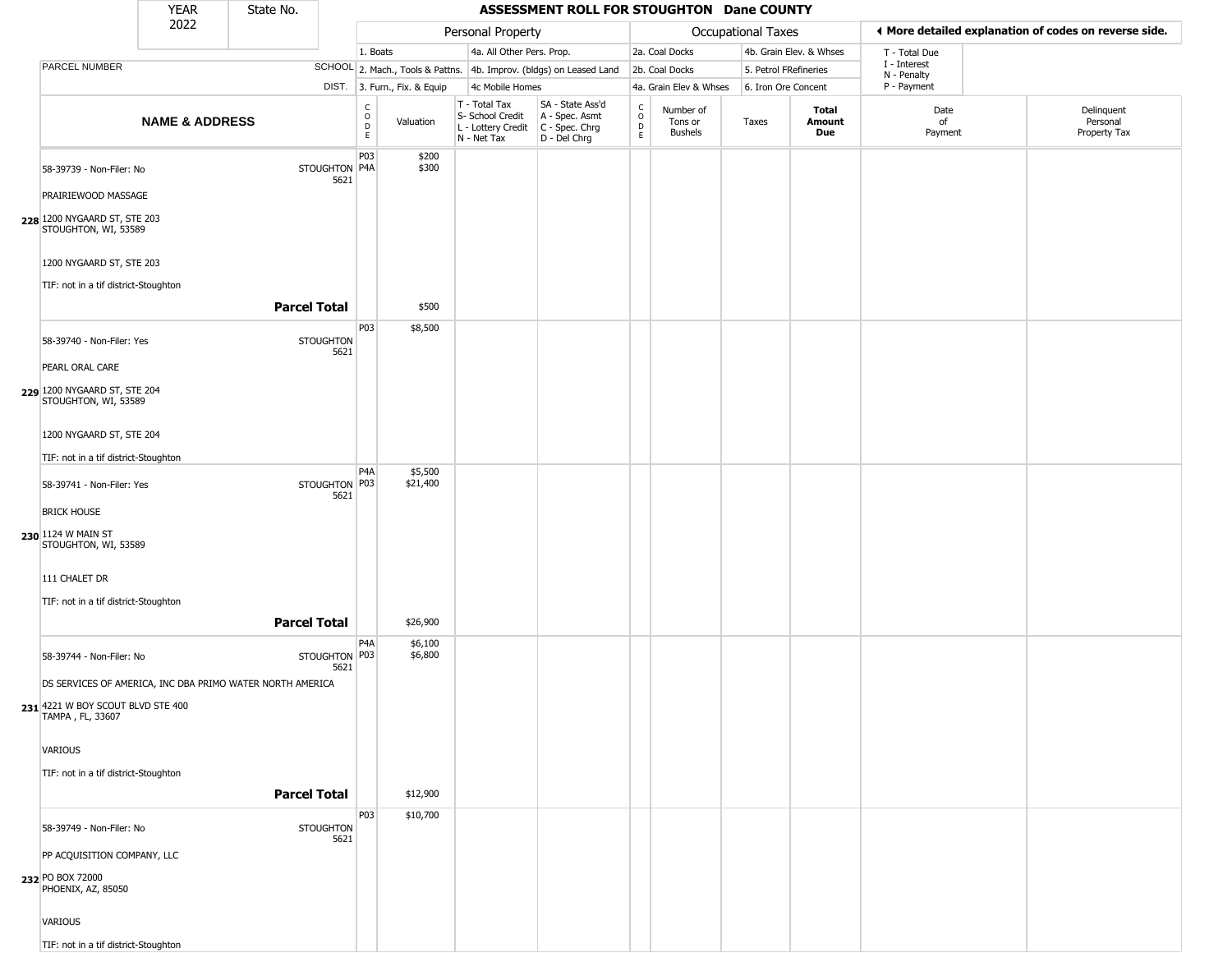|                                                                  | <b>YEAR</b>               | State No.                                                 |                          |                                                     |                              |                                                                        | ASSESSMENT ROLL FOR STOUGHTON Dane COUNTY                            |                                                 |                                        |                       |                         |                             |                                                       |
|------------------------------------------------------------------|---------------------------|-----------------------------------------------------------|--------------------------|-----------------------------------------------------|------------------------------|------------------------------------------------------------------------|----------------------------------------------------------------------|-------------------------------------------------|----------------------------------------|-----------------------|-------------------------|-----------------------------|-------------------------------------------------------|
|                                                                  | 2022                      |                                                           |                          |                                                     |                              | Personal Property                                                      |                                                                      |                                                 |                                        | Occupational Taxes    |                         |                             | ♦ More detailed explanation of codes on reverse side. |
|                                                                  |                           |                                                           |                          | 1. Boats                                            |                              | 4a. All Other Pers. Prop.                                              |                                                                      |                                                 | 2a. Coal Docks                         |                       | 4b. Grain Elev. & Whses | T - Total Due               |                                                       |
| PARCEL NUMBER                                                    |                           |                                                           |                          |                                                     |                              |                                                                        | SCHOOL 2. Mach., Tools & Pattns. 4b. Improv. (bldgs) on Leased Land  |                                                 | 2b. Coal Docks                         | 5. Petrol FRefineries |                         | I - Interest<br>N - Penalty |                                                       |
|                                                                  |                           |                                                           |                          |                                                     | DIST. 3. Furn., Fix. & Equip | 4c Mobile Homes                                                        |                                                                      |                                                 | 4a. Grain Elev & Whses                 | 6. Iron Ore Concent   |                         | P - Payment                 |                                                       |
|                                                                  | <b>NAME &amp; ADDRESS</b> |                                                           |                          | C<br>$\circ$<br>$\mathrel{\mathsf{D}}_{\mathsf{E}}$ | Valuation                    | T - Total Tax<br>S- School Credit<br>L - Lottery Credit<br>N - Net Tax | SA - State Ass'd<br>A - Spec. Asmt<br>C - Spec. Chrg<br>D - Del Chrg | $\begin{array}{c} C \\ O \\ D \\ E \end{array}$ | Number of<br>Tons or<br><b>Bushels</b> | Taxes                 | Total<br>Amount<br>Due  | Date<br>of<br>Payment       | Delinquent<br>Personal<br>Property Tax                |
| 58-39739 - Non-Filer: No                                         |                           |                                                           | STOUGHTON P4A<br>5621    | P03                                                 | \$200<br>\$300               |                                                                        |                                                                      |                                                 |                                        |                       |                         |                             |                                                       |
| PRAIRIEWOOD MASSAGE                                              |                           |                                                           |                          |                                                     |                              |                                                                        |                                                                      |                                                 |                                        |                       |                         |                             |                                                       |
| 228 1200 NYGAARD ST, STE 203<br>STOUGHTON, WI, 53589             |                           |                                                           |                          |                                                     |                              |                                                                        |                                                                      |                                                 |                                        |                       |                         |                             |                                                       |
| 1200 NYGAARD ST, STE 203<br>TIF: not in a tif district-Stoughton |                           |                                                           |                          |                                                     |                              |                                                                        |                                                                      |                                                 |                                        |                       |                         |                             |                                                       |
|                                                                  |                           | <b>Parcel Total</b>                                       |                          |                                                     | \$500                        |                                                                        |                                                                      |                                                 |                                        |                       |                         |                             |                                                       |
| 58-39740 - Non-Filer: Yes                                        |                           |                                                           | <b>STOUGHTON</b><br>5621 | P03                                                 | \$8,500                      |                                                                        |                                                                      |                                                 |                                        |                       |                         |                             |                                                       |
| PEARL ORAL CARE                                                  |                           |                                                           |                          |                                                     |                              |                                                                        |                                                                      |                                                 |                                        |                       |                         |                             |                                                       |
| 229 1200 NYGAARD ST, STE 204<br>STOUGHTON, WI, 53589             |                           |                                                           |                          |                                                     |                              |                                                                        |                                                                      |                                                 |                                        |                       |                         |                             |                                                       |
| 1200 NYGAARD ST, STE 204                                         |                           |                                                           |                          |                                                     |                              |                                                                        |                                                                      |                                                 |                                        |                       |                         |                             |                                                       |
| TIF: not in a tif district-Stoughton                             |                           |                                                           |                          |                                                     |                              |                                                                        |                                                                      |                                                 |                                        |                       |                         |                             |                                                       |
| 58-39741 - Non-Filer: Yes                                        |                           |                                                           | STOUGHTON P03<br>5621    | P <sub>4</sub> A                                    | \$5,500<br>\$21,400          |                                                                        |                                                                      |                                                 |                                        |                       |                         |                             |                                                       |
| <b>BRICK HOUSE</b>                                               |                           |                                                           |                          |                                                     |                              |                                                                        |                                                                      |                                                 |                                        |                       |                         |                             |                                                       |
| 230 1124 W MAIN ST<br>STOUGHTON, WI, 53589                       |                           |                                                           |                          |                                                     |                              |                                                                        |                                                                      |                                                 |                                        |                       |                         |                             |                                                       |
| 111 CHALET DR                                                    |                           |                                                           |                          |                                                     |                              |                                                                        |                                                                      |                                                 |                                        |                       |                         |                             |                                                       |
| TIF: not in a tif district-Stoughton                             |                           |                                                           |                          |                                                     |                              |                                                                        |                                                                      |                                                 |                                        |                       |                         |                             |                                                       |
|                                                                  |                           | <b>Parcel Total</b>                                       |                          |                                                     | \$26,900                     |                                                                        |                                                                      |                                                 |                                        |                       |                         |                             |                                                       |
| 58-39744 - Non-Filer: No                                         |                           |                                                           | STOUGHTON P03<br>5621    | P <sub>4</sub> A                                    | \$6,100<br>\$6,800           |                                                                        |                                                                      |                                                 |                                        |                       |                         |                             |                                                       |
|                                                                  |                           | DS SERVICES OF AMERICA, INC DBA PRIMO WATER NORTH AMERICA |                          |                                                     |                              |                                                                        |                                                                      |                                                 |                                        |                       |                         |                             |                                                       |
| 231 4221 W BOY SCOUT BLVD STE 400<br>TAMPA, FL, 33607            |                           |                                                           |                          |                                                     |                              |                                                                        |                                                                      |                                                 |                                        |                       |                         |                             |                                                       |
| VARIOUS                                                          |                           |                                                           |                          |                                                     |                              |                                                                        |                                                                      |                                                 |                                        |                       |                         |                             |                                                       |
| TIF: not in a tif district-Stoughton                             |                           |                                                           |                          |                                                     |                              |                                                                        |                                                                      |                                                 |                                        |                       |                         |                             |                                                       |
|                                                                  |                           | <b>Parcel Total</b>                                       |                          |                                                     | \$12,900                     |                                                                        |                                                                      |                                                 |                                        |                       |                         |                             |                                                       |
| 58-39749 - Non-Filer: No                                         |                           |                                                           | <b>STOUGHTON</b>         | P03                                                 | \$10,700                     |                                                                        |                                                                      |                                                 |                                        |                       |                         |                             |                                                       |
| PP ACQUISITION COMPANY, LLC                                      |                           |                                                           | 5621                     |                                                     |                              |                                                                        |                                                                      |                                                 |                                        |                       |                         |                             |                                                       |
| 232 PO BOX 72000<br>PHOENIX, AZ, 85050                           |                           |                                                           |                          |                                                     |                              |                                                                        |                                                                      |                                                 |                                        |                       |                         |                             |                                                       |
| VARIOUS                                                          |                           |                                                           |                          |                                                     |                              |                                                                        |                                                                      |                                                 |                                        |                       |                         |                             |                                                       |
| TIF: not in a tif district-Stoughton                             |                           |                                                           |                          |                                                     |                              |                                                                        |                                                                      |                                                 |                                        |                       |                         |                             |                                                       |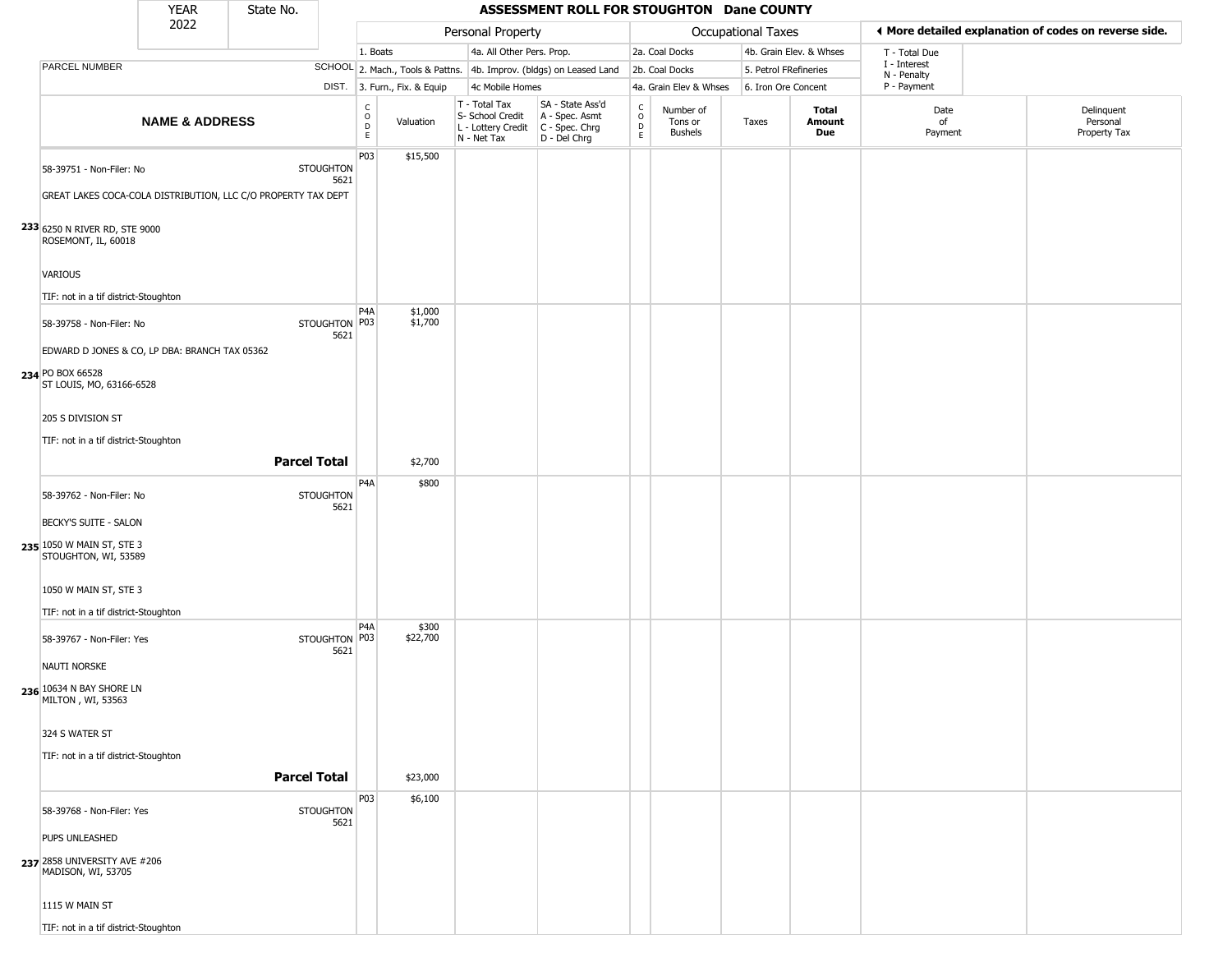|                                                                                           | <b>YEAR</b>               | State No.           |                          |                                                 |                              |                                                                                           | ASSESSMENT ROLL FOR STOUGHTON Dane COUNTY                           |                        |                                        |                       |                         |                             |                                                       |
|-------------------------------------------------------------------------------------------|---------------------------|---------------------|--------------------------|-------------------------------------------------|------------------------------|-------------------------------------------------------------------------------------------|---------------------------------------------------------------------|------------------------|----------------------------------------|-----------------------|-------------------------|-----------------------------|-------------------------------------------------------|
|                                                                                           | 2022                      |                     |                          |                                                 |                              | Personal Property                                                                         |                                                                     |                        |                                        | Occupational Taxes    |                         |                             | ♦ More detailed explanation of codes on reverse side. |
|                                                                                           |                           |                     |                          | 1. Boats                                        |                              | 4a. All Other Pers. Prop.                                                                 |                                                                     |                        | 2a. Coal Docks                         |                       | 4b. Grain Elev. & Whses | T - Total Due               |                                                       |
| PARCEL NUMBER                                                                             |                           |                     |                          |                                                 |                              |                                                                                           | SCHOOL 2. Mach., Tools & Pattns. 4b. Improv. (bldgs) on Leased Land |                        | 2b. Coal Docks                         | 5. Petrol FRefineries |                         | I - Interest<br>N - Penalty |                                                       |
|                                                                                           |                           |                     |                          |                                                 | DIST. 3. Furn., Fix. & Equip | 4c Mobile Homes                                                                           |                                                                     |                        | 4a. Grain Elev & Whses                 | 6. Iron Ore Concent   |                         | P - Payment                 |                                                       |
|                                                                                           | <b>NAME &amp; ADDRESS</b> |                     |                          | $\begin{array}{c} C \\ O \\ D \\ E \end{array}$ | Valuation                    | T - Total Tax<br>S- School Credit<br>$L$ - Lottery Credit $C$ - Spec. Chrg<br>N - Net Tax | SA - State Ass'd<br>A - Spec. Asmt<br>D - Del Chrg                  | C<br>$\circ$<br>D<br>E | Number of<br>Tons or<br><b>Bushels</b> | Taxes                 | Total<br>Amount<br>Due  | Date<br>of<br>Payment       | Delinquent<br>Personal<br>Property Tax                |
| 58-39751 - Non-Filer: No<br>GREAT LAKES COCA-COLA DISTRIBUTION, LLC C/O PROPERTY TAX DEPT |                           |                     | <b>STOUGHTON</b><br>5621 | P03                                             | \$15,500                     |                                                                                           |                                                                     |                        |                                        |                       |                         |                             |                                                       |
| 233 6250 N RIVER RD, STE 9000<br>ROSEMONT, IL, 60018                                      |                           |                     |                          |                                                 |                              |                                                                                           |                                                                     |                        |                                        |                       |                         |                             |                                                       |
| <b>VARIOUS</b>                                                                            |                           |                     |                          |                                                 |                              |                                                                                           |                                                                     |                        |                                        |                       |                         |                             |                                                       |
| TIF: not in a tif district-Stoughton                                                      |                           |                     |                          |                                                 |                              |                                                                                           |                                                                     |                        |                                        |                       |                         |                             |                                                       |
| 58-39758 - Non-Filer: No<br>EDWARD D JONES & CO, LP DBA: BRANCH TAX 05362                 |                           |                     | STOUGHTON P03<br>5621    | P <sub>4</sub> A                                | \$1,000<br>\$1,700           |                                                                                           |                                                                     |                        |                                        |                       |                         |                             |                                                       |
| 234 PO BOX 66528<br>ST LOUIS, MO, 63166-6528                                              |                           |                     |                          |                                                 |                              |                                                                                           |                                                                     |                        |                                        |                       |                         |                             |                                                       |
| 205 S DIVISION ST                                                                         |                           |                     |                          |                                                 |                              |                                                                                           |                                                                     |                        |                                        |                       |                         |                             |                                                       |
| TIF: not in a tif district-Stoughton                                                      |                           |                     |                          |                                                 |                              |                                                                                           |                                                                     |                        |                                        |                       |                         |                             |                                                       |
|                                                                                           |                           | <b>Parcel Total</b> |                          |                                                 | \$2,700                      |                                                                                           |                                                                     |                        |                                        |                       |                         |                             |                                                       |
| 58-39762 - Non-Filer: No                                                                  |                           |                     | <b>STOUGHTON</b><br>5621 | P <sub>4</sub> A                                | \$800                        |                                                                                           |                                                                     |                        |                                        |                       |                         |                             |                                                       |
| BECKY'S SUITE - SALON<br>235 1050 W MAIN ST, STE 3<br>STOUGHTON, WI, 53589                |                           |                     |                          |                                                 |                              |                                                                                           |                                                                     |                        |                                        |                       |                         |                             |                                                       |
| 1050 W MAIN ST, STE 3                                                                     |                           |                     |                          |                                                 |                              |                                                                                           |                                                                     |                        |                                        |                       |                         |                             |                                                       |
| TIF: not in a tif district-Stoughton                                                      |                           |                     |                          | P <sub>4</sub> A                                | \$300                        |                                                                                           |                                                                     |                        |                                        |                       |                         |                             |                                                       |
| 58-39767 - Non-Filer: Yes<br>NAUTI NORSKE                                                 |                           |                     | STOUGHTON P03<br>5621    |                                                 | \$22,700                     |                                                                                           |                                                                     |                        |                                        |                       |                         |                             |                                                       |
| 236 10634 N BAY SHORE LN<br>MILTON, WI, 53563                                             |                           |                     |                          |                                                 |                              |                                                                                           |                                                                     |                        |                                        |                       |                         |                             |                                                       |
| 324 S WATER ST                                                                            |                           |                     |                          |                                                 |                              |                                                                                           |                                                                     |                        |                                        |                       |                         |                             |                                                       |
| TIF: not in a tif district-Stoughton                                                      |                           |                     | <b>Parcel Total</b>      |                                                 | \$23,000                     |                                                                                           |                                                                     |                        |                                        |                       |                         |                             |                                                       |
| 58-39768 - Non-Filer: Yes                                                                 |                           |                     | <b>STOUGHTON</b><br>5621 | <b>P03</b>                                      | \$6,100                      |                                                                                           |                                                                     |                        |                                        |                       |                         |                             |                                                       |
| PUPS UNLEASHED<br><b>237</b> 2858 UNIVERSITY AVE #206<br>MADISON, WI, 53705               |                           |                     |                          |                                                 |                              |                                                                                           |                                                                     |                        |                                        |                       |                         |                             |                                                       |
| 1115 W MAIN ST                                                                            |                           |                     |                          |                                                 |                              |                                                                                           |                                                                     |                        |                                        |                       |                         |                             |                                                       |
| TIF: not in a tif district-Stoughton                                                      |                           |                     |                          |                                                 |                              |                                                                                           |                                                                     |                        |                                        |                       |                         |                             |                                                       |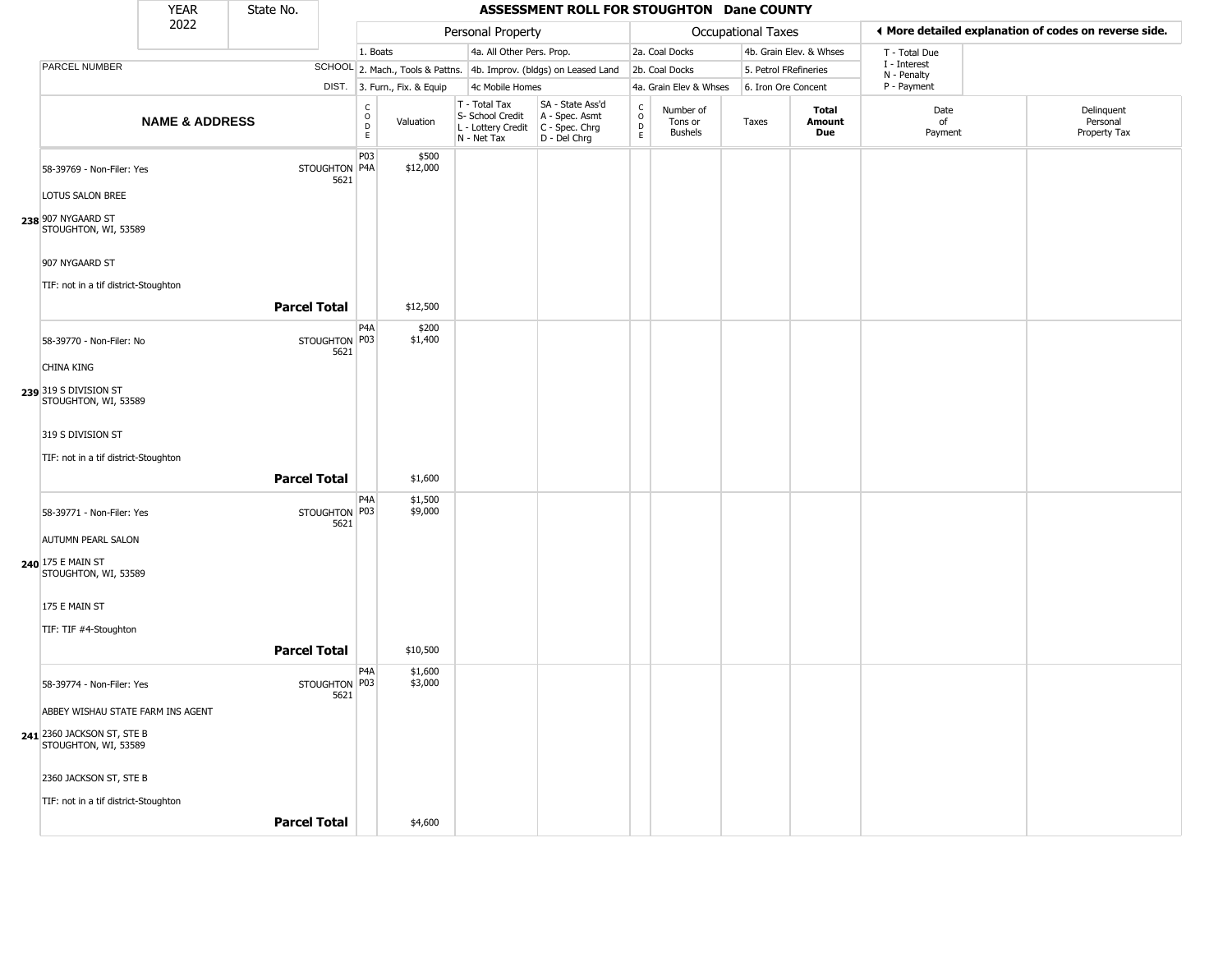|                                                                                         | YEAR                      | State No.           |                                           |                                                              |                                                                        | ASSESSMENT ROLL FOR STOUGHTON Dane COUNTY                            |                                           |                                        |                       |                         |                             |                                                       |
|-----------------------------------------------------------------------------------------|---------------------------|---------------------|-------------------------------------------|--------------------------------------------------------------|------------------------------------------------------------------------|----------------------------------------------------------------------|-------------------------------------------|----------------------------------------|-----------------------|-------------------------|-----------------------------|-------------------------------------------------------|
|                                                                                         | 2022                      |                     |                                           |                                                              | Personal Property                                                      |                                                                      |                                           |                                        | Occupational Taxes    |                         |                             | ♦ More detailed explanation of codes on reverse side. |
|                                                                                         |                           |                     |                                           | 1. Boats                                                     | 4a. All Other Pers. Prop.                                              |                                                                      |                                           | 2a. Coal Docks                         |                       | 4b. Grain Elev. & Whses | T - Total Due               |                                                       |
| PARCEL NUMBER                                                                           |                           |                     |                                           |                                                              |                                                                        | SCHOOL 2. Mach., Tools & Pattns. 4b. Improv. (bldgs) on Leased Land  |                                           | 2b. Coal Docks                         | 5. Petrol FRefineries |                         | I - Interest<br>N - Penalty |                                                       |
|                                                                                         |                           |                     |                                           | DIST. 3. Furn., Fix. & Equip                                 | 4c Mobile Homes                                                        |                                                                      |                                           | 4a. Grain Elev & Whses                 | 6. Iron Ore Concent   |                         | P - Payment                 |                                                       |
|                                                                                         | <b>NAME &amp; ADDRESS</b> |                     |                                           | $\begin{array}{c} C \\ O \\ D \\ E \end{array}$<br>Valuation | T - Total Tax<br>S- School Credit<br>L - Lottery Credit<br>N - Net Tax | SA - State Ass'd<br>A - Spec. Asmt<br>C - Spec. Chrg<br>D - Del Chrg | $\rm _o^C$<br>$\mathsf{D}$<br>$\mathsf E$ | Number of<br>Tons or<br><b>Bushels</b> | Taxes                 | Total<br>Amount<br>Due  | Date<br>of<br>Payment       | Delinquent<br>Personal<br>Property Tax                |
| 58-39769 - Non-Filer: Yes                                                               |                           |                     | <b>P03</b><br>STOUGHTON P4A<br>5621       | \$500<br>\$12,000                                            |                                                                        |                                                                      |                                           |                                        |                       |                         |                             |                                                       |
| LOTUS SALON BREE                                                                        |                           |                     |                                           |                                                              |                                                                        |                                                                      |                                           |                                        |                       |                         |                             |                                                       |
| 238 907 NYGAARD ST<br>STOUGHTON, WI, 53589                                              |                           |                     |                                           |                                                              |                                                                        |                                                                      |                                           |                                        |                       |                         |                             |                                                       |
| 907 NYGAARD ST                                                                          |                           |                     |                                           |                                                              |                                                                        |                                                                      |                                           |                                        |                       |                         |                             |                                                       |
| TIF: not in a tif district-Stoughton                                                    |                           |                     |                                           |                                                              |                                                                        |                                                                      |                                           |                                        |                       |                         |                             |                                                       |
|                                                                                         |                           | <b>Parcel Total</b> |                                           | \$12,500                                                     |                                                                        |                                                                      |                                           |                                        |                       |                         |                             |                                                       |
| 58-39770 - Non-Filer: No                                                                |                           |                     | P <sub>4</sub> A<br>STOUGHTON P03<br>5621 | \$200<br>\$1,400                                             |                                                                        |                                                                      |                                           |                                        |                       |                         |                             |                                                       |
| CHINA KING                                                                              |                           |                     |                                           |                                                              |                                                                        |                                                                      |                                           |                                        |                       |                         |                             |                                                       |
| 239 319 S DIVISION ST<br>STOUGHTON, WI, 53589                                           |                           |                     |                                           |                                                              |                                                                        |                                                                      |                                           |                                        |                       |                         |                             |                                                       |
| 319 S DIVISION ST                                                                       |                           |                     |                                           |                                                              |                                                                        |                                                                      |                                           |                                        |                       |                         |                             |                                                       |
| TIF: not in a tif district-Stoughton                                                    |                           |                     |                                           |                                                              |                                                                        |                                                                      |                                           |                                        |                       |                         |                             |                                                       |
|                                                                                         |                           | <b>Parcel Total</b> |                                           | \$1,600                                                      |                                                                        |                                                                      |                                           |                                        |                       |                         |                             |                                                       |
| 58-39771 - Non-Filer: Yes                                                               |                           |                     | P <sub>4</sub> A<br>STOUGHTON P03<br>5621 | \$1,500<br>\$9,000                                           |                                                                        |                                                                      |                                           |                                        |                       |                         |                             |                                                       |
| <b>AUTUMN PEARL SALON</b><br>240 175 E MAIN ST<br>STOUGHTON, WI, 53589                  |                           |                     |                                           |                                                              |                                                                        |                                                                      |                                           |                                        |                       |                         |                             |                                                       |
| 175 E MAIN ST                                                                           |                           |                     |                                           |                                                              |                                                                        |                                                                      |                                           |                                        |                       |                         |                             |                                                       |
| TIF: TIF #4-Stoughton                                                                   |                           | <b>Parcel Total</b> |                                           | \$10,500                                                     |                                                                        |                                                                      |                                           |                                        |                       |                         |                             |                                                       |
| 58-39774 - Non-Filer: Yes                                                               |                           |                     | P <sub>4</sub> A<br>STOUGHTON P03<br>5621 | \$1,600<br>\$3,000                                           |                                                                        |                                                                      |                                           |                                        |                       |                         |                             |                                                       |
| ABBEY WISHAU STATE FARM INS AGENT<br>241 2360 JACKSON ST, STE B<br>STOUGHTON, WI, 53589 |                           |                     |                                           |                                                              |                                                                        |                                                                      |                                           |                                        |                       |                         |                             |                                                       |
| 2360 JACKSON ST, STE B                                                                  |                           |                     |                                           |                                                              |                                                                        |                                                                      |                                           |                                        |                       |                         |                             |                                                       |
| TIF: not in a tif district-Stoughton                                                    |                           | <b>Parcel Total</b> |                                           | \$4,600                                                      |                                                                        |                                                                      |                                           |                                        |                       |                         |                             |                                                       |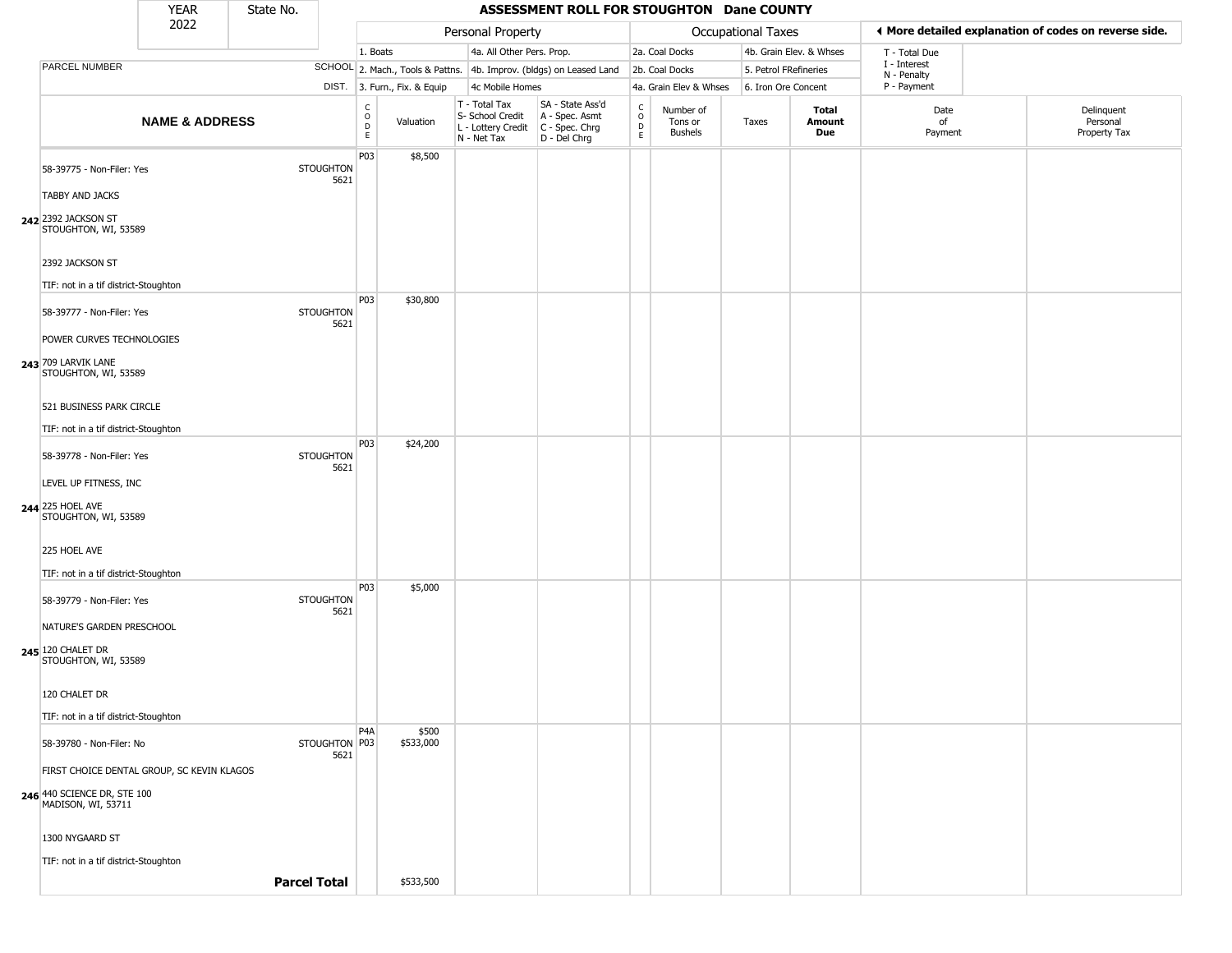|                                                                       | <b>YEAR</b>                                | State No. |                          |                                                 |                              |                                                                                         | ASSESSMENT ROLL FOR STOUGHTON Dane COUNTY                           |                                        |                                 |                       |                         |                             |                                                       |
|-----------------------------------------------------------------------|--------------------------------------------|-----------|--------------------------|-------------------------------------------------|------------------------------|-----------------------------------------------------------------------------------------|---------------------------------------------------------------------|----------------------------------------|---------------------------------|-----------------------|-------------------------|-----------------------------|-------------------------------------------------------|
|                                                                       | 2022                                       |           |                          |                                                 |                              | Personal Property                                                                       |                                                                     |                                        |                                 | Occupational Taxes    |                         |                             | ◀ More detailed explanation of codes on reverse side. |
|                                                                       |                                            |           |                          | 1. Boats                                        |                              | 4a. All Other Pers. Prop.                                                               |                                                                     |                                        | 2a. Coal Docks                  |                       | 4b. Grain Elev. & Whses | T - Total Due               |                                                       |
| <b>PARCEL NUMBER</b>                                                  |                                            |           |                          |                                                 |                              |                                                                                         | SCHOOL 2. Mach., Tools & Pattns. 4b. Improv. (bldgs) on Leased Land |                                        | 2b. Coal Docks                  | 5. Petrol FRefineries |                         | I - Interest<br>N - Penalty |                                                       |
|                                                                       |                                            |           |                          |                                                 | DIST. 3. Furn., Fix. & Equip | 4c Mobile Homes                                                                         |                                                                     |                                        | 4a. Grain Elev & Whses          | 6. Iron Ore Concent   |                         | P - Payment                 |                                                       |
|                                                                       | <b>NAME &amp; ADDRESS</b>                  |           |                          | $\begin{matrix} 0 \\ 0 \\ D \end{matrix}$<br>E. | Valuation                    | T - Total Tax<br>S- School Credit<br>L - Lottery Credit   C - Spec. Chrg<br>N - Net Tax | SA - State Ass'd<br>A - Spec. Asmt<br>D - Del Chrg                  | $_{\rm o}^{\rm c}$<br>$\mathsf D$<br>E | Number of<br>Tons or<br>Bushels | Taxes                 | Total<br>Amount<br>Due  | Date<br>of<br>Payment       | Delinquent<br>Personal<br>Property Tax                |
| 58-39775 - Non-Filer: Yes                                             |                                            |           | <b>STOUGHTON</b><br>5621 | P03                                             | \$8,500                      |                                                                                         |                                                                     |                                        |                                 |                       |                         |                             |                                                       |
| <b>TABBY AND JACKS</b><br>242 2392 JACKSON ST<br>STOUGHTON, WI, 53589 |                                            |           |                          |                                                 |                              |                                                                                         |                                                                     |                                        |                                 |                       |                         |                             |                                                       |
| 2392 JACKSON ST                                                       |                                            |           |                          |                                                 |                              |                                                                                         |                                                                     |                                        |                                 |                       |                         |                             |                                                       |
| TIF: not in a tif district-Stoughton                                  |                                            |           |                          |                                                 |                              |                                                                                         |                                                                     |                                        |                                 |                       |                         |                             |                                                       |
| 58-39777 - Non-Filer: Yes                                             |                                            |           | <b>STOUGHTON</b><br>5621 | P03                                             | \$30,800                     |                                                                                         |                                                                     |                                        |                                 |                       |                         |                             |                                                       |
| POWER CURVES TECHNOLOGIES                                             |                                            |           |                          |                                                 |                              |                                                                                         |                                                                     |                                        |                                 |                       |                         |                             |                                                       |
| 243 709 LARVIK LANE<br>STOUGHTON, WI, 53589                           |                                            |           |                          |                                                 |                              |                                                                                         |                                                                     |                                        |                                 |                       |                         |                             |                                                       |
| 521 BUSINESS PARK CIRCLE                                              |                                            |           |                          |                                                 |                              |                                                                                         |                                                                     |                                        |                                 |                       |                         |                             |                                                       |
| TIF: not in a tif district-Stoughton                                  |                                            |           |                          |                                                 |                              |                                                                                         |                                                                     |                                        |                                 |                       |                         |                             |                                                       |
| 58-39778 - Non-Filer: Yes                                             |                                            |           | <b>STOUGHTON</b><br>5621 | P03                                             | \$24,200                     |                                                                                         |                                                                     |                                        |                                 |                       |                         |                             |                                                       |
| LEVEL UP FITNESS, INC                                                 |                                            |           |                          |                                                 |                              |                                                                                         |                                                                     |                                        |                                 |                       |                         |                             |                                                       |
| 244 225 HOEL AVE<br>STOUGHTON, WI, 53589                              |                                            |           |                          |                                                 |                              |                                                                                         |                                                                     |                                        |                                 |                       |                         |                             |                                                       |
| 225 HOEL AVE                                                          |                                            |           |                          |                                                 |                              |                                                                                         |                                                                     |                                        |                                 |                       |                         |                             |                                                       |
| TIF: not in a tif district-Stoughton                                  |                                            |           |                          |                                                 |                              |                                                                                         |                                                                     |                                        |                                 |                       |                         |                             |                                                       |
| 58-39779 - Non-Filer: Yes                                             |                                            |           | <b>STOUGHTON</b><br>5621 | P03                                             | \$5,000                      |                                                                                         |                                                                     |                                        |                                 |                       |                         |                             |                                                       |
| NATURE'S GARDEN PRESCHOOL                                             |                                            |           |                          |                                                 |                              |                                                                                         |                                                                     |                                        |                                 |                       |                         |                             |                                                       |
| 245 120 CHALET DR<br>STOUGHTON, WI, 53589                             |                                            |           |                          |                                                 |                              |                                                                                         |                                                                     |                                        |                                 |                       |                         |                             |                                                       |
| 120 CHALET DR                                                         |                                            |           |                          |                                                 |                              |                                                                                         |                                                                     |                                        |                                 |                       |                         |                             |                                                       |
| TIF: not in a tif district-Stoughton                                  |                                            |           |                          |                                                 |                              |                                                                                         |                                                                     |                                        |                                 |                       |                         |                             |                                                       |
| 58-39780 - Non-Filer: No                                              |                                            |           | STOUGHTON P03<br>5621    | P <sub>4</sub> A                                | \$500<br>\$533,000           |                                                                                         |                                                                     |                                        |                                 |                       |                         |                             |                                                       |
|                                                                       | FIRST CHOICE DENTAL GROUP, SC KEVIN KLAGOS |           |                          |                                                 |                              |                                                                                         |                                                                     |                                        |                                 |                       |                         |                             |                                                       |
| 246 440 SCIENCE DR, STE 100<br>MADISON, WI, 53711                     |                                            |           |                          |                                                 |                              |                                                                                         |                                                                     |                                        |                                 |                       |                         |                             |                                                       |
| 1300 NYGAARD ST                                                       |                                            |           |                          |                                                 |                              |                                                                                         |                                                                     |                                        |                                 |                       |                         |                             |                                                       |
| TIF: not in a tif district-Stoughton                                  |                                            |           | <b>Parcel Total</b>      |                                                 | \$533,500                    |                                                                                         |                                                                     |                                        |                                 |                       |                         |                             |                                                       |
|                                                                       |                                            |           |                          |                                                 |                              |                                                                                         |                                                                     |                                        |                                 |                       |                         |                             |                                                       |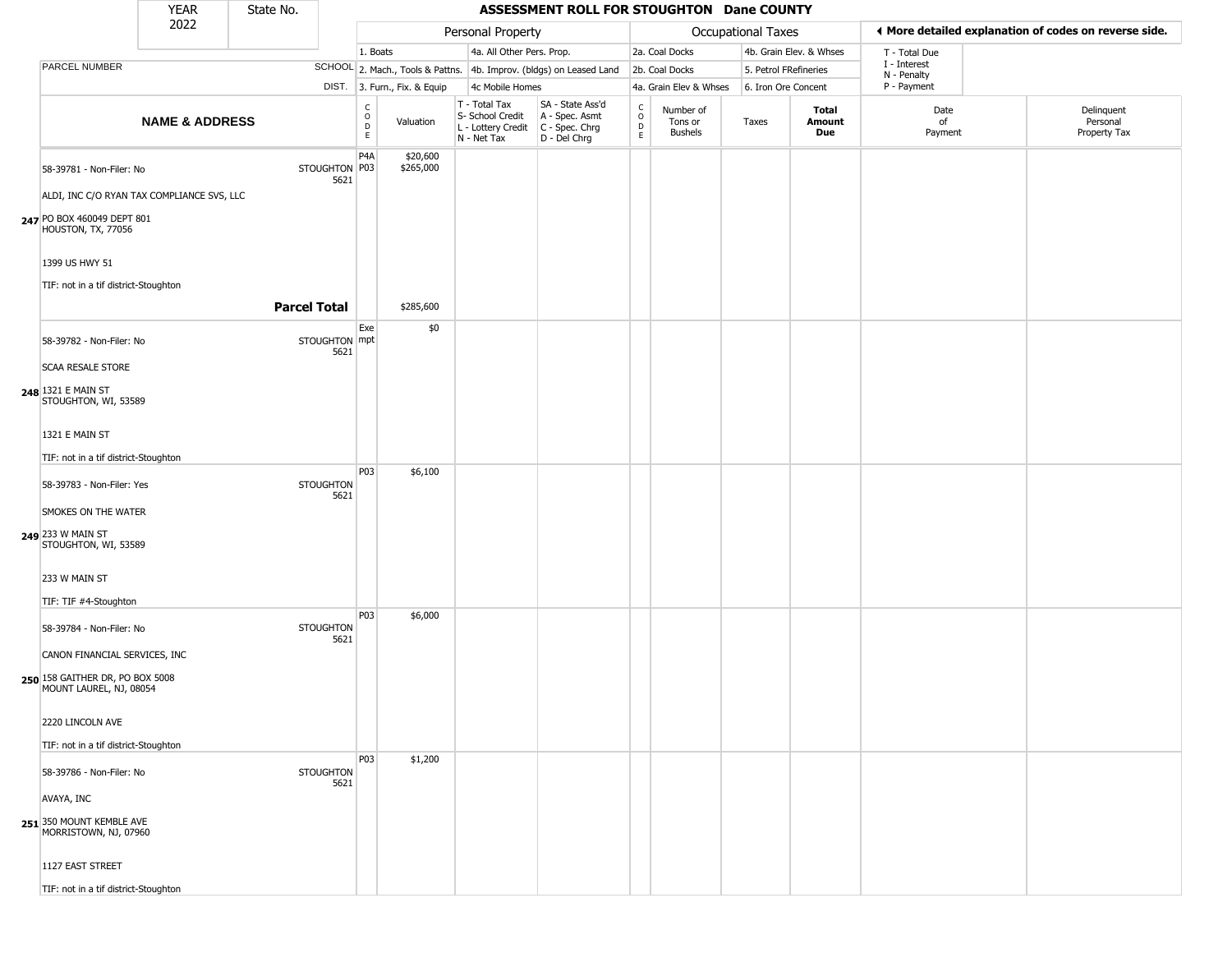|                                                                                                | <b>YEAR</b>               | State No.           |                          |                        |                              |                                                                        | ASSESSMENT ROLL FOR STOUGHTON Dane COUNTY                            |                                              |                                 |                       |                         |                             |                                                       |
|------------------------------------------------------------------------------------------------|---------------------------|---------------------|--------------------------|------------------------|------------------------------|------------------------------------------------------------------------|----------------------------------------------------------------------|----------------------------------------------|---------------------------------|-----------------------|-------------------------|-----------------------------|-------------------------------------------------------|
|                                                                                                | 2022                      |                     |                          |                        |                              | Personal Property                                                      |                                                                      |                                              |                                 | Occupational Taxes    |                         |                             | ◀ More detailed explanation of codes on reverse side. |
|                                                                                                |                           |                     |                          | 1. Boats               |                              | 4a. All Other Pers. Prop.                                              |                                                                      |                                              | 2a. Coal Docks                  |                       | 4b. Grain Elev. & Whses | T - Total Due               |                                                       |
| PARCEL NUMBER                                                                                  |                           |                     |                          |                        |                              |                                                                        | SCHOOL 2. Mach., Tools & Pattns. 4b. Improv. (bldgs) on Leased Land  |                                              | 2b. Coal Docks                  | 5. Petrol FRefineries |                         | I - Interest<br>N - Penalty |                                                       |
|                                                                                                |                           |                     |                          |                        | DIST. 3. Furn., Fix. & Equip | 4c Mobile Homes                                                        |                                                                      |                                              | 4a. Grain Elev & Whses          | 6. Iron Ore Concent   |                         | P - Payment                 |                                                       |
|                                                                                                | <b>NAME &amp; ADDRESS</b> |                     |                          | C<br>$\circ$<br>D<br>E | Valuation                    | T - Total Tax<br>S- School Credit<br>L - Lottery Credit<br>N - Net Tax | SA - State Ass'd<br>A - Spec. Asmt<br>C - Spec. Chrg<br>D - Del Chrg | $\int_{0}^{c}$<br>$\mathsf D$<br>$\mathsf E$ | Number of<br>Tons or<br>Bushels | Taxes                 | Total<br>Amount<br>Due  | Date<br>of<br>Payment       | Delinquent<br>Personal<br>Property Tax                |
| 58-39781 - Non-Filer: No                                                                       |                           |                     | STOUGHTON P03<br>5621    | P4A                    | \$20,600<br>\$265,000        |                                                                        |                                                                      |                                              |                                 |                       |                         |                             |                                                       |
| ALDI, INC C/O RYAN TAX COMPLIANCE SVS, LLC<br>247 PO BOX 460049 DEPT 801<br>HOUSTON, TX, 77056 |                           |                     |                          |                        |                              |                                                                        |                                                                      |                                              |                                 |                       |                         |                             |                                                       |
| 1399 US HWY 51                                                                                 |                           |                     |                          |                        |                              |                                                                        |                                                                      |                                              |                                 |                       |                         |                             |                                                       |
| TIF: not in a tif district-Stoughton                                                           |                           |                     |                          |                        |                              |                                                                        |                                                                      |                                              |                                 |                       |                         |                             |                                                       |
|                                                                                                |                           | <b>Parcel Total</b> |                          |                        | \$285,600                    |                                                                        |                                                                      |                                              |                                 |                       |                         |                             |                                                       |
| 58-39782 - Non-Filer: No                                                                       |                           |                     | STOUGHTON mpt<br>5621    | Exe                    | \$0                          |                                                                        |                                                                      |                                              |                                 |                       |                         |                             |                                                       |
| <b>SCAA RESALE STORE</b>                                                                       |                           |                     |                          |                        |                              |                                                                        |                                                                      |                                              |                                 |                       |                         |                             |                                                       |
| 248 1321 E MAIN ST<br>STOUGHTON, WI, 53589                                                     |                           |                     |                          |                        |                              |                                                                        |                                                                      |                                              |                                 |                       |                         |                             |                                                       |
| 1321 E MAIN ST                                                                                 |                           |                     |                          |                        |                              |                                                                        |                                                                      |                                              |                                 |                       |                         |                             |                                                       |
| TIF: not in a tif district-Stoughton                                                           |                           |                     |                          |                        |                              |                                                                        |                                                                      |                                              |                                 |                       |                         |                             |                                                       |
| 58-39783 - Non-Filer: Yes                                                                      |                           |                     | <b>STOUGHTON</b><br>5621 | P03                    | \$6,100                      |                                                                        |                                                                      |                                              |                                 |                       |                         |                             |                                                       |
| SMOKES ON THE WATER                                                                            |                           |                     |                          |                        |                              |                                                                        |                                                                      |                                              |                                 |                       |                         |                             |                                                       |
| 249 233 W MAIN ST<br>STOUGHTON, WI, 53589                                                      |                           |                     |                          |                        |                              |                                                                        |                                                                      |                                              |                                 |                       |                         |                             |                                                       |
| 233 W MAIN ST                                                                                  |                           |                     |                          |                        |                              |                                                                        |                                                                      |                                              |                                 |                       |                         |                             |                                                       |
| TIF: TIF #4-Stoughton                                                                          |                           |                     |                          | P03                    | \$6,000                      |                                                                        |                                                                      |                                              |                                 |                       |                         |                             |                                                       |
| 58-39784 - Non-Filer: No                                                                       |                           |                     | <b>STOUGHTON</b><br>5621 |                        |                              |                                                                        |                                                                      |                                              |                                 |                       |                         |                             |                                                       |
| CANON FINANCIAL SERVICES, INC                                                                  |                           |                     |                          |                        |                              |                                                                        |                                                                      |                                              |                                 |                       |                         |                             |                                                       |
| 250 158 GAITHER DR, PO BOX 5008<br>MOUNT LAUREL, NJ, 08054                                     |                           |                     |                          |                        |                              |                                                                        |                                                                      |                                              |                                 |                       |                         |                             |                                                       |
| 2220 LINCOLN AVE                                                                               |                           |                     |                          |                        |                              |                                                                        |                                                                      |                                              |                                 |                       |                         |                             |                                                       |
| TIF: not in a tif district-Stoughton                                                           |                           |                     |                          |                        |                              |                                                                        |                                                                      |                                              |                                 |                       |                         |                             |                                                       |
| 58-39786 - Non-Filer: No                                                                       |                           |                     | <b>STOUGHTON</b><br>5621 | P03                    | \$1,200                      |                                                                        |                                                                      |                                              |                                 |                       |                         |                             |                                                       |
| AVAYA, INC                                                                                     |                           |                     |                          |                        |                              |                                                                        |                                                                      |                                              |                                 |                       |                         |                             |                                                       |
| 251 350 MOUNT KEMBLE AVE<br>MORRISTOWN, NJ, 07960                                              |                           |                     |                          |                        |                              |                                                                        |                                                                      |                                              |                                 |                       |                         |                             |                                                       |
| 1127 EAST STREET                                                                               |                           |                     |                          |                        |                              |                                                                        |                                                                      |                                              |                                 |                       |                         |                             |                                                       |
| TIF: not in a tif district-Stoughton                                                           |                           |                     |                          |                        |                              |                                                                        |                                                                      |                                              |                                 |                       |                         |                             |                                                       |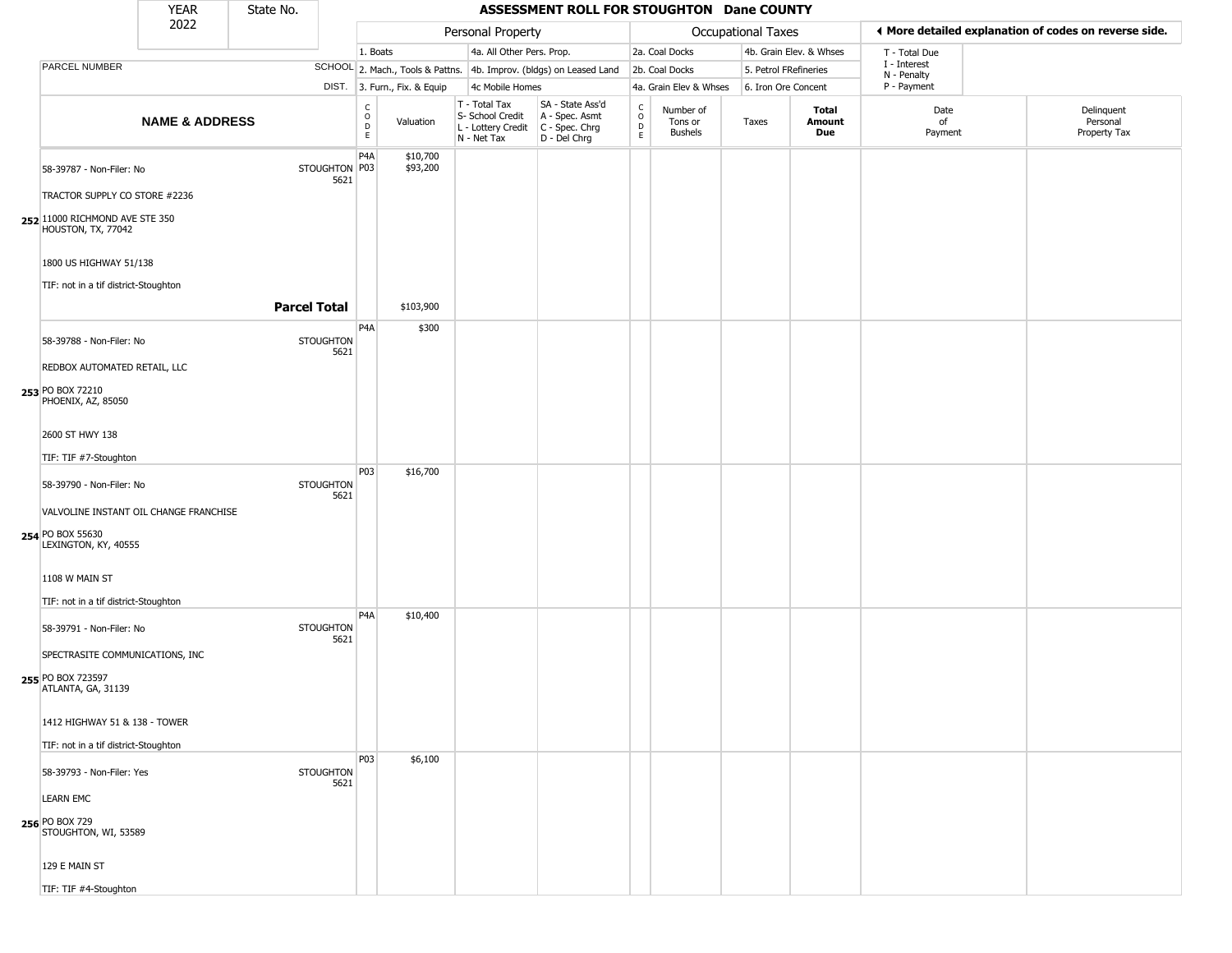|                                                                                                                   | <b>YEAR</b>               | State No.           |                          |                         |                              |                                                                        | ASSESSMENT ROLL FOR STOUGHTON Dane COUNTY                            |                                            |                                        |                       |                         |                             |                                                       |
|-------------------------------------------------------------------------------------------------------------------|---------------------------|---------------------|--------------------------|-------------------------|------------------------------|------------------------------------------------------------------------|----------------------------------------------------------------------|--------------------------------------------|----------------------------------------|-----------------------|-------------------------|-----------------------------|-------------------------------------------------------|
|                                                                                                                   | 2022                      |                     |                          |                         |                              | Personal Property                                                      |                                                                      |                                            |                                        | Occupational Taxes    |                         |                             | ◀ More detailed explanation of codes on reverse side. |
|                                                                                                                   |                           |                     |                          | 1. Boats                |                              | 4a. All Other Pers. Prop.                                              |                                                                      |                                            | 2a. Coal Docks                         |                       | 4b. Grain Elev. & Whses | T - Total Due               |                                                       |
| PARCEL NUMBER                                                                                                     |                           |                     |                          |                         |                              |                                                                        | SCHOOL 2. Mach., Tools & Pattns. 4b. Improv. (bldgs) on Leased Land  |                                            | 2b. Coal Docks                         | 5. Petrol FRefineries |                         | I - Interest<br>N - Penalty |                                                       |
|                                                                                                                   |                           |                     |                          |                         | DIST. 3. Furn., Fix. & Equip | 4c Mobile Homes                                                        |                                                                      |                                            | 4a. Grain Elev & Whses                 | 6. Iron Ore Concent   |                         | P - Payment                 |                                                       |
|                                                                                                                   | <b>NAME &amp; ADDRESS</b> |                     |                          | C<br>$\circ$<br>D<br>E. | Valuation                    | T - Total Tax<br>S- School Credit<br>L - Lottery Credit<br>N - Net Tax | SA - State Ass'd<br>A - Spec. Asmt<br>C - Spec. Chrg<br>D - Del Chrg | $\begin{array}{c} C \\ O \\ E \end{array}$ | Number of<br>Tons or<br><b>Bushels</b> | Taxes                 | Total<br>Amount<br>Due  | Date<br>of<br>Payment       | Delinquent<br>Personal<br>Property Tax                |
| 58-39787 - Non-Filer: No<br>TRACTOR SUPPLY CO STORE #2236<br>252 11000 RICHMOND AVE STE 350<br>HOUSTON, TX, 77042 |                           |                     | STOUGHTON P03<br>5621    | P <sub>4</sub> A        | \$10,700<br>\$93,200         |                                                                        |                                                                      |                                            |                                        |                       |                         |                             |                                                       |
| 1800 US HIGHWAY 51/138                                                                                            |                           |                     |                          |                         |                              |                                                                        |                                                                      |                                            |                                        |                       |                         |                             |                                                       |
| TIF: not in a tif district-Stoughton                                                                              |                           | <b>Parcel Total</b> |                          |                         | \$103,900                    |                                                                        |                                                                      |                                            |                                        |                       |                         |                             |                                                       |
|                                                                                                                   |                           |                     |                          | P <sub>4</sub> A        | \$300                        |                                                                        |                                                                      |                                            |                                        |                       |                         |                             |                                                       |
| 58-39788 - Non-Filer: No                                                                                          |                           |                     | <b>STOUGHTON</b><br>5621 |                         |                              |                                                                        |                                                                      |                                            |                                        |                       |                         |                             |                                                       |
| REDBOX AUTOMATED RETAIL, LLC                                                                                      |                           |                     |                          |                         |                              |                                                                        |                                                                      |                                            |                                        |                       |                         |                             |                                                       |
| 253 PO BOX 72210<br>PHOENIX, AZ, 85050                                                                            |                           |                     |                          |                         |                              |                                                                        |                                                                      |                                            |                                        |                       |                         |                             |                                                       |
| 2600 ST HWY 138                                                                                                   |                           |                     |                          |                         |                              |                                                                        |                                                                      |                                            |                                        |                       |                         |                             |                                                       |
|                                                                                                                   |                           |                     |                          |                         |                              |                                                                        |                                                                      |                                            |                                        |                       |                         |                             |                                                       |
| TIF: TIF #7-Stoughton                                                                                             |                           |                     |                          | P03                     | \$16,700                     |                                                                        |                                                                      |                                            |                                        |                       |                         |                             |                                                       |
| 58-39790 - Non-Filer: No                                                                                          |                           |                     | <b>STOUGHTON</b>         |                         |                              |                                                                        |                                                                      |                                            |                                        |                       |                         |                             |                                                       |
| VALVOLINE INSTANT OIL CHANGE FRANCHISE                                                                            |                           |                     | 5621                     |                         |                              |                                                                        |                                                                      |                                            |                                        |                       |                         |                             |                                                       |
|                                                                                                                   |                           |                     |                          |                         |                              |                                                                        |                                                                      |                                            |                                        |                       |                         |                             |                                                       |
| 254 PO BOX 55630<br>LEXINGTON, KY, 40555                                                                          |                           |                     |                          |                         |                              |                                                                        |                                                                      |                                            |                                        |                       |                         |                             |                                                       |
| 1108 W MAIN ST                                                                                                    |                           |                     |                          |                         |                              |                                                                        |                                                                      |                                            |                                        |                       |                         |                             |                                                       |
| TIF: not in a tif district-Stoughton                                                                              |                           |                     |                          |                         |                              |                                                                        |                                                                      |                                            |                                        |                       |                         |                             |                                                       |
| 58-39791 - Non-Filer: No                                                                                          |                           |                     | <b>STOUGHTON</b><br>5621 | P <sub>4</sub> A        | \$10,400                     |                                                                        |                                                                      |                                            |                                        |                       |                         |                             |                                                       |
| SPECTRASITE COMMUNICATIONS, INC                                                                                   |                           |                     |                          |                         |                              |                                                                        |                                                                      |                                            |                                        |                       |                         |                             |                                                       |
| 255 PO BOX 723597<br>ATLANTA, GA, 31139                                                                           |                           |                     |                          |                         |                              |                                                                        |                                                                      |                                            |                                        |                       |                         |                             |                                                       |
| 1412 HIGHWAY 51 & 138 - TOWER                                                                                     |                           |                     |                          |                         |                              |                                                                        |                                                                      |                                            |                                        |                       |                         |                             |                                                       |
| TIF: not in a tif district-Stoughton                                                                              |                           |                     |                          |                         |                              |                                                                        |                                                                      |                                            |                                        |                       |                         |                             |                                                       |
|                                                                                                                   |                           |                     |                          | P03                     | \$6,100                      |                                                                        |                                                                      |                                            |                                        |                       |                         |                             |                                                       |
| 58-39793 - Non-Filer: Yes                                                                                         |                           |                     | <b>STOUGHTON</b><br>5621 |                         |                              |                                                                        |                                                                      |                                            |                                        |                       |                         |                             |                                                       |
| <b>LEARN EMC</b>                                                                                                  |                           |                     |                          |                         |                              |                                                                        |                                                                      |                                            |                                        |                       |                         |                             |                                                       |
| 256 PO BOX 729<br>STOUGHTON, WI, 53589                                                                            |                           |                     |                          |                         |                              |                                                                        |                                                                      |                                            |                                        |                       |                         |                             |                                                       |
| 129 E MAIN ST                                                                                                     |                           |                     |                          |                         |                              |                                                                        |                                                                      |                                            |                                        |                       |                         |                             |                                                       |
| TIF: TIF #4-Stoughton                                                                                             |                           |                     |                          |                         |                              |                                                                        |                                                                      |                                            |                                        |                       |                         |                             |                                                       |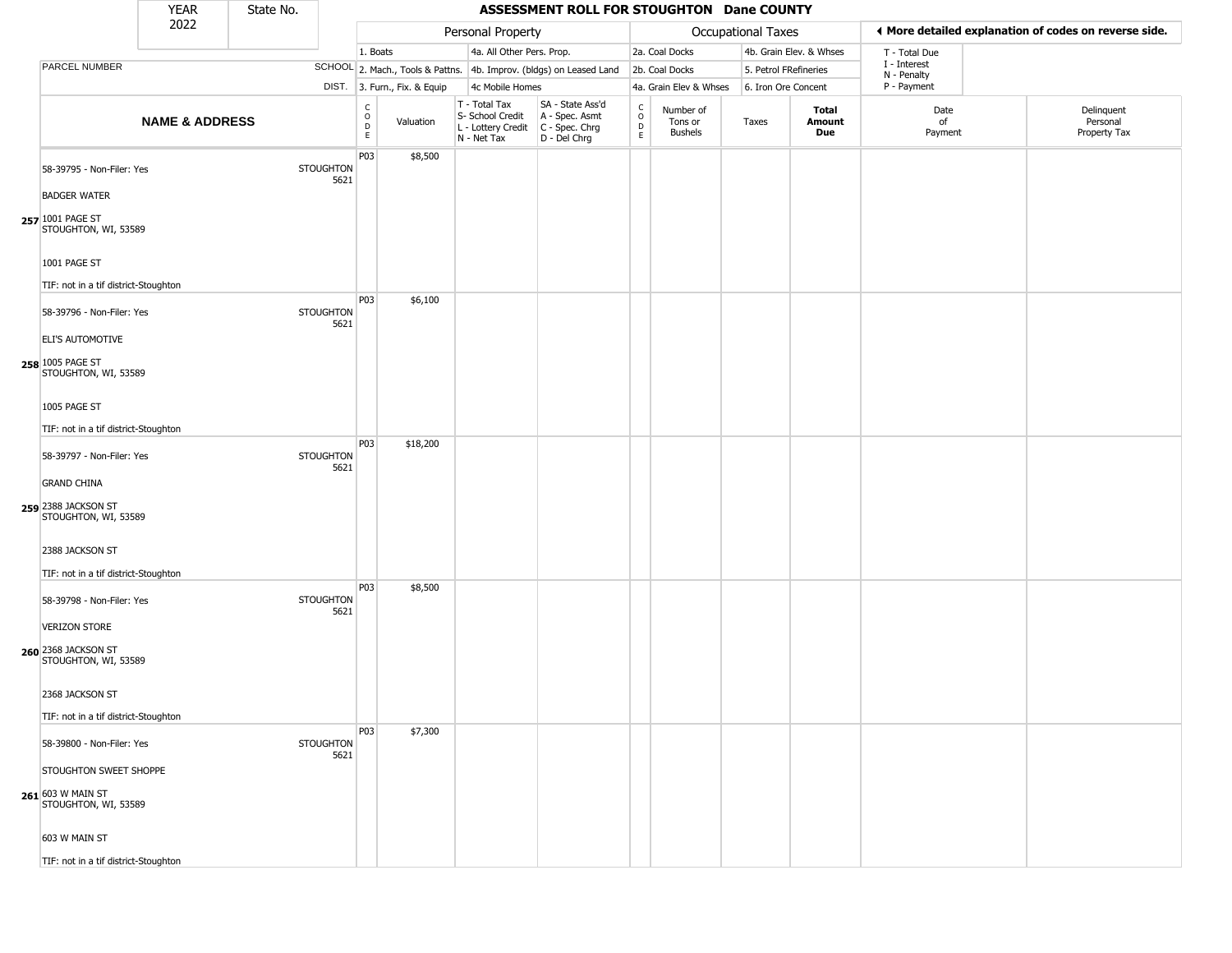|                                                                     | <b>YEAR</b>               | State No. |                          |                                                 |                              |                                                                                         | ASSESSMENT ROLL FOR STOUGHTON Dane COUNTY                           |                                          |                                        |                       |                               |                             |                                                       |
|---------------------------------------------------------------------|---------------------------|-----------|--------------------------|-------------------------------------------------|------------------------------|-----------------------------------------------------------------------------------------|---------------------------------------------------------------------|------------------------------------------|----------------------------------------|-----------------------|-------------------------------|-----------------------------|-------------------------------------------------------|
|                                                                     | 2022                      |           |                          |                                                 |                              | Personal Property                                                                       |                                                                     |                                          |                                        | Occupational Taxes    |                               |                             | ◀ More detailed explanation of codes on reverse side. |
|                                                                     |                           |           |                          | 1. Boats                                        |                              | 4a. All Other Pers. Prop.                                                               |                                                                     |                                          | 2a. Coal Docks                         |                       | 4b. Grain Elev. & Whses       | T - Total Due               |                                                       |
| PARCEL NUMBER                                                       |                           |           |                          |                                                 |                              |                                                                                         | SCHOOL 2. Mach., Tools & Pattns. 4b. Improv. (bldgs) on Leased Land |                                          | 2b. Coal Docks                         | 5. Petrol FRefineries |                               | I - Interest<br>N - Penalty |                                                       |
|                                                                     |                           |           |                          |                                                 | DIST. 3. Furn., Fix. & Equip | 4c Mobile Homes                                                                         |                                                                     |                                          | 4a. Grain Elev & Whses                 | 6. Iron Ore Concent   |                               | P - Payment                 |                                                       |
|                                                                     | <b>NAME &amp; ADDRESS</b> |           |                          | $\begin{matrix} 0 \\ 0 \\ D \end{matrix}$<br>E. | Valuation                    | T - Total Tax<br>S- School Credit<br>L - Lottery Credit   C - Spec. Chrg<br>N - Net Tax | SA - State Ass'd<br>A - Spec. Asmt<br>D - Del Chrg                  | $\rm _o^C$<br>$\mathsf D$<br>$\mathsf E$ | Number of<br>Tons or<br><b>Bushels</b> | Taxes                 | <b>Total</b><br>Amount<br>Due | Date<br>of<br>Payment       | Delinquent<br>Personal<br>Property Tax                |
| 58-39795 - Non-Filer: Yes<br><b>BADGER WATER</b>                    |                           |           | <b>STOUGHTON</b><br>5621 | P03                                             | \$8,500                      |                                                                                         |                                                                     |                                          |                                        |                       |                               |                             |                                                       |
| 257 1001 PAGE ST<br>STOUGHTON, WI, 53589                            |                           |           |                          |                                                 |                              |                                                                                         |                                                                     |                                          |                                        |                       |                               |                             |                                                       |
| 1001 PAGE ST<br>TIF: not in a tif district-Stoughton                |                           |           |                          | P03                                             |                              |                                                                                         |                                                                     |                                          |                                        |                       |                               |                             |                                                       |
| 58-39796 - Non-Filer: Yes<br>ELI'S AUTOMOTIVE                       |                           |           | <b>STOUGHTON</b><br>5621 |                                                 | \$6,100                      |                                                                                         |                                                                     |                                          |                                        |                       |                               |                             |                                                       |
| 258 1005 PAGE ST<br>STOUGHTON, WI, 53589                            |                           |           |                          |                                                 |                              |                                                                                         |                                                                     |                                          |                                        |                       |                               |                             |                                                       |
| 1005 PAGE ST<br>TIF: not in a tif district-Stoughton                |                           |           |                          |                                                 |                              |                                                                                         |                                                                     |                                          |                                        |                       |                               |                             |                                                       |
| 58-39797 - Non-Filer: Yes                                           |                           |           | <b>STOUGHTON</b><br>5621 | P03                                             | \$18,200                     |                                                                                         |                                                                     |                                          |                                        |                       |                               |                             |                                                       |
| <b>GRAND CHINA</b><br>259 2388 JACKSON ST<br>STOUGHTON, WI, 53589   |                           |           |                          |                                                 |                              |                                                                                         |                                                                     |                                          |                                        |                       |                               |                             |                                                       |
| 2388 JACKSON ST<br>TIF: not in a tif district-Stoughton             |                           |           |                          |                                                 |                              |                                                                                         |                                                                     |                                          |                                        |                       |                               |                             |                                                       |
| 58-39798 - Non-Filer: Yes                                           |                           |           | <b>STOUGHTON</b><br>5621 | P03                                             | \$8,500                      |                                                                                         |                                                                     |                                          |                                        |                       |                               |                             |                                                       |
| <b>VERIZON STORE</b><br>260 2368 JACKSON ST<br>STOUGHTON, WI, 53589 |                           |           |                          |                                                 |                              |                                                                                         |                                                                     |                                          |                                        |                       |                               |                             |                                                       |
| 2368 JACKSON ST<br>TIF: not in a tif district-Stoughton             |                           |           |                          |                                                 |                              |                                                                                         |                                                                     |                                          |                                        |                       |                               |                             |                                                       |
| 58-39800 - Non-Filer: Yes                                           |                           |           | <b>STOUGHTON</b><br>5621 | P03                                             | \$7,300                      |                                                                                         |                                                                     |                                          |                                        |                       |                               |                             |                                                       |
| STOUGHTON SWEET SHOPPE<br>261 603 W MAIN ST                         |                           |           |                          |                                                 |                              |                                                                                         |                                                                     |                                          |                                        |                       |                               |                             |                                                       |
| STOUGHTON, WI, 53589<br>603 W MAIN ST                               |                           |           |                          |                                                 |                              |                                                                                         |                                                                     |                                          |                                        |                       |                               |                             |                                                       |
| TIF: not in a tif district-Stoughton                                |                           |           |                          |                                                 |                              |                                                                                         |                                                                     |                                          |                                        |                       |                               |                             |                                                       |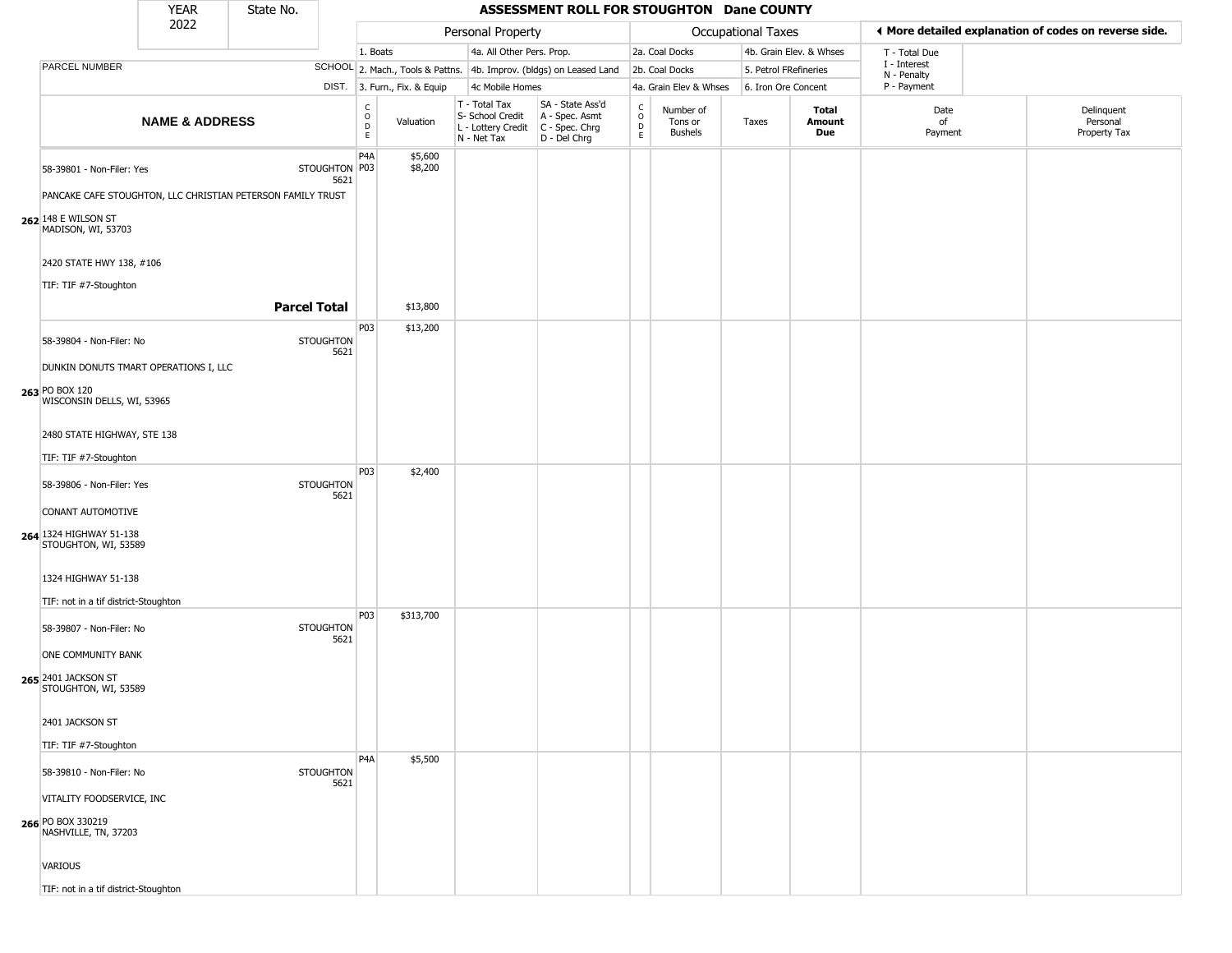| <b>YEAR</b><br>State No.                                                                                 |                           |                     |                          |                                             |                              |                                                                                         | ASSESSMENT ROLL FOR STOUGHTON Dane COUNTY                           |                                   |                                        |                    |                         |                             |                                                       |
|----------------------------------------------------------------------------------------------------------|---------------------------|---------------------|--------------------------|---------------------------------------------|------------------------------|-----------------------------------------------------------------------------------------|---------------------------------------------------------------------|-----------------------------------|----------------------------------------|--------------------|-------------------------|-----------------------------|-------------------------------------------------------|
|                                                                                                          | 2022                      |                     |                          |                                             |                              | Personal Property                                                                       |                                                                     |                                   |                                        | Occupational Taxes |                         |                             | ◀ More detailed explanation of codes on reverse side. |
|                                                                                                          |                           |                     |                          | 1. Boats                                    |                              | 4a. All Other Pers. Prop.                                                               |                                                                     |                                   | 2a. Coal Docks                         |                    | 4b. Grain Elev. & Whses | T - Total Due               |                                                       |
| PARCEL NUMBER                                                                                            |                           |                     |                          |                                             |                              |                                                                                         | SCHOOL 2. Mach., Tools & Pattns. 4b. Improv. (bldgs) on Leased Land |                                   | 2b. Coal Docks                         |                    | 5. Petrol FRefineries   | I - Interest<br>N - Penalty |                                                       |
|                                                                                                          |                           |                     |                          |                                             | DIST. 3. Furn., Fix. & Equip | 4c Mobile Homes                                                                         |                                                                     |                                   | 4a. Grain Elev & Whses                 |                    | 6. Iron Ore Concent     | P - Payment                 |                                                       |
|                                                                                                          | <b>NAME &amp; ADDRESS</b> |                     |                          | $\frac{c}{0}$<br>$\mathsf D$<br>$\mathsf E$ | Valuation                    | T - Total Tax<br>S- School Credit<br>L - Lottery Credit   C - Spec. Chrg<br>N - Net Tax | SA - State Ass'd<br>A - Spec. Asmt<br>$D - Del Chrg$                | $\rm_{o}^{c}$<br>$\mathsf D$<br>E | Number of<br>Tons or<br><b>Bushels</b> | Taxes              | Total<br>Amount<br>Due  | Date<br>of<br>Payment       | Delinquent<br>Personal<br>Property Tax                |
| 58-39801 - Non-Filer: Yes                                                                                |                           |                     | STOUGHTON P03<br>5621    | P4A                                         | \$5,600<br>\$8,200           |                                                                                         |                                                                     |                                   |                                        |                    |                         |                             |                                                       |
| PANCAKE CAFE STOUGHTON, LLC CHRISTIAN PETERSON FAMILY TRUST<br>262 148 E WILSON ST<br>MADISON, WI, 53703 |                           |                     |                          |                                             |                              |                                                                                         |                                                                     |                                   |                                        |                    |                         |                             |                                                       |
| 2420 STATE HWY 138, #106                                                                                 |                           |                     |                          |                                             |                              |                                                                                         |                                                                     |                                   |                                        |                    |                         |                             |                                                       |
| TIF: TIF #7-Stoughton                                                                                    |                           |                     |                          |                                             |                              |                                                                                         |                                                                     |                                   |                                        |                    |                         |                             |                                                       |
|                                                                                                          |                           | <b>Parcel Total</b> |                          |                                             | \$13,800                     |                                                                                         |                                                                     |                                   |                                        |                    |                         |                             |                                                       |
| 58-39804 - Non-Filer: No                                                                                 |                           |                     | <b>STOUGHTON</b><br>5621 | P03                                         | \$13,200                     |                                                                                         |                                                                     |                                   |                                        |                    |                         |                             |                                                       |
| DUNKIN DONUTS TMART OPERATIONS I, LLC                                                                    |                           |                     |                          |                                             |                              |                                                                                         |                                                                     |                                   |                                        |                    |                         |                             |                                                       |
| 263 PO BOX 120<br>WISCONSIN DELLS, WI, 53965                                                             |                           |                     |                          |                                             |                              |                                                                                         |                                                                     |                                   |                                        |                    |                         |                             |                                                       |
| 2480 STATE HIGHWAY, STE 138                                                                              |                           |                     |                          |                                             |                              |                                                                                         |                                                                     |                                   |                                        |                    |                         |                             |                                                       |
| TIF: TIF #7-Stoughton                                                                                    |                           |                     |                          |                                             |                              |                                                                                         |                                                                     |                                   |                                        |                    |                         |                             |                                                       |
| 58-39806 - Non-Filer: Yes                                                                                |                           |                     | <b>STOUGHTON</b><br>5621 | P03                                         | \$2,400                      |                                                                                         |                                                                     |                                   |                                        |                    |                         |                             |                                                       |
| CONANT AUTOMOTIVE                                                                                        |                           |                     |                          |                                             |                              |                                                                                         |                                                                     |                                   |                                        |                    |                         |                             |                                                       |
| 264 1324 HIGHWAY 51-138<br>STOUGHTON, WI, 53589                                                          |                           |                     |                          |                                             |                              |                                                                                         |                                                                     |                                   |                                        |                    |                         |                             |                                                       |
| 1324 HIGHWAY 51-138                                                                                      |                           |                     |                          |                                             |                              |                                                                                         |                                                                     |                                   |                                        |                    |                         |                             |                                                       |
| TIF: not in a tif district-Stoughton                                                                     |                           |                     |                          | P03                                         | \$313,700                    |                                                                                         |                                                                     |                                   |                                        |                    |                         |                             |                                                       |
| 58-39807 - Non-Filer: No                                                                                 |                           |                     | <b>STOUGHTON</b><br>5621 |                                             |                              |                                                                                         |                                                                     |                                   |                                        |                    |                         |                             |                                                       |
| ONE COMMUNITY BANK                                                                                       |                           |                     |                          |                                             |                              |                                                                                         |                                                                     |                                   |                                        |                    |                         |                             |                                                       |
| 265 2401 JACKSON ST<br>STOUGHTON, WI, 53589                                                              |                           |                     |                          |                                             |                              |                                                                                         |                                                                     |                                   |                                        |                    |                         |                             |                                                       |
| 2401 JACKSON ST                                                                                          |                           |                     |                          |                                             |                              |                                                                                         |                                                                     |                                   |                                        |                    |                         |                             |                                                       |
| TIF: TIF #7-Stoughton                                                                                    |                           |                     |                          |                                             |                              |                                                                                         |                                                                     |                                   |                                        |                    |                         |                             |                                                       |
| 58-39810 - Non-Filer: No                                                                                 |                           |                     | <b>STOUGHTON</b><br>5621 | P <sub>4</sub> A                            | \$5,500                      |                                                                                         |                                                                     |                                   |                                        |                    |                         |                             |                                                       |
| VITALITY FOODSERVICE, INC                                                                                |                           |                     |                          |                                             |                              |                                                                                         |                                                                     |                                   |                                        |                    |                         |                             |                                                       |
| 266 PO BOX 330219<br>NASHVILLE, TN, 37203                                                                |                           |                     |                          |                                             |                              |                                                                                         |                                                                     |                                   |                                        |                    |                         |                             |                                                       |
| VARIOUS                                                                                                  |                           |                     |                          |                                             |                              |                                                                                         |                                                                     |                                   |                                        |                    |                         |                             |                                                       |
| TIF: not in a tif district-Stoughton                                                                     |                           |                     |                          |                                             |                              |                                                                                         |                                                                     |                                   |                                        |                    |                         |                             |                                                       |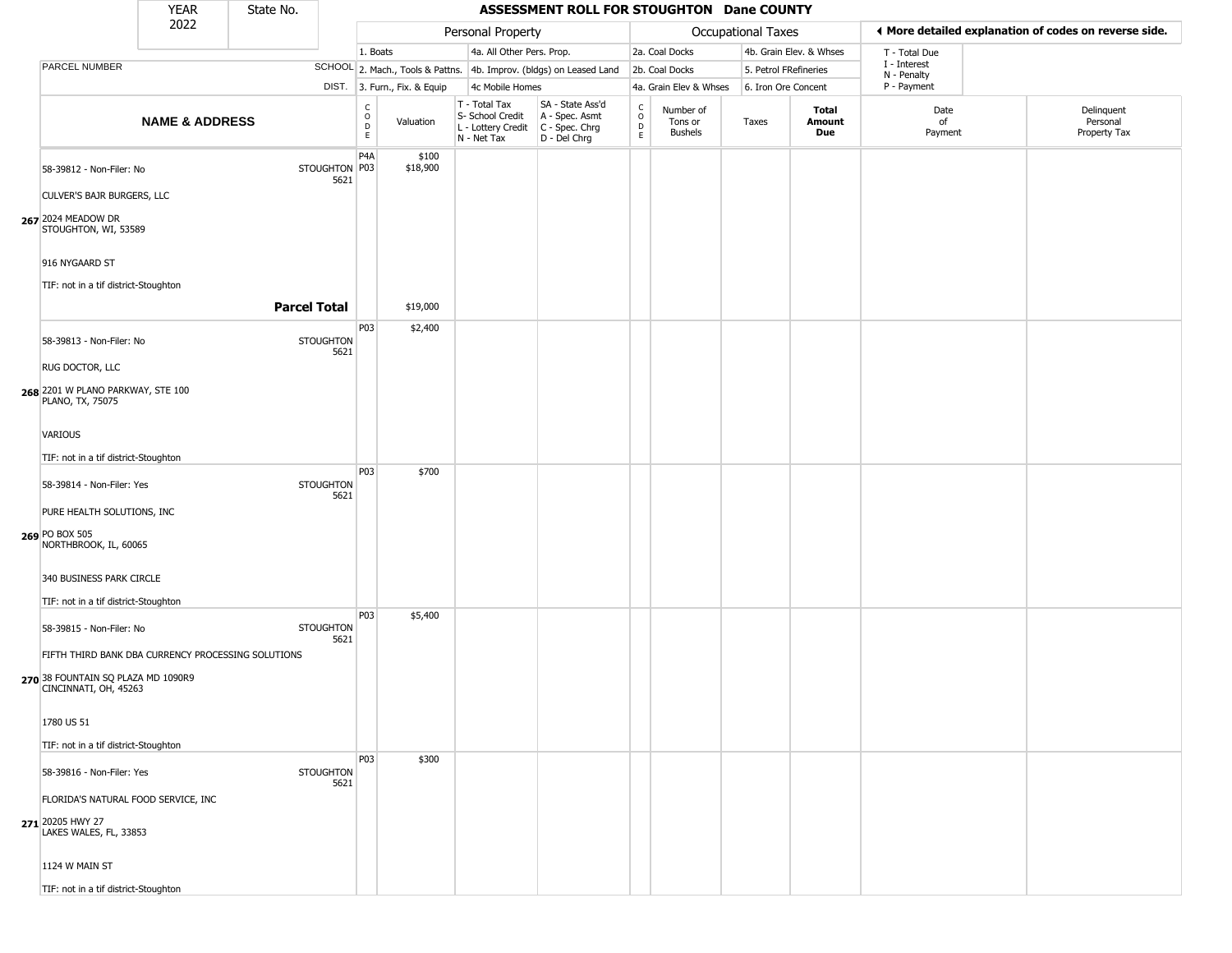|                                                                                                                   | <b>YEAR</b>               | State No.           |                          |                        |                              |                                                                                         | ASSESSMENT ROLL FOR STOUGHTON Dane COUNTY                           |                                              |                                        |                       |                         |                             |                                                       |
|-------------------------------------------------------------------------------------------------------------------|---------------------------|---------------------|--------------------------|------------------------|------------------------------|-----------------------------------------------------------------------------------------|---------------------------------------------------------------------|----------------------------------------------|----------------------------------------|-----------------------|-------------------------|-----------------------------|-------------------------------------------------------|
|                                                                                                                   | 2022                      |                     |                          |                        |                              | Personal Property                                                                       |                                                                     |                                              |                                        | Occupational Taxes    |                         |                             | ◀ More detailed explanation of codes on reverse side. |
|                                                                                                                   |                           |                     |                          | 1. Boats               |                              | 4a. All Other Pers. Prop.                                                               |                                                                     |                                              | 2a. Coal Docks                         |                       | 4b. Grain Elev. & Whses | T - Total Due               |                                                       |
| PARCEL NUMBER                                                                                                     |                           |                     |                          |                        |                              |                                                                                         | SCHOOL 2. Mach., Tools & Pattns. 4b. Improv. (bldgs) on Leased Land |                                              | 2b. Coal Docks                         | 5. Petrol FRefineries |                         | I - Interest<br>N - Penalty |                                                       |
|                                                                                                                   |                           |                     |                          |                        | DIST. 3. Furn., Fix. & Equip | 4c Mobile Homes                                                                         |                                                                     |                                              | 4a. Grain Elev & Whses                 | 6. Iron Ore Concent   |                         | P - Payment                 |                                                       |
|                                                                                                                   | <b>NAME &amp; ADDRESS</b> |                     |                          | C<br>$\circ$<br>D<br>E | Valuation                    | T - Total Tax<br>S- School Credit<br>L - Lottery Credit   C - Spec. Chrg<br>N - Net Tax | SA - State Ass'd<br>A - Spec. Asmt<br>D - Del Chrg                  | $\mathsf{C}$<br>$\circ$<br>$\mathsf{D}$<br>E | Number of<br>Tons or<br><b>Bushels</b> | Taxes                 | Total<br>Amount<br>Due  | Date<br>of<br>Payment       | Delinquent<br>Personal<br>Property Tax                |
| 58-39812 - Non-Filer: No                                                                                          |                           |                     | STOUGHTON P03<br>5621    | P <sub>4</sub> A       | \$100<br>\$18,900            |                                                                                         |                                                                     |                                              |                                        |                       |                         |                             |                                                       |
| CULVER'S BAJR BURGERS, LLC<br>267 2024 MEADOW DR<br>STOUGHTON, WI, 53589                                          |                           |                     |                          |                        |                              |                                                                                         |                                                                     |                                              |                                        |                       |                         |                             |                                                       |
| 916 NYGAARD ST                                                                                                    |                           |                     |                          |                        |                              |                                                                                         |                                                                     |                                              |                                        |                       |                         |                             |                                                       |
| TIF: not in a tif district-Stoughton                                                                              |                           |                     |                          |                        |                              |                                                                                         |                                                                     |                                              |                                        |                       |                         |                             |                                                       |
|                                                                                                                   |                           | <b>Parcel Total</b> |                          |                        | \$19,000                     |                                                                                         |                                                                     |                                              |                                        |                       |                         |                             |                                                       |
| 58-39813 - Non-Filer: No                                                                                          |                           |                     | <b>STOUGHTON</b><br>5621 | P03                    | \$2,400                      |                                                                                         |                                                                     |                                              |                                        |                       |                         |                             |                                                       |
| RUG DOCTOR, LLC                                                                                                   |                           |                     |                          |                        |                              |                                                                                         |                                                                     |                                              |                                        |                       |                         |                             |                                                       |
| 268 2201 W PLANO PARKWAY, STE 100<br>PLANO, TX, 75075                                                             |                           |                     |                          |                        |                              |                                                                                         |                                                                     |                                              |                                        |                       |                         |                             |                                                       |
| VARIOUS                                                                                                           |                           |                     |                          |                        |                              |                                                                                         |                                                                     |                                              |                                        |                       |                         |                             |                                                       |
| TIF: not in a tif district-Stoughton                                                                              |                           |                     |                          |                        |                              |                                                                                         |                                                                     |                                              |                                        |                       |                         |                             |                                                       |
| 58-39814 - Non-Filer: Yes                                                                                         |                           |                     | <b>STOUGHTON</b><br>5621 | P03                    | \$700                        |                                                                                         |                                                                     |                                              |                                        |                       |                         |                             |                                                       |
| PURE HEALTH SOLUTIONS, INC                                                                                        |                           |                     |                          |                        |                              |                                                                                         |                                                                     |                                              |                                        |                       |                         |                             |                                                       |
| 269 PO BOX 505<br>NORTHBROOK, IL, 60065                                                                           |                           |                     |                          |                        |                              |                                                                                         |                                                                     |                                              |                                        |                       |                         |                             |                                                       |
| 340 BUSINESS PARK CIRCLE                                                                                          |                           |                     |                          |                        |                              |                                                                                         |                                                                     |                                              |                                        |                       |                         |                             |                                                       |
| TIF: not in a tif district-Stoughton                                                                              |                           |                     |                          | P03                    | \$5,400                      |                                                                                         |                                                                     |                                              |                                        |                       |                         |                             |                                                       |
| 58-39815 - Non-Filer: No                                                                                          |                           |                     | <b>STOUGHTON</b><br>5621 |                        |                              |                                                                                         |                                                                     |                                              |                                        |                       |                         |                             |                                                       |
| FIFTH THIRD BANK DBA CURRENCY PROCESSING SOLUTIONS<br>270 38 FOUNTAIN SQ PLAZA MD 1090R9<br>CINCINNATI, OH, 45263 |                           |                     |                          |                        |                              |                                                                                         |                                                                     |                                              |                                        |                       |                         |                             |                                                       |
| 1780 US 51                                                                                                        |                           |                     |                          |                        |                              |                                                                                         |                                                                     |                                              |                                        |                       |                         |                             |                                                       |
| TIF: not in a tif district-Stoughton                                                                              |                           |                     |                          |                        |                              |                                                                                         |                                                                     |                                              |                                        |                       |                         |                             |                                                       |
| 58-39816 - Non-Filer: Yes                                                                                         |                           |                     | <b>STOUGHTON</b><br>5621 | P03                    | \$300                        |                                                                                         |                                                                     |                                              |                                        |                       |                         |                             |                                                       |
| FLORIDA'S NATURAL FOOD SERVICE, INC<br>271 20205 HWY 27                                                           |                           |                     |                          |                        |                              |                                                                                         |                                                                     |                                              |                                        |                       |                         |                             |                                                       |
| LAKES WALES, FL, 33853                                                                                            |                           |                     |                          |                        |                              |                                                                                         |                                                                     |                                              |                                        |                       |                         |                             |                                                       |
| 1124 W MAIN ST                                                                                                    |                           |                     |                          |                        |                              |                                                                                         |                                                                     |                                              |                                        |                       |                         |                             |                                                       |
| TIF: not in a tif district-Stoughton                                                                              |                           |                     |                          |                        |                              |                                                                                         |                                                                     |                                              |                                        |                       |                         |                             |                                                       |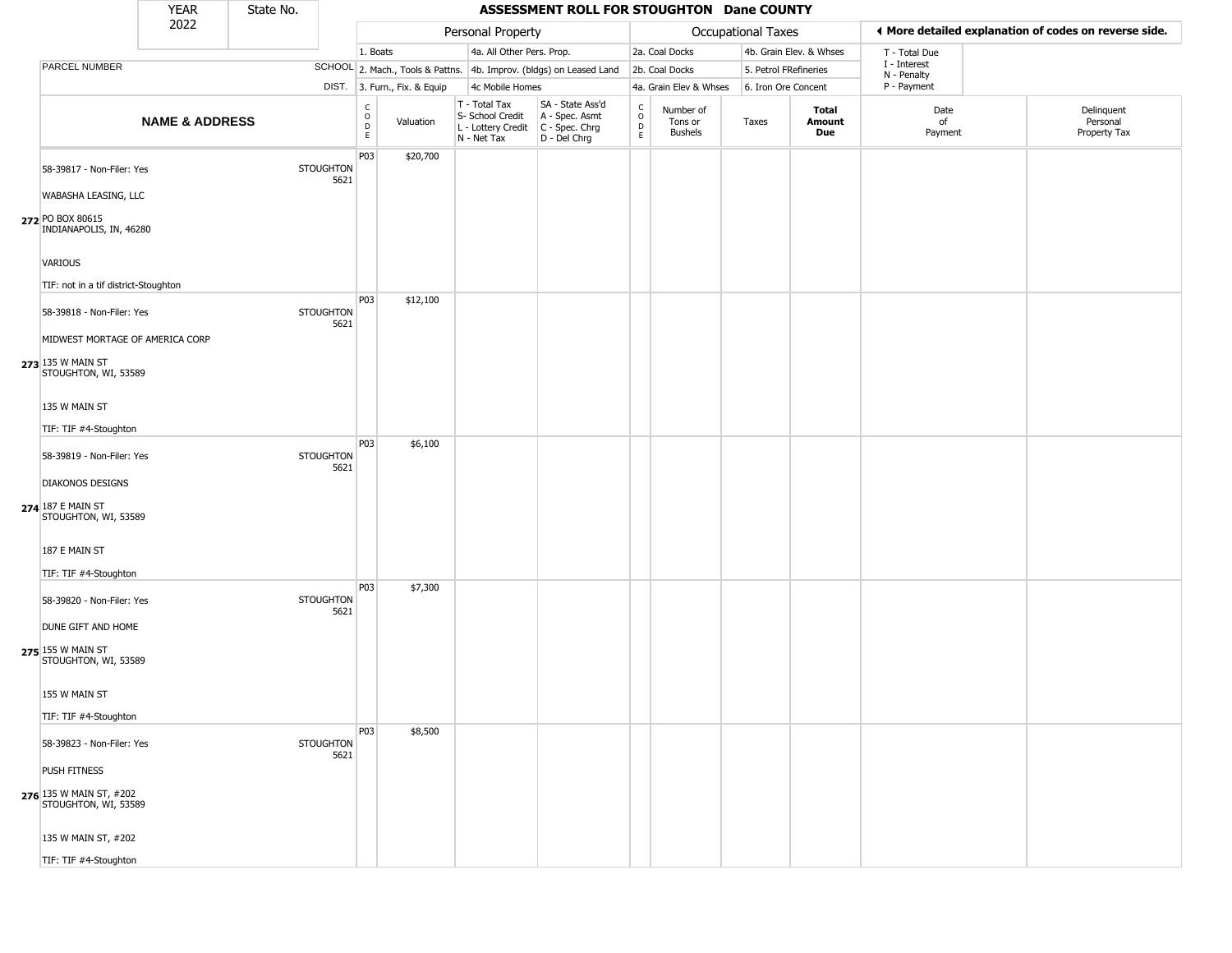|                                                                      | YEAR                      | State No. |                          |                      |                              |                                                                                         | ASSESSMENT ROLL FOR STOUGHTON Dane COUNTY                           |                                                      |                                 |                       |                         |                             |                                                       |
|----------------------------------------------------------------------|---------------------------|-----------|--------------------------|----------------------|------------------------------|-----------------------------------------------------------------------------------------|---------------------------------------------------------------------|------------------------------------------------------|---------------------------------|-----------------------|-------------------------|-----------------------------|-------------------------------------------------------|
|                                                                      | 2022                      |           |                          |                      |                              | Personal Property                                                                       |                                                                     |                                                      |                                 | Occupational Taxes    |                         |                             | ◀ More detailed explanation of codes on reverse side. |
|                                                                      |                           |           |                          | 1. Boats             |                              | 4a. All Other Pers. Prop.                                                               |                                                                     |                                                      | 2a. Coal Docks                  |                       | 4b. Grain Elev. & Whses | T - Total Due               |                                                       |
| PARCEL NUMBER                                                        |                           |           |                          |                      |                              |                                                                                         | SCHOOL 2. Mach., Tools & Pattns. 4b. Improv. (bldgs) on Leased Land |                                                      | 2b. Coal Docks                  | 5. Petrol FRefineries |                         | I - Interest<br>N - Penalty |                                                       |
|                                                                      |                           |           |                          |                      | DIST. 3. Furn., Fix. & Equip | 4c Mobile Homes                                                                         |                                                                     |                                                      | 4a. Grain Elev & Whses          | 6. Iron Ore Concent   |                         | P - Payment                 |                                                       |
|                                                                      | <b>NAME &amp; ADDRESS</b> |           |                          | $\rm _o^C$<br>D<br>E | Valuation                    | T - Total Tax<br>S- School Credit<br>L - Lottery Credit   C - Spec. Chrg<br>N - Net Tax | SA - State Ass'd<br>A - Spec. Asmt<br>D - Del Chrg                  | $\frac{c}{0}$<br>$\mathrel{\mathsf{D}}_{\mathsf{E}}$ | Number of<br>Tons or<br>Bushels | Taxes                 | Total<br>Amount<br>Due  | Date<br>of<br>Payment       | Delinquent<br>Personal<br>Property Tax                |
| 58-39817 - Non-Filer: Yes<br>WABASHA LEASING, LLC                    |                           |           | <b>STOUGHTON</b><br>5621 | P03                  | \$20,700                     |                                                                                         |                                                                     |                                                      |                                 |                       |                         |                             |                                                       |
| 272 PO BOX 80615<br>INDIANAPOLIS, IN, 46280                          |                           |           |                          |                      |                              |                                                                                         |                                                                     |                                                      |                                 |                       |                         |                             |                                                       |
| <b>VARIOUS</b><br>TIF: not in a tif district-Stoughton               |                           |           |                          |                      |                              |                                                                                         |                                                                     |                                                      |                                 |                       |                         |                             |                                                       |
| 58-39818 - Non-Filer: Yes<br>MIDWEST MORTAGE OF AMERICA CORP         |                           |           | <b>STOUGHTON</b><br>5621 | P <sub>0</sub> 3     | \$12,100                     |                                                                                         |                                                                     |                                                      |                                 |                       |                         |                             |                                                       |
| 273 135 W MAIN ST<br>STOUGHTON, WI, 53589                            |                           |           |                          |                      |                              |                                                                                         |                                                                     |                                                      |                                 |                       |                         |                             |                                                       |
| 135 W MAIN ST<br>TIF: TIF #4-Stoughton                               |                           |           |                          |                      |                              |                                                                                         |                                                                     |                                                      |                                 |                       |                         |                             |                                                       |
| 58-39819 - Non-Filer: Yes                                            |                           |           | <b>STOUGHTON</b><br>5621 | P03                  | \$6,100                      |                                                                                         |                                                                     |                                                      |                                 |                       |                         |                             |                                                       |
| <b>DIAKONOS DESIGNS</b><br>274 187 E MAIN ST<br>STOUGHTON, WI, 53589 |                           |           |                          |                      |                              |                                                                                         |                                                                     |                                                      |                                 |                       |                         |                             |                                                       |
| 187 E MAIN ST<br>TIF: TIF #4-Stoughton                               |                           |           |                          |                      |                              |                                                                                         |                                                                     |                                                      |                                 |                       |                         |                             |                                                       |
| 58-39820 - Non-Filer: Yes                                            |                           |           | <b>STOUGHTON</b><br>5621 | P <sub>0</sub> 3     | \$7,300                      |                                                                                         |                                                                     |                                                      |                                 |                       |                         |                             |                                                       |
| DUNE GIFT AND HOME<br>275 155 W MAIN ST<br>STOUGHTON, WI, 53589      |                           |           |                          |                      |                              |                                                                                         |                                                                     |                                                      |                                 |                       |                         |                             |                                                       |
| 155 W MAIN ST<br>TIF: TIF #4-Stoughton                               |                           |           |                          |                      |                              |                                                                                         |                                                                     |                                                      |                                 |                       |                         |                             |                                                       |
| 58-39823 - Non-Filer: Yes                                            |                           |           | <b>STOUGHTON</b><br>5621 | P03                  | \$8,500                      |                                                                                         |                                                                     |                                                      |                                 |                       |                         |                             |                                                       |
| PUSH FITNESS<br>276 135 W MAIN ST, #202<br>STOUGHTON, WI, 53589      |                           |           |                          |                      |                              |                                                                                         |                                                                     |                                                      |                                 |                       |                         |                             |                                                       |
| 135 W MAIN ST, #202                                                  |                           |           |                          |                      |                              |                                                                                         |                                                                     |                                                      |                                 |                       |                         |                             |                                                       |
| TIF: TIF #4-Stoughton                                                |                           |           |                          |                      |                              |                                                                                         |                                                                     |                                                      |                                 |                       |                         |                             |                                                       |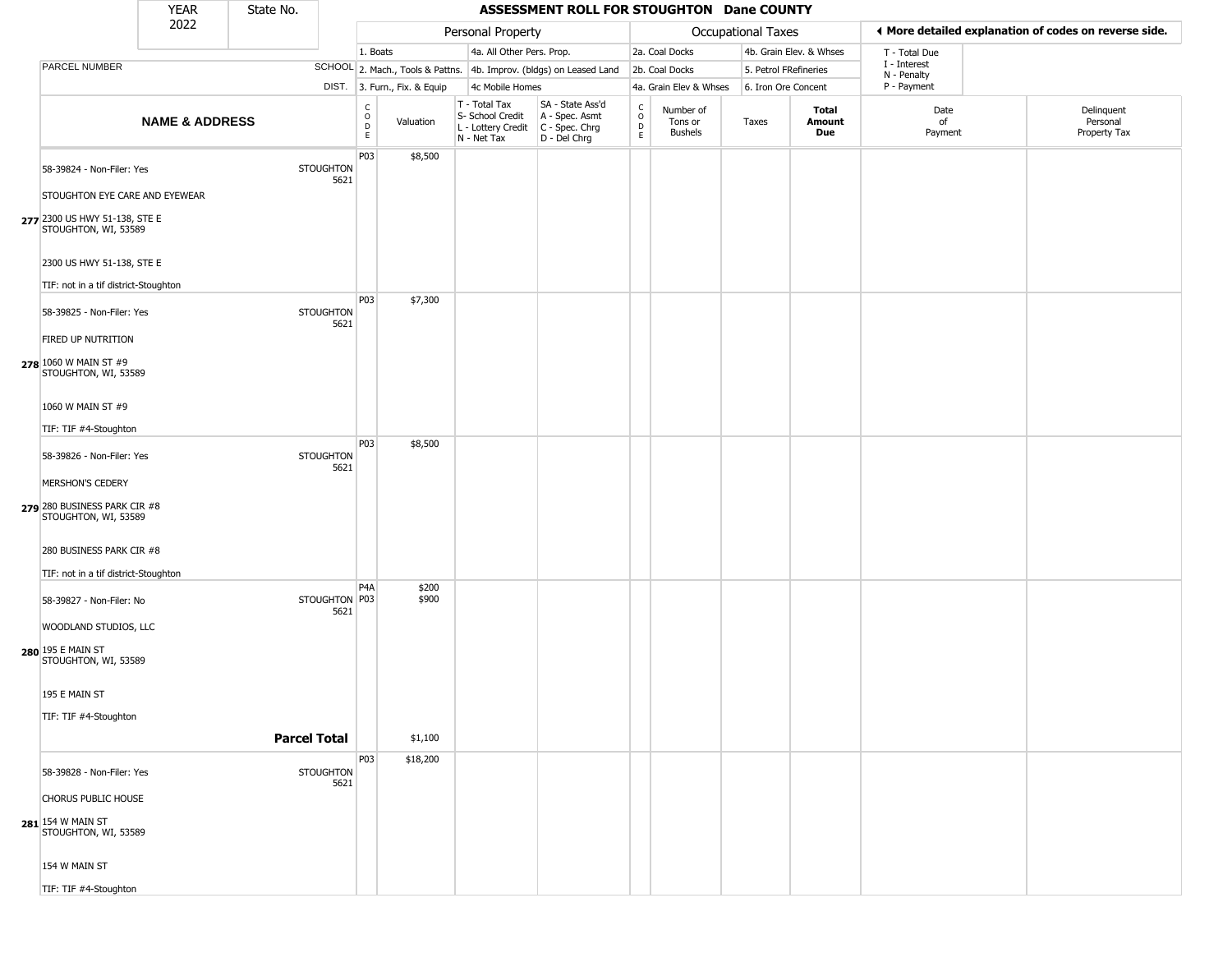|                                                                 | <b>YEAR</b>               | State No.           |                          |                                             |                              |                                                                        | ASSESSMENT ROLL FOR STOUGHTON Dane COUNTY                            |                                              |                                        |                       |                         |                             |                                                       |
|-----------------------------------------------------------------|---------------------------|---------------------|--------------------------|---------------------------------------------|------------------------------|------------------------------------------------------------------------|----------------------------------------------------------------------|----------------------------------------------|----------------------------------------|-----------------------|-------------------------|-----------------------------|-------------------------------------------------------|
|                                                                 | 2022                      |                     |                          |                                             |                              | Personal Property                                                      |                                                                      |                                              |                                        | Occupational Taxes    |                         |                             | ◀ More detailed explanation of codes on reverse side. |
|                                                                 |                           |                     |                          | 1. Boats                                    |                              | 4a. All Other Pers. Prop.                                              |                                                                      |                                              | 2a. Coal Docks                         |                       | 4b. Grain Elev. & Whses | T - Total Due               |                                                       |
| PARCEL NUMBER                                                   |                           |                     |                          |                                             |                              |                                                                        | SCHOOL 2. Mach., Tools & Pattns. 4b. Improv. (bldgs) on Leased Land  |                                              | 2b. Coal Docks                         | 5. Petrol FRefineries |                         | I - Interest<br>N - Penalty |                                                       |
|                                                                 |                           |                     |                          |                                             | DIST. 3. Furn., Fix. & Equip | 4c Mobile Homes                                                        |                                                                      |                                              | 4a. Grain Elev & Whses                 | 6. Iron Ore Concent   |                         | P - Payment                 |                                                       |
|                                                                 | <b>NAME &amp; ADDRESS</b> |                     |                          | $\frac{c}{0}$<br>$\mathsf D$<br>$\mathsf E$ | Valuation                    | T - Total Tax<br>S- School Credit<br>L - Lottery Credit<br>N - Net Tax | SA - State Ass'd<br>A - Spec. Asmt<br>C - Spec. Chrg<br>D - Del Chrg | $\int_{0}^{c}$<br>$\mathsf D$<br>$\mathsf E$ | Number of<br>Tons or<br><b>Bushels</b> | Taxes                 | Total<br>Amount<br>Due  | Date<br>of<br>Payment       | Delinquent<br>Personal<br>Property Tax                |
| 58-39824 - Non-Filer: Yes                                       |                           |                     | <b>STOUGHTON</b><br>5621 | P03                                         | \$8,500                      |                                                                        |                                                                      |                                              |                                        |                       |                         |                             |                                                       |
| STOUGHTON EYE CARE AND EYEWEAR<br>277 2300 US HWY 51-138, STE E |                           |                     |                          |                                             |                              |                                                                        |                                                                      |                                              |                                        |                       |                         |                             |                                                       |
| STOUGHTON, WI, 53589                                            |                           |                     |                          |                                             |                              |                                                                        |                                                                      |                                              |                                        |                       |                         |                             |                                                       |
| 2300 US HWY 51-138, STE E                                       |                           |                     |                          |                                             |                              |                                                                        |                                                                      |                                              |                                        |                       |                         |                             |                                                       |
| TIF: not in a tif district-Stoughton                            |                           |                     |                          |                                             |                              |                                                                        |                                                                      |                                              |                                        |                       |                         |                             |                                                       |
| 58-39825 - Non-Filer: Yes                                       |                           |                     | <b>STOUGHTON</b><br>5621 | P03                                         | \$7,300                      |                                                                        |                                                                      |                                              |                                        |                       |                         |                             |                                                       |
| FIRED UP NUTRITION                                              |                           |                     |                          |                                             |                              |                                                                        |                                                                      |                                              |                                        |                       |                         |                             |                                                       |
| 278 1060 W MAIN ST #9<br>STOUGHTON, WI, 53589                   |                           |                     |                          |                                             |                              |                                                                        |                                                                      |                                              |                                        |                       |                         |                             |                                                       |
| 1060 W MAIN ST #9                                               |                           |                     |                          |                                             |                              |                                                                        |                                                                      |                                              |                                        |                       |                         |                             |                                                       |
| TIF: TIF #4-Stoughton                                           |                           |                     |                          |                                             |                              |                                                                        |                                                                      |                                              |                                        |                       |                         |                             |                                                       |
| 58-39826 - Non-Filer: Yes                                       |                           |                     | <b>STOUGHTON</b><br>5621 | P <sub>0</sub> 3                            | \$8,500                      |                                                                        |                                                                      |                                              |                                        |                       |                         |                             |                                                       |
| MERSHON'S CEDERY                                                |                           |                     |                          |                                             |                              |                                                                        |                                                                      |                                              |                                        |                       |                         |                             |                                                       |
| 279 280 BUSINESS PARK CIR #8<br>STOUGHTON, WI, 53589            |                           |                     |                          |                                             |                              |                                                                        |                                                                      |                                              |                                        |                       |                         |                             |                                                       |
| 280 BUSINESS PARK CIR #8                                        |                           |                     |                          |                                             |                              |                                                                        |                                                                      |                                              |                                        |                       |                         |                             |                                                       |
| TIF: not in a tif district-Stoughton                            |                           |                     |                          |                                             |                              |                                                                        |                                                                      |                                              |                                        |                       |                         |                             |                                                       |
| 58-39827 - Non-Filer: No                                        |                           |                     | STOUGHTON P03<br>5621    | P <sub>4</sub> A                            | \$200<br>\$900               |                                                                        |                                                                      |                                              |                                        |                       |                         |                             |                                                       |
| WOODLAND STUDIOS, LLC                                           |                           |                     |                          |                                             |                              |                                                                        |                                                                      |                                              |                                        |                       |                         |                             |                                                       |
| 280 195 E MAIN ST<br>STOUGHTON, WI, 53589                       |                           |                     |                          |                                             |                              |                                                                        |                                                                      |                                              |                                        |                       |                         |                             |                                                       |
| 195 E MAIN ST                                                   |                           |                     |                          |                                             |                              |                                                                        |                                                                      |                                              |                                        |                       |                         |                             |                                                       |
| TIF: TIF #4-Stoughton                                           |                           |                     |                          |                                             |                              |                                                                        |                                                                      |                                              |                                        |                       |                         |                             |                                                       |
|                                                                 |                           | <b>Parcel Total</b> |                          |                                             | \$1,100                      |                                                                        |                                                                      |                                              |                                        |                       |                         |                             |                                                       |
| 58-39828 - Non-Filer: Yes                                       |                           |                     | <b>STOUGHTON</b><br>5621 | P03                                         | \$18,200                     |                                                                        |                                                                      |                                              |                                        |                       |                         |                             |                                                       |
| CHORUS PUBLIC HOUSE                                             |                           |                     |                          |                                             |                              |                                                                        |                                                                      |                                              |                                        |                       |                         |                             |                                                       |
| $281$ 154 W MAIN ST<br>STOUGHTON, WI, 53589                     |                           |                     |                          |                                             |                              |                                                                        |                                                                      |                                              |                                        |                       |                         |                             |                                                       |
| 154 W MAIN ST                                                   |                           |                     |                          |                                             |                              |                                                                        |                                                                      |                                              |                                        |                       |                         |                             |                                                       |
| TIF: TIF #4-Stoughton                                           |                           |                     |                          |                                             |                              |                                                                        |                                                                      |                                              |                                        |                       |                         |                             |                                                       |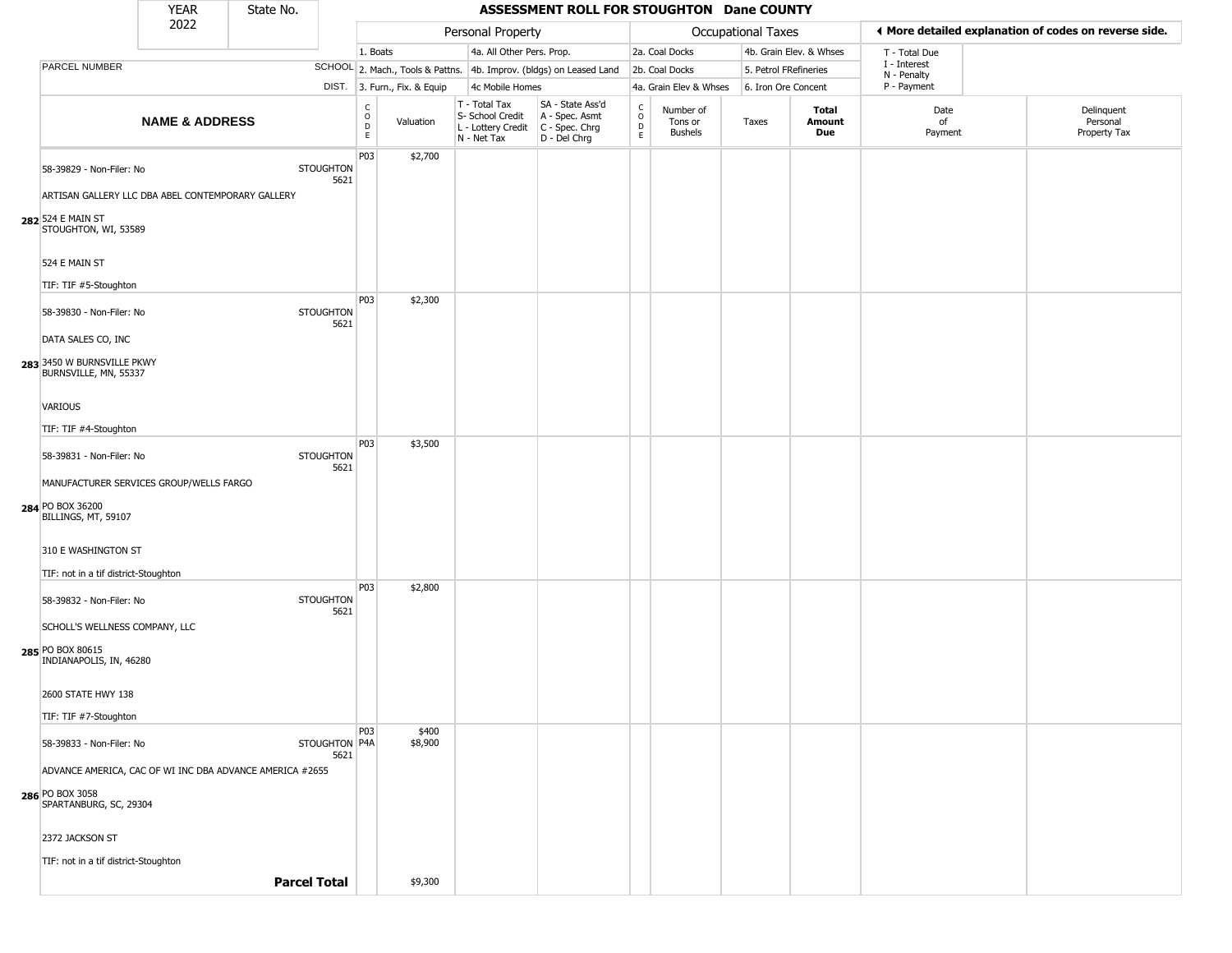|                                                                                                                                                   | <b>YEAR</b>               | State No.           |                          |                                              |                              |                                                                        | ASSESSMENT ROLL FOR STOUGHTON Dane COUNTY                              |                                              |                                        |                       |                               |                             |                                                       |
|---------------------------------------------------------------------------------------------------------------------------------------------------|---------------------------|---------------------|--------------------------|----------------------------------------------|------------------------------|------------------------------------------------------------------------|------------------------------------------------------------------------|----------------------------------------------|----------------------------------------|-----------------------|-------------------------------|-----------------------------|-------------------------------------------------------|
|                                                                                                                                                   | 2022                      |                     |                          |                                              |                              | Personal Property                                                      |                                                                        |                                              |                                        | Occupational Taxes    |                               |                             | ◀ More detailed explanation of codes on reverse side. |
|                                                                                                                                                   |                           |                     |                          | 1. Boats                                     |                              | 4a. All Other Pers. Prop.                                              |                                                                        |                                              | 2a. Coal Docks                         |                       | 4b. Grain Elev. & Whses       | T - Total Due               |                                                       |
| <b>PARCEL NUMBER</b>                                                                                                                              |                           |                     |                          |                                              |                              |                                                                        | SCHOOL 2. Mach., Tools & Pattns. 4b. Improv. (bldgs) on Leased Land    |                                              | 2b. Coal Docks                         | 5. Petrol FRefineries |                               | I - Interest<br>N - Penalty |                                                       |
|                                                                                                                                                   |                           |                     |                          |                                              | DIST. 3. Furn., Fix. & Equip | 4c Mobile Homes                                                        |                                                                        |                                              | 4a. Grain Elev & Whses                 | 6. Iron Ore Concent   |                               | P - Payment                 |                                                       |
|                                                                                                                                                   | <b>NAME &amp; ADDRESS</b> |                     |                          | $\int_{0}^{c}$<br>$\mathsf D$<br>$\mathsf E$ | Valuation                    | T - Total Tax<br>S- School Credit<br>L - Lottery Credit<br>N - Net Tax | SA - State Ass'd<br>A - Spec. Asmt<br>$C - Spec. Chrg$<br>D - Del Chrg | $\mathsf{C}$<br>$\circ$<br>$\mathsf{D}$<br>E | Number of<br>Tons or<br><b>Bushels</b> | Taxes                 | <b>Total</b><br>Amount<br>Due | Date<br>of<br>Payment       | Delinquent<br>Personal<br>Property Tax                |
| 58-39829 - Non-Filer: No<br>ARTISAN GALLERY LLC DBA ABEL CONTEMPORARY GALLERY<br>282 524 E MAIN ST<br>STOUGHTON, WI, 53589                        |                           |                     | <b>STOUGHTON</b><br>5621 | P03                                          | \$2,700                      |                                                                        |                                                                        |                                              |                                        |                       |                               |                             |                                                       |
| 524 E MAIN ST<br>TIF: TIF #5-Stoughton                                                                                                            |                           |                     |                          | P03                                          | \$2,300                      |                                                                        |                                                                        |                                              |                                        |                       |                               |                             |                                                       |
| 58-39830 - Non-Filer: No<br>DATA SALES CO, INC                                                                                                    |                           |                     | <b>STOUGHTON</b><br>5621 |                                              |                              |                                                                        |                                                                        |                                              |                                        |                       |                               |                             |                                                       |
| 283 3450 W BURNSVILLE PKWY<br>BURNSVILLE, MN, 55337<br>VARIOUS                                                                                    |                           |                     |                          |                                              |                              |                                                                        |                                                                        |                                              |                                        |                       |                               |                             |                                                       |
| TIF: TIF #4-Stoughton                                                                                                                             |                           |                     |                          | P03                                          | \$3,500                      |                                                                        |                                                                        |                                              |                                        |                       |                               |                             |                                                       |
| 58-39831 - Non-Filer: No<br>MANUFACTURER SERVICES GROUP/WELLS FARGO<br>284 PO BOX 36200<br>BILLINGS, MT, 59107<br>310 E WASHINGTON ST             |                           |                     | <b>STOUGHTON</b><br>5621 |                                              |                              |                                                                        |                                                                        |                                              |                                        |                       |                               |                             |                                                       |
|                                                                                                                                                   |                           |                     |                          |                                              |                              |                                                                        |                                                                        |                                              |                                        |                       |                               |                             |                                                       |
| TIF: not in a tif district-Stoughton<br>58-39832 - Non-Filer: No<br>SCHOLL'S WELLNESS COMPANY, LLC<br>285 PO BOX 80615<br>INDIANAPOLIS, IN, 46280 |                           |                     | <b>STOUGHTON</b><br>5621 | P03                                          | \$2,800                      |                                                                        |                                                                        |                                              |                                        |                       |                               |                             |                                                       |
| 2600 STATE HWY 138<br>TIF: TIF #7-Stoughton                                                                                                       |                           |                     |                          |                                              |                              |                                                                        |                                                                        |                                              |                                        |                       |                               |                             |                                                       |
| 58-39833 - Non-Filer: No<br>ADVANCE AMERICA, CAC OF WI INC DBA ADVANCE AMERICA #2655                                                              |                           |                     | STOUGHTON P4A<br>5621    | <b>P03</b>                                   | \$400<br>\$8,900             |                                                                        |                                                                        |                                              |                                        |                       |                               |                             |                                                       |
| <b>286 PO BOX 3058</b><br>SPARTANBURG, SC, 29304<br>2372 JACKSON ST<br>TIF: not in a tif district-Stoughton                                       |                           |                     |                          |                                              |                              |                                                                        |                                                                        |                                              |                                        |                       |                               |                             |                                                       |
|                                                                                                                                                   |                           | <b>Parcel Total</b> |                          |                                              | \$9,300                      |                                                                        |                                                                        |                                              |                                        |                       |                               |                             |                                                       |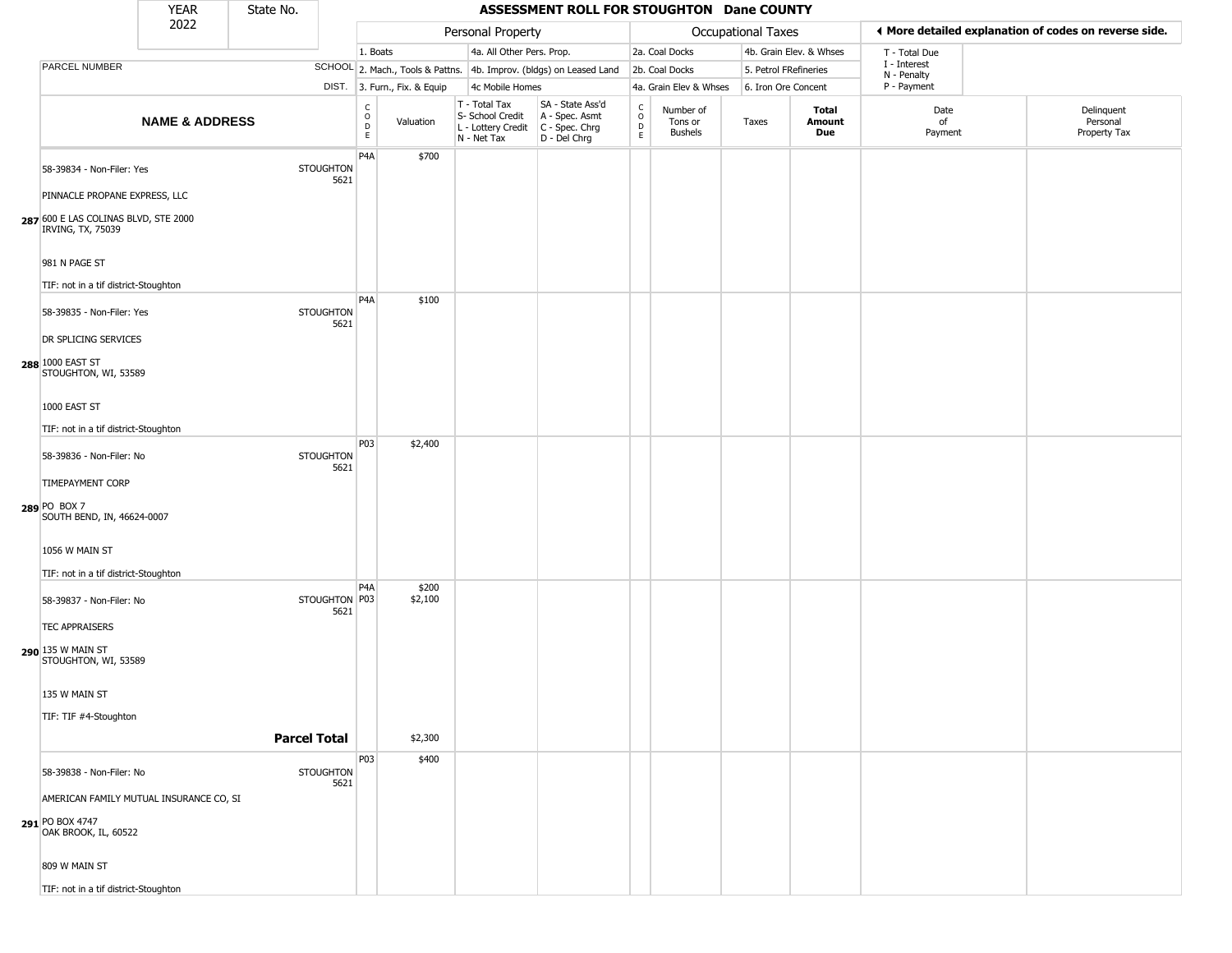|                                                                                            | <b>YEAR</b>               | State No.           |                          |                        |                              |                                                                        | ASSESSMENT ROLL FOR STOUGHTON Dane COUNTY                              |                              |                                        |                       |                         |                             |                                                       |
|--------------------------------------------------------------------------------------------|---------------------------|---------------------|--------------------------|------------------------|------------------------------|------------------------------------------------------------------------|------------------------------------------------------------------------|------------------------------|----------------------------------------|-----------------------|-------------------------|-----------------------------|-------------------------------------------------------|
|                                                                                            | 2022                      |                     |                          |                        |                              | Personal Property                                                      |                                                                        |                              |                                        | Occupational Taxes    |                         |                             | ♦ More detailed explanation of codes on reverse side. |
|                                                                                            |                           |                     |                          | 1. Boats               |                              | 4a. All Other Pers. Prop.                                              |                                                                        |                              | 2a. Coal Docks                         |                       | 4b. Grain Elev. & Whses | T - Total Due               |                                                       |
| PARCEL NUMBER                                                                              |                           |                     |                          |                        |                              |                                                                        | SCHOOL 2. Mach., Tools & Pattns. 4b. Improv. (bldgs) on Leased Land    |                              | 2b. Coal Docks                         | 5. Petrol FRefineries |                         | I - Interest<br>N - Penalty |                                                       |
|                                                                                            |                           |                     |                          |                        | DIST. 3. Furn., Fix. & Equip | 4c Mobile Homes                                                        |                                                                        |                              | 4a. Grain Elev & Whses                 | 6. Iron Ore Concent   |                         | P - Payment                 |                                                       |
|                                                                                            | <b>NAME &amp; ADDRESS</b> |                     |                          | C<br>$\circ$<br>D<br>E | Valuation                    | T - Total Tax<br>S- School Credit<br>L - Lottery Credit<br>N - Net Tax | SA - State Ass'd<br>A - Spec. Asmt<br>$C - Spec. Chrg$<br>D - Del Chrg | $_{\rm o}^{\rm c}$<br>D<br>E | Number of<br>Tons or<br><b>Bushels</b> | Taxes                 | Total<br>Amount<br>Due  | Date<br>of<br>Payment       | Delinquent<br>Personal<br>Property Tax                |
| 58-39834 - Non-Filer: Yes                                                                  |                           |                     | <b>STOUGHTON</b><br>5621 | P <sub>4</sub> A       | \$700                        |                                                                        |                                                                        |                              |                                        |                       |                         |                             |                                                       |
| PINNACLE PROPANE EXPRESS, LLC<br>287 600 E LAS COLINAS BLVD, STE 2000<br>IRVING, TX, 75039 |                           |                     |                          |                        |                              |                                                                        |                                                                        |                              |                                        |                       |                         |                             |                                                       |
| 981 N PAGE ST                                                                              |                           |                     |                          |                        |                              |                                                                        |                                                                        |                              |                                        |                       |                         |                             |                                                       |
| TIF: not in a tif district-Stoughton                                                       |                           |                     |                          |                        |                              |                                                                        |                                                                        |                              |                                        |                       |                         |                             |                                                       |
| 58-39835 - Non-Filer: Yes                                                                  |                           |                     | <b>STOUGHTON</b><br>5621 | P <sub>4</sub> A       | \$100                        |                                                                        |                                                                        |                              |                                        |                       |                         |                             |                                                       |
| DR SPLICING SERVICES                                                                       |                           |                     |                          |                        |                              |                                                                        |                                                                        |                              |                                        |                       |                         |                             |                                                       |
| 288 1000 EAST ST<br>STOUGHTON, WI, 53589                                                   |                           |                     |                          |                        |                              |                                                                        |                                                                        |                              |                                        |                       |                         |                             |                                                       |
| 1000 EAST ST                                                                               |                           |                     |                          |                        |                              |                                                                        |                                                                        |                              |                                        |                       |                         |                             |                                                       |
| TIF: not in a tif district-Stoughton                                                       |                           |                     |                          |                        |                              |                                                                        |                                                                        |                              |                                        |                       |                         |                             |                                                       |
| 58-39836 - Non-Filer: No                                                                   |                           |                     | <b>STOUGHTON</b><br>5621 | P03                    | \$2,400                      |                                                                        |                                                                        |                              |                                        |                       |                         |                             |                                                       |
| <b>TIMEPAYMENT CORP</b><br>289 PO BOX 7<br>SOUTH BEND, IN, 46624-0007                      |                           |                     |                          |                        |                              |                                                                        |                                                                        |                              |                                        |                       |                         |                             |                                                       |
| 1056 W MAIN ST                                                                             |                           |                     |                          |                        |                              |                                                                        |                                                                        |                              |                                        |                       |                         |                             |                                                       |
| TIF: not in a tif district-Stoughton                                                       |                           |                     |                          |                        |                              |                                                                        |                                                                        |                              |                                        |                       |                         |                             |                                                       |
| 58-39837 - Non-Filer: No                                                                   |                           |                     | STOUGHTON P03<br>5621    | P4A                    | \$200<br>\$2,100             |                                                                        |                                                                        |                              |                                        |                       |                         |                             |                                                       |
| <b>TEC APPRAISERS</b>                                                                      |                           |                     |                          |                        |                              |                                                                        |                                                                        |                              |                                        |                       |                         |                             |                                                       |
| 290 135 W MAIN ST<br>STOUGHTON, WI, 53589                                                  |                           |                     |                          |                        |                              |                                                                        |                                                                        |                              |                                        |                       |                         |                             |                                                       |
| 135 W MAIN ST                                                                              |                           |                     |                          |                        |                              |                                                                        |                                                                        |                              |                                        |                       |                         |                             |                                                       |
| TIF: TIF #4-Stoughton                                                                      |                           |                     |                          |                        |                              |                                                                        |                                                                        |                              |                                        |                       |                         |                             |                                                       |
|                                                                                            |                           | <b>Parcel Total</b> |                          |                        | \$2,300                      |                                                                        |                                                                        |                              |                                        |                       |                         |                             |                                                       |
| 58-39838 - Non-Filer: No                                                                   |                           |                     | <b>STOUGHTON</b>         | P03                    | \$400                        |                                                                        |                                                                        |                              |                                        |                       |                         |                             |                                                       |
| AMERICAN FAMILY MUTUAL INSURANCE CO, SI                                                    |                           |                     | 5621                     |                        |                              |                                                                        |                                                                        |                              |                                        |                       |                         |                             |                                                       |
| 291 PO BOX 4747<br>OAK BROOK, IL, 60522                                                    |                           |                     |                          |                        |                              |                                                                        |                                                                        |                              |                                        |                       |                         |                             |                                                       |
| 809 W MAIN ST                                                                              |                           |                     |                          |                        |                              |                                                                        |                                                                        |                              |                                        |                       |                         |                             |                                                       |
| TIF: not in a tif district-Stoughton                                                       |                           |                     |                          |                        |                              |                                                                        |                                                                        |                              |                                        |                       |                         |                             |                                                       |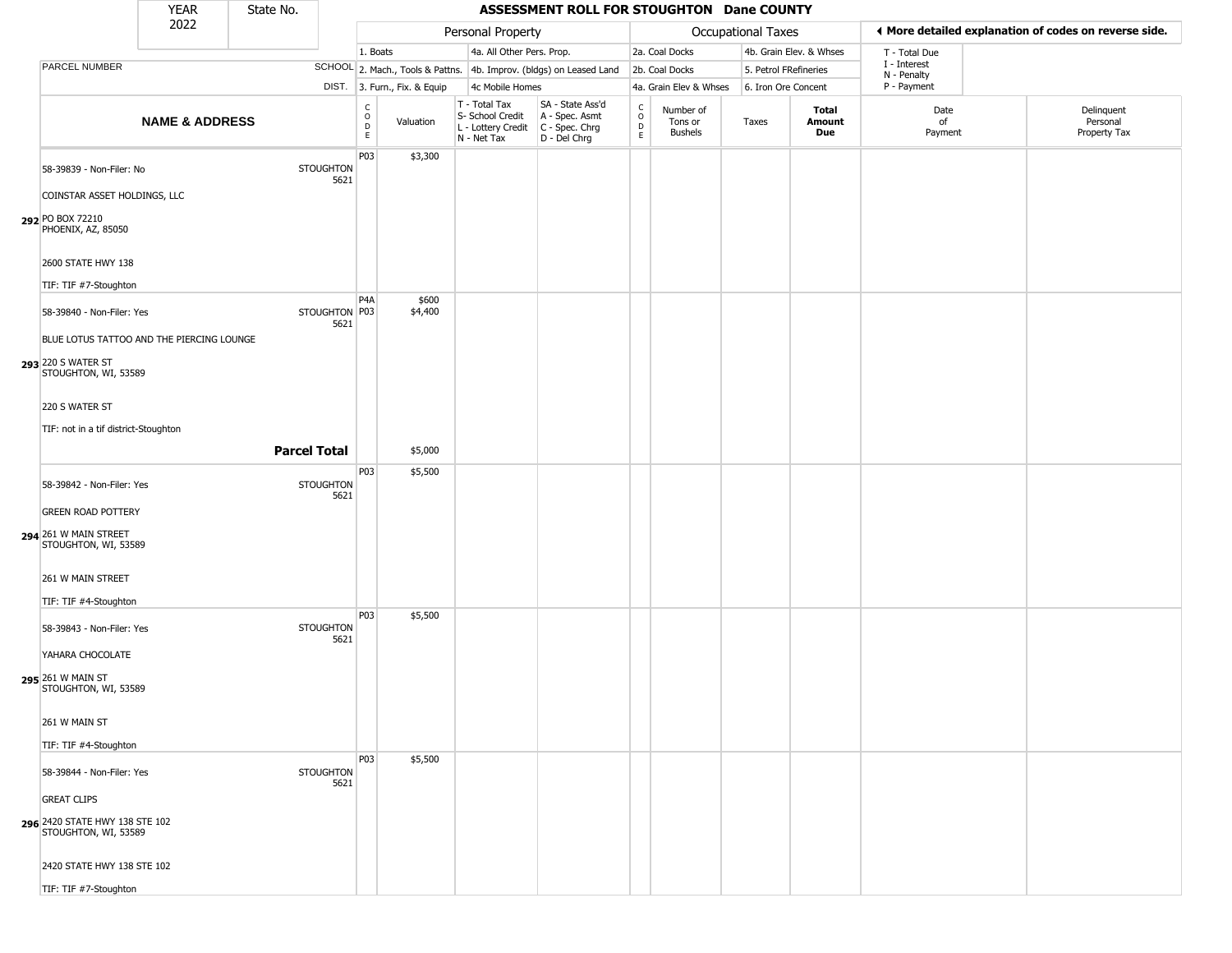|                                                                              | <b>YEAR</b>               | State No.           |                          |                                                   |                              |                                                                        | ASSESSMENT ROLL FOR STOUGHTON Dane COUNTY                            |                                                 |                                        |                       |                         |                             |                                                       |
|------------------------------------------------------------------------------|---------------------------|---------------------|--------------------------|---------------------------------------------------|------------------------------|------------------------------------------------------------------------|----------------------------------------------------------------------|-------------------------------------------------|----------------------------------------|-----------------------|-------------------------|-----------------------------|-------------------------------------------------------|
|                                                                              | 2022                      |                     |                          |                                                   |                              | Personal Property                                                      |                                                                      |                                                 |                                        | Occupational Taxes    |                         |                             | ◀ More detailed explanation of codes on reverse side. |
|                                                                              |                           |                     |                          | 1. Boats                                          |                              | 4a. All Other Pers. Prop.                                              |                                                                      |                                                 | 2a. Coal Docks                         |                       | 4b. Grain Elev. & Whses | T - Total Due               |                                                       |
| PARCEL NUMBER                                                                |                           |                     |                          |                                                   |                              |                                                                        | SCHOOL 2. Mach., Tools & Pattns. 4b. Improv. (bldgs) on Leased Land  |                                                 | 2b. Coal Docks                         | 5. Petrol FRefineries |                         | I - Interest<br>N - Penalty |                                                       |
|                                                                              |                           |                     |                          |                                                   | DIST. 3. Furn., Fix. & Equip | 4c Mobile Homes                                                        |                                                                      |                                                 | 4a. Grain Elev & Whses                 | 6. Iron Ore Concent   |                         | P - Payment                 |                                                       |
|                                                                              | <b>NAME &amp; ADDRESS</b> |                     |                          | $\begin{array}{c}\nC \\ O \\ D \\ E\n\end{array}$ | Valuation                    | T - Total Tax<br>S- School Credit<br>L - Lottery Credit<br>N - Net Tax | SA - State Ass'd<br>A - Spec. Asmt<br>C - Spec. Chrg<br>D - Del Chrg | $\begin{array}{c} C \\ O \\ D \\ E \end{array}$ | Number of<br>Tons or<br><b>Bushels</b> | Taxes                 | Total<br>Amount<br>Due  | Date<br>of<br>Payment       | Delinquent<br>Personal<br>Property Tax                |
| 58-39839 - Non-Filer: No<br>COINSTAR ASSET HOLDINGS, LLC                     |                           |                     | <b>STOUGHTON</b><br>5621 | P03                                               | \$3,300                      |                                                                        |                                                                      |                                                 |                                        |                       |                         |                             |                                                       |
| 292 PO BOX 72210<br>PHOENIX, AZ, 85050<br>2600 STATE HWY 138                 |                           |                     |                          |                                                   |                              |                                                                        |                                                                      |                                                 |                                        |                       |                         |                             |                                                       |
| TIF: TIF #7-Stoughton                                                        |                           |                     |                          |                                                   |                              |                                                                        |                                                                      |                                                 |                                        |                       |                         |                             |                                                       |
| 58-39840 - Non-Filer: Yes<br>BLUE LOTUS TATTOO AND THE PIERCING LOUNGE       |                           |                     | STOUGHTON P03<br>5621    | P4A                                               | \$600<br>\$4,400             |                                                                        |                                                                      |                                                 |                                        |                       |                         |                             |                                                       |
| 293 220 S WATER ST<br>STOUGHTON, WI, 53589                                   |                           |                     |                          |                                                   |                              |                                                                        |                                                                      |                                                 |                                        |                       |                         |                             |                                                       |
| 220 S WATER ST<br>TIF: not in a tif district-Stoughton                       |                           |                     |                          |                                                   |                              |                                                                        |                                                                      |                                                 |                                        |                       |                         |                             |                                                       |
|                                                                              |                           | <b>Parcel Total</b> |                          |                                                   | \$5,000                      |                                                                        |                                                                      |                                                 |                                        |                       |                         |                             |                                                       |
|                                                                              |                           |                     |                          | P03                                               | \$5,500                      |                                                                        |                                                                      |                                                 |                                        |                       |                         |                             |                                                       |
| 58-39842 - Non-Filer: Yes<br><b>GREEN ROAD POTTERY</b>                       |                           |                     | <b>STOUGHTON</b><br>5621 |                                                   |                              |                                                                        |                                                                      |                                                 |                                        |                       |                         |                             |                                                       |
| 294 261 W MAIN STREET<br>STOUGHTON, WI, 53589                                |                           |                     |                          |                                                   |                              |                                                                        |                                                                      |                                                 |                                        |                       |                         |                             |                                                       |
| 261 W MAIN STREET<br>TIF: TIF #4-Stoughton                                   |                           |                     |                          |                                                   |                              |                                                                        |                                                                      |                                                 |                                        |                       |                         |                             |                                                       |
| 58-39843 - Non-Filer: Yes                                                    |                           |                     | <b>STOUGHTON</b><br>5621 | P03                                               | \$5,500                      |                                                                        |                                                                      |                                                 |                                        |                       |                         |                             |                                                       |
| YAHARA CHOCOLATE<br>295 261 W MAIN ST<br>STOUGHTON, WI, 53589                |                           |                     |                          |                                                   |                              |                                                                        |                                                                      |                                                 |                                        |                       |                         |                             |                                                       |
| 261 W MAIN ST<br>TIF: TIF #4-Stoughton                                       |                           |                     |                          |                                                   |                              |                                                                        |                                                                      |                                                 |                                        |                       |                         |                             |                                                       |
| 58-39844 - Non-Filer: Yes                                                    |                           |                     | <b>STOUGHTON</b><br>5621 | P03                                               | \$5,500                      |                                                                        |                                                                      |                                                 |                                        |                       |                         |                             |                                                       |
| <b>GREAT CLIPS</b><br>296 2420 STATE HWY 138 STE 102<br>STOUGHTON, WI, 53589 |                           |                     |                          |                                                   |                              |                                                                        |                                                                      |                                                 |                                        |                       |                         |                             |                                                       |
| 2420 STATE HWY 138 STE 102<br>TIF: TIF #7-Stoughton                          |                           |                     |                          |                                                   |                              |                                                                        |                                                                      |                                                 |                                        |                       |                         |                             |                                                       |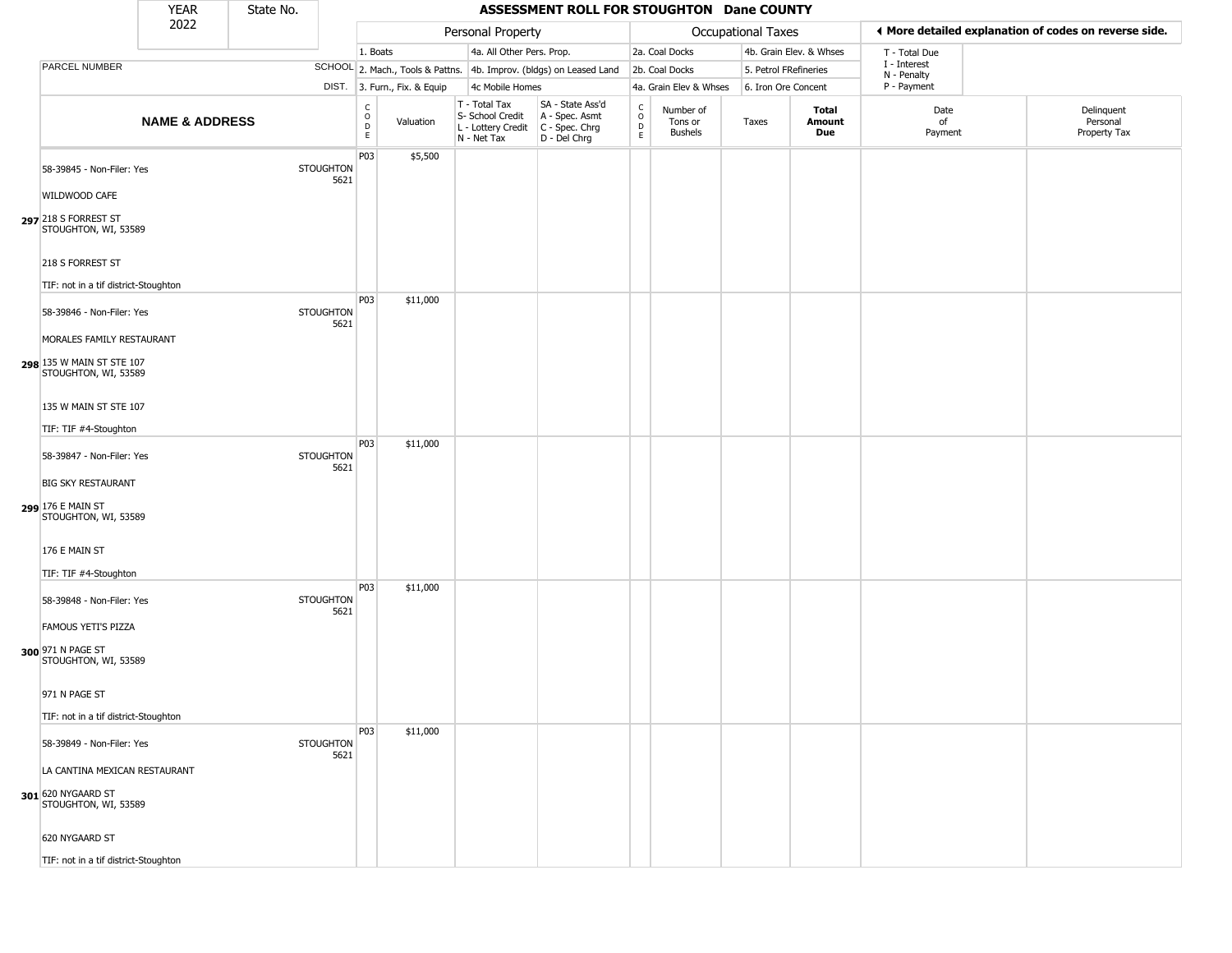|                                                                                                             | <b>YEAR</b>               | State No. |                          |                                              |                              |                                                                        | ASSESSMENT ROLL FOR STOUGHTON Dane COUNTY                            |                                          |                                 |                       |                         |                             |                                                       |
|-------------------------------------------------------------------------------------------------------------|---------------------------|-----------|--------------------------|----------------------------------------------|------------------------------|------------------------------------------------------------------------|----------------------------------------------------------------------|------------------------------------------|---------------------------------|-----------------------|-------------------------|-----------------------------|-------------------------------------------------------|
|                                                                                                             | 2022                      |           |                          |                                              |                              | Personal Property                                                      |                                                                      |                                          |                                 | Occupational Taxes    |                         |                             | ◀ More detailed explanation of codes on reverse side. |
|                                                                                                             |                           |           |                          | 1. Boats                                     |                              | 4a. All Other Pers. Prop.                                              |                                                                      |                                          | 2a. Coal Docks                  |                       | 4b. Grain Elev. & Whses | T - Total Due               |                                                       |
| PARCEL NUMBER                                                                                               |                           |           |                          |                                              |                              |                                                                        | SCHOOL 2. Mach., Tools & Pattns. 4b. Improv. (bldgs) on Leased Land  |                                          | 2b. Coal Docks                  | 5. Petrol FRefineries |                         | I - Interest<br>N - Penalty |                                                       |
|                                                                                                             |                           |           |                          |                                              | DIST. 3. Furn., Fix. & Equip | 4c Mobile Homes                                                        |                                                                      |                                          | 4a. Grain Elev & Whses          | 6. Iron Ore Concent   |                         | P - Payment                 |                                                       |
|                                                                                                             | <b>NAME &amp; ADDRESS</b> |           |                          | $\int_{0}^{c}$<br>$\mathsf D$<br>$\mathsf E$ | Valuation                    | T - Total Tax<br>S- School Credit<br>L - Lottery Credit<br>N - Net Tax | SA - State Ass'd<br>A - Spec. Asmt<br>C - Spec. Chrg<br>D - Del Chrg | $\rm _o^C$<br>$\mathsf D$<br>$\mathsf E$ | Number of<br>Tons or<br>Bushels | Taxes                 | Total<br>Amount<br>Due  | Date<br>of<br>Payment       | Delinquent<br>Personal<br>Property Tax                |
| 58-39845 - Non-Filer: Yes<br>WILDWOOD CAFE<br>297 218 S FORREST ST                                          |                           |           | <b>STOUGHTON</b><br>5621 | P03                                          | \$5,500                      |                                                                        |                                                                      |                                          |                                 |                       |                         |                             |                                                       |
| STOUGHTON, WI, 53589<br>218 S FORREST ST<br>TIF: not in a tif district-Stoughton                            |                           |           |                          | P03                                          | \$11,000                     |                                                                        |                                                                      |                                          |                                 |                       |                         |                             |                                                       |
| 58-39846 - Non-Filer: Yes<br>MORALES FAMILY RESTAURANT<br>298 135 W MAIN ST STE 107<br>STOUGHTON, WI, 53589 |                           |           | <b>STOUGHTON</b><br>5621 |                                              |                              |                                                                        |                                                                      |                                          |                                 |                       |                         |                             |                                                       |
| 135 W MAIN ST STE 107<br>TIF: TIF #4-Stoughton                                                              |                           |           |                          |                                              |                              |                                                                        |                                                                      |                                          |                                 |                       |                         |                             |                                                       |
| 58-39847 - Non-Filer: Yes<br><b>BIG SKY RESTAURANT</b><br>299 176 E MAIN ST<br>STOUGHTON, WI, 53589         |                           |           | <b>STOUGHTON</b><br>5621 | P03                                          | \$11,000                     |                                                                        |                                                                      |                                          |                                 |                       |                         |                             |                                                       |
| 176 E MAIN ST<br>TIF: TIF #4-Stoughton                                                                      |                           |           |                          |                                              |                              |                                                                        |                                                                      |                                          |                                 |                       |                         |                             |                                                       |
| 58-39848 - Non-Filer: Yes<br>FAMOUS YETI'S PIZZA<br>300 971 N PAGE ST<br>STOUGHTON, WI, 53589               |                           |           | <b>STOUGHTON</b><br>5621 | P03                                          | \$11,000                     |                                                                        |                                                                      |                                          |                                 |                       |                         |                             |                                                       |
| 971 N PAGE ST<br>TIF: not in a tif district-Stoughton                                                       |                           |           |                          |                                              |                              |                                                                        |                                                                      |                                          |                                 |                       |                         |                             |                                                       |
| 58-39849 - Non-Filer: Yes<br>LA CANTINA MEXICAN RESTAURANT                                                  |                           |           | <b>STOUGHTON</b><br>5621 | P03                                          | \$11,000                     |                                                                        |                                                                      |                                          |                                 |                       |                         |                             |                                                       |
| 301 620 NYGAARD ST<br>STOUGHTON, WI, 53589                                                                  |                           |           |                          |                                              |                              |                                                                        |                                                                      |                                          |                                 |                       |                         |                             |                                                       |
| 620 NYGAARD ST<br>TIF: not in a tif district-Stoughton                                                      |                           |           |                          |                                              |                              |                                                                        |                                                                      |                                          |                                 |                       |                         |                             |                                                       |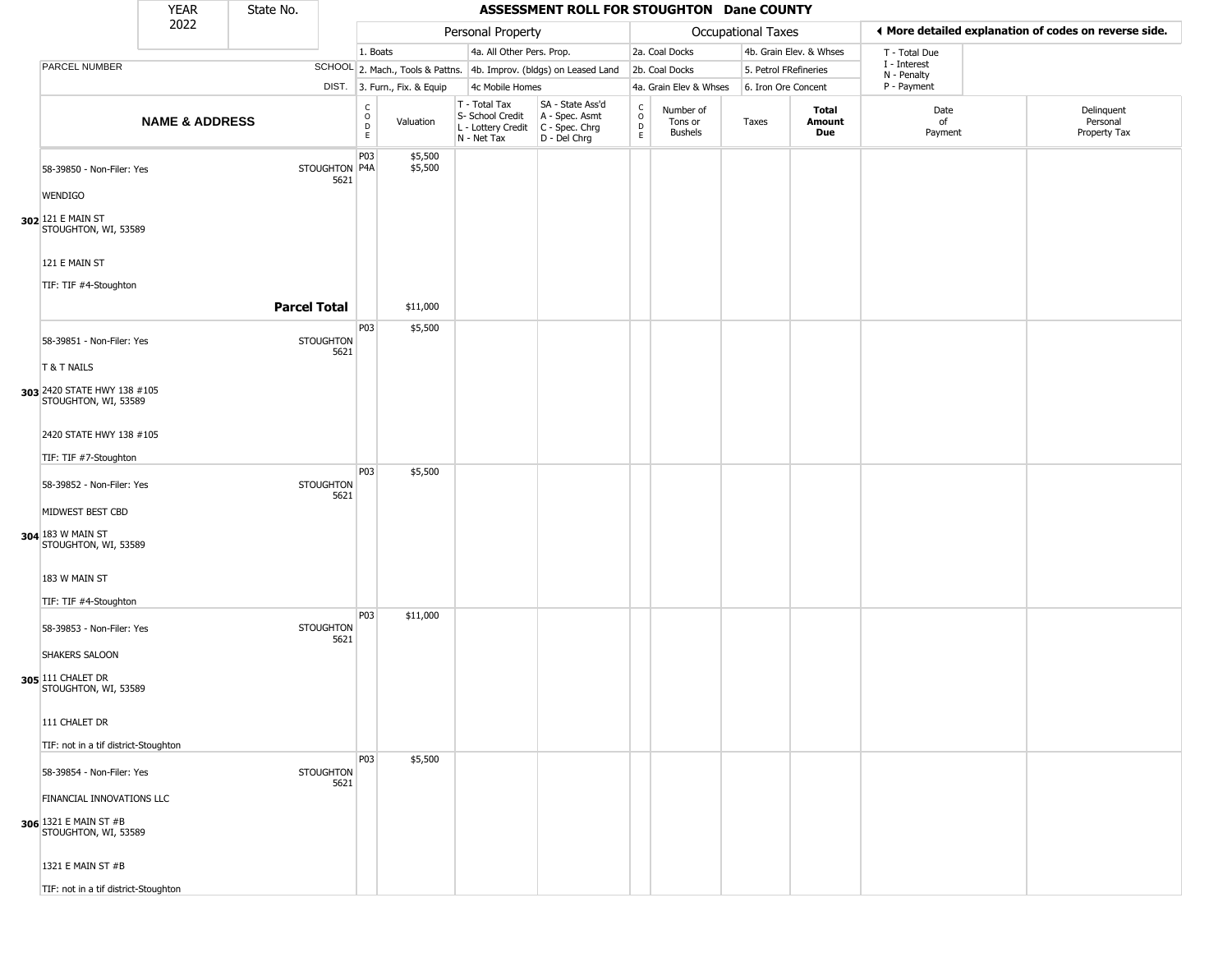| <b>YEAR</b><br>State No.<br>2022                                           |                           |                     |                          |                                   |                              |                                                                        | ASSESSMENT ROLL FOR STOUGHTON Dane COUNTY                            |                                      |                                        |                       |                         |                             |                                                       |
|----------------------------------------------------------------------------|---------------------------|---------------------|--------------------------|-----------------------------------|------------------------------|------------------------------------------------------------------------|----------------------------------------------------------------------|--------------------------------------|----------------------------------------|-----------------------|-------------------------|-----------------------------|-------------------------------------------------------|
|                                                                            |                           |                     |                          |                                   |                              | Personal Property                                                      |                                                                      |                                      |                                        | Occupational Taxes    |                         |                             | ♦ More detailed explanation of codes on reverse side. |
|                                                                            |                           |                     |                          | 1. Boats                          |                              | 4a. All Other Pers. Prop.                                              |                                                                      |                                      | 2a. Coal Docks                         |                       | 4b. Grain Elev. & Whses | T - Total Due               |                                                       |
| PARCEL NUMBER                                                              |                           |                     |                          |                                   |                              |                                                                        | SCHOOL 2. Mach., Tools & Pattns. 4b. Improv. (bldgs) on Leased Land  |                                      | 2b. Coal Docks                         | 5. Petrol FRefineries |                         | I - Interest<br>N - Penalty |                                                       |
|                                                                            |                           |                     |                          |                                   | DIST. 3. Furn., Fix. & Equip | 4c Mobile Homes                                                        |                                                                      |                                      | 4a. Grain Elev & Whses                 | 6. Iron Ore Concent   |                         | P - Payment                 |                                                       |
|                                                                            | <b>NAME &amp; ADDRESS</b> |                     |                          | $\rm ^c_{o}$<br>$\mathsf{D}$<br>E | Valuation                    | T - Total Tax<br>S- School Credit<br>L - Lottery Credit<br>N - Net Tax | SA - State Ass'd<br>A - Spec. Asmt<br>C - Spec. Chrg<br>D - Del Chrg | C<br>$\mathsf O$<br>$\mathsf D$<br>E | Number of<br>Tons or<br><b>Bushels</b> | Taxes                 | Total<br>Amount<br>Due  | Date<br>of<br>Payment       | Delinquent<br>Personal<br>Property Tax                |
| 58-39850 - Non-Filer: Yes                                                  |                           |                     | STOUGHTON P4A<br>5621    | P <sub>0</sub> 3                  | \$5,500<br>\$5,500           |                                                                        |                                                                      |                                      |                                        |                       |                         |                             |                                                       |
| <b>WENDIGO</b>                                                             |                           |                     |                          |                                   |                              |                                                                        |                                                                      |                                      |                                        |                       |                         |                             |                                                       |
| 302 121 E MAIN ST<br>STOUGHTON, WI, 53589                                  |                           |                     |                          |                                   |                              |                                                                        |                                                                      |                                      |                                        |                       |                         |                             |                                                       |
| 121 E MAIN ST                                                              |                           |                     |                          |                                   |                              |                                                                        |                                                                      |                                      |                                        |                       |                         |                             |                                                       |
| TIF: TIF #4-Stoughton                                                      |                           | <b>Parcel Total</b> |                          |                                   | \$11,000                     |                                                                        |                                                                      |                                      |                                        |                       |                         |                             |                                                       |
| 58-39851 - Non-Filer: Yes                                                  |                           |                     | <b>STOUGHTON</b>         | P03                               | \$5,500                      |                                                                        |                                                                      |                                      |                                        |                       |                         |                             |                                                       |
| T & T NAILS                                                                |                           |                     | 5621                     |                                   |                              |                                                                        |                                                                      |                                      |                                        |                       |                         |                             |                                                       |
| 303 2420 STATE HWY 138 #105<br>STOUGHTON, WI, 53589                        |                           |                     |                          |                                   |                              |                                                                        |                                                                      |                                      |                                        |                       |                         |                             |                                                       |
| 2420 STATE HWY 138 #105                                                    |                           |                     |                          |                                   |                              |                                                                        |                                                                      |                                      |                                        |                       |                         |                             |                                                       |
| TIF: TIF #7-Stoughton                                                      |                           |                     |                          |                                   |                              |                                                                        |                                                                      |                                      |                                        |                       |                         |                             |                                                       |
| 58-39852 - Non-Filer: Yes                                                  |                           |                     | <b>STOUGHTON</b><br>5621 | P03                               | \$5,500                      |                                                                        |                                                                      |                                      |                                        |                       |                         |                             |                                                       |
| MIDWEST BEST CBD                                                           |                           |                     |                          |                                   |                              |                                                                        |                                                                      |                                      |                                        |                       |                         |                             |                                                       |
| 304 183 W MAIN ST<br>STOUGHTON, WI, 53589                                  |                           |                     |                          |                                   |                              |                                                                        |                                                                      |                                      |                                        |                       |                         |                             |                                                       |
| 183 W MAIN ST<br>TIF: TIF #4-Stoughton                                     |                           |                     |                          |                                   |                              |                                                                        |                                                                      |                                      |                                        |                       |                         |                             |                                                       |
| 58-39853 - Non-Filer: Yes                                                  |                           |                     | <b>STOUGHTON</b>         | P03                               | \$11,000                     |                                                                        |                                                                      |                                      |                                        |                       |                         |                             |                                                       |
| SHAKERS SALOON                                                             |                           |                     | 5621                     |                                   |                              |                                                                        |                                                                      |                                      |                                        |                       |                         |                             |                                                       |
| 305 111 CHALET DR<br>STOUGHTON, WI, 53589                                  |                           |                     |                          |                                   |                              |                                                                        |                                                                      |                                      |                                        |                       |                         |                             |                                                       |
| 111 CHALET DR                                                              |                           |                     |                          |                                   |                              |                                                                        |                                                                      |                                      |                                        |                       |                         |                             |                                                       |
| TIF: not in a tif district-Stoughton                                       |                           |                     |                          | P03                               | \$5,500                      |                                                                        |                                                                      |                                      |                                        |                       |                         |                             |                                                       |
| 58-39854 - Non-Filer: Yes                                                  |                           |                     | <b>STOUGHTON</b><br>5621 |                                   |                              |                                                                        |                                                                      |                                      |                                        |                       |                         |                             |                                                       |
| FINANCIAL INNOVATIONS LLC<br>306 1321 E MAIN ST #B<br>STOUGHTON, WI, 53589 |                           |                     |                          |                                   |                              |                                                                        |                                                                      |                                      |                                        |                       |                         |                             |                                                       |
| 1321 E MAIN ST #B                                                          |                           |                     |                          |                                   |                              |                                                                        |                                                                      |                                      |                                        |                       |                         |                             |                                                       |
| TIF: not in a tif district-Stoughton                                       |                           |                     |                          |                                   |                              |                                                                        |                                                                      |                                      |                                        |                       |                         |                             |                                                       |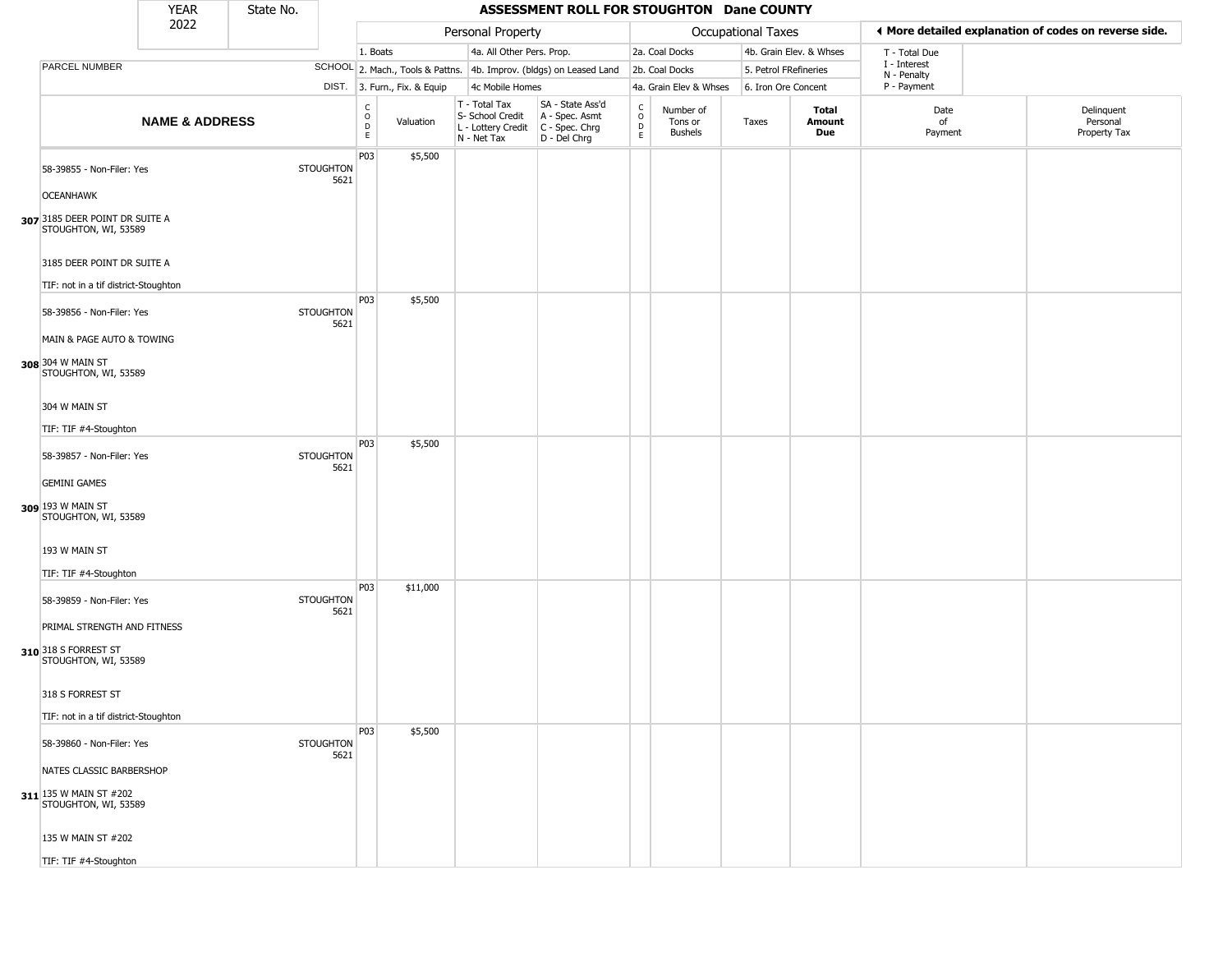|                                                                             | <b>YEAR</b>               | State No. |                          |                        |                              |                                                                        | ASSESSMENT ROLL FOR STOUGHTON Dane COUNTY                            |                         |                                        |                       |                         |                            |                                                        |
|-----------------------------------------------------------------------------|---------------------------|-----------|--------------------------|------------------------|------------------------------|------------------------------------------------------------------------|----------------------------------------------------------------------|-------------------------|----------------------------------------|-----------------------|-------------------------|----------------------------|--------------------------------------------------------|
|                                                                             | 2022                      |           |                          |                        |                              | Personal Property                                                      |                                                                      |                         |                                        | Occupational Taxes    |                         |                            | If More detailed explanation of codes on reverse side. |
|                                                                             |                           |           |                          | 1. Boats               |                              | 4a. All Other Pers. Prop.                                              |                                                                      |                         | 2a. Coal Docks                         |                       | 4b. Grain Elev. & Whses | T - Total Due              |                                                        |
| PARCEL NUMBER                                                               |                           |           |                          |                        |                              |                                                                        | SCHOOL 2. Mach., Tools & Pattns. 4b. Improv. (bldgs) on Leased Land  |                         | 2b. Coal Docks                         | 5. Petrol FRefineries |                         | I - Interest               |                                                        |
|                                                                             |                           |           |                          |                        | DIST. 3. Furn., Fix. & Equip | 4c Mobile Homes                                                        |                                                                      |                         | 4a. Grain Elev & Whses                 | 6. Iron Ore Concent   |                         | N - Penalty<br>P - Payment |                                                        |
|                                                                             | <b>NAME &amp; ADDRESS</b> |           |                          | C<br>$\circ$<br>D<br>E | Valuation                    | T - Total Tax<br>S- School Credit<br>L - Lottery Credit<br>N - Net Tax | SA - State Ass'd<br>A - Spec. Asmt<br>C - Spec. Chrg<br>D - Del Chrg | $\frac{c}{0}$<br>D<br>E | Number of<br>Tons or<br><b>Bushels</b> | Taxes                 | Total<br>Amount<br>Due  | Date<br>of<br>Payment      | Delinquent<br>Personal<br>Property Tax                 |
| 58-39855 - Non-Filer: Yes<br><b>OCEANHAWK</b>                               |                           |           | <b>STOUGHTON</b><br>5621 | P03                    | \$5,500                      |                                                                        |                                                                      |                         |                                        |                       |                         |                            |                                                        |
| 307 3185 DEER POINT DR SUITE A<br>STOUGHTON, WI, 53589                      |                           |           |                          |                        |                              |                                                                        |                                                                      |                         |                                        |                       |                         |                            |                                                        |
| 3185 DEER POINT DR SUITE A<br>TIF: not in a tif district-Stoughton          |                           |           |                          | P03                    | \$5,500                      |                                                                        |                                                                      |                         |                                        |                       |                         |                            |                                                        |
| 58-39856 - Non-Filer: Yes<br>MAIN & PAGE AUTO & TOWING                      |                           |           | <b>STOUGHTON</b><br>5621 |                        |                              |                                                                        |                                                                      |                         |                                        |                       |                         |                            |                                                        |
| 308 304 W MAIN ST<br>STOUGHTON, WI, 53589                                   |                           |           |                          |                        |                              |                                                                        |                                                                      |                         |                                        |                       |                         |                            |                                                        |
| 304 W MAIN ST<br>TIF: TIF #4-Stoughton                                      |                           |           |                          |                        |                              |                                                                        |                                                                      |                         |                                        |                       |                         |                            |                                                        |
| 58-39857 - Non-Filer: Yes                                                   |                           |           | <b>STOUGHTON</b><br>5621 | P03                    | \$5,500                      |                                                                        |                                                                      |                         |                                        |                       |                         |                            |                                                        |
| <b>GEMINI GAMES</b><br>309 193 W MAIN ST<br>STOUGHTON, WI, 53589            |                           |           |                          |                        |                              |                                                                        |                                                                      |                         |                                        |                       |                         |                            |                                                        |
| 193 W MAIN ST<br>TIF: TIF #4-Stoughton                                      |                           |           |                          |                        |                              |                                                                        |                                                                      |                         |                                        |                       |                         |                            |                                                        |
| 58-39859 - Non-Filer: Yes                                                   |                           |           | <b>STOUGHTON</b><br>5621 | P03                    | \$11,000                     |                                                                        |                                                                      |                         |                                        |                       |                         |                            |                                                        |
| PRIMAL STRENGTH AND FITNESS<br>310 318 S FORREST ST<br>STOUGHTON, WI, 53589 |                           |           |                          |                        |                              |                                                                        |                                                                      |                         |                                        |                       |                         |                            |                                                        |
| 318 S FORREST ST<br>TIF: not in a tif district-Stoughton                    |                           |           |                          |                        |                              |                                                                        |                                                                      |                         |                                        |                       |                         |                            |                                                        |
| 58-39860 - Non-Filer: Yes                                                   |                           |           | <b>STOUGHTON</b><br>5621 | P03                    | \$5,500                      |                                                                        |                                                                      |                         |                                        |                       |                         |                            |                                                        |
| NATES CLASSIC BARBERSHOP<br>311 135 W MAIN ST #202                          |                           |           |                          |                        |                              |                                                                        |                                                                      |                         |                                        |                       |                         |                            |                                                        |
| STOUGHTON, WI, 53589                                                        |                           |           |                          |                        |                              |                                                                        |                                                                      |                         |                                        |                       |                         |                            |                                                        |
| 135 W MAIN ST #202                                                          |                           |           |                          |                        |                              |                                                                        |                                                                      |                         |                                        |                       |                         |                            |                                                        |
| TIF: TIF #4-Stoughton                                                       |                           |           |                          |                        |                              |                                                                        |                                                                      |                         |                                        |                       |                         |                            |                                                        |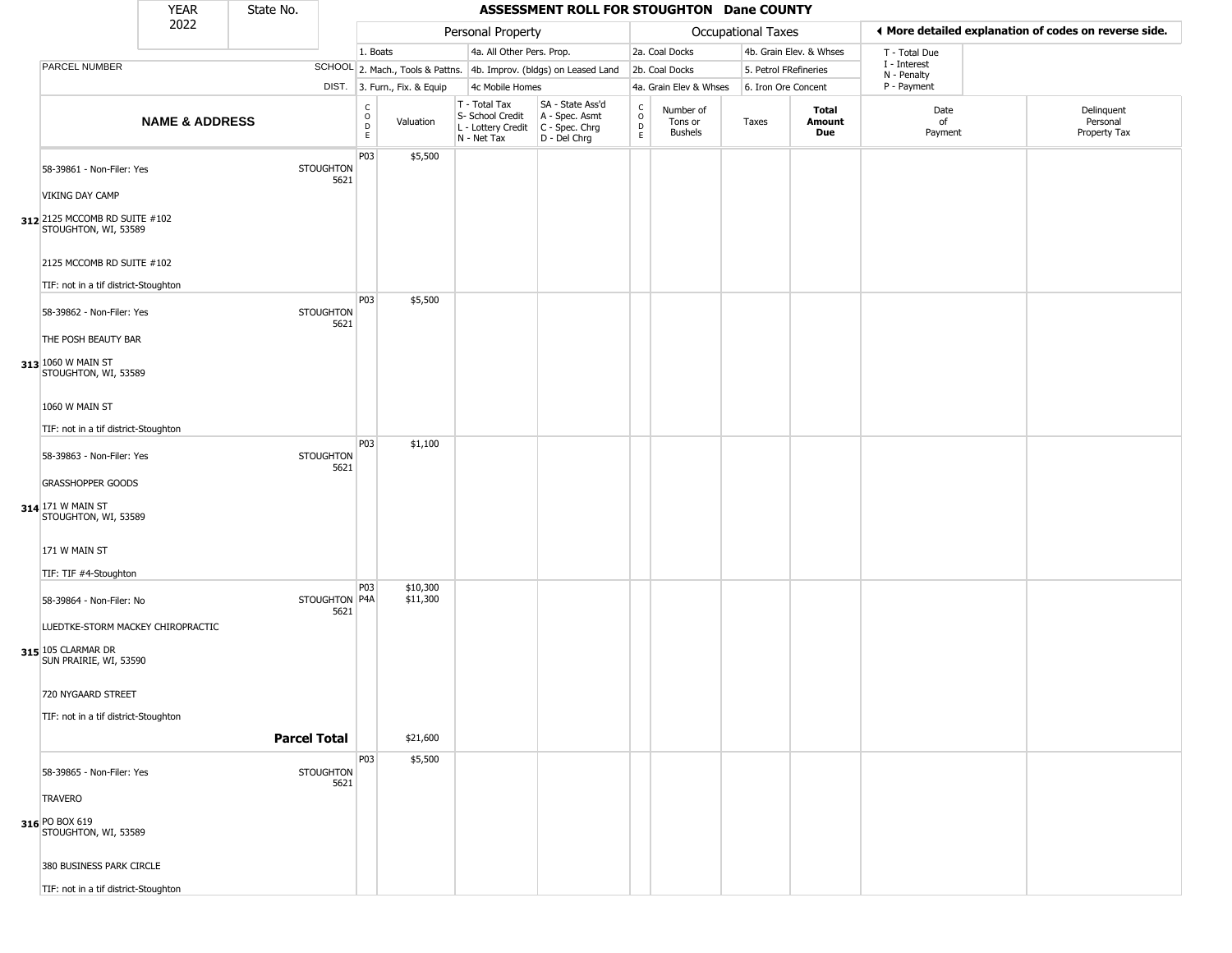|                                                       | <b>YEAR</b>               | State No.           |                          |                                    |                              |                                                                        | ASSESSMENT ROLL FOR STOUGHTON Dane COUNTY                            |                         |                                 |                       |                         |                             |                                                       |
|-------------------------------------------------------|---------------------------|---------------------|--------------------------|------------------------------------|------------------------------|------------------------------------------------------------------------|----------------------------------------------------------------------|-------------------------|---------------------------------|-----------------------|-------------------------|-----------------------------|-------------------------------------------------------|
|                                                       | 2022                      |                     |                          |                                    |                              | Personal Property                                                      |                                                                      |                         |                                 | Occupational Taxes    |                         |                             | ◀ More detailed explanation of codes on reverse side. |
|                                                       |                           |                     |                          | 1. Boats                           |                              | 4a. All Other Pers. Prop.                                              |                                                                      |                         | 2a. Coal Docks                  |                       | 4b. Grain Elev. & Whses | T - Total Due               |                                                       |
| PARCEL NUMBER                                         |                           |                     |                          |                                    |                              |                                                                        | SCHOOL 2. Mach., Tools & Pattns. 4b. Improv. (bldgs) on Leased Land  |                         | 2b. Coal Docks                  | 5. Petrol FRefineries |                         | I - Interest<br>N - Penalty |                                                       |
|                                                       |                           |                     |                          |                                    | DIST. 3. Furn., Fix. & Equip | 4c Mobile Homes                                                        |                                                                      |                         | 4a. Grain Elev & Whses          | 6. Iron Ore Concent   |                         | P - Payment                 |                                                       |
|                                                       | <b>NAME &amp; ADDRESS</b> |                     |                          | $\int_{0}^{c}$<br>D<br>$\mathsf E$ | Valuation                    | T - Total Tax<br>S- School Credit<br>L - Lottery Credit<br>N - Net Tax | SA - State Ass'd<br>A - Spec. Asmt<br>C - Spec. Chrg<br>D - Del Chrg | C<br>$\circ$<br>D<br>E. | Number of<br>Tons or<br>Bushels | Taxes                 | Total<br>Amount<br>Due  | Date<br>of<br>Payment       | Delinquent<br>Personal<br>Property Tax                |
| 58-39861 - Non-Filer: Yes<br><b>VIKING DAY CAMP</b>   |                           |                     | <b>STOUGHTON</b><br>5621 | P03                                | \$5,500                      |                                                                        |                                                                      |                         |                                 |                       |                         |                             |                                                       |
| 312 2125 MCCOMB RD SUITE #102<br>STOUGHTON, WI, 53589 |                           |                     |                          |                                    |                              |                                                                        |                                                                      |                         |                                 |                       |                         |                             |                                                       |
| 2125 MCCOMB RD SUITE #102                             |                           |                     |                          |                                    |                              |                                                                        |                                                                      |                         |                                 |                       |                         |                             |                                                       |
| TIF: not in a tif district-Stoughton                  |                           |                     |                          | P03                                | \$5,500                      |                                                                        |                                                                      |                         |                                 |                       |                         |                             |                                                       |
| 58-39862 - Non-Filer: Yes                             |                           |                     | <b>STOUGHTON</b><br>5621 |                                    |                              |                                                                        |                                                                      |                         |                                 |                       |                         |                             |                                                       |
| THE POSH BEAUTY BAR                                   |                           |                     |                          |                                    |                              |                                                                        |                                                                      |                         |                                 |                       |                         |                             |                                                       |
| 313 1060 W MAIN ST<br>STOUGHTON, WI, 53589            |                           |                     |                          |                                    |                              |                                                                        |                                                                      |                         |                                 |                       |                         |                             |                                                       |
| 1060 W MAIN ST                                        |                           |                     |                          |                                    |                              |                                                                        |                                                                      |                         |                                 |                       |                         |                             |                                                       |
| TIF: not in a tif district-Stoughton                  |                           |                     |                          |                                    |                              |                                                                        |                                                                      |                         |                                 |                       |                         |                             |                                                       |
| 58-39863 - Non-Filer: Yes                             |                           |                     | <b>STOUGHTON</b><br>5621 | P03                                | \$1,100                      |                                                                        |                                                                      |                         |                                 |                       |                         |                             |                                                       |
| <b>GRASSHOPPER GOODS</b>                              |                           |                     |                          |                                    |                              |                                                                        |                                                                      |                         |                                 |                       |                         |                             |                                                       |
| 314 171 W MAIN ST<br>STOUGHTON, WI, 53589             |                           |                     |                          |                                    |                              |                                                                        |                                                                      |                         |                                 |                       |                         |                             |                                                       |
| 171 W MAIN ST                                         |                           |                     |                          |                                    |                              |                                                                        |                                                                      |                         |                                 |                       |                         |                             |                                                       |
| TIF: TIF #4-Stoughton                                 |                           |                     |                          |                                    |                              |                                                                        |                                                                      |                         |                                 |                       |                         |                             |                                                       |
| 58-39864 - Non-Filer: No                              |                           |                     | STOUGHTON P4A<br>5621    | P03                                | \$10,300<br>\$11,300         |                                                                        |                                                                      |                         |                                 |                       |                         |                             |                                                       |
| LUEDTKE-STORM MACKEY CHIROPRACTIC                     |                           |                     |                          |                                    |                              |                                                                        |                                                                      |                         |                                 |                       |                         |                             |                                                       |
| 315 105 CLARMAR DR<br>SUN PRAIRIE, WI, 53590          |                           |                     |                          |                                    |                              |                                                                        |                                                                      |                         |                                 |                       |                         |                             |                                                       |
| 720 NYGAARD STREET                                    |                           |                     |                          |                                    |                              |                                                                        |                                                                      |                         |                                 |                       |                         |                             |                                                       |
| TIF: not in a tif district-Stoughton                  |                           |                     |                          |                                    |                              |                                                                        |                                                                      |                         |                                 |                       |                         |                             |                                                       |
|                                                       |                           | <b>Parcel Total</b> |                          |                                    | \$21,600                     |                                                                        |                                                                      |                         |                                 |                       |                         |                             |                                                       |
|                                                       |                           |                     |                          | P03                                | \$5,500                      |                                                                        |                                                                      |                         |                                 |                       |                         |                             |                                                       |
| 58-39865 - Non-Filer: Yes                             |                           |                     | <b>STOUGHTON</b><br>5621 |                                    |                              |                                                                        |                                                                      |                         |                                 |                       |                         |                             |                                                       |
| <b>TRAVERO</b>                                        |                           |                     |                          |                                    |                              |                                                                        |                                                                      |                         |                                 |                       |                         |                             |                                                       |
| 316 PO BOX 619<br>STOUGHTON, WI, 53589                |                           |                     |                          |                                    |                              |                                                                        |                                                                      |                         |                                 |                       |                         |                             |                                                       |
| 380 BUSINESS PARK CIRCLE                              |                           |                     |                          |                                    |                              |                                                                        |                                                                      |                         |                                 |                       |                         |                             |                                                       |
| TIF: not in a tif district-Stoughton                  |                           |                     |                          |                                    |                              |                                                                        |                                                                      |                         |                                 |                       |                         |                             |                                                       |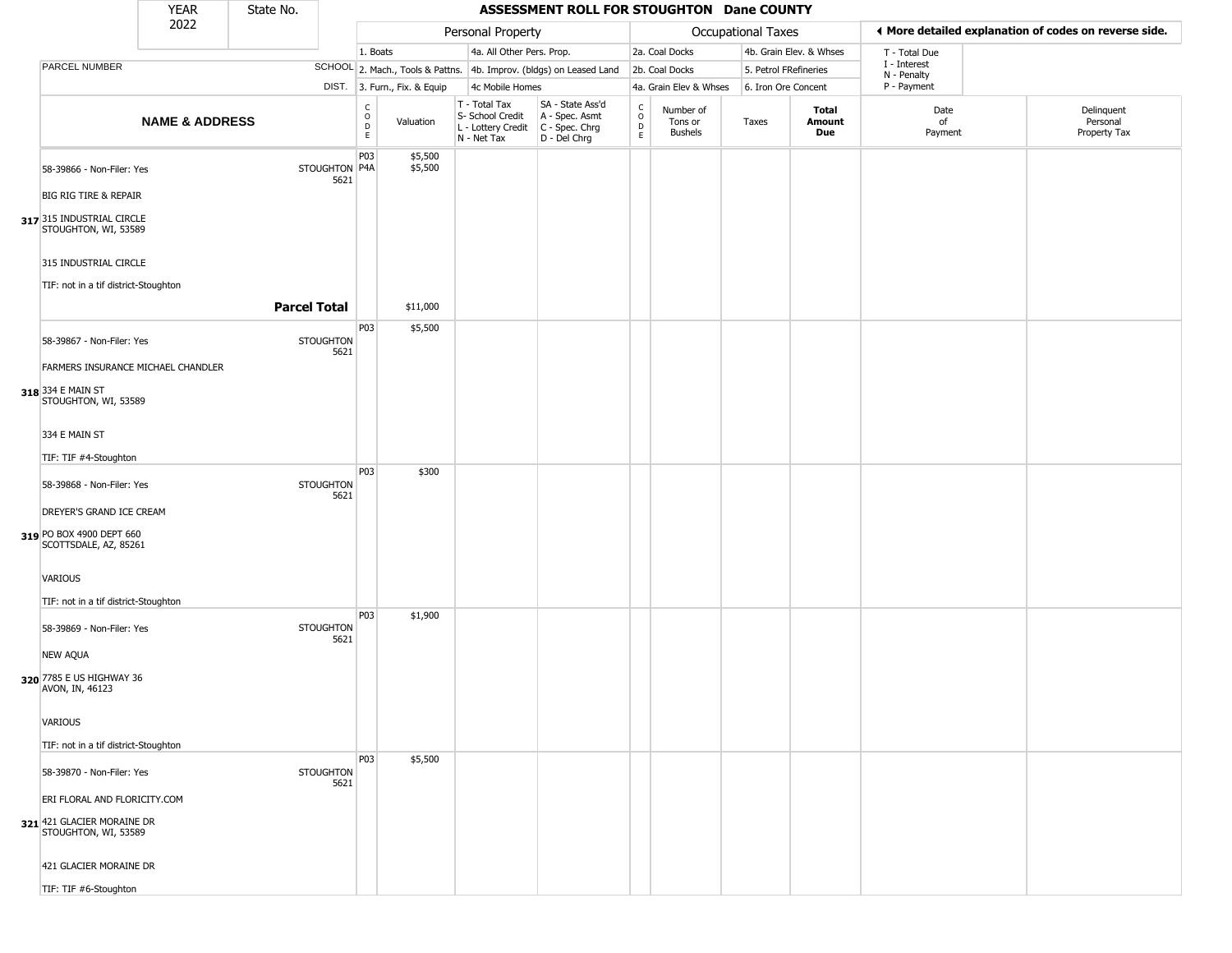|                                                                                                                    | <b>YEAR</b>               | State No.           |                          |                                  |                              |                                                                                         | ASSESSMENT ROLL FOR STOUGHTON Dane COUNTY                           |                                              |                                        |                       |                         |                             |                                                       |
|--------------------------------------------------------------------------------------------------------------------|---------------------------|---------------------|--------------------------|----------------------------------|------------------------------|-----------------------------------------------------------------------------------------|---------------------------------------------------------------------|----------------------------------------------|----------------------------------------|-----------------------|-------------------------|-----------------------------|-------------------------------------------------------|
|                                                                                                                    | 2022                      |                     |                          |                                  |                              | Personal Property                                                                       |                                                                     |                                              |                                        | Occupational Taxes    |                         |                             | ♦ More detailed explanation of codes on reverse side. |
|                                                                                                                    |                           |                     |                          | 1. Boats                         |                              | 4a. All Other Pers. Prop.                                                               |                                                                     |                                              | 2a. Coal Docks                         |                       | 4b. Grain Elev. & Whses | T - Total Due               |                                                       |
| PARCEL NUMBER                                                                                                      |                           |                     |                          |                                  |                              |                                                                                         | SCHOOL 2. Mach., Tools & Pattns. 4b. Improv. (bldgs) on Leased Land |                                              | 2b. Coal Docks                         | 5. Petrol FRefineries |                         | I - Interest<br>N - Penalty |                                                       |
|                                                                                                                    |                           |                     |                          |                                  | DIST. 3. Furn., Fix. & Equip | 4c Mobile Homes                                                                         |                                                                     |                                              | 4a. Grain Elev & Whses                 | 6. Iron Ore Concent   |                         | P - Payment                 |                                                       |
|                                                                                                                    | <b>NAME &amp; ADDRESS</b> |                     |                          | C<br>$\circ$<br>$\mathsf D$<br>E | Valuation                    | T - Total Tax<br>S- School Credit<br>L - Lottery Credit   C - Spec. Chrg<br>N - Net Tax | SA - State Ass'd<br>A - Spec. Asmt<br>D - Del Chrg                  | $\mathsf{C}$<br>$\circ$<br>$\mathsf{D}$<br>E | Number of<br>Tons or<br><b>Bushels</b> | Taxes                 | Total<br>Amount<br>Due  | Date<br>of<br>Payment       | Delinquent<br>Personal<br>Property Tax                |
| 58-39866 - Non-Filer: Yes<br><b>BIG RIG TIRE &amp; REPAIR</b><br>317 315 INDUSTRIAL CIRCLE<br>STOUGHTON, WI, 53589 |                           |                     | STOUGHTON P4A<br>5621    | P03                              | \$5,500<br>\$5,500           |                                                                                         |                                                                     |                                              |                                        |                       |                         |                             |                                                       |
| 315 INDUSTRIAL CIRCLE<br>TIF: not in a tif district-Stoughton                                                      |                           |                     |                          |                                  |                              |                                                                                         |                                                                     |                                              |                                        |                       |                         |                             |                                                       |
|                                                                                                                    |                           | <b>Parcel Total</b> |                          |                                  | \$11,000                     |                                                                                         |                                                                     |                                              |                                        |                       |                         |                             |                                                       |
| 58-39867 - Non-Filer: Yes<br>FARMERS INSURANCE MICHAEL CHANDLER                                                    |                           |                     | <b>STOUGHTON</b><br>5621 | P03                              | \$5,500                      |                                                                                         |                                                                     |                                              |                                        |                       |                         |                             |                                                       |
| 318 334 E MAIN ST<br>STOUGHTON, WI, 53589<br>334 E MAIN ST                                                         |                           |                     |                          |                                  |                              |                                                                                         |                                                                     |                                              |                                        |                       |                         |                             |                                                       |
| TIF: TIF #4-Stoughton                                                                                              |                           |                     |                          |                                  |                              |                                                                                         |                                                                     |                                              |                                        |                       |                         |                             |                                                       |
| 58-39868 - Non-Filer: Yes<br>DREYER'S GRAND ICE CREAM                                                              |                           |                     | <b>STOUGHTON</b><br>5621 | P03                              | \$300                        |                                                                                         |                                                                     |                                              |                                        |                       |                         |                             |                                                       |
| 319 PO BOX 4900 DEPT 660<br>SCOTTSDALE, AZ, 85261                                                                  |                           |                     |                          |                                  |                              |                                                                                         |                                                                     |                                              |                                        |                       |                         |                             |                                                       |
| VARIOUS<br>TIF: not in a tif district-Stoughton                                                                    |                           |                     |                          |                                  |                              |                                                                                         |                                                                     |                                              |                                        |                       |                         |                             |                                                       |
| 58-39869 - Non-Filer: Yes<br><b>NEW AQUA</b><br>320 7785 E US HIGHWAY 36<br>AVON, IN, 46123                        |                           |                     | <b>STOUGHTON</b><br>5621 | P03                              | \$1,900                      |                                                                                         |                                                                     |                                              |                                        |                       |                         |                             |                                                       |
| VARIOUS                                                                                                            |                           |                     |                          |                                  |                              |                                                                                         |                                                                     |                                              |                                        |                       |                         |                             |                                                       |
| TIF: not in a tif district-Stoughton                                                                               |                           |                     |                          |                                  |                              |                                                                                         |                                                                     |                                              |                                        |                       |                         |                             |                                                       |
| 58-39870 - Non-Filer: Yes                                                                                          |                           |                     | <b>STOUGHTON</b><br>5621 | P03                              | \$5,500                      |                                                                                         |                                                                     |                                              |                                        |                       |                         |                             |                                                       |
| ERI FLORAL AND FLORICITY.COM<br>321 421 GLACIER MORAINE DR<br>STOUGHTON, WI, 53589                                 |                           |                     |                          |                                  |                              |                                                                                         |                                                                     |                                              |                                        |                       |                         |                             |                                                       |
| 421 GLACIER MORAINE DR                                                                                             |                           |                     |                          |                                  |                              |                                                                                         |                                                                     |                                              |                                        |                       |                         |                             |                                                       |
| TIF: TIF #6-Stoughton                                                                                              |                           |                     |                          |                                  |                              |                                                                                         |                                                                     |                                              |                                        |                       |                         |                             |                                                       |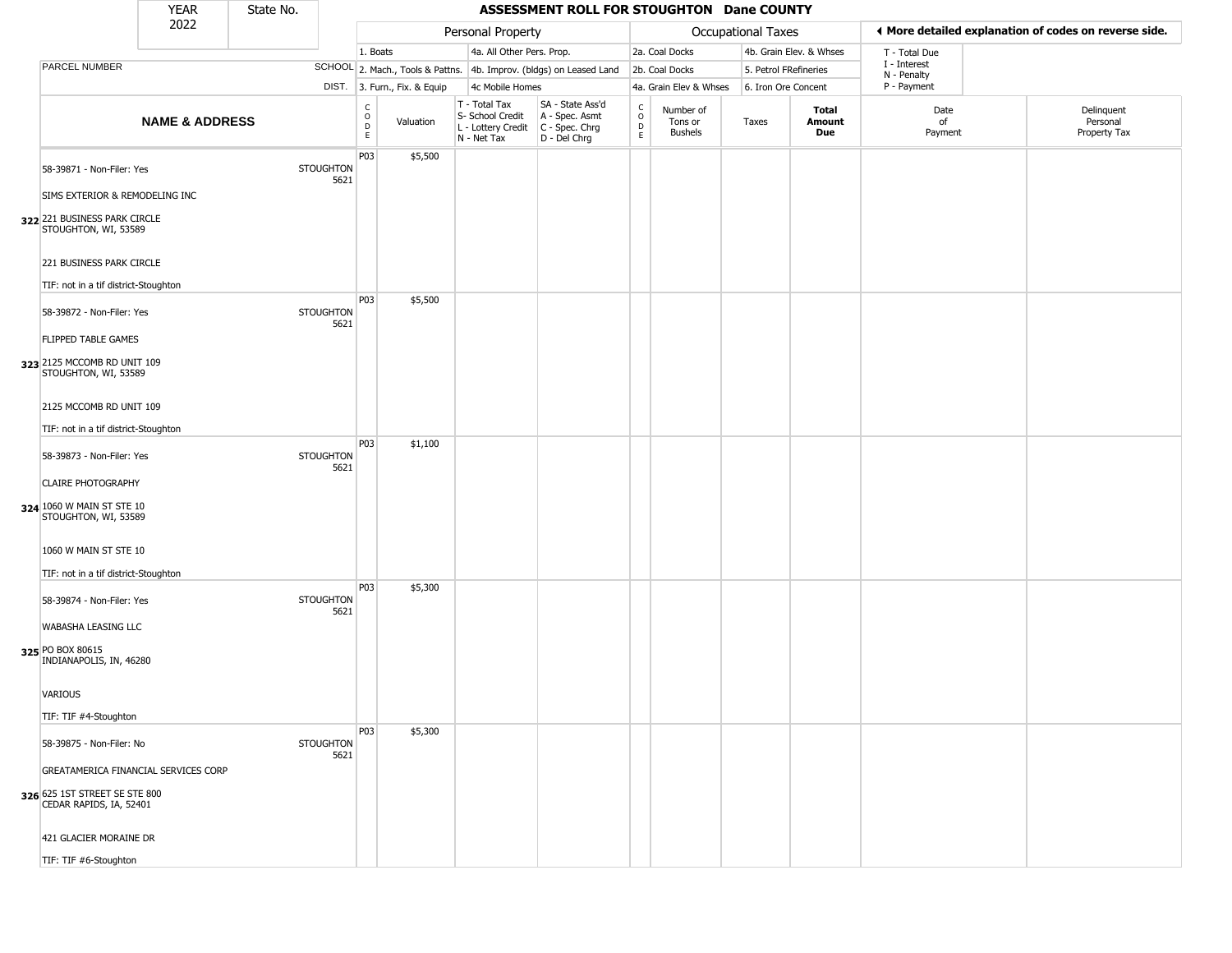|                                                                                | <b>YEAR</b>               | State No. |                          |                         |                                  |                                                                        | ASSESSMENT ROLL FOR STOUGHTON Dane COUNTY                              |                                    |                                        |                       |                         |                             |                                                       |
|--------------------------------------------------------------------------------|---------------------------|-----------|--------------------------|-------------------------|----------------------------------|------------------------------------------------------------------------|------------------------------------------------------------------------|------------------------------------|----------------------------------------|-----------------------|-------------------------|-----------------------------|-------------------------------------------------------|
|                                                                                | 2022                      |           |                          |                         |                                  | Personal Property                                                      |                                                                        |                                    |                                        | Occupational Taxes    |                         |                             | ♦ More detailed explanation of codes on reverse side. |
|                                                                                |                           |           |                          | 1. Boats                |                                  | 4a. All Other Pers. Prop.                                              |                                                                        |                                    | 2a. Coal Docks                         |                       | 4b. Grain Elev. & Whses | T - Total Due               |                                                       |
| PARCEL NUMBER                                                                  |                           |           |                          |                         | SCHOOL 2. Mach., Tools & Pattns. |                                                                        | 4b. Improv. (bldgs) on Leased Land                                     |                                    | 2b. Coal Docks                         | 5. Petrol FRefineries |                         | I - Interest<br>N - Penalty |                                                       |
|                                                                                |                           |           |                          |                         | DIST. 3. Furn., Fix. & Equip     | 4c Mobile Homes                                                        |                                                                        |                                    | 4a. Grain Elev & Whses                 | 6. Iron Ore Concent   |                         | P - Payment                 |                                                       |
|                                                                                | <b>NAME &amp; ADDRESS</b> |           |                          | C<br>$\circ$<br>D<br>E. | Valuation                        | T - Total Tax<br>S- School Credit<br>L - Lottery Credit<br>N - Net Tax | SA - State Ass'd<br>A - Spec. Asmt<br>$C - Spec. Chrg$<br>D - Del Chrg | $\mathsf{C}$<br>$\circ$<br>D<br>E. | Number of<br>Tons or<br><b>Bushels</b> | Taxes                 | Total<br>Amount<br>Due  | Date<br>of<br>Payment       | Delinquent<br>Personal<br>Property Tax                |
| 58-39871 - Non-Filer: Yes<br>SIMS EXTERIOR & REMODELING INC                    |                           |           | <b>STOUGHTON</b><br>5621 | P03                     | \$5,500                          |                                                                        |                                                                        |                                    |                                        |                       |                         |                             |                                                       |
| 322 221 BUSINESS PARK CIRCLE<br>STOUGHTON, WI, 53589                           |                           |           |                          |                         |                                  |                                                                        |                                                                        |                                    |                                        |                       |                         |                             |                                                       |
| 221 BUSINESS PARK CIRCLE<br>TIF: not in a tif district-Stoughton               |                           |           |                          |                         |                                  |                                                                        |                                                                        |                                    |                                        |                       |                         |                             |                                                       |
| 58-39872 - Non-Filer: Yes                                                      |                           |           | <b>STOUGHTON</b><br>5621 | P03                     | \$5,500                          |                                                                        |                                                                        |                                    |                                        |                       |                         |                             |                                                       |
| FLIPPED TABLE GAMES<br>323 2125 MCCOMB RD UNIT 109<br>STOUGHTON, WI, 53589     |                           |           |                          |                         |                                  |                                                                        |                                                                        |                                    |                                        |                       |                         |                             |                                                       |
| 2125 MCCOMB RD UNIT 109<br>TIF: not in a tif district-Stoughton                |                           |           |                          |                         |                                  |                                                                        |                                                                        |                                    |                                        |                       |                         |                             |                                                       |
| 58-39873 - Non-Filer: Yes                                                      |                           |           | <b>STOUGHTON</b><br>5621 | P03                     | \$1,100                          |                                                                        |                                                                        |                                    |                                        |                       |                         |                             |                                                       |
| <b>CLAIRE PHOTOGRAPHY</b><br>324 1060 W MAIN ST STE 10<br>STOUGHTON, WI, 53589 |                           |           |                          |                         |                                  |                                                                        |                                                                        |                                    |                                        |                       |                         |                             |                                                       |
| 1060 W MAIN ST STE 10<br>TIF: not in a tif district-Stoughton                  |                           |           |                          |                         |                                  |                                                                        |                                                                        |                                    |                                        |                       |                         |                             |                                                       |
| 58-39874 - Non-Filer: Yes                                                      |                           |           | <b>STOUGHTON</b><br>5621 | P03                     | \$5,300                          |                                                                        |                                                                        |                                    |                                        |                       |                         |                             |                                                       |
| WABASHA LEASING LLC<br>325 PO BOX 80615<br>INDIANAPOLIS, IN, 46280             |                           |           |                          |                         |                                  |                                                                        |                                                                        |                                    |                                        |                       |                         |                             |                                                       |
| VARIOUS<br>TIF: TIF #4-Stoughton                                               |                           |           |                          |                         |                                  |                                                                        |                                                                        |                                    |                                        |                       |                         |                             |                                                       |
| 58-39875 - Non-Filer: No                                                       |                           |           | <b>STOUGHTON</b><br>5621 | P03                     | \$5,300                          |                                                                        |                                                                        |                                    |                                        |                       |                         |                             |                                                       |
| GREATAMERICA FINANCIAL SERVICES CORP<br>326 625 1ST STREET SE STE 800          |                           |           |                          |                         |                                  |                                                                        |                                                                        |                                    |                                        |                       |                         |                             |                                                       |
| CEDAR RAPIDS, IA, 52401<br>421 GLACIER MORAINE DR                              |                           |           |                          |                         |                                  |                                                                        |                                                                        |                                    |                                        |                       |                         |                             |                                                       |
| TIF: TIF #6-Stoughton                                                          |                           |           |                          |                         |                                  |                                                                        |                                                                        |                                    |                                        |                       |                         |                             |                                                       |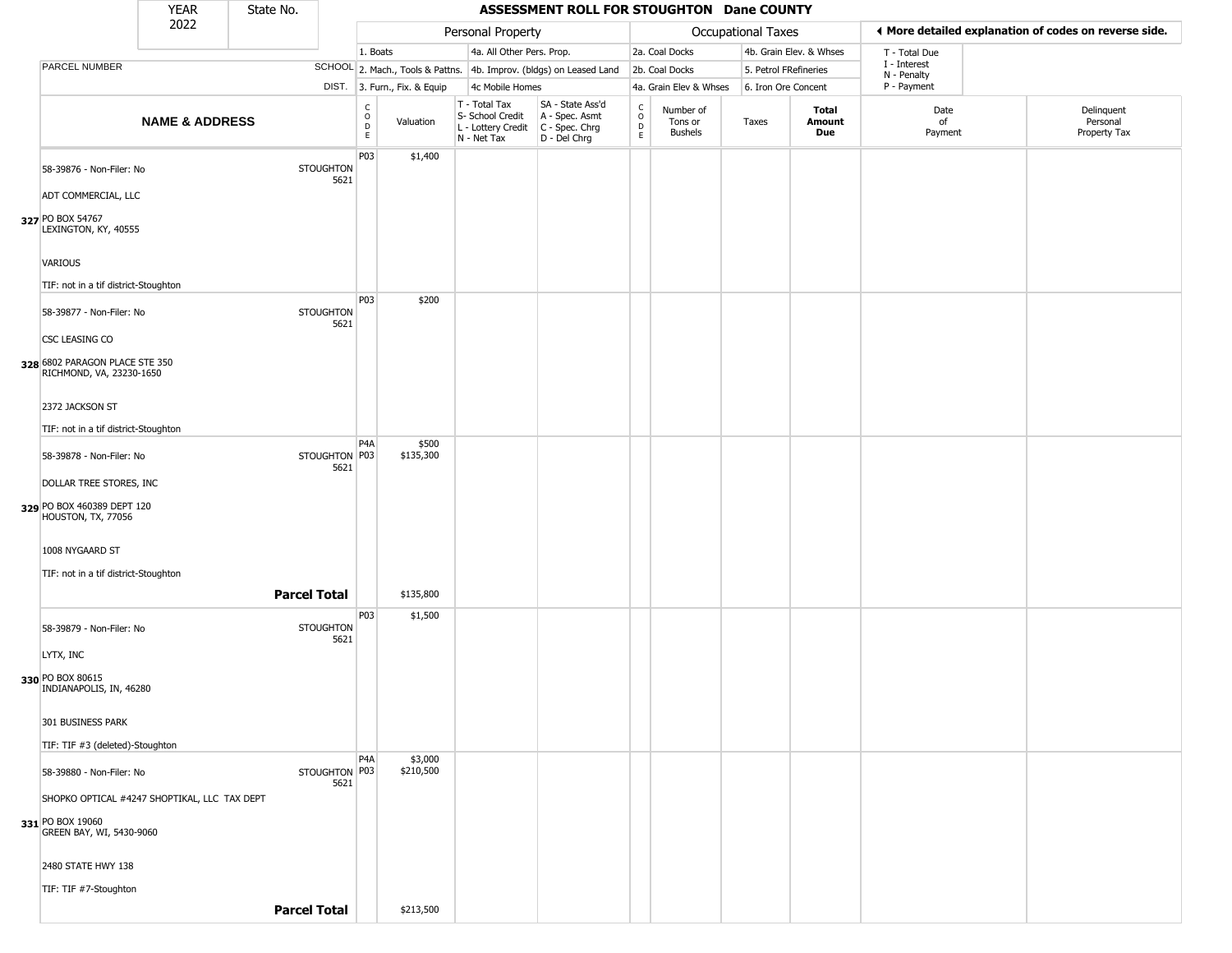|                                                            | <b>YEAR</b>               | State No.           |                          |                                                 |                              |                                                                                         | ASSESSMENT ROLL FOR STOUGHTON Dane COUNTY                           |                                            |                                 |                       |                         |                             |                                                       |
|------------------------------------------------------------|---------------------------|---------------------|--------------------------|-------------------------------------------------|------------------------------|-----------------------------------------------------------------------------------------|---------------------------------------------------------------------|--------------------------------------------|---------------------------------|-----------------------|-------------------------|-----------------------------|-------------------------------------------------------|
|                                                            | 2022                      |                     |                          |                                                 |                              | Personal Property                                                                       |                                                                     |                                            |                                 | Occupational Taxes    |                         |                             | ♦ More detailed explanation of codes on reverse side. |
|                                                            |                           |                     |                          | 1. Boats                                        |                              | 4a. All Other Pers. Prop.                                                               |                                                                     |                                            | 2a. Coal Docks                  |                       | 4b. Grain Elev. & Whses | T - Total Due               |                                                       |
| PARCEL NUMBER                                              |                           |                     |                          |                                                 |                              |                                                                                         | SCHOOL 2. Mach., Tools & Pattns. 4b. Improv. (bldgs) on Leased Land |                                            | 2b. Coal Docks                  | 5. Petrol FRefineries |                         | I - Interest<br>N - Penalty |                                                       |
|                                                            |                           |                     |                          |                                                 | DIST. 3. Furn., Fix. & Equip | 4c Mobile Homes                                                                         |                                                                     |                                            | 4a. Grain Elev & Whses          | 6. Iron Ore Concent   |                         | P - Payment                 |                                                       |
|                                                            | <b>NAME &amp; ADDRESS</b> |                     |                          | $\begin{array}{c} C \\ O \\ D \\ E \end{array}$ | Valuation                    | T - Total Tax<br>S- School Credit<br>L - Lottery Credit   C - Spec. Chrg<br>N - Net Tax | SA - State Ass'd<br>A - Spec. Asmt<br>D - Del Chrg                  | $\begin{array}{c} C \\ O \\ E \end{array}$ | Number of<br>Tons or<br>Bushels | Taxes                 | Total<br>Amount<br>Due  | Date<br>of<br>Payment       | Delinquent<br>Personal<br>Property Tax                |
| 58-39876 - Non-Filer: No                                   |                           |                     | <b>STOUGHTON</b><br>5621 | P03                                             | \$1,400                      |                                                                                         |                                                                     |                                            |                                 |                       |                         |                             |                                                       |
| ADT COMMERCIAL, LLC                                        |                           |                     |                          |                                                 |                              |                                                                                         |                                                                     |                                            |                                 |                       |                         |                             |                                                       |
| 327 PO BOX 54767<br>LEXINGTON, KY, 40555                   |                           |                     |                          |                                                 |                              |                                                                                         |                                                                     |                                            |                                 |                       |                         |                             |                                                       |
| VARIOUS                                                    |                           |                     |                          |                                                 |                              |                                                                                         |                                                                     |                                            |                                 |                       |                         |                             |                                                       |
| TIF: not in a tif district-Stoughton                       |                           |                     |                          | P03                                             |                              |                                                                                         |                                                                     |                                            |                                 |                       |                         |                             |                                                       |
| 58-39877 - Non-Filer: No                                   |                           |                     | <b>STOUGHTON</b><br>5621 |                                                 | \$200                        |                                                                                         |                                                                     |                                            |                                 |                       |                         |                             |                                                       |
| CSC LEASING CO                                             |                           |                     |                          |                                                 |                              |                                                                                         |                                                                     |                                            |                                 |                       |                         |                             |                                                       |
| 328 6802 PARAGON PLACE STE 350<br>RICHMOND, VA, 23230-1650 |                           |                     |                          |                                                 |                              |                                                                                         |                                                                     |                                            |                                 |                       |                         |                             |                                                       |
| 2372 JACKSON ST                                            |                           |                     |                          |                                                 |                              |                                                                                         |                                                                     |                                            |                                 |                       |                         |                             |                                                       |
| TIF: not in a tif district-Stoughton                       |                           |                     |                          |                                                 |                              |                                                                                         |                                                                     |                                            |                                 |                       |                         |                             |                                                       |
| 58-39878 - Non-Filer: No                                   |                           |                     | STOUGHTON P03            | P <sub>4</sub> A                                | \$500<br>\$135,300           |                                                                                         |                                                                     |                                            |                                 |                       |                         |                             |                                                       |
| DOLLAR TREE STORES, INC                                    |                           |                     | 5621                     |                                                 |                              |                                                                                         |                                                                     |                                            |                                 |                       |                         |                             |                                                       |
| 329 PO BOX 460389 DEPT 120<br>HOUSTON, TX, 77056           |                           |                     |                          |                                                 |                              |                                                                                         |                                                                     |                                            |                                 |                       |                         |                             |                                                       |
| 1008 NYGAARD ST                                            |                           |                     |                          |                                                 |                              |                                                                                         |                                                                     |                                            |                                 |                       |                         |                             |                                                       |
| TIF: not in a tif district-Stoughton                       |                           |                     |                          |                                                 |                              |                                                                                         |                                                                     |                                            |                                 |                       |                         |                             |                                                       |
|                                                            |                           | <b>Parcel Total</b> |                          |                                                 | \$135,800                    |                                                                                         |                                                                     |                                            |                                 |                       |                         |                             |                                                       |
| 58-39879 - Non-Filer: No                                   |                           |                     | <b>STOUGHTON</b><br>5621 | P03                                             | \$1,500                      |                                                                                         |                                                                     |                                            |                                 |                       |                         |                             |                                                       |
| LYTX, INC                                                  |                           |                     |                          |                                                 |                              |                                                                                         |                                                                     |                                            |                                 |                       |                         |                             |                                                       |
| 330 PO BOX 80615<br>INDIANAPOLIS, IN, 46280                |                           |                     |                          |                                                 |                              |                                                                                         |                                                                     |                                            |                                 |                       |                         |                             |                                                       |
| 301 BUSINESS PARK                                          |                           |                     |                          |                                                 |                              |                                                                                         |                                                                     |                                            |                                 |                       |                         |                             |                                                       |
| TIF: TIF #3 (deleted)-Stoughton                            |                           |                     |                          |                                                 |                              |                                                                                         |                                                                     |                                            |                                 |                       |                         |                             |                                                       |
| 58-39880 - Non-Filer: No                                   |                           |                     | STOUGHTON P03<br>5621    | P <sub>4</sub> A                                | \$3,000<br>\$210,500         |                                                                                         |                                                                     |                                            |                                 |                       |                         |                             |                                                       |
| SHOPKO OPTICAL #4247 SHOPTIKAL, LLC TAX DEPT               |                           |                     |                          |                                                 |                              |                                                                                         |                                                                     |                                            |                                 |                       |                         |                             |                                                       |
| 331 PO BOX 19060<br>GREEN BAY, WI, 5430-9060               |                           |                     |                          |                                                 |                              |                                                                                         |                                                                     |                                            |                                 |                       |                         |                             |                                                       |
| 2480 STATE HWY 138                                         |                           |                     |                          |                                                 |                              |                                                                                         |                                                                     |                                            |                                 |                       |                         |                             |                                                       |
| TIF: TIF #7-Stoughton                                      |                           |                     |                          |                                                 |                              |                                                                                         |                                                                     |                                            |                                 |                       |                         |                             |                                                       |
|                                                            |                           | <b>Parcel Total</b> |                          |                                                 | \$213,500                    |                                                                                         |                                                                     |                                            |                                 |                       |                         |                             |                                                       |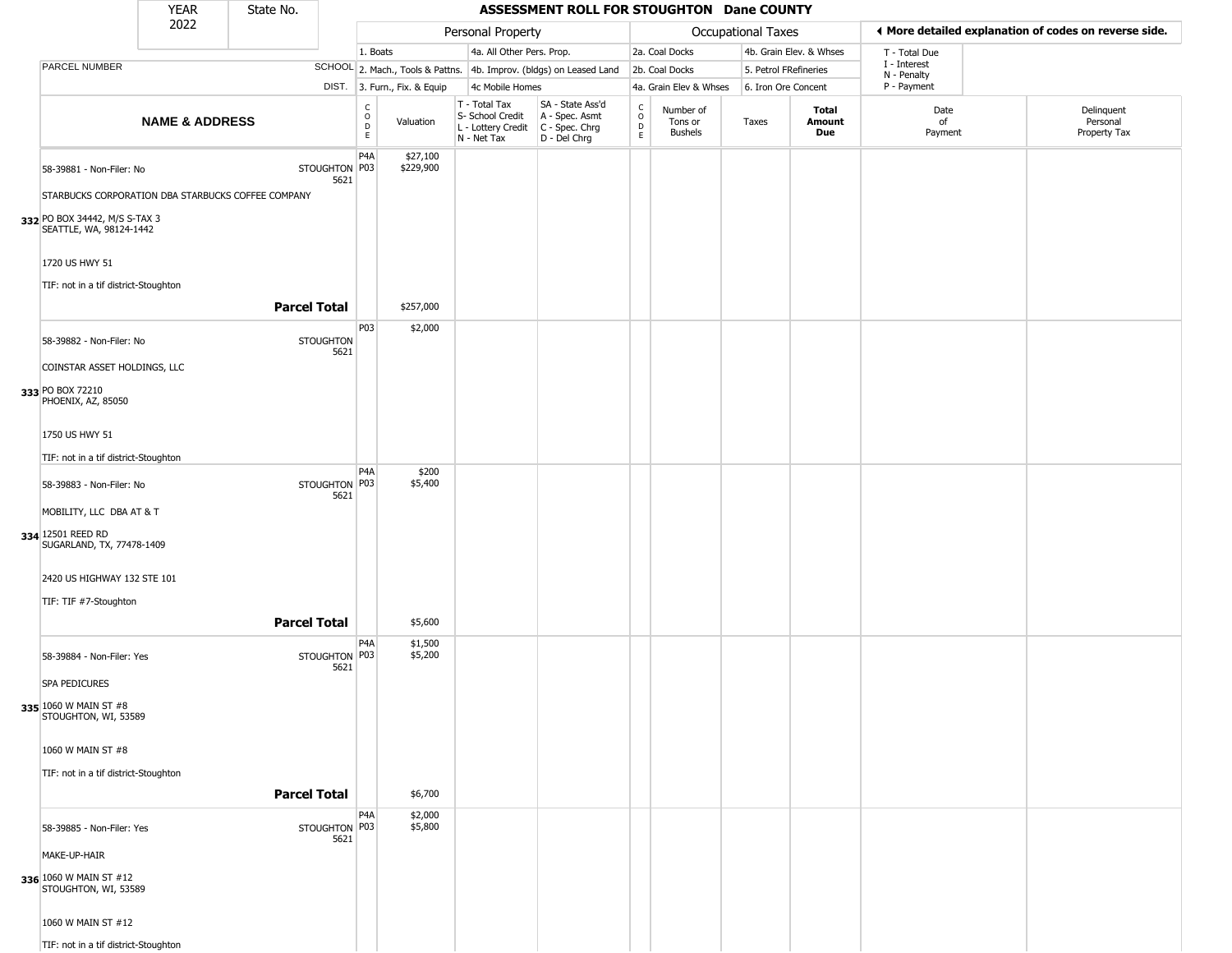|                                                          | YEAR                      | State No.           |                          |                                             |                              |                                                                                       | ASSESSMENT ROLL FOR STOUGHTON Dane COUNTY                           |                        |                                        |                           |                         |                             |                                                       |
|----------------------------------------------------------|---------------------------|---------------------|--------------------------|---------------------------------------------|------------------------------|---------------------------------------------------------------------------------------|---------------------------------------------------------------------|------------------------|----------------------------------------|---------------------------|-------------------------|-----------------------------|-------------------------------------------------------|
|                                                          | 2022                      |                     |                          |                                             |                              | Personal Property                                                                     |                                                                     |                        |                                        | <b>Occupational Taxes</b> |                         |                             | ♦ More detailed explanation of codes on reverse side. |
|                                                          |                           |                     |                          | 1. Boats                                    |                              | 4a. All Other Pers. Prop.                                                             |                                                                     |                        | 2a. Coal Docks                         |                           | 4b. Grain Elev. & Whses | T - Total Due               |                                                       |
| PARCEL NUMBER                                            |                           |                     |                          |                                             |                              |                                                                                       | SCHOOL 2. Mach., Tools & Pattns. 4b. Improv. (bldgs) on Leased Land |                        | 2b. Coal Docks                         | 5. Petrol FRefineries     |                         | I - Interest<br>N - Penalty |                                                       |
|                                                          |                           |                     |                          |                                             | DIST. 3. Furn., Fix. & Equip | 4c Mobile Homes                                                                       |                                                                     |                        | 4a. Grain Elev & Whses                 | 6. Iron Ore Concent       |                         | P - Payment                 |                                                       |
|                                                          | <b>NAME &amp; ADDRESS</b> |                     |                          | $\int_{0}^{c}$<br>$\mathsf{D}_{\mathsf{E}}$ | Valuation                    | T - Total Tax<br>S- School Credit<br>L - Lottery Credit C - Spec. Chrg<br>N - Net Tax | SA - State Ass'd<br>A - Spec. Asmt<br>D - Del Chrg                  | C<br>$\circ$<br>D<br>E | Number of<br>Tons or<br><b>Bushels</b> | Taxes                     | Total<br>Amount<br>Due  | Date<br>of<br>Payment       | Delinquent<br>Personal<br>Property Tax                |
| 58-39881 - Non-Filer: No                                 |                           |                     | STOUGHTON P03<br>5621    | P <sub>4</sub> A                            | \$27,100<br>\$229,900        |                                                                                       |                                                                     |                        |                                        |                           |                         |                             |                                                       |
| STARBUCKS CORPORATION DBA STARBUCKS COFFEE COMPANY       |                           |                     |                          |                                             |                              |                                                                                       |                                                                     |                        |                                        |                           |                         |                             |                                                       |
| 332 PO BOX 34442, M/S S-TAX 3<br>SEATTLE, WA, 98124-1442 |                           |                     |                          |                                             |                              |                                                                                       |                                                                     |                        |                                        |                           |                         |                             |                                                       |
| 1720 US HWY 51                                           |                           |                     |                          |                                             |                              |                                                                                       |                                                                     |                        |                                        |                           |                         |                             |                                                       |
| TIF: not in a tif district-Stoughton                     |                           | <b>Parcel Total</b> |                          |                                             | \$257,000                    |                                                                                       |                                                                     |                        |                                        |                           |                         |                             |                                                       |
| 58-39882 - Non-Filer: No                                 |                           |                     | <b>STOUGHTON</b><br>5621 | P03                                         | \$2,000                      |                                                                                       |                                                                     |                        |                                        |                           |                         |                             |                                                       |
| COINSTAR ASSET HOLDINGS, LLC                             |                           |                     |                          |                                             |                              |                                                                                       |                                                                     |                        |                                        |                           |                         |                             |                                                       |
| 333 PO BOX 72210<br>PHOENIX, AZ, 85050                   |                           |                     |                          |                                             |                              |                                                                                       |                                                                     |                        |                                        |                           |                         |                             |                                                       |
| 1750 US HWY 51                                           |                           |                     |                          |                                             |                              |                                                                                       |                                                                     |                        |                                        |                           |                         |                             |                                                       |
| TIF: not in a tif district-Stoughton                     |                           |                     |                          | P4A                                         | \$200                        |                                                                                       |                                                                     |                        |                                        |                           |                         |                             |                                                       |
| 58-39883 - Non-Filer: No                                 |                           |                     | STOUGHTON P03<br>5621    |                                             | \$5,400                      |                                                                                       |                                                                     |                        |                                        |                           |                         |                             |                                                       |
| MOBILITY, LLC DBA AT & T                                 |                           |                     |                          |                                             |                              |                                                                                       |                                                                     |                        |                                        |                           |                         |                             |                                                       |
| 334 12501 REED RD<br>SUGARLAND, TX, 77478-1409           |                           |                     |                          |                                             |                              |                                                                                       |                                                                     |                        |                                        |                           |                         |                             |                                                       |
| 2420 US HIGHWAY 132 STE 101                              |                           |                     |                          |                                             |                              |                                                                                       |                                                                     |                        |                                        |                           |                         |                             |                                                       |
| TIF: TIF #7-Stoughton                                    |                           | <b>Parcel Total</b> |                          |                                             | \$5,600                      |                                                                                       |                                                                     |                        |                                        |                           |                         |                             |                                                       |
| 58-39884 - Non-Filer: Yes                                |                           |                     | STOUGHTON P03<br>5621    | P <sub>4</sub> A                            | \$1,500<br>\$5,200           |                                                                                       |                                                                     |                        |                                        |                           |                         |                             |                                                       |
| <b>SPA PEDICURES</b>                                     |                           |                     |                          |                                             |                              |                                                                                       |                                                                     |                        |                                        |                           |                         |                             |                                                       |
| 335 1060 W MAIN ST #8<br>STOUGHTON, WI, 53589            |                           |                     |                          |                                             |                              |                                                                                       |                                                                     |                        |                                        |                           |                         |                             |                                                       |
| 1060 W MAIN ST #8                                        |                           |                     |                          |                                             |                              |                                                                                       |                                                                     |                        |                                        |                           |                         |                             |                                                       |
| TIF: not in a tif district-Stoughton                     |                           |                     |                          |                                             |                              |                                                                                       |                                                                     |                        |                                        |                           |                         |                             |                                                       |
|                                                          |                           | <b>Parcel Total</b> |                          |                                             | \$6,700                      |                                                                                       |                                                                     |                        |                                        |                           |                         |                             |                                                       |
| 58-39885 - Non-Filer: Yes                                |                           |                     | STOUGHTON   P03<br>5621  | P <sub>4</sub> A                            | \$2,000<br>\$5,800           |                                                                                       |                                                                     |                        |                                        |                           |                         |                             |                                                       |
| MAKE-UP-HAIR                                             |                           |                     |                          |                                             |                              |                                                                                       |                                                                     |                        |                                        |                           |                         |                             |                                                       |
| 336 1060 W MAIN ST #12<br>STOUGHTON, WI, 53589           |                           |                     |                          |                                             |                              |                                                                                       |                                                                     |                        |                                        |                           |                         |                             |                                                       |
| 1060 W MAIN ST #12                                       |                           |                     |                          |                                             |                              |                                                                                       |                                                                     |                        |                                        |                           |                         |                             |                                                       |
| TIF: not in a tif district-Stoughton                     |                           |                     |                          |                                             |                              |                                                                                       |                                                                     |                        |                                        |                           |                         |                             |                                                       |

 $\sqrt{2}$ 

--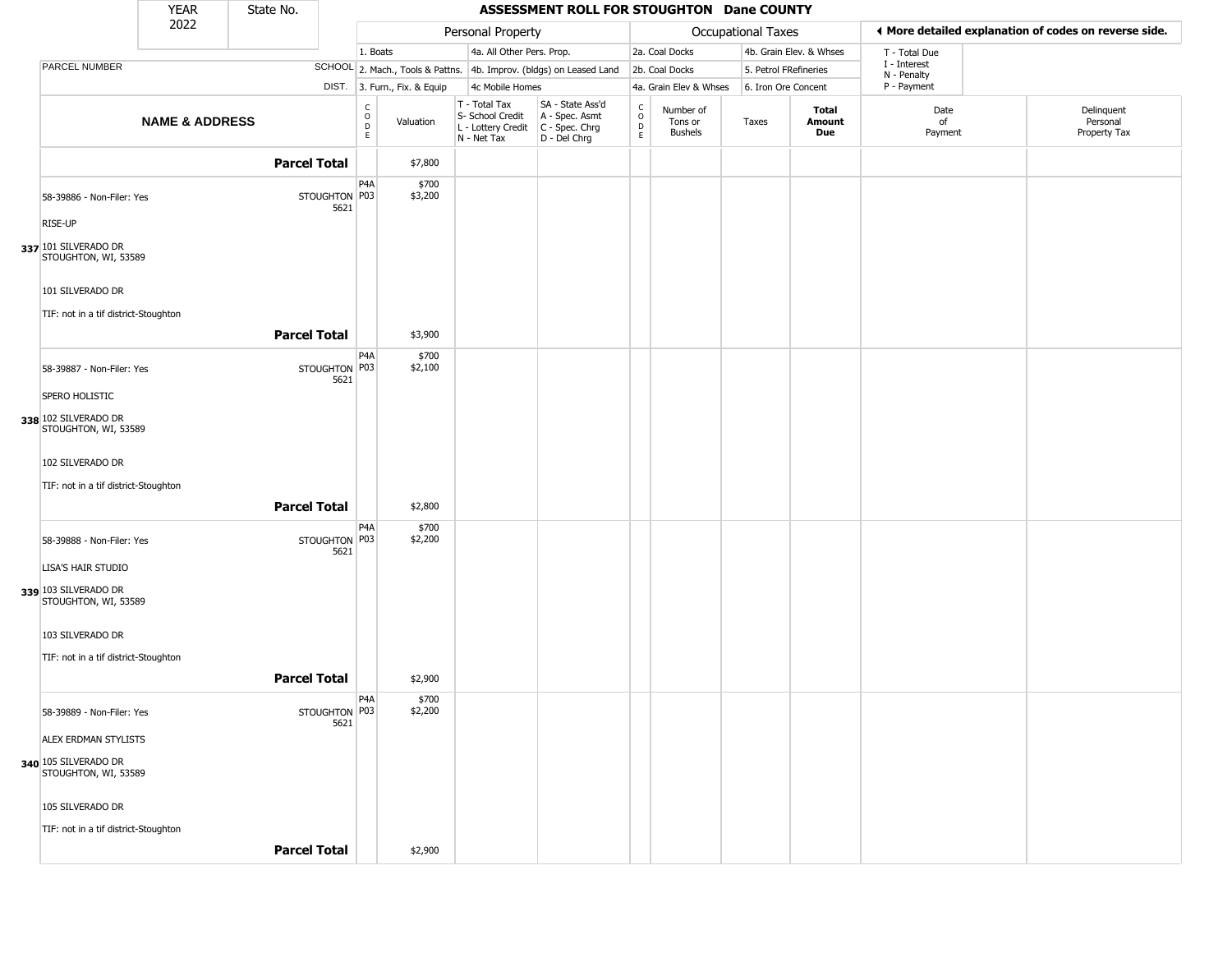|                                              | <b>YEAR</b>               | State No.           |                       |                                        |                              |                                                                        | ASSESSMENT ROLL FOR STOUGHTON Dane COUNTY                            |                                                   |                                 |                       |                         |                             |                                                       |
|----------------------------------------------|---------------------------|---------------------|-----------------------|----------------------------------------|------------------------------|------------------------------------------------------------------------|----------------------------------------------------------------------|---------------------------------------------------|---------------------------------|-----------------------|-------------------------|-----------------------------|-------------------------------------------------------|
|                                              | 2022                      |                     |                       |                                        |                              | Personal Property                                                      |                                                                      |                                                   |                                 | Occupational Taxes    |                         |                             | ◀ More detailed explanation of codes on reverse side. |
|                                              |                           |                     |                       | 1. Boats                               |                              | 4a. All Other Pers. Prop.                                              |                                                                      |                                                   | 2a. Coal Docks                  |                       | 4b. Grain Elev. & Whses | T - Total Due               |                                                       |
| PARCEL NUMBER                                |                           |                     |                       |                                        |                              |                                                                        | SCHOOL 2. Mach., Tools & Pattns. 4b. Improv. (bldgs) on Leased Land  |                                                   | 2b. Coal Docks                  | 5. Petrol FRefineries |                         | I - Interest<br>N - Penalty |                                                       |
|                                              |                           |                     |                       |                                        | DIST. 3. Furn., Fix. & Equip | 4c Mobile Homes                                                        |                                                                      |                                                   | 4a. Grain Elev & Whses          | 6. Iron Ore Concent   |                         | P - Payment                 |                                                       |
|                                              | <b>NAME &amp; ADDRESS</b> |                     |                       | C<br>$_{\rm D}^{\rm O}$<br>$\mathsf E$ | Valuation                    | T - Total Tax<br>S- School Credit<br>L - Lottery Credit<br>N - Net Tax | SA - State Ass'd<br>A - Spec. Asmt<br>C - Spec. Chrg<br>D - Del Chrg | $\begin{array}{c}\nC \\ O \\ D \\ E\n\end{array}$ | Number of<br>Tons or<br>Bushels | Taxes                 | Total<br>Amount<br>Due  | Date<br>of<br>Payment       | Delinquent<br>Personal<br>Property Tax                |
|                                              |                           | <b>Parcel Total</b> |                       |                                        | \$7,800                      |                                                                        |                                                                      |                                                   |                                 |                       |                         |                             |                                                       |
| 58-39886 - Non-Filer: Yes<br>RISE-UP         |                           |                     | STOUGHTON P03<br>5621 | P <sub>4</sub> A                       | \$700<br>\$3,200             |                                                                        |                                                                      |                                                   |                                 |                       |                         |                             |                                                       |
| 337 101 SILVERADO DR<br>STOUGHTON, WI, 53589 |                           |                     |                       |                                        |                              |                                                                        |                                                                      |                                                   |                                 |                       |                         |                             |                                                       |
| 101 SILVERADO DR                             |                           |                     |                       |                                        |                              |                                                                        |                                                                      |                                                   |                                 |                       |                         |                             |                                                       |
| TIF: not in a tif district-Stoughton         |                           | <b>Parcel Total</b> |                       |                                        | \$3,900                      |                                                                        |                                                                      |                                                   |                                 |                       |                         |                             |                                                       |
|                                              |                           |                     |                       | P <sub>4</sub> A                       | \$700                        |                                                                        |                                                                      |                                                   |                                 |                       |                         |                             |                                                       |
| 58-39887 - Non-Filer: Yes                    |                           |                     | STOUGHTON P03<br>5621 |                                        | \$2,100                      |                                                                        |                                                                      |                                                   |                                 |                       |                         |                             |                                                       |
| SPERO HOLISTIC                               |                           |                     |                       |                                        |                              |                                                                        |                                                                      |                                                   |                                 |                       |                         |                             |                                                       |
| 338 102 SILVERADO DR<br>STOUGHTON, WI, 53589 |                           |                     |                       |                                        |                              |                                                                        |                                                                      |                                                   |                                 |                       |                         |                             |                                                       |
| 102 SILVERADO DR                             |                           |                     |                       |                                        |                              |                                                                        |                                                                      |                                                   |                                 |                       |                         |                             |                                                       |
| TIF: not in a tif district-Stoughton         |                           |                     |                       |                                        |                              |                                                                        |                                                                      |                                                   |                                 |                       |                         |                             |                                                       |
|                                              |                           | <b>Parcel Total</b> |                       |                                        | \$2,800                      |                                                                        |                                                                      |                                                   |                                 |                       |                         |                             |                                                       |
| 58-39888 - Non-Filer: Yes                    |                           |                     | STOUGHTON P03<br>5621 | P <sub>4</sub> A                       | \$700<br>\$2,200             |                                                                        |                                                                      |                                                   |                                 |                       |                         |                             |                                                       |
| LISA'S HAIR STUDIO                           |                           |                     |                       |                                        |                              |                                                                        |                                                                      |                                                   |                                 |                       |                         |                             |                                                       |
| 339 103 SILVERADO DR<br>STOUGHTON, WI, 53589 |                           |                     |                       |                                        |                              |                                                                        |                                                                      |                                                   |                                 |                       |                         |                             |                                                       |
| 103 SILVERADO DR                             |                           |                     |                       |                                        |                              |                                                                        |                                                                      |                                                   |                                 |                       |                         |                             |                                                       |
| TIF: not in a tif district-Stoughton         |                           |                     |                       |                                        |                              |                                                                        |                                                                      |                                                   |                                 |                       |                         |                             |                                                       |
|                                              |                           | <b>Parcel Total</b> |                       |                                        | \$2,900                      |                                                                        |                                                                      |                                                   |                                 |                       |                         |                             |                                                       |
| 58-39889 - Non-Filer: Yes                    |                           |                     | STOUGHTON P03<br>5621 | P <sub>4</sub> A                       | \$700<br>\$2,200             |                                                                        |                                                                      |                                                   |                                 |                       |                         |                             |                                                       |
| ALEX ERDMAN STYLISTS                         |                           |                     |                       |                                        |                              |                                                                        |                                                                      |                                                   |                                 |                       |                         |                             |                                                       |
| 340 105 SILVERADO DR<br>STOUGHTON, WI, 53589 |                           |                     |                       |                                        |                              |                                                                        |                                                                      |                                                   |                                 |                       |                         |                             |                                                       |
| 105 SILVERADO DR                             |                           |                     |                       |                                        |                              |                                                                        |                                                                      |                                                   |                                 |                       |                         |                             |                                                       |
| TIF: not in a tif district-Stoughton         |                           |                     |                       |                                        |                              |                                                                        |                                                                      |                                                   |                                 |                       |                         |                             |                                                       |
|                                              |                           | <b>Parcel Total</b> |                       |                                        | \$2,900                      |                                                                        |                                                                      |                                                   |                                 |                       |                         |                             |                                                       |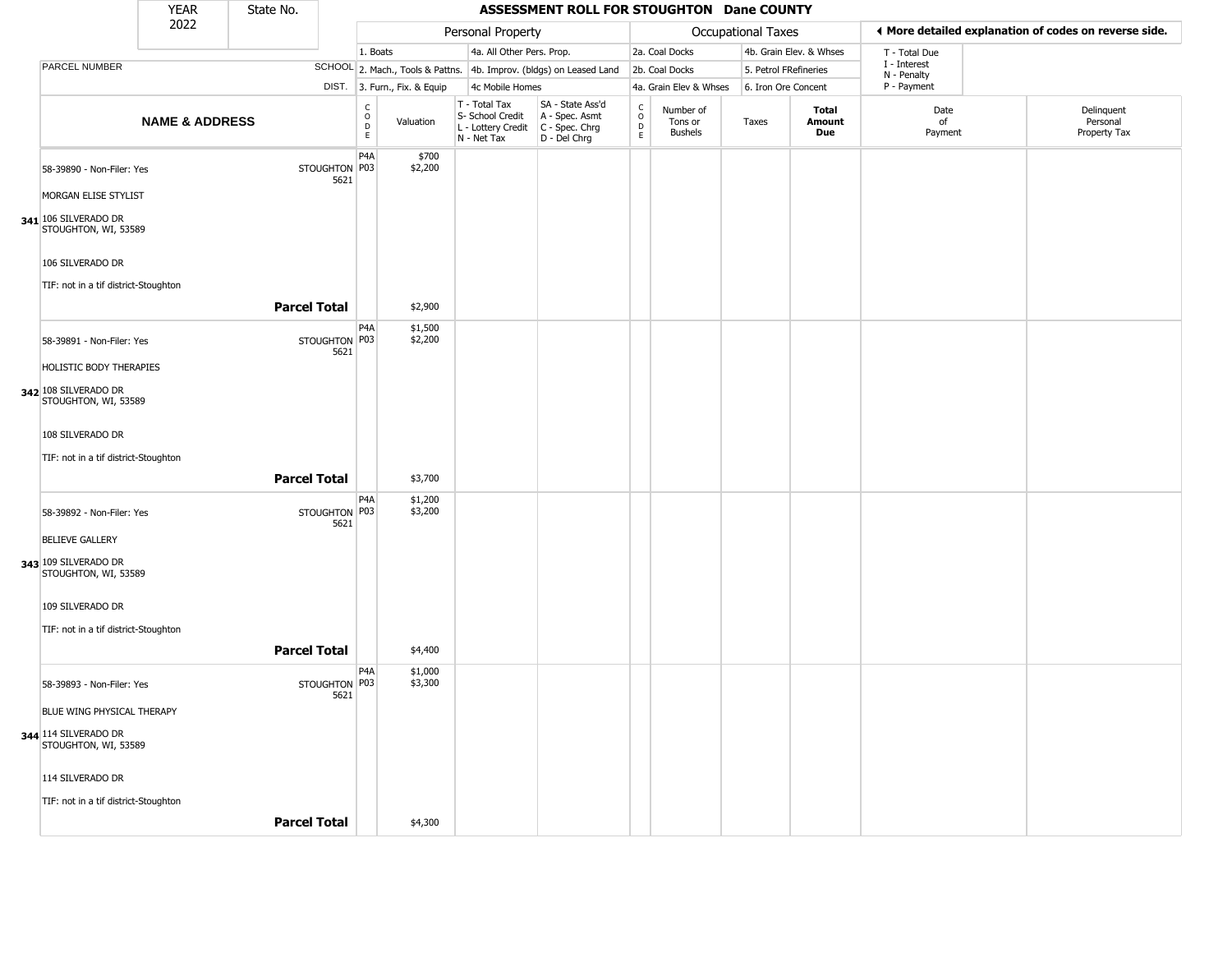|                                              | <b>YEAR</b>               | State No.           |                       |                                |                              |                                                                                         | ASSESSMENT ROLL FOR STOUGHTON Dane COUNTY                           |                            |                                        |                       |                         |                             |                                                       |
|----------------------------------------------|---------------------------|---------------------|-----------------------|--------------------------------|------------------------------|-----------------------------------------------------------------------------------------|---------------------------------------------------------------------|----------------------------|----------------------------------------|-----------------------|-------------------------|-----------------------------|-------------------------------------------------------|
|                                              | 2022                      |                     |                       |                                |                              | Personal Property                                                                       |                                                                     |                            |                                        | Occupational Taxes    |                         |                             | ♦ More detailed explanation of codes on reverse side. |
|                                              |                           |                     |                       | 1. Boats                       |                              | 4a. All Other Pers. Prop.                                                               |                                                                     |                            | 2a. Coal Docks                         |                       | 4b. Grain Elev. & Whses | T - Total Due               |                                                       |
| PARCEL NUMBER                                |                           |                     |                       |                                |                              |                                                                                         | SCHOOL 2. Mach., Tools & Pattns. 4b. Improv. (bldgs) on Leased Land |                            | 2b. Coal Docks                         | 5. Petrol FRefineries |                         | I - Interest<br>N - Penalty |                                                       |
|                                              |                           |                     |                       |                                | DIST. 3. Furn., Fix. & Equip | 4c Mobile Homes                                                                         |                                                                     |                            | 4a. Grain Elev & Whses                 | 6. Iron Ore Concent   |                         | P - Payment                 |                                                       |
|                                              | <b>NAME &amp; ADDRESS</b> |                     |                       | $\rm _o^C$<br>$\mathsf D$<br>E | Valuation                    | T - Total Tax<br>S- School Credit<br>L - Lottery Credit   C - Spec. Chrg<br>N - Net Tax | SA - State Ass'd<br>A - Spec. Asmt<br>D - Del Chrg                  | C<br>$\mathsf O$<br>D<br>E | Number of<br>Tons or<br><b>Bushels</b> | Taxes                 | Total<br>Amount<br>Due  | Date<br>of<br>Payment       | Delinquent<br>Personal<br>Property Tax                |
| 58-39890 - Non-Filer: Yes                    |                           |                     | STOUGHTON P03<br>5621 | P <sub>4</sub> A               | \$700<br>\$2,200             |                                                                                         |                                                                     |                            |                                        |                       |                         |                             |                                                       |
| MORGAN ELISE STYLIST                         |                           |                     |                       |                                |                              |                                                                                         |                                                                     |                            |                                        |                       |                         |                             |                                                       |
| 341 106 SILVERADO DR<br>STOUGHTON, WI, 53589 |                           |                     |                       |                                |                              |                                                                                         |                                                                     |                            |                                        |                       |                         |                             |                                                       |
| 106 SILVERADO DR                             |                           |                     |                       |                                |                              |                                                                                         |                                                                     |                            |                                        |                       |                         |                             |                                                       |
| TIF: not in a tif district-Stoughton         |                           |                     |                       |                                |                              |                                                                                         |                                                                     |                            |                                        |                       |                         |                             |                                                       |
|                                              |                           | <b>Parcel Total</b> |                       |                                | \$2,900                      |                                                                                         |                                                                     |                            |                                        |                       |                         |                             |                                                       |
| 58-39891 - Non-Filer: Yes                    |                           |                     | STOUGHTON P03<br>5621 | P <sub>4</sub> A               | \$1,500<br>\$2,200           |                                                                                         |                                                                     |                            |                                        |                       |                         |                             |                                                       |
| HOLISTIC BODY THERAPIES                      |                           |                     |                       |                                |                              |                                                                                         |                                                                     |                            |                                        |                       |                         |                             |                                                       |
| 342 108 SILVERADO DR<br>STOUGHTON, WI, 53589 |                           |                     |                       |                                |                              |                                                                                         |                                                                     |                            |                                        |                       |                         |                             |                                                       |
| 108 SILVERADO DR                             |                           |                     |                       |                                |                              |                                                                                         |                                                                     |                            |                                        |                       |                         |                             |                                                       |
| TIF: not in a tif district-Stoughton         |                           |                     |                       |                                |                              |                                                                                         |                                                                     |                            |                                        |                       |                         |                             |                                                       |
|                                              |                           | <b>Parcel Total</b> |                       |                                | \$3,700                      |                                                                                         |                                                                     |                            |                                        |                       |                         |                             |                                                       |
| 58-39892 - Non-Filer: Yes                    |                           |                     | STOUGHTON P03<br>5621 | P <sub>4</sub> A               | \$1,200<br>\$3,200           |                                                                                         |                                                                     |                            |                                        |                       |                         |                             |                                                       |
| <b>BELIEVE GALLERY</b>                       |                           |                     |                       |                                |                              |                                                                                         |                                                                     |                            |                                        |                       |                         |                             |                                                       |
| 343 109 SILVERADO DR<br>STOUGHTON, WI, 53589 |                           |                     |                       |                                |                              |                                                                                         |                                                                     |                            |                                        |                       |                         |                             |                                                       |
| 109 SILVERADO DR                             |                           |                     |                       |                                |                              |                                                                                         |                                                                     |                            |                                        |                       |                         |                             |                                                       |
| TIF: not in a tif district-Stoughton         |                           |                     |                       |                                |                              |                                                                                         |                                                                     |                            |                                        |                       |                         |                             |                                                       |
|                                              |                           | <b>Parcel Total</b> |                       |                                | \$4,400                      |                                                                                         |                                                                     |                            |                                        |                       |                         |                             |                                                       |
| 58-39893 - Non-Filer: Yes                    |                           |                     | STOUGHTON P03<br>5621 | P <sub>4</sub> A               | \$1,000<br>\$3,300           |                                                                                         |                                                                     |                            |                                        |                       |                         |                             |                                                       |
| BLUE WING PHYSICAL THERAPY                   |                           |                     |                       |                                |                              |                                                                                         |                                                                     |                            |                                        |                       |                         |                             |                                                       |
| 344 114 SILVERADO DR<br>STOUGHTON, WI, 53589 |                           |                     |                       |                                |                              |                                                                                         |                                                                     |                            |                                        |                       |                         |                             |                                                       |
| 114 SILVERADO DR                             |                           |                     |                       |                                |                              |                                                                                         |                                                                     |                            |                                        |                       |                         |                             |                                                       |
| TIF: not in a tif district-Stoughton         |                           |                     |                       |                                |                              |                                                                                         |                                                                     |                            |                                        |                       |                         |                             |                                                       |
|                                              |                           | <b>Parcel Total</b> |                       |                                | \$4,300                      |                                                                                         |                                                                     |                            |                                        |                       |                         |                             |                                                       |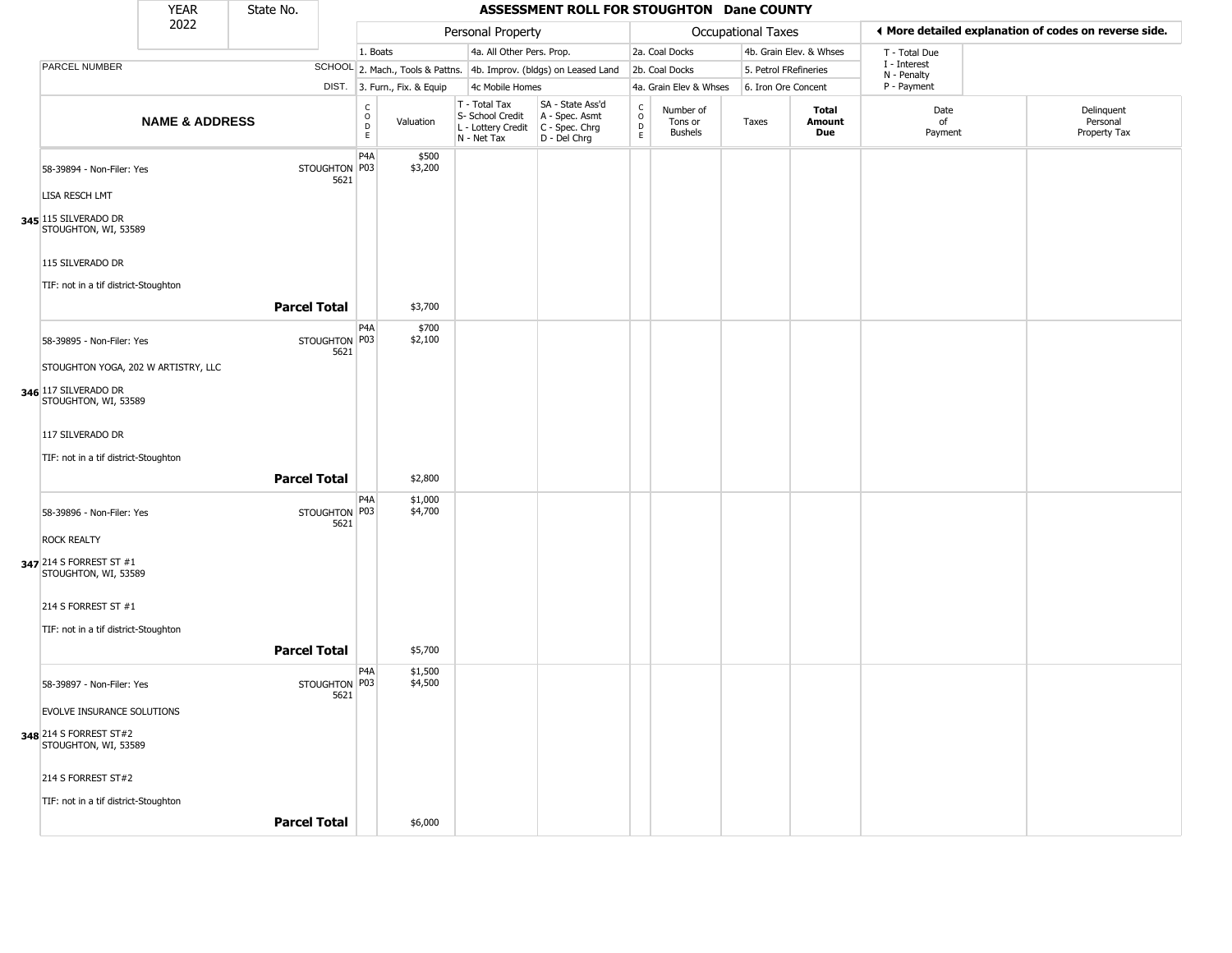| <b>YEAR</b><br>State No.<br>2022 |                                                 |                           |                     |                       |                                                        |                                                                        | ASSESSMENT ROLL FOR STOUGHTON Dane COUNTY                              |                                |                                 |                       |                         |                            |                                                       |  |
|----------------------------------|-------------------------------------------------|---------------------------|---------------------|-----------------------|--------------------------------------------------------|------------------------------------------------------------------------|------------------------------------------------------------------------|--------------------------------|---------------------------------|-----------------------|-------------------------|----------------------------|-------------------------------------------------------|--|
|                                  |                                                 |                           |                     |                       |                                                        | Personal Property                                                      |                                                                        |                                |                                 | Occupational Taxes    |                         |                            | ◀ More detailed explanation of codes on reverse side. |  |
|                                  |                                                 |                           |                     |                       | 1. Boats                                               | 4a. All Other Pers. Prop.                                              |                                                                        |                                | 2a. Coal Docks                  |                       | 4b. Grain Elev. & Whses | T - Total Due              |                                                       |  |
|                                  | PARCEL NUMBER                                   |                           |                     |                       |                                                        |                                                                        | SCHOOL 2. Mach., Tools & Pattns. 4b. Improv. (bldgs) on Leased Land    |                                | 2b. Coal Docks                  | 5. Petrol FRefineries |                         | I - Interest               |                                                       |  |
|                                  |                                                 |                           |                     |                       | DIST. 3. Furn., Fix. & Equip                           | 4c Mobile Homes                                                        |                                                                        |                                | 4a. Grain Elev & Whses          | 6. Iron Ore Concent   |                         | N - Penalty<br>P - Payment |                                                       |  |
|                                  |                                                 | <b>NAME &amp; ADDRESS</b> |                     |                       | $_{\rm o}^{\rm c}$<br>Valuation<br>$\overline{D}$<br>E | T - Total Tax<br>S- School Credit<br>L - Lottery Credit<br>N - Net Tax | SA - State Ass'd<br>A - Spec. Asmt<br>$C - Spec. Chrg$<br>D - Del Chrg | $\rm _o^C$<br>D<br>$\mathsf E$ | Number of<br>Tons or<br>Bushels | Taxes                 | Total<br>Amount<br>Due  | Date<br>of<br>Payment      | Delinquent<br>Personal<br>Property Tax                |  |
|                                  | 58-39894 - Non-Filer: Yes                       |                           |                     | STOUGHTON P03<br>5621 | P <sub>4</sub> A<br>\$500<br>\$3,200                   |                                                                        |                                                                        |                                |                                 |                       |                         |                            |                                                       |  |
|                                  | LISA RESCH LMT                                  |                           |                     |                       |                                                        |                                                                        |                                                                        |                                |                                 |                       |                         |                            |                                                       |  |
|                                  | 345 115 SILVERADO DR<br>STOUGHTON, WI, 53589    |                           |                     |                       |                                                        |                                                                        |                                                                        |                                |                                 |                       |                         |                            |                                                       |  |
|                                  | 115 SILVERADO DR                                |                           |                     |                       |                                                        |                                                                        |                                                                        |                                |                                 |                       |                         |                            |                                                       |  |
|                                  | TIF: not in a tif district-Stoughton            |                           |                     |                       |                                                        |                                                                        |                                                                        |                                |                                 |                       |                         |                            |                                                       |  |
|                                  |                                                 |                           | <b>Parcel Total</b> |                       | \$3,700                                                |                                                                        |                                                                        |                                |                                 |                       |                         |                            |                                                       |  |
|                                  | 58-39895 - Non-Filer: Yes                       |                           |                     | STOUGHTON P03<br>5621 | P <sub>4</sub> A<br>\$700<br>\$2,100                   |                                                                        |                                                                        |                                |                                 |                       |                         |                            |                                                       |  |
|                                  | STOUGHTON YOGA, 202 W ARTISTRY, LLC             |                           |                     |                       |                                                        |                                                                        |                                                                        |                                |                                 |                       |                         |                            |                                                       |  |
|                                  | 346 117 SILVERADO DR<br>STOUGHTON, WI, 53589    |                           |                     |                       |                                                        |                                                                        |                                                                        |                                |                                 |                       |                         |                            |                                                       |  |
|                                  | 117 SILVERADO DR                                |                           |                     |                       |                                                        |                                                                        |                                                                        |                                |                                 |                       |                         |                            |                                                       |  |
|                                  | TIF: not in a tif district-Stoughton            |                           |                     |                       |                                                        |                                                                        |                                                                        |                                |                                 |                       |                         |                            |                                                       |  |
|                                  |                                                 |                           | <b>Parcel Total</b> |                       | \$2,800                                                |                                                                        |                                                                        |                                |                                 |                       |                         |                            |                                                       |  |
|                                  | 58-39896 - Non-Filer: Yes                       |                           |                     | STOUGHTON P03         | P <sub>4</sub> A<br>\$1,000<br>\$4,700                 |                                                                        |                                                                        |                                |                                 |                       |                         |                            |                                                       |  |
|                                  | <b>ROCK REALTY</b>                              |                           |                     | 5621                  |                                                        |                                                                        |                                                                        |                                |                                 |                       |                         |                            |                                                       |  |
|                                  | 347 214 S FORREST ST #1<br>STOUGHTON, WI, 53589 |                           |                     |                       |                                                        |                                                                        |                                                                        |                                |                                 |                       |                         |                            |                                                       |  |
|                                  | 214 S FORREST ST #1                             |                           |                     |                       |                                                        |                                                                        |                                                                        |                                |                                 |                       |                         |                            |                                                       |  |
|                                  | TIF: not in a tif district-Stoughton            |                           |                     |                       |                                                        |                                                                        |                                                                        |                                |                                 |                       |                         |                            |                                                       |  |
|                                  |                                                 |                           | <b>Parcel Total</b> |                       | \$5,700                                                |                                                                        |                                                                        |                                |                                 |                       |                         |                            |                                                       |  |
|                                  | 58-39897 - Non-Filer: Yes                       |                           |                     | STOUGHTON P03<br>5621 | P4A<br>\$1,500<br>\$4,500                              |                                                                        |                                                                        |                                |                                 |                       |                         |                            |                                                       |  |
|                                  | <b>EVOLVE INSURANCE SOLUTIONS</b>               |                           |                     |                       |                                                        |                                                                        |                                                                        |                                |                                 |                       |                         |                            |                                                       |  |
|                                  | 348 214 S FORREST ST#2<br>STOUGHTON, WI, 53589  |                           |                     |                       |                                                        |                                                                        |                                                                        |                                |                                 |                       |                         |                            |                                                       |  |
|                                  | 214 S FORREST ST#2                              |                           |                     |                       |                                                        |                                                                        |                                                                        |                                |                                 |                       |                         |                            |                                                       |  |
|                                  | TIF: not in a tif district-Stoughton            |                           |                     |                       |                                                        |                                                                        |                                                                        |                                |                                 |                       |                         |                            |                                                       |  |
|                                  |                                                 |                           | <b>Parcel Total</b> |                       | \$6,000                                                |                                                                        |                                                                        |                                |                                 |                       |                         |                            |                                                       |  |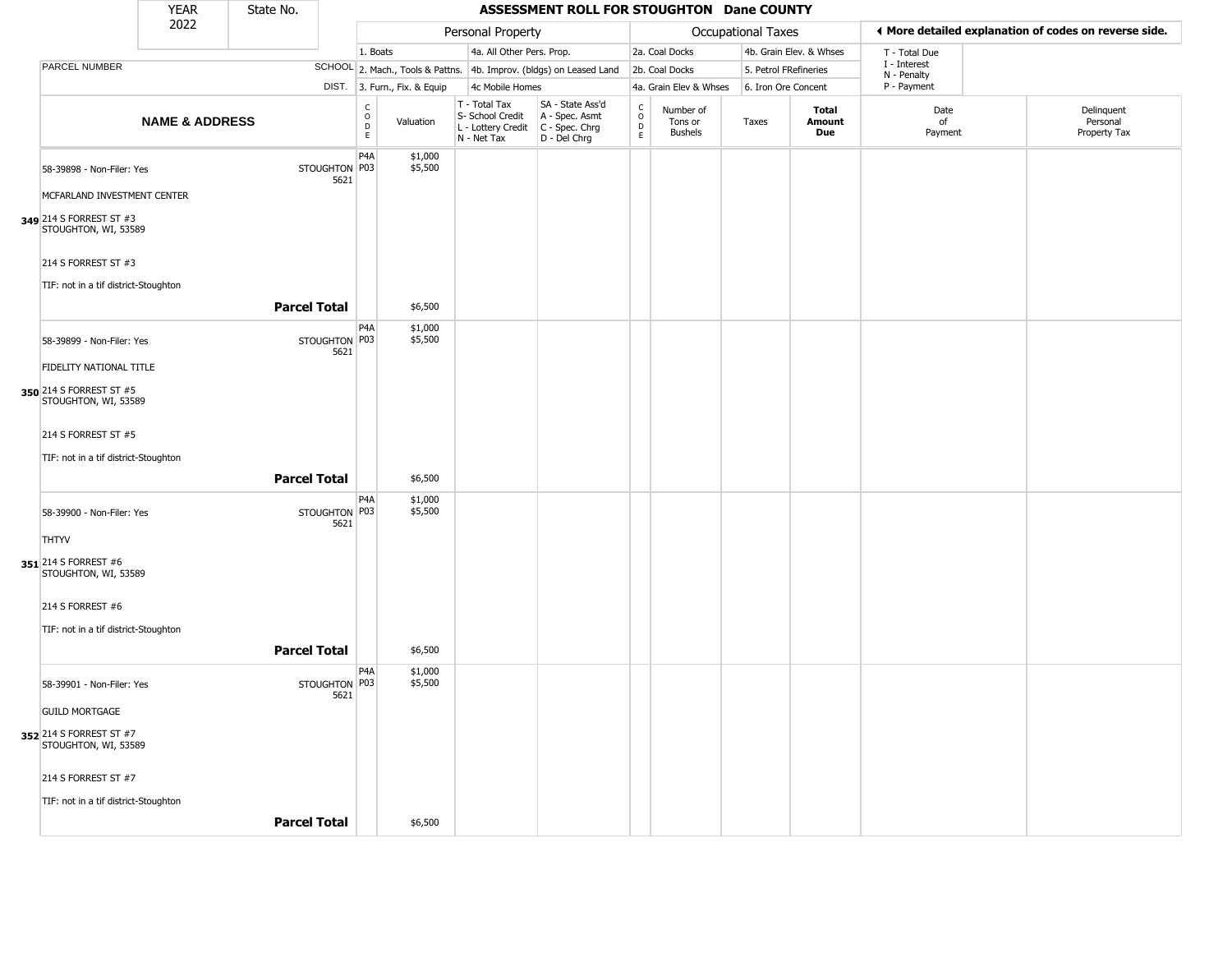| <b>YEAR</b><br>State No.<br>2022                |                           |                     |                       |                               |                              |                                                                        | ASSESSMENT ROLL FOR STOUGHTON Dane COUNTY                              |                         |                                        |                       |                         |                             |                                                       |
|-------------------------------------------------|---------------------------|---------------------|-----------------------|-------------------------------|------------------------------|------------------------------------------------------------------------|------------------------------------------------------------------------|-------------------------|----------------------------------------|-----------------------|-------------------------|-----------------------------|-------------------------------------------------------|
|                                                 |                           |                     |                       |                               |                              | Personal Property                                                      |                                                                        |                         |                                        | Occupational Taxes    |                         |                             | ♦ More detailed explanation of codes on reverse side. |
|                                                 |                           |                     |                       | 1. Boats                      |                              | 4a. All Other Pers. Prop.                                              |                                                                        |                         | 2a. Coal Docks                         |                       | 4b. Grain Elev. & Whses | T - Total Due               |                                                       |
| PARCEL NUMBER                                   |                           |                     |                       |                               |                              |                                                                        | SCHOOL 2. Mach., Tools & Pattns. 4b. Improv. (bldgs) on Leased Land    |                         | 2b. Coal Docks                         | 5. Petrol FRefineries |                         | I - Interest<br>N - Penalty |                                                       |
|                                                 |                           |                     |                       |                               | DIST. 3. Furn., Fix. & Equip | 4c Mobile Homes                                                        |                                                                        |                         | 4a. Grain Elev & Whses                 | 6. Iron Ore Concent   |                         | P - Payment                 |                                                       |
|                                                 | <b>NAME &amp; ADDRESS</b> |                     |                       | $\delta$<br>$\mathsf{D}$<br>E | Valuation                    | T - Total Tax<br>S- School Credit<br>L - Lottery Credit<br>N - Net Tax | SA - State Ass'd<br>A - Spec. Asmt<br>$C - Spec. Chrg$<br>D - Del Chrg | $\frac{C}{O}$<br>D<br>E | Number of<br>Tons or<br><b>Bushels</b> | Taxes                 | Total<br>Amount<br>Due  | Date<br>of<br>Payment       | Delinquent<br>Personal<br>Property Tax                |
| 58-39898 - Non-Filer: Yes                       |                           |                     | STOUGHTON P03<br>5621 | P <sub>4</sub> A              | \$1,000<br>\$5,500           |                                                                        |                                                                        |                         |                                        |                       |                         |                             |                                                       |
| MCFARLAND INVESTMENT CENTER                     |                           |                     |                       |                               |                              |                                                                        |                                                                        |                         |                                        |                       |                         |                             |                                                       |
| 349 214 S FORREST ST #3<br>STOUGHTON, WI, 53589 |                           |                     |                       |                               |                              |                                                                        |                                                                        |                         |                                        |                       |                         |                             |                                                       |
| 214 S FORREST ST #3                             |                           |                     |                       |                               |                              |                                                                        |                                                                        |                         |                                        |                       |                         |                             |                                                       |
| TIF: not in a tif district-Stoughton            |                           |                     |                       |                               |                              |                                                                        |                                                                        |                         |                                        |                       |                         |                             |                                                       |
|                                                 |                           | <b>Parcel Total</b> |                       |                               | \$6,500                      |                                                                        |                                                                        |                         |                                        |                       |                         |                             |                                                       |
| 58-39899 - Non-Filer: Yes                       |                           |                     | STOUGHTON P03<br>5621 | P <sub>4</sub> A              | \$1,000<br>\$5,500           |                                                                        |                                                                        |                         |                                        |                       |                         |                             |                                                       |
| FIDELITY NATIONAL TITLE                         |                           |                     |                       |                               |                              |                                                                        |                                                                        |                         |                                        |                       |                         |                             |                                                       |
| 350 214 S FORREST ST #5<br>STOUGHTON, WI, 53589 |                           |                     |                       |                               |                              |                                                                        |                                                                        |                         |                                        |                       |                         |                             |                                                       |
| 214 S FORREST ST #5                             |                           |                     |                       |                               |                              |                                                                        |                                                                        |                         |                                        |                       |                         |                             |                                                       |
| TIF: not in a tif district-Stoughton            |                           |                     |                       |                               |                              |                                                                        |                                                                        |                         |                                        |                       |                         |                             |                                                       |
|                                                 |                           | <b>Parcel Total</b> |                       |                               | \$6,500                      |                                                                        |                                                                        |                         |                                        |                       |                         |                             |                                                       |
| 58-39900 - Non-Filer: Yes                       |                           |                     | STOUGHTON P03<br>5621 | P <sub>4</sub> A              | \$1,000<br>\$5,500           |                                                                        |                                                                        |                         |                                        |                       |                         |                             |                                                       |
| <b>THTYV</b>                                    |                           |                     |                       |                               |                              |                                                                        |                                                                        |                         |                                        |                       |                         |                             |                                                       |
| 351 214 S FORREST #6<br>STOUGHTON, WI, 53589    |                           |                     |                       |                               |                              |                                                                        |                                                                        |                         |                                        |                       |                         |                             |                                                       |
| 214 S FORREST #6                                |                           |                     |                       |                               |                              |                                                                        |                                                                        |                         |                                        |                       |                         |                             |                                                       |
| TIF: not in a tif district-Stoughton            |                           |                     |                       |                               |                              |                                                                        |                                                                        |                         |                                        |                       |                         |                             |                                                       |
|                                                 |                           | <b>Parcel Total</b> |                       |                               | \$6,500                      |                                                                        |                                                                        |                         |                                        |                       |                         |                             |                                                       |
| 58-39901 - Non-Filer: Yes                       |                           |                     | STOUGHTON P03<br>5621 | P <sub>4</sub> A              | \$1,000<br>\$5,500           |                                                                        |                                                                        |                         |                                        |                       |                         |                             |                                                       |
| <b>GUILD MORTGAGE</b>                           |                           |                     |                       |                               |                              |                                                                        |                                                                        |                         |                                        |                       |                         |                             |                                                       |
| 352 214 S FORREST ST #7<br>STOUGHTON, WI, 53589 |                           |                     |                       |                               |                              |                                                                        |                                                                        |                         |                                        |                       |                         |                             |                                                       |
| 214 S FORREST ST #7                             |                           |                     |                       |                               |                              |                                                                        |                                                                        |                         |                                        |                       |                         |                             |                                                       |
| TIF: not in a tif district-Stoughton            |                           |                     |                       |                               |                              |                                                                        |                                                                        |                         |                                        |                       |                         |                             |                                                       |
|                                                 |                           | <b>Parcel Total</b> |                       |                               | \$6,500                      |                                                                        |                                                                        |                         |                                        |                       |                         |                             |                                                       |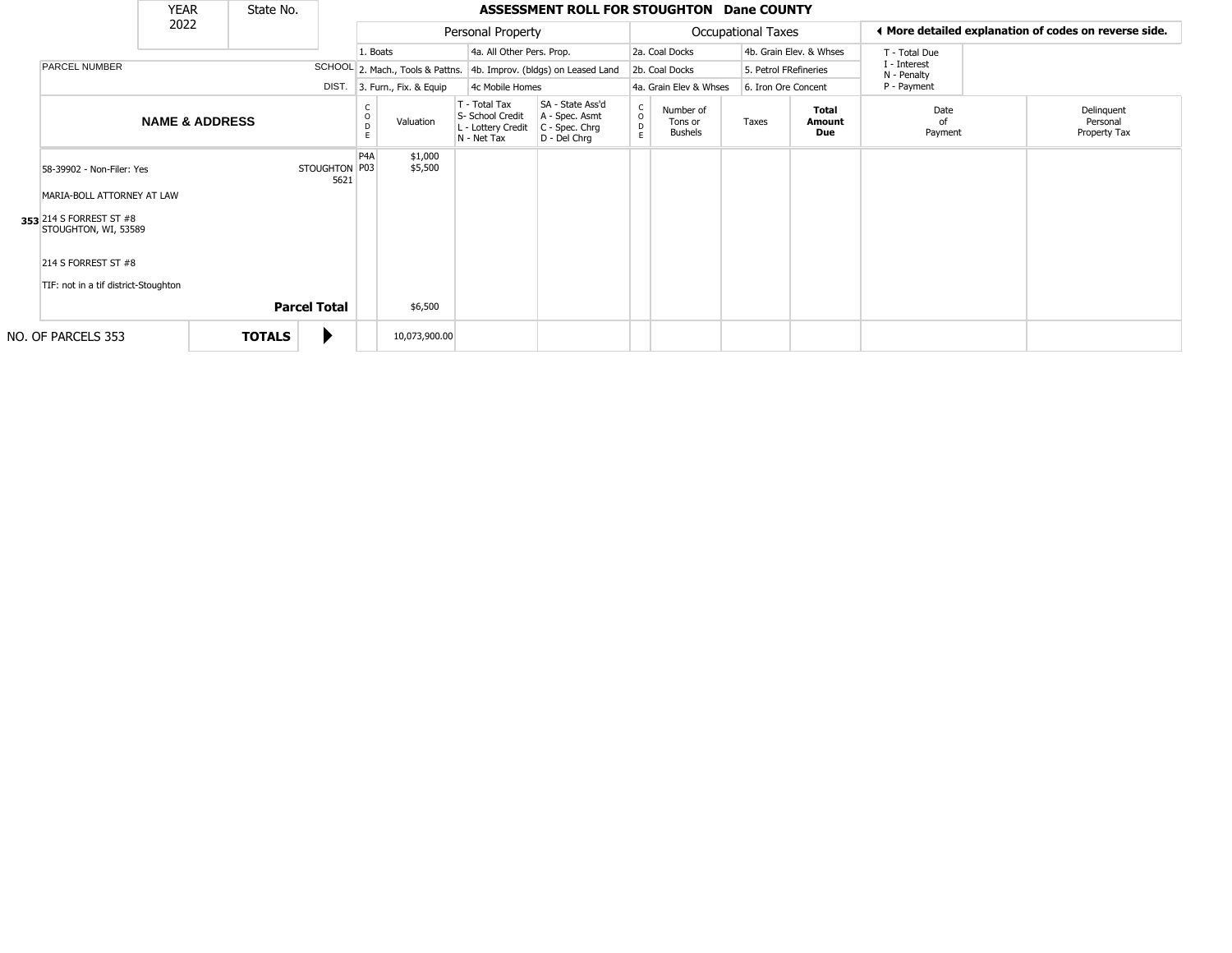| <b>YEAR</b><br>State No. |                                                 |                           |               |                                           |                         |                                               | ASSESSMENT ROLL FOR STOUGHTON Dane COUNTY                           |                                                                        |                                                                      |                                                                      |                                        |                             |                               |                       |                                                       |                                        |
|--------------------------|-------------------------------------------------|---------------------------|---------------|-------------------------------------------|-------------------------|-----------------------------------------------|---------------------------------------------------------------------|------------------------------------------------------------------------|----------------------------------------------------------------------|----------------------------------------------------------------------|----------------------------------------|-----------------------------|-------------------------------|-----------------------|-------------------------------------------------------|----------------------------------------|
|                          | 2022                                            |                           |               |                                           |                         |                                               | Personal Property                                                   |                                                                        |                                                                      |                                                                      | <b>Occupational Taxes</b>              |                             |                               |                       | ♦ More detailed explanation of codes on reverse side. |                                        |
|                          |                                                 |                           |               |                                           |                         | 1. Boats                                      |                                                                     | 4a. All Other Pers. Prop.                                              |                                                                      |                                                                      | 2a. Coal Docks                         |                             | 4b. Grain Elev. & Whses       | T - Total Due         |                                                       |                                        |
|                          | <b>PARCEL NUMBER</b><br>DIST.                   |                           |               |                                           |                         |                                               | SCHOOL 2. Mach., Tools & Pattns. 4b. Improv. (bldgs) on Leased Land |                                                                        | 2b. Coal Docks                                                       |                                                                      | 5. Petrol FRefineries                  | I - Interest<br>N - Penalty |                               |                       |                                                       |                                        |
|                          |                                                 |                           |               | 4c Mobile Homes<br>3. Furn., Fix. & Equip |                         | 4a. Grain Elev & Whses<br>6. Iron Ore Concent |                                                                     | P - Payment                                                            |                                                                      |                                                                      |                                        |                             |                               |                       |                                                       |                                        |
|                          |                                                 | <b>NAME &amp; ADDRESS</b> |               |                                           |                         | D<br>E                                        | Valuation                                                           | T - Total Tax<br>S- School Credit<br>L - Lottery Credit<br>N - Net Tax | SA - State Ass'd<br>A - Spec. Asmt<br>C - Spec. Chrg<br>D - Del Chrq | $\begin{smallmatrix} C & & \\ & O & \\ D & & \end{smallmatrix}$<br>E | Number of<br>Tons or<br><b>Bushels</b> | Taxes                       | <b>Total</b><br>Amount<br>Due | Date<br>ot<br>Payment |                                                       | Delinquent<br>Personal<br>Property Tax |
|                          | 58-39902 - Non-Filer: Yes                       |                           |               |                                           | STOUGHTON   P03<br>5621 | P <sub>4</sub> A                              | \$1,000<br>\$5,500                                                  |                                                                        |                                                                      |                                                                      |                                        |                             |                               |                       |                                                       |                                        |
|                          | MARIA-BOLL ATTORNEY AT LAW                      |                           |               |                                           |                         |                                               |                                                                     |                                                                        |                                                                      |                                                                      |                                        |                             |                               |                       |                                                       |                                        |
|                          | 353 214 S FORREST ST #8<br>STOUGHTON, WI, 53589 |                           |               |                                           |                         |                                               |                                                                     |                                                                        |                                                                      |                                                                      |                                        |                             |                               |                       |                                                       |                                        |
|                          | 214 S FORREST ST #8                             |                           |               |                                           |                         |                                               |                                                                     |                                                                        |                                                                      |                                                                      |                                        |                             |                               |                       |                                                       |                                        |
|                          | TIF: not in a tif district-Stoughton            |                           |               |                                           |                         |                                               |                                                                     |                                                                        |                                                                      |                                                                      |                                        |                             |                               |                       |                                                       |                                        |
|                          |                                                 |                           |               | <b>Parcel Total</b>                       |                         |                                               | \$6,500                                                             |                                                                        |                                                                      |                                                                      |                                        |                             |                               |                       |                                                       |                                        |
|                          | NO. OF PARCELS 353                              |                           | <b>TOTALS</b> |                                           |                         |                                               | 10,073,900.00                                                       |                                                                        |                                                                      |                                                                      |                                        |                             |                               |                       |                                                       |                                        |